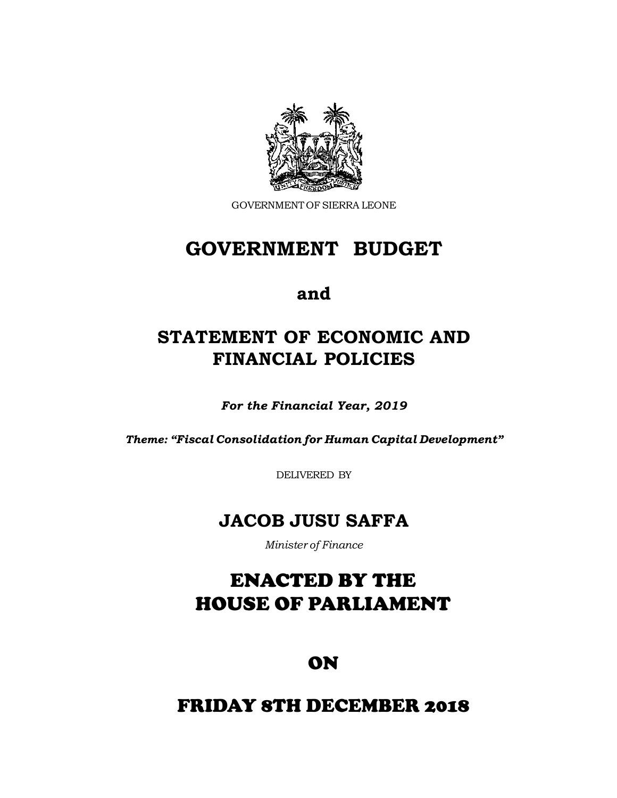

GOVERNMENT OF SIERRA LEONE

# **GOVERNMENT BUDGET**

## **and**

# **STATEMENT OF ECONOMIC AND FINANCIAL POLICIES**

*For the Financial Year, 2019*

*Theme: "Fiscal Consolidation for Human Capital Development"*

DELIVERED BY

## **JACOB JUSU SAFFA**

*Minister of Finance*

# **in the Chamber of Parliament** ENACTED BY THE HOUSE OF PARLIAMENT

ON

## **at** FRIDAY 8TH DECEMBER 2018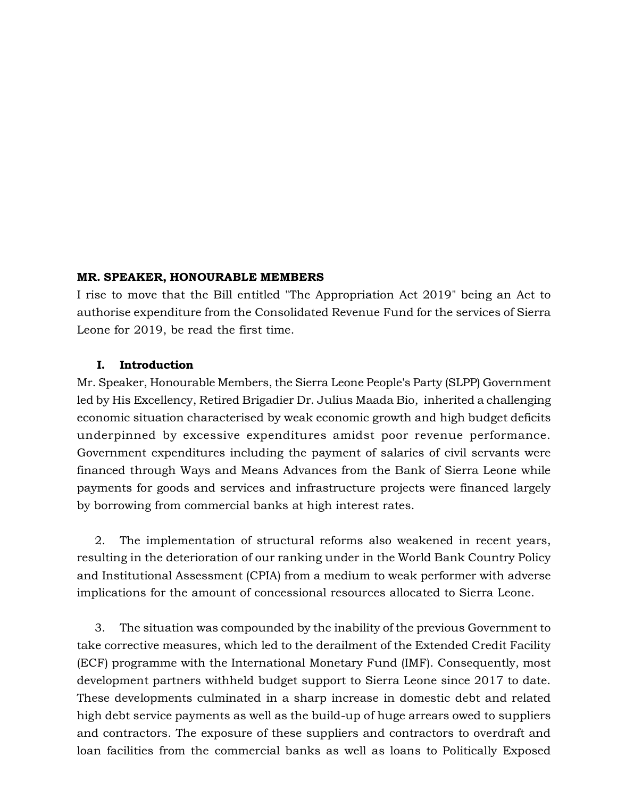#### **MR. SPEAKER, HONOURABLE MEMBERS**

I rise to move that the Bill entitled "The Appropriation Act 2019" being an Act to authorise expenditure from the Consolidated Revenue Fund for the services of Sierra Leone for 2019, be read the first time.

#### **I. Introduction**

Mr. Speaker, Honourable Members, the Sierra Leone People's Party (SLPP) Government led by His Excellency, Retired Brigadier Dr. Julius Maada Bio, inherited a challenging economic situation characterised by weak economic growth and high budget deficits underpinned by excessive expenditures amidst poor revenue performance. Government expenditures including the payment of salaries of civil servants were financed through Ways and Means Advances from the Bank of Sierra Leone while payments for goods and services and infrastructure projects were financed largely by borrowing from commercial banks at high interest rates.

2. The implementation of structural reforms also weakened in recent years, resulting in the deterioration of our ranking under in the World Bank Country Policy and Institutional Assessment (CPIA) from a medium to weak performer with adverse implications for the amount of concessional resources allocated to Sierra Leone.

3. The situation was compounded by the inability of the previous Government to take corrective measures, which led to the derailment of the Extended Credit Facility (ECF) programme with the International Monetary Fund (IMF). Consequently, most development partners withheld budget support to Sierra Leone since 2017 to date. These developments culminated in a sharp increase in domestic debt and related high debt service payments as well as the build-up of huge arrears owed to suppliers and contractors. The exposure of these suppliers and contractors to overdraft and loan facilities from the commercial banks as well as loans to Politically Exposed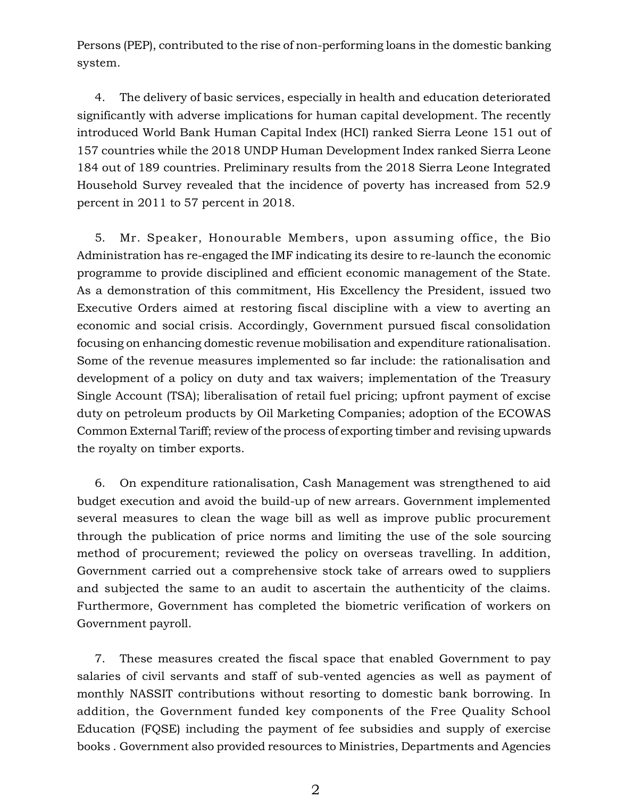Persons (PEP), contributed to the rise of non-performing loans in the domestic banking system.

4. The delivery of basic services, especially in health and education deteriorated significantly with adverse implications for human capital development. The recently introduced World Bank Human Capital Index (HCI) ranked Sierra Leone 151 out of 157 countries while the 2018 UNDP Human Development Index ranked Sierra Leone 184 out of 189 countries. Preliminary results from the 2018 Sierra Leone Integrated Household Survey revealed that the incidence of poverty has increased from 52.9 percent in 2011 to 57 percent in 2018.

5. Mr. Speaker, Honourable Members, upon assuming office, the Bio Administration has re-engaged the IMF indicating its desire to re-launch the economic programme to provide disciplined and efficient economic management of the State. As a demonstration of this commitment, His Excellency the President, issued two Executive Orders aimed at restoring fiscal discipline with a view to averting an economic and social crisis. Accordingly, Government pursued fiscal consolidation focusing on enhancing domestic revenue mobilisation and expenditure rationalisation. Some of the revenue measures implemented so far include: the rationalisation and development of a policy on duty and tax waivers; implementation of the Treasury Single Account (TSA); liberalisation of retail fuel pricing; upfront payment of excise duty on petroleum products by Oil Marketing Companies; adoption of the ECOWAS Common External Tariff; review of the process of exporting timber and revising upwards the royalty on timber exports.

6. On expenditure rationalisation, Cash Management was strengthened to aid budget execution and avoid the build-up of new arrears. Government implemented several measures to clean the wage bill as well as improve public procurement through the publication of price norms and limiting the use of the sole sourcing method of procurement; reviewed the policy on overseas travelling. In addition, Government carried out a comprehensive stock take of arrears owed to suppliers and subjected the same to an audit to ascertain the authenticity of the claims. Furthermore, Government has completed the biometric verification of workers on Government payroll.

7. These measures created the fiscal space that enabled Government to pay salaries of civil servants and staff of sub-vented agencies as well as payment of monthly NASSIT contributions without resorting to domestic bank borrowing. In addition, the Government funded key components of the Free Quality School Education (FQSE) including the payment of fee subsidies and supply of exercise books . Government also provided resources to Ministries, Departments and Agencies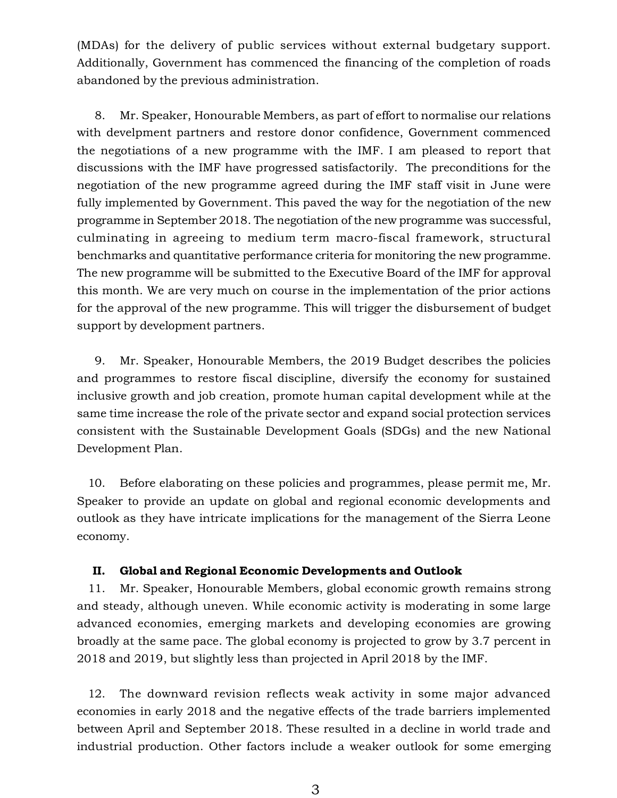(MDAs) for the delivery of public services without external budgetary support. Additionally, Government has commenced the financing of the completion of roads abandoned by the previous administration.

8. Mr. Speaker, Honourable Members, as part of effort to normalise our relations with develpment partners and restore donor confidence, Government commenced the negotiations of a new programme with the IMF. I am pleased to report that discussions with the IMF have progressed satisfactorily. The preconditions for the negotiation of the new programme agreed during the IMF staff visit in June were fully implemented by Government. This paved the way for the negotiation of the new programme in September 2018. The negotiation of the new programme was successful, culminating in agreeing to medium term macro-fiscal framework, structural benchmarks and quantitative performance criteria for monitoring the new programme. The new programme will be submitted to the Executive Board of the IMF for approval this month. We are very much on course in the implementation of the prior actions for the approval of the new programme. This will trigger the disbursement of budget support by development partners.

9. Mr. Speaker, Honourable Members, the 2019 Budget describes the policies and programmes to restore fiscal discipline, diversify the economy for sustained inclusive growth and job creation, promote human capital development while at the same time increase the role of the private sector and expand social protection services consistent with the Sustainable Development Goals (SDGs) and the new National Development Plan.

10. Before elaborating on these policies and programmes, please permit me, Mr. Speaker to provide an update on global and regional economic developments and outlook as they have intricate implications for the management of the Sierra Leone economy.

#### **II. Global and Regional Economic Developments and Outlook**

11. Mr. Speaker, Honourable Members, global economic growth remains strong and steady, although uneven. While economic activity is moderating in some large advanced economies, emerging markets and developing economies are growing broadly at the same pace. The global economy is projected to grow by 3.7 percent in 2018 and 2019, but slightly less than projected in April 2018 by the IMF.

12. The downward revision reflects weak activity in some major advanced economies in early 2018 and the negative effects of the trade barriers implemented between April and September 2018. These resulted in a decline in world trade and industrial production. Other factors include a weaker outlook for some emerging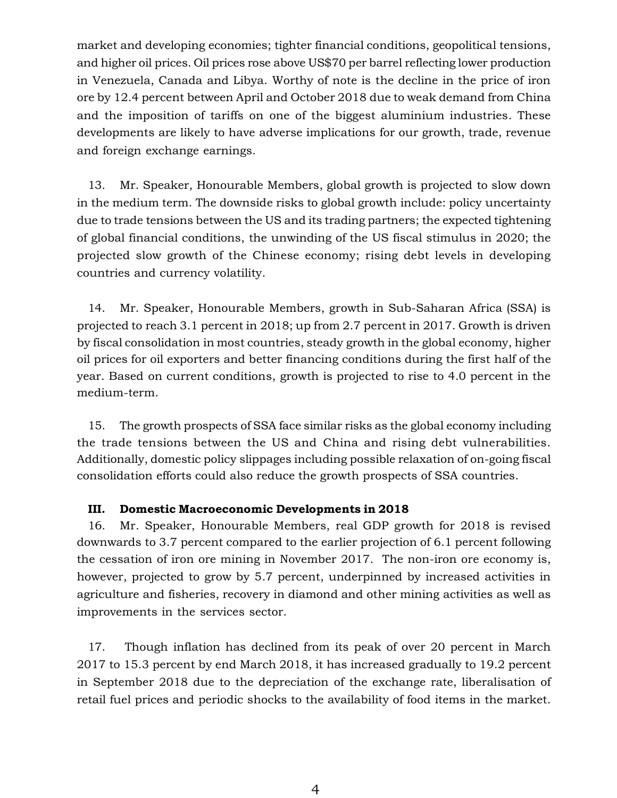market and developing economies; tighter financial conditions, geopolitical tensions, and higher oil prices. Oil prices rose above US\$70 per barrel reflecting lower production in Venezuela, Canada and Libya. Worthy of note is the decline in the price of iron ore by 12.4 percent between April and October 2018 due to weak demand from China and the imposition of tariffs on one of the biggest aluminium industries. These developments are likely to have adverse implications for our growth, trade, revenue and foreign exchange earnings.

13. Mr. Speaker, Honourable Members, global growth is projected to slow down in the medium term. The downside risks to global growth include: policy uncertainty due to trade tensions between the US and its trading partners; the expected tightening of global financial conditions, the unwinding of the US fiscal stimulus in 2020; the projected slow growth of the Chinese economy; rising debt levels in developing countries and currency volatility.

14. Mr. Speaker, Honourable Members, growth in Sub-Saharan Africa (SSA) is projected to reach 3.1 percent in 2018; up from 2.7 percent in 2017. Growth is driven by fiscal consolidation in most countries, steady growth in the global economy, higher oil prices for oil exporters and better financing conditions during the first half of the year. Based on current conditions, growth is projected to rise to 4.0 percent in the medium-term.

15. The growth prospects of SSA face similar risks as the global economy including the trade tensions between the US and China and rising debt vulnerabilities. Additionally, domestic policy slippages including possible relaxation of on-going fiscal consolidation efforts could also reduce the growth prospects of SSA countries.

#### **III. Domestic Macroeconomic Developments in 2018**

16. Mr. Speaker, Honourable Members, real GDP growth for 2018 is revised downwards to 3.7 percent compared to the earlier projection of 6.1 percent following the cessation of iron ore mining in November 2017. The non-iron ore economy is, however, projected to grow by 5.7 percent, underpinned by increased activities in agriculture and fisheries, recovery in diamond and other mining activities as well as improvements in the services sector.

17. Though inflation has declined from its peak of over 20 percent in March 2017 to 15.3 percent by end March 2018, it has increased gradually to 19.2 percent in September 2018 due to the depreciation of the exchange rate, liberalisation of retail fuel prices and periodic shocks to the availability of food items in the market.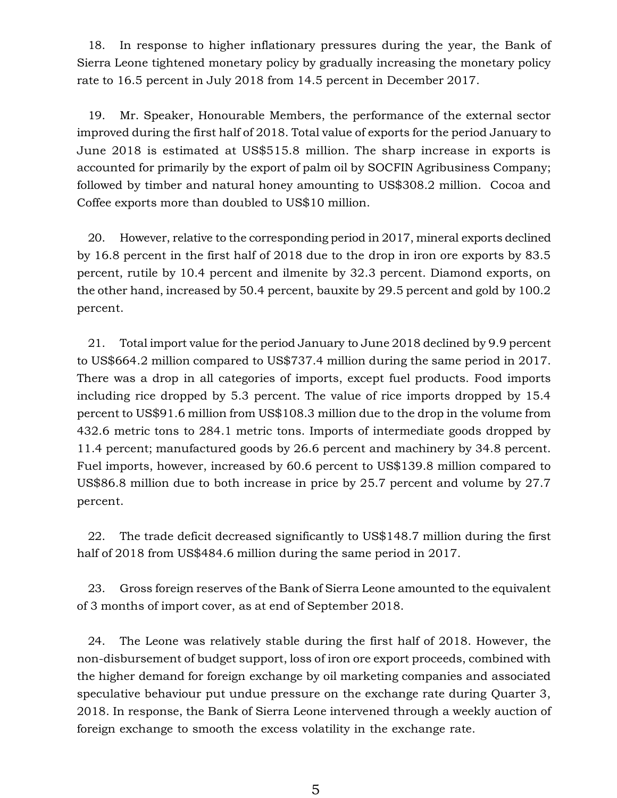18. In response to higher inflationary pressures during the year, the Bank of Sierra Leone tightened monetary policy by gradually increasing the monetary policy rate to 16.5 percent in July 2018 from 14.5 percent in December 2017.

19. Mr. Speaker, Honourable Members, the performance of the external sector improved during the first half of 2018. Total value of exports for the period January to June 2018 is estimated at US\$515.8 million. The sharp increase in exports is accounted for primarily by the export of palm oil by SOCFIN Agribusiness Company; followed by timber and natural honey amounting to US\$308.2 million. Cocoa and Coffee exports more than doubled to US\$10 million.

20. However, relative to the corresponding period in 2017, mineral exports declined by 16.8 percent in the first half of 2018 due to the drop in iron ore exports by 83.5 percent, rutile by 10.4 percent and ilmenite by 32.3 percent. Diamond exports, on the other hand, increased by 50.4 percent, bauxite by 29.5 percent and gold by 100.2 percent.

21. Total import value for the period January to June 2018 declined by 9.9 percent to US\$664.2 million compared to US\$737.4 million during the same period in 2017. There was a drop in all categories of imports, except fuel products. Food imports including rice dropped by 5.3 percent. The value of rice imports dropped by 15.4 percent to US\$91.6 million from US\$108.3 million due to the drop in the volume from 432.6 metric tons to 284.1 metric tons. Imports of intermediate goods dropped by 11.4 percent; manufactured goods by 26.6 percent and machinery by 34.8 percent. Fuel imports, however, increased by 60.6 percent to US\$139.8 million compared to US\$86.8 million due to both increase in price by 25.7 percent and volume by 27.7 percent.

22. The trade deficit decreased significantly to US\$148.7 million during the first half of 2018 from US\$484.6 million during the same period in 2017.

23. Gross foreign reserves of the Bank of Sierra Leone amounted to the equivalent of 3 months of import cover, as at end of September 2018.

24. The Leone was relatively stable during the first half of 2018. However, the non-disbursement of budget support, loss of iron ore export proceeds, combined with the higher demand for foreign exchange by oil marketing companies and associated speculative behaviour put undue pressure on the exchange rate during Quarter 3, 2018. In response, the Bank of Sierra Leone intervened through a weekly auction of foreign exchange to smooth the excess volatility in the exchange rate.

5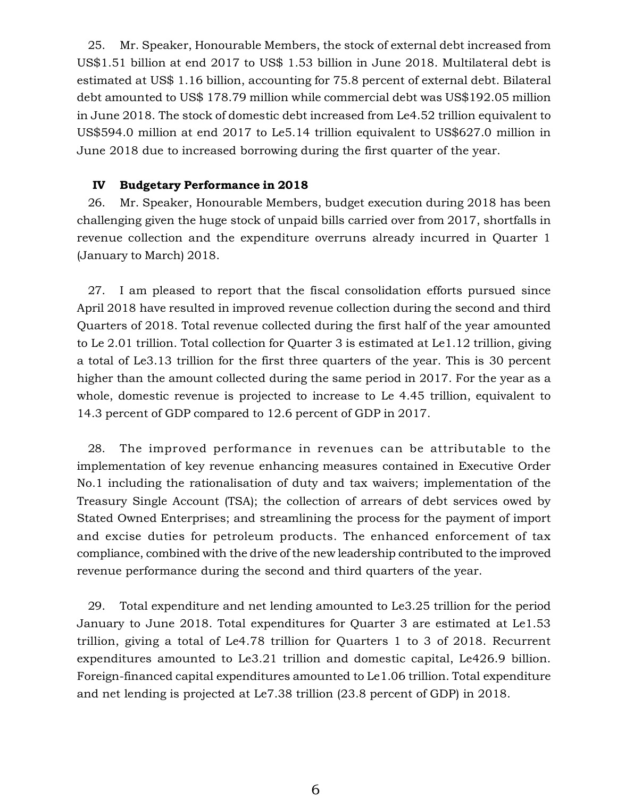25. Mr. Speaker, Honourable Members, the stock of external debt increased from US\$1.51 billion at end 2017 to US\$ 1.53 billion in June 2018. Multilateral debt is estimated at US\$ 1.16 billion, accounting for 75.8 percent of external debt. Bilateral debt amounted to US\$ 178.79 million while commercial debt was US\$192.05 million in June 2018. The stock of domestic debt increased from Le4.52 trillion equivalent to US\$594.0 million at end 2017 to Le5.14 trillion equivalent to US\$627.0 million in June 2018 due to increased borrowing during the first quarter of the year.

#### **IV Budgetary Performance in 2018**

26. Mr. Speaker, Honourable Members, budget execution during 2018 has been challenging given the huge stock of unpaid bills carried over from 2017, shortfalls in revenue collection and the expenditure overruns already incurred in Quarter 1 (January to March) 2018.

27. I am pleased to report that the fiscal consolidation efforts pursued since April 2018 have resulted in improved revenue collection during the second and third Quarters of 2018. Total revenue collected during the first half of the year amounted to Le 2.01 trillion. Total collection for Quarter 3 is estimated at Le1.12 trillion, giving a total of Le3.13 trillion for the first three quarters of the year. This is 30 percent higher than the amount collected during the same period in 2017. For the year as a whole, domestic revenue is projected to increase to Le 4.45 trillion, equivalent to 14.3 percent of GDP compared to 12.6 percent of GDP in 2017.

28. The improved performance in revenues can be attributable to the implementation of key revenue enhancing measures contained in Executive Order No.1 including the rationalisation of duty and tax waivers; implementation of the Treasury Single Account (TSA); the collection of arrears of debt services owed by Stated Owned Enterprises; and streamlining the process for the payment of import and excise duties for petroleum products. The enhanced enforcement of tax compliance, combined with the drive of the new leadership contributed to the improved revenue performance during the second and third quarters of the year.

29. Total expenditure and net lending amounted to Le3.25 trillion for the period January to June 2018. Total expenditures for Quarter 3 are estimated at Le1.53 trillion, giving a total of Le4.78 trillion for Quarters 1 to 3 of 2018. Recurrent expenditures amounted to Le3.21 trillion and domestic capital, Le426.9 billion. Foreign-financed capital expenditures amounted to Le1.06 trillion. Total expenditure and net lending is projected at Le7.38 trillion (23.8 percent of GDP) in 2018.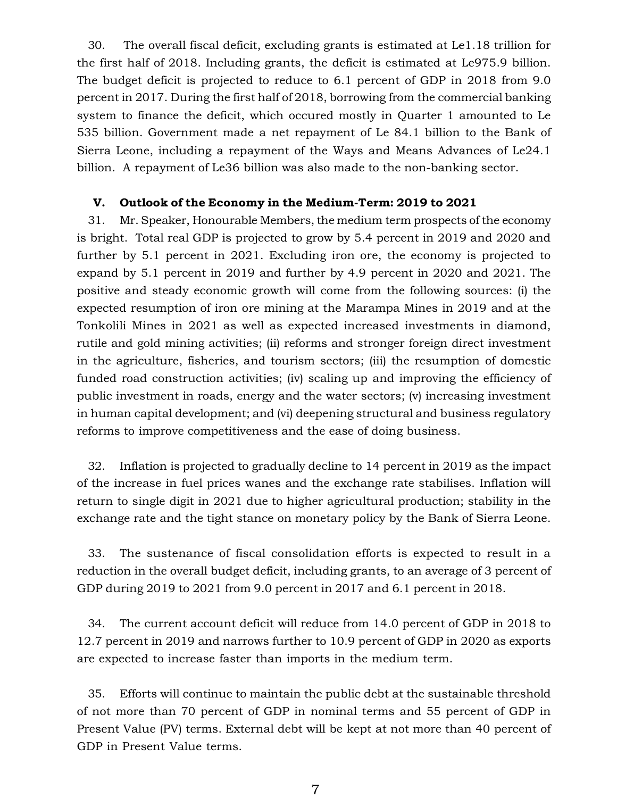30. The overall fiscal deficit, excluding grants is estimated at Le1.18 trillion for the first half of 2018. Including grants, the deficit is estimated at Le975.9 billion. The budget deficit is projected to reduce to 6.1 percent of GDP in 2018 from 9.0 percent in 2017. During the first half of 2018, borrowing from the commercial banking system to finance the deficit, which occured mostly in Quarter 1 amounted to Le 535 billion. Government made a net repayment of Le 84.1 billion to the Bank of Sierra Leone, including a repayment of the Ways and Means Advances of Le24.1 billion. A repayment of Le36 billion was also made to the non-banking sector.

#### **V. Outlook of the Economy in the Medium-Term: 2019 to 2021**

31. Mr. Speaker, Honourable Members, the medium term prospects of the economy is bright. Total real GDP is projected to grow by 5.4 percent in 2019 and 2020 and further by 5.1 percent in 2021. Excluding iron ore, the economy is projected to expand by 5.1 percent in 2019 and further by 4.9 percent in 2020 and 2021. The positive and steady economic growth will come from the following sources: (i) the expected resumption of iron ore mining at the Marampa Mines in 2019 and at the Tonkolili Mines in 2021 as well as expected increased investments in diamond, rutile and gold mining activities; (ii) reforms and stronger foreign direct investment in the agriculture, fisheries, and tourism sectors; (iii) the resumption of domestic funded road construction activities; (iv) scaling up and improving the efficiency of public investment in roads, energy and the water sectors; (v) increasing investment in human capital development; and (vi) deepening structural and business regulatory reforms to improve competitiveness and the ease of doing business.

32. Inflation is projected to gradually decline to 14 percent in 2019 as the impact of the increase in fuel prices wanes and the exchange rate stabilises. Inflation will return to single digit in 2021 due to higher agricultural production; stability in the exchange rate and the tight stance on monetary policy by the Bank of Sierra Leone.

33. The sustenance of fiscal consolidation efforts is expected to result in a reduction in the overall budget deficit, including grants, to an average of 3 percent of GDP during 2019 to 2021 from 9.0 percent in 2017 and 6.1 percent in 2018.

34. The current account deficit will reduce from 14.0 percent of GDP in 2018 to 12.7 percent in 2019 and narrows further to 10.9 percent of GDP in 2020 as exports are expected to increase faster than imports in the medium term.

35. Efforts will continue to maintain the public debt at the sustainable threshold of not more than 70 percent of GDP in nominal terms and 55 percent of GDP in Present Value (PV) terms. External debt will be kept at not more than 40 percent of GDP in Present Value terms.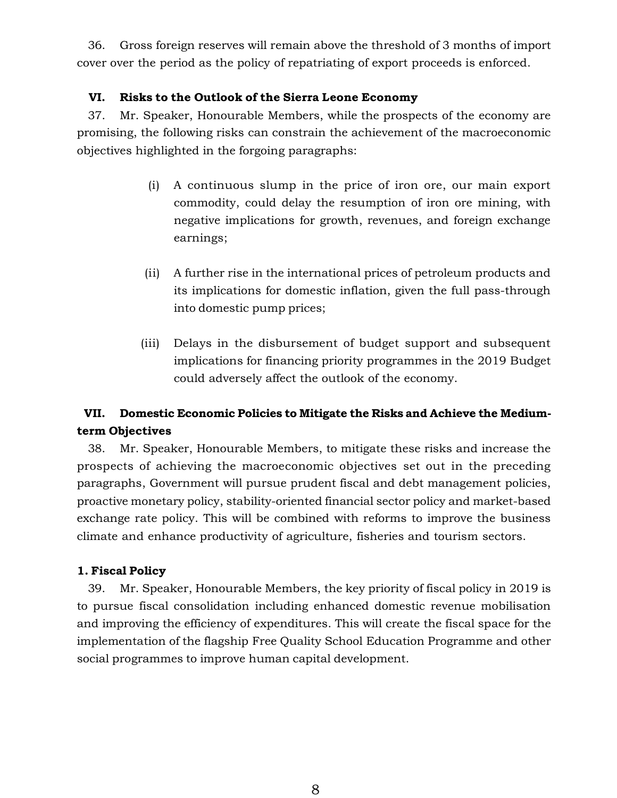36. Gross foreign reserves will remain above the threshold of 3 months of import cover over the period as the policy of repatriating of export proceeds is enforced.

## **VI. Risks to the Outlook of the Sierra Leone Economy**

37. Mr. Speaker, Honourable Members, while the prospects of the economy are promising, the following risks can constrain the achievement of the macroeconomic objectives highlighted in the forgoing paragraphs:

- (i) A continuous slump in the price of iron ore, our main export commodity, could delay the resumption of iron ore mining, with negative implications for growth, revenues, and foreign exchange earnings;
- (ii) A further rise in the international prices of petroleum products and its implications for domestic inflation, given the full pass-through into domestic pump prices;
- (iii) Delays in the disbursement of budget support and subsequent implications for financing priority programmes in the 2019 Budget could adversely affect the outlook of the economy.

## **VII. Domestic Economic Policies to Mitigate the Risks and Achieve the Mediumterm Objectives**

38. Mr. Speaker, Honourable Members, to mitigate these risks and increase the prospects of achieving the macroeconomic objectives set out in the preceding paragraphs, Government will pursue prudent fiscal and debt management policies, proactive monetary policy, stability-oriented financial sector policy and market-based exchange rate policy. This will be combined with reforms to improve the business climate and enhance productivity of agriculture, fisheries and tourism sectors.

## **1. Fiscal Policy**

39. Mr. Speaker, Honourable Members, the key priority of fiscal policy in 2019 is to pursue fiscal consolidation including enhanced domestic revenue mobilisation and improving the efficiency of expenditures. This will create the fiscal space for the implementation of the flagship Free Quality School Education Programme and other social programmes to improve human capital development.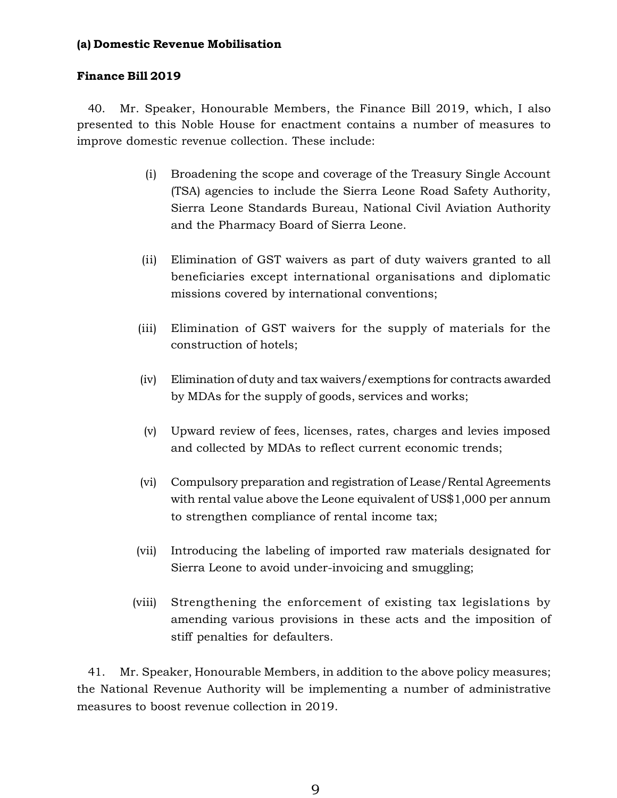## **(a) Domestic Revenue Mobilisation**

## **Finance Bill 2019**

40. Mr. Speaker, Honourable Members, the Finance Bill 2019, which, I also presented to this Noble House for enactment contains a number of measures to improve domestic revenue collection. These include:

- (i) Broadening the scope and coverage of the Treasury Single Account (TSA) agencies to include the Sierra Leone Road Safety Authority, Sierra Leone Standards Bureau, National Civil Aviation Authority and the Pharmacy Board of Sierra Leone.
- (ii) Elimination of GST waivers as part of duty waivers granted to all beneficiaries except international organisations and diplomatic missions covered by international conventions;
- (iii) Elimination of GST waivers for the supply of materials for the construction of hotels;
- (iv) Elimination of duty and tax waivers/exemptions for contracts awarded by MDAs for the supply of goods, services and works;
- (v) Upward review of fees, licenses, rates, charges and levies imposed and collected by MDAs to reflect current economic trends;
- (vi) Compulsory preparation and registration of Lease/Rental Agreements with rental value above the Leone equivalent of US\$1,000 per annum to strengthen compliance of rental income tax;
- (vii) Introducing the labeling of imported raw materials designated for Sierra Leone to avoid under-invoicing and smuggling;
- (viii) Strengthening the enforcement of existing tax legislations by amending various provisions in these acts and the imposition of stiff penalties for defaulters.

41. Mr. Speaker, Honourable Members, in addition to the above policy measures; the National Revenue Authority will be implementing a number of administrative measures to boost revenue collection in 2019.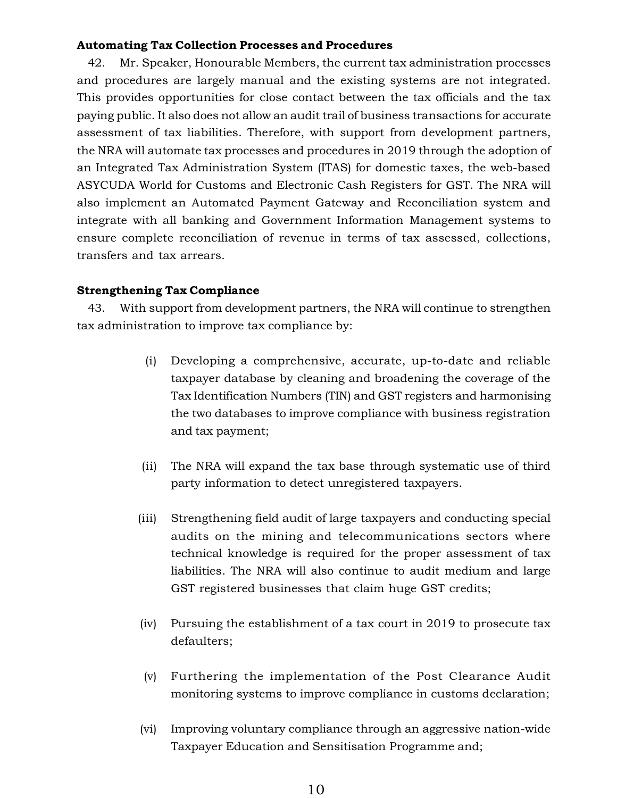#### **Automating Tax Collection Processes and Procedures**

42. Mr. Speaker, Honourable Members, the current tax administration processes and procedures are largely manual and the existing systems are not integrated. This provides opportunities for close contact between the tax officials and the tax paying public. It also does not allow an audit trail of business transactions for accurate assessment of tax liabilities. Therefore, with support from development partners, the NRA will automate tax processes and procedures in 2019 through the adoption of an Integrated Tax Administration System (ITAS) for domestic taxes, the web-based ASYCUDA World for Customs and Electronic Cash Registers for GST. The NRA will also implement an Automated Payment Gateway and Reconciliation system and integrate with all banking and Government Information Management systems to ensure complete reconciliation of revenue in terms of tax assessed, collections, transfers and tax arrears.

#### **Strengthening Tax Compliance**

43. With support from development partners, the NRA will continue to strengthen tax administration to improve tax compliance by:

- (i) Developing a comprehensive, accurate, up-to-date and reliable taxpayer database by cleaning and broadening the coverage of the Tax Identification Numbers (TIN) and GST registers and harmonising the two databases to improve compliance with business registration and tax payment;
- (ii) The NRA will expand the tax base through systematic use of third party information to detect unregistered taxpayers.
- (iii) Strengthening field audit of large taxpayers and conducting special audits on the mining and telecommunications sectors where technical knowledge is required for the proper assessment of tax liabilities. The NRA will also continue to audit medium and large GST registered businesses that claim huge GST credits;
- (iv) Pursuing the establishment of a tax court in 2019 to prosecute tax defaulters;
- (v) Furthering the implementation of the Post Clearance Audit monitoring systems to improve compliance in customs declaration;
- (vi) Improving voluntary compliance through an aggressive nation-wide Taxpayer Education and Sensitisation Programme and;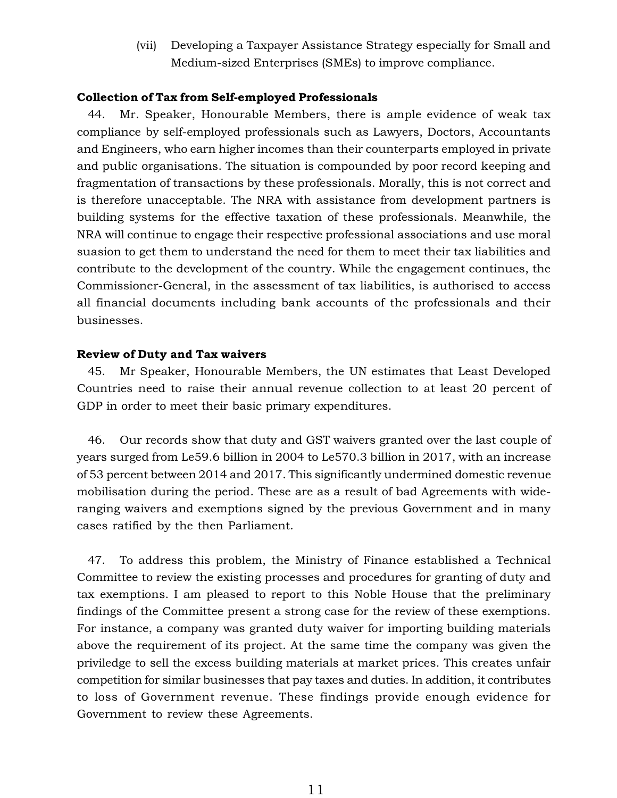(vii) Developing a Taxpayer Assistance Strategy especially for Small and Medium-sized Enterprises (SMEs) to improve compliance.

#### **Collection of Tax from Self-employed Professionals**

44. Mr. Speaker, Honourable Members, there is ample evidence of weak tax compliance by self-employed professionals such as Lawyers, Doctors, Accountants and Engineers, who earn higher incomes than their counterparts employed in private and public organisations. The situation is compounded by poor record keeping and fragmentation of transactions by these professionals. Morally, this is not correct and is therefore unacceptable. The NRA with assistance from development partners is building systems for the effective taxation of these professionals. Meanwhile, the NRA will continue to engage their respective professional associations and use moral suasion to get them to understand the need for them to meet their tax liabilities and contribute to the development of the country. While the engagement continues, the Commissioner-General, in the assessment of tax liabilities, is authorised to access all financial documents including bank accounts of the professionals and their businesses.

#### **Review of Duty and Tax waivers**

45. Mr Speaker, Honourable Members, the UN estimates that Least Developed Countries need to raise their annual revenue collection to at least 20 percent of GDP in order to meet their basic primary expenditures.

46. Our records show that duty and GST waivers granted over the last couple of years surged from Le59.6 billion in 2004 to Le570.3 billion in 2017, with an increase of 53 percent between 2014 and 2017. This significantly undermined domestic revenue mobilisation during the period. These are as a result of bad Agreements with wideranging waivers and exemptions signed by the previous Government and in many cases ratified by the then Parliament.

47. To address this problem, the Ministry of Finance established a Technical Committee to review the existing processes and procedures for granting of duty and tax exemptions. I am pleased to report to this Noble House that the preliminary findings of the Committee present a strong case for the review of these exemptions. For instance, a company was granted duty waiver for importing building materials above the requirement of its project. At the same time the company was given the priviledge to sell the excess building materials at market prices. This creates unfair competition for similar businesses that pay taxes and duties. In addition, it contributes to loss of Government revenue. These findings provide enough evidence for Government to review these Agreements.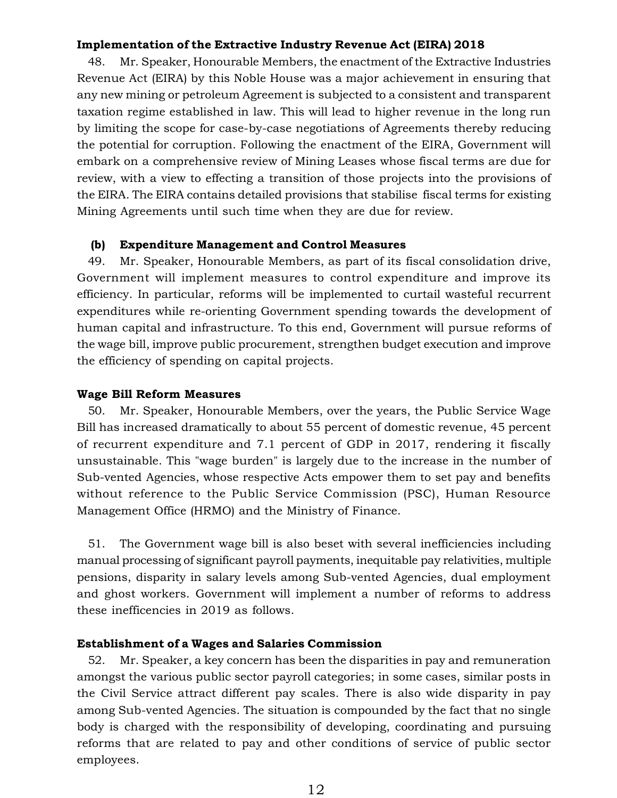#### **Implementation of the Extractive Industry Revenue Act (EIRA) 2018**

48. Mr. Speaker, Honourable Members, the enactment of the Extractive Industries Revenue Act (EIRA) by this Noble House was a major achievement in ensuring that any new mining or petroleum Agreement is subjected to a consistent and transparent taxation regime established in law. This will lead to higher revenue in the long run by limiting the scope for case-by-case negotiations of Agreements thereby reducing the potential for corruption. Following the enactment of the EIRA, Government will embark on a comprehensive review of Mining Leases whose fiscal terms are due for review, with a view to effecting a transition of those projects into the provisions of the EIRA. The EIRA contains detailed provisions that stabilise fiscal terms for existing Mining Agreements until such time when they are due for review.

#### **(b) Expenditure Management and Control Measures**

49. Mr. Speaker, Honourable Members, as part of its fiscal consolidation drive, Government will implement measures to control expenditure and improve its efficiency. In particular, reforms will be implemented to curtail wasteful recurrent expenditures while re-orienting Government spending towards the development of human capital and infrastructure. To this end, Government will pursue reforms of the wage bill, improve public procurement, strengthen budget execution and improve the efficiency of spending on capital projects.

#### **Wage Bill Reform Measures**

50. Mr. Speaker, Honourable Members, over the years, the Public Service Wage Bill has increased dramatically to about 55 percent of domestic revenue, 45 percent of recurrent expenditure and 7.1 percent of GDP in 2017, rendering it fiscally unsustainable. This "wage burden" is largely due to the increase in the number of Sub-vented Agencies, whose respective Acts empower them to set pay and benefits without reference to the Public Service Commission (PSC), Human Resource Management Office (HRMO) and the Ministry of Finance.

51. The Government wage bill is also beset with several inefficiencies including manual processing of significant payroll payments, inequitable pay relativities, multiple pensions, disparity in salary levels among Sub-vented Agencies, dual employment and ghost workers. Government will implement a number of reforms to address these inefficencies in 2019 as follows.

#### **Establishment of a Wages and Salaries Commission**

52. Mr. Speaker, a key concern has been the disparities in pay and remuneration amongst the various public sector payroll categories; in some cases, similar posts in the Civil Service attract different pay scales. There is also wide disparity in pay among Sub-vented Agencies. The situation is compounded by the fact that no single body is charged with the responsibility of developing, coordinating and pursuing reforms that are related to pay and other conditions of service of public sector employees.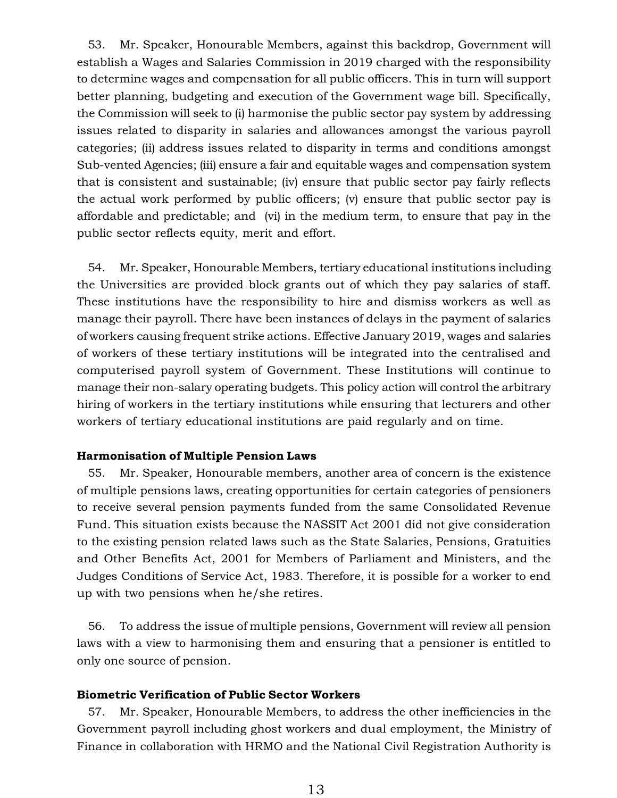53. Mr. Speaker, Honourable Members, against this backdrop, Government will establish a Wages and Salaries Commission in 2019 charged with the responsibility to determine wages and compensation for all public officers. This in turn will support better planning, budgeting and execution of the Government wage bill. Specifically, the Commission will seek to (i) harmonise the public sector pay system by addressing issues related to disparity in salaries and allowances amongst the various payroll categories; (ii) address issues related to disparity in terms and conditions amongst Sub-vented Agencies; (iii) ensure a fair and equitable wages and compensation system that is consistent and sustainable; (iv) ensure that public sector pay fairly reflects the actual work performed by public officers; (v) ensure that public sector pay is affordable and predictable; and (vi) in the medium term, to ensure that pay in the public sector reflects equity, merit and effort.

54. Mr. Speaker, Honourable Members, tertiary educational institutions including the Universities are provided block grants out of which they pay salaries of staff. These institutions have the responsibility to hire and dismiss workers as well as manage their payroll. There have been instances of delays in the payment of salaries of workers causing frequent strike actions. Effective January 2019, wages and salaries of workers of these tertiary institutions will be integrated into the centralised and computerised payroll system of Government. These Institutions will continue to manage their non-salary operating budgets. This policy action will control the arbitrary hiring of workers in the tertiary institutions while ensuring that lecturers and other workers of tertiary educational institutions are paid regularly and on time.

#### **Harmonisation of Multiple Pension Laws**

55. Mr. Speaker, Honourable members, another area of concern is the existence of multiple pensions laws, creating opportunities for certain categories of pensioners to receive several pension payments funded from the same Consolidated Revenue Fund. This situation exists because the NASSIT Act 2001 did not give consideration to the existing pension related laws such as the State Salaries, Pensions, Gratuities and Other Benefits Act, 2001 for Members of Parliament and Ministers, and the Judges Conditions of Service Act, 1983. Therefore, it is possible for a worker to end up with two pensions when he/she retires.

56. To address the issue of multiple pensions, Government will review all pension laws with a view to harmonising them and ensuring that a pensioner is entitled to only one source of pension.

#### **Biometric Verification of Public Sector Workers**

57. Mr. Speaker, Honourable Members, to address the other inefficiencies in the Government payroll including ghost workers and dual employment, the Ministry of Finance in collaboration with HRMO and the National Civil Registration Authority is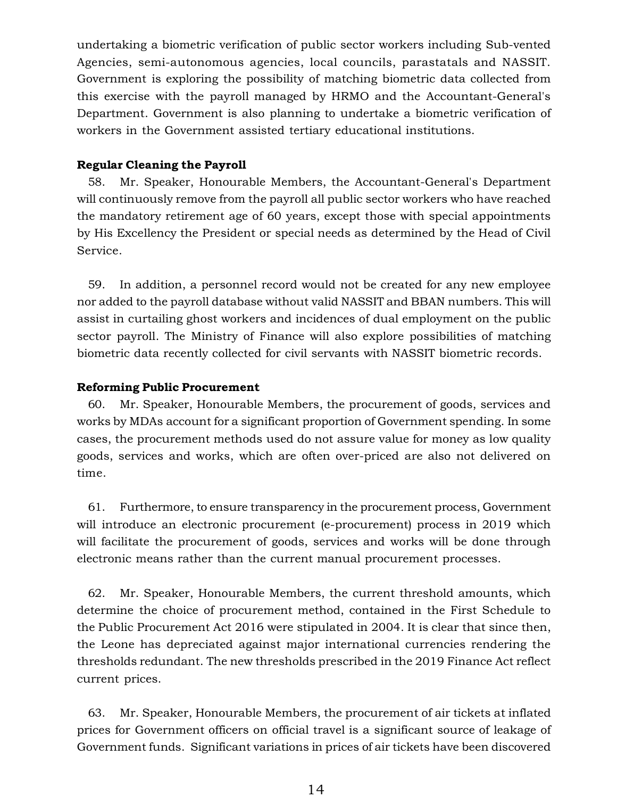undertaking a biometric verification of public sector workers including Sub-vented Agencies, semi-autonomous agencies, local councils, parastatals and NASSIT. Government is exploring the possibility of matching biometric data collected from this exercise with the payroll managed by HRMO and the Accountant-General's Department. Government is also planning to undertake a biometric verification of workers in the Government assisted tertiary educational institutions.

#### **Regular Cleaning the Payroll**

58. Mr. Speaker, Honourable Members, the Accountant-General's Department will continuously remove from the payroll all public sector workers who have reached the mandatory retirement age of 60 years, except those with special appointments by His Excellency the President or special needs as determined by the Head of Civil Service.

59. In addition, a personnel record would not be created for any new employee nor added to the payroll database without valid NASSIT and BBAN numbers. This will assist in curtailing ghost workers and incidences of dual employment on the public sector payroll. The Ministry of Finance will also explore possibilities of matching biometric data recently collected for civil servants with NASSIT biometric records.

#### **Reforming Public Procurement**

60. Mr. Speaker, Honourable Members, the procurement of goods, services and works by MDAs account for a significant proportion of Government spending. In some cases, the procurement methods used do not assure value for money as low quality goods, services and works, which are often over-priced are also not delivered on time.

61. Furthermore, to ensure transparency in the procurement process, Government will introduce an electronic procurement (e-procurement) process in 2019 which will facilitate the procurement of goods, services and works will be done through electronic means rather than the current manual procurement processes.

62. Mr. Speaker, Honourable Members, the current threshold amounts, which determine the choice of procurement method, contained in the First Schedule to the Public Procurement Act 2016 were stipulated in 2004. It is clear that since then, the Leone has depreciated against major international currencies rendering the thresholds redundant. The new thresholds prescribed in the 2019 Finance Act reflect current prices.

63. Mr. Speaker, Honourable Members, the procurement of air tickets at inflated prices for Government officers on official travel is a significant source of leakage of Government funds. Significant variations in prices of air tickets have been discovered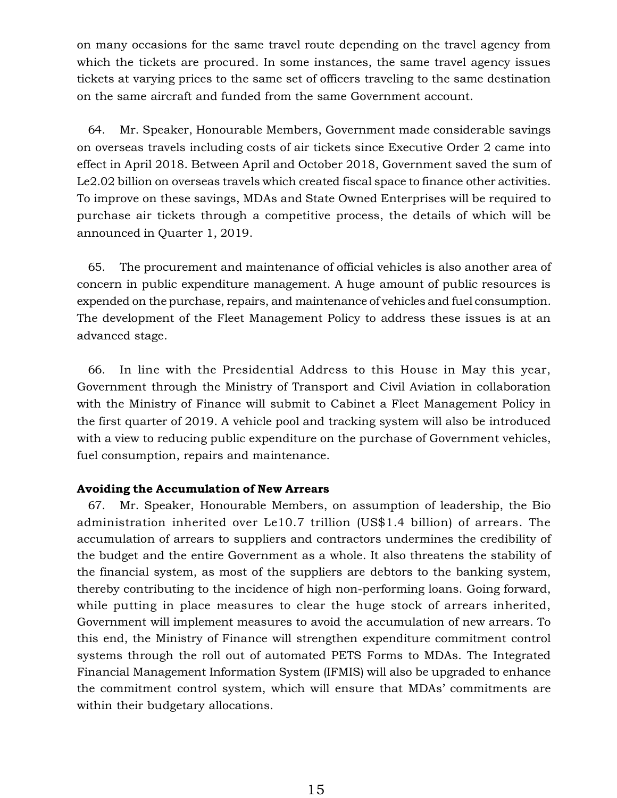on many occasions for the same travel route depending on the travel agency from which the tickets are procured. In some instances, the same travel agency issues tickets at varying prices to the same set of officers traveling to the same destination on the same aircraft and funded from the same Government account.

64. Mr. Speaker, Honourable Members, Government made considerable savings on overseas travels including costs of air tickets since Executive Order 2 came into effect in April 2018. Between April and October 2018, Government saved the sum of Le2.02 billion on overseas travels which created fiscal space to finance other activities. To improve on these savings, MDAs and State Owned Enterprises will be required to purchase air tickets through a competitive process, the details of which will be announced in Quarter 1, 2019.

65. The procurement and maintenance of official vehicles is also another area of concern in public expenditure management. A huge amount of public resources is expended on the purchase, repairs, and maintenance of vehicles and fuel consumption. The development of the Fleet Management Policy to address these issues is at an advanced stage.

66. In line with the Presidential Address to this House in May this year, Government through the Ministry of Transport and Civil Aviation in collaboration with the Ministry of Finance will submit to Cabinet a Fleet Management Policy in the first quarter of 2019. A vehicle pool and tracking system will also be introduced with a view to reducing public expenditure on the purchase of Government vehicles, fuel consumption, repairs and maintenance.

#### **Avoiding the Accumulation of New Arrears**

67. Mr. Speaker, Honourable Members, on assumption of leadership, the Bio administration inherited over Le10.7 trillion (US\$1.4 billion) of arrears. The accumulation of arrears to suppliers and contractors undermines the credibility of the budget and the entire Government as a whole. It also threatens the stability of the financial system, as most of the suppliers are debtors to the banking system, thereby contributing to the incidence of high non-performing loans. Going forward, while putting in place measures to clear the huge stock of arrears inherited, Government will implement measures to avoid the accumulation of new arrears. To this end, the Ministry of Finance will strengthen expenditure commitment control systems through the roll out of automated PETS Forms to MDAs. The Integrated Financial Management Information System (IFMIS) will also be upgraded to enhance the commitment control system, which will ensure that MDAs' commitments are within their budgetary allocations.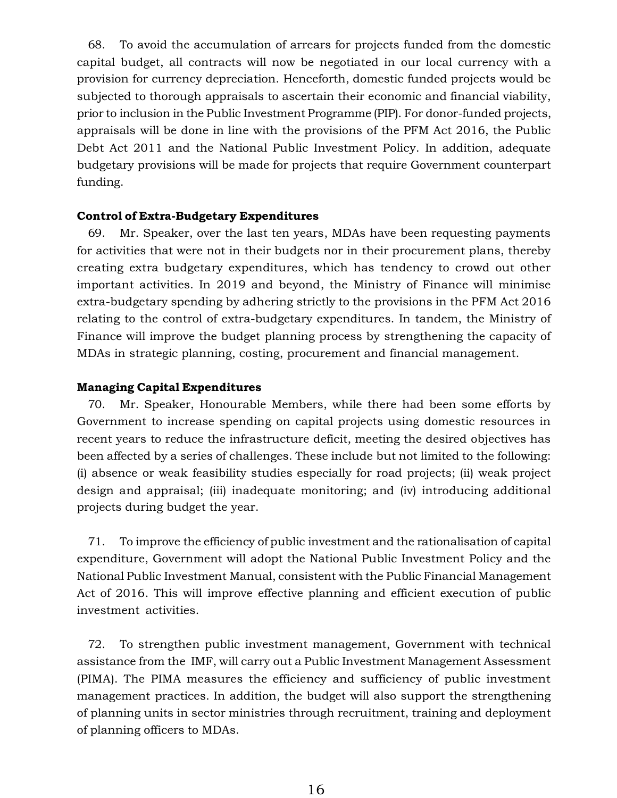68. To avoid the accumulation of arrears for projects funded from the domestic capital budget, all contracts will now be negotiated in our local currency with a provision for currency depreciation. Henceforth, domestic funded projects would be subjected to thorough appraisals to ascertain their economic and financial viability, prior to inclusion in the Public Investment Programme (PIP). For donor-funded projects, appraisals will be done in line with the provisions of the PFM Act 2016, the Public Debt Act 2011 and the National Public Investment Policy. In addition, adequate budgetary provisions will be made for projects that require Government counterpart funding.

#### **Control of Extra-Budgetary Expenditures**

69. Mr. Speaker, over the last ten years, MDAs have been requesting payments for activities that were not in their budgets nor in their procurement plans, thereby creating extra budgetary expenditures, which has tendency to crowd out other important activities. In 2019 and beyond, the Ministry of Finance will minimise extra-budgetary spending by adhering strictly to the provisions in the PFM Act 2016 relating to the control of extra-budgetary expenditures. In tandem, the Ministry of Finance will improve the budget planning process by strengthening the capacity of MDAs in strategic planning, costing, procurement and financial management.

#### **Managing Capital Expenditures**

70. Mr. Speaker, Honourable Members, while there had been some efforts by Government to increase spending on capital projects using domestic resources in recent years to reduce the infrastructure deficit, meeting the desired objectives has been affected by a series of challenges. These include but not limited to the following: (i) absence or weak feasibility studies especially for road projects; (ii) weak project design and appraisal; (iii) inadequate monitoring; and (iv) introducing additional projects during budget the year.

71. To improve the efficiency of public investment and the rationalisation of capital expenditure, Government will adopt the National Public Investment Policy and the National Public Investment Manual, consistent with the Public Financial Management Act of 2016. This will improve effective planning and efficient execution of public investment activities.

72. To strengthen public investment management, Government with technical assistance from the IMF, will carry out a Public Investment Management Assessment (PIMA). The PIMA measures the efficiency and sufficiency of public investment management practices. In addition, the budget will also support the strengthening of planning units in sector ministries through recruitment, training and deployment of planning officers to MDAs.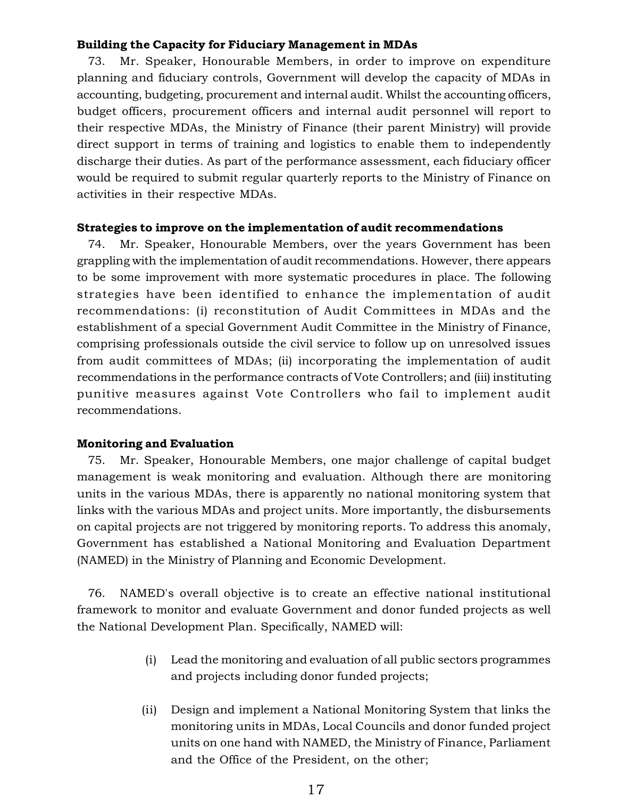### **Building the Capacity for Fiduciary Management in MDAs**

Mr. Speaker, Honourable Members, in order to improve on expenditure planning and fiduciary controls, Government will develop the capacity of MDAs in accounting, budgeting, procurement and internal audit. Whilst the accounting officers, budget officers, procurement officers and internal audit personnel will report to their respective MDAs, the Ministry of Finance (their parent Ministry) will provide direct support in terms of training and logistics to enable them to independently discharge their duties. As part of the performance assessment, each fiduciary officer would be required to submit regular quarterly reports to the Ministry of Finance on activities in their respective MDAs.

#### **Strategies to improve on the implementation of audit recommendations**

74. Mr. Speaker, Honourable Members, over the years Government has been grappling with the implementation of audit recommendations. However, there appears to be some improvement with more systematic procedures in place. The following strategies have been identified to enhance the implementation of audit recommendations: (i) reconstitution of Audit Committees in MDAs and the establishment of a special Government Audit Committee in the Ministry of Finance, comprising professionals outside the civil service to follow up on unresolved issues from audit committees of MDAs; (ii) incorporating the implementation of audit recommendations in the performance contracts of Vote Controllers; and (iii) instituting punitive measures against Vote Controllers who fail to implement audit recommendations.

#### **Monitoring and Evaluation**

75. Mr. Speaker, Honourable Members, one major challenge of capital budget management is weak monitoring and evaluation. Although there are monitoring units in the various MDAs, there is apparently no national monitoring system that links with the various MDAs and project units. More importantly, the disbursements on capital projects are not triggered by monitoring reports. To address this anomaly, Government has established a National Monitoring and Evaluation Department (NAMED) in the Ministry of Planning and Economic Development.

76. NAMED's overall objective is to create an effective national institutional framework to monitor and evaluate Government and donor funded projects as well the National Development Plan. Specifically, NAMED will:

- (i) Lead the monitoring and evaluation of all public sectors programmes and projects including donor funded projects;
- (ii) Design and implement a National Monitoring System that links the monitoring units in MDAs, Local Councils and donor funded project units on one hand with NAMED, the Ministry of Finance, Parliament and the Office of the President, on the other;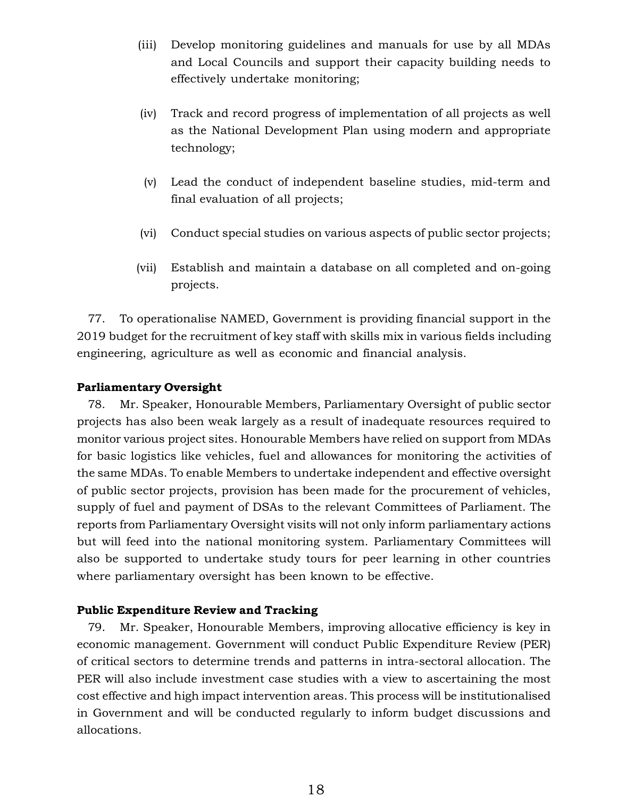- (iii) Develop monitoring guidelines and manuals for use by all MDAs and Local Councils and support their capacity building needs to effectively undertake monitoring;
- (iv) Track and record progress of implementation of all projects as well as the National Development Plan using modern and appropriate technology;
- (v) Lead the conduct of independent baseline studies, mid-term and final evaluation of all projects;
- (vi) Conduct special studies on various aspects of public sector projects;
- (vii) Establish and maintain a database on all completed and on-going projects.

77. To operationalise NAMED, Government is providing financial support in the 2019 budget for the recruitment of key staff with skills mix in various fields including engineering, agriculture as well as economic and financial analysis.

#### **Parliamentary Oversight**

78. Mr. Speaker, Honourable Members, Parliamentary Oversight of public sector projects has also been weak largely as a result of inadequate resources required to monitor various project sites. Honourable Members have relied on support from MDAs for basic logistics like vehicles, fuel and allowances for monitoring the activities of the same MDAs. To enable Members to undertake independent and effective oversight of public sector projects, provision has been made for the procurement of vehicles, supply of fuel and payment of DSAs to the relevant Committees of Parliament. The reports from Parliamentary Oversight visits will not only inform parliamentary actions but will feed into the national monitoring system. Parliamentary Committees will also be supported to undertake study tours for peer learning in other countries where parliamentary oversight has been known to be effective.

#### **Public Expenditure Review and Tracking**

79. Mr. Speaker, Honourable Members, improving allocative efficiency is key in economic management. Government will conduct Public Expenditure Review (PER) of critical sectors to determine trends and patterns in intra-sectoral allocation. The PER will also include investment case studies with a view to ascertaining the most cost effective and high impact intervention areas. This process will be institutionalised in Government and will be conducted regularly to inform budget discussions and allocations.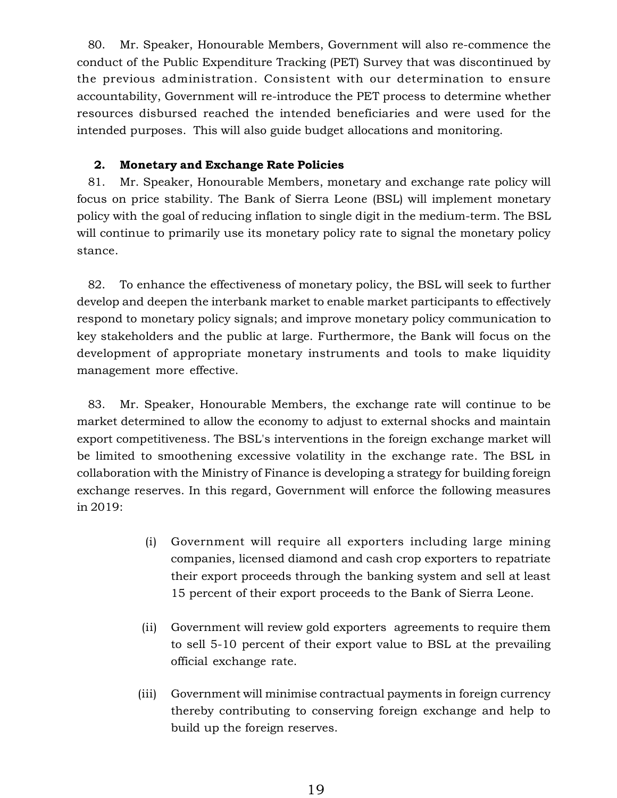80. Mr. Speaker, Honourable Members, Government will also re-commence the conduct of the Public Expenditure Tracking (PET) Survey that was discontinued by the previous administration. Consistent with our determination to ensure accountability, Government will re-introduce the PET process to determine whether resources disbursed reached the intended beneficiaries and were used for the intended purposes. This will also guide budget allocations and monitoring.

## **2. Monetary and Exchange Rate Policies**

81. Mr. Speaker, Honourable Members, monetary and exchange rate policy will focus on price stability. The Bank of Sierra Leone (BSL) will implement monetary policy with the goal of reducing inflation to single digit in the medium-term. The BSL will continue to primarily use its monetary policy rate to signal the monetary policy stance.

82. To enhance the effectiveness of monetary policy, the BSL will seek to further develop and deepen the interbank market to enable market participants to effectively respond to monetary policy signals; and improve monetary policy communication to key stakeholders and the public at large. Furthermore, the Bank will focus on the development of appropriate monetary instruments and tools to make liquidity management more effective.

83. Mr. Speaker, Honourable Members, the exchange rate will continue to be market determined to allow the economy to adjust to external shocks and maintain export competitiveness. The BSL's interventions in the foreign exchange market will be limited to smoothening excessive volatility in the exchange rate. The BSL in collaboration with the Ministry of Finance is developing a strategy for building foreign exchange reserves. In this regard, Government will enforce the following measures in 2019:

- (i) Government will require all exporters including large mining companies, licensed diamond and cash crop exporters to repatriate their export proceeds through the banking system and sell at least 15 percent of their export proceeds to the Bank of Sierra Leone.
- (ii) Government will review gold exporters agreements to require them to sell 5-10 percent of their export value to BSL at the prevailing official exchange rate.
- (iii) Government will minimise contractual payments in foreign currency thereby contributing to conserving foreign exchange and help to build up the foreign reserves.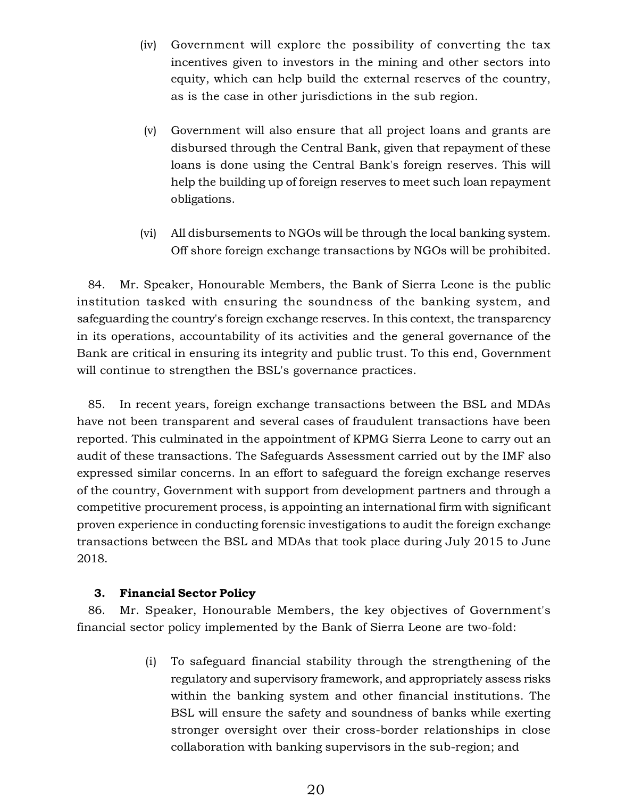- (iv) Government will explore the possibility of converting the tax incentives given to investors in the mining and other sectors into equity, which can help build the external reserves of the country, as is the case in other jurisdictions in the sub region.
- (v) Government will also ensure that all project loans and grants are disbursed through the Central Bank, given that repayment of these loans is done using the Central Bank's foreign reserves. This will help the building up of foreign reserves to meet such loan repayment obligations.
- (vi) All disbursements to NGOs will be through the local banking system. Off shore foreign exchange transactions by NGOs will be prohibited.

84. Mr. Speaker, Honourable Members, the Bank of Sierra Leone is the public institution tasked with ensuring the soundness of the banking system, and safeguarding the country's foreign exchange reserves. In this context, the transparency in its operations, accountability of its activities and the general governance of the Bank are critical in ensuring its integrity and public trust. To this end, Government will continue to strengthen the BSL's governance practices.

85. In recent years, foreign exchange transactions between the BSL and MDAs have not been transparent and several cases of fraudulent transactions have been reported. This culminated in the appointment of KPMG Sierra Leone to carry out an audit of these transactions. The Safeguards Assessment carried out by the IMF also expressed similar concerns. In an effort to safeguard the foreign exchange reserves of the country, Government with support from development partners and through a competitive procurement process, is appointing an international firm with significant proven experience in conducting forensic investigations to audit the foreign exchange transactions between the BSL and MDAs that took place during July 2015 to June 2018.

#### **3. Financial Sector Policy**

86. Mr. Speaker, Honourable Members, the key objectives of Government's financial sector policy implemented by the Bank of Sierra Leone are two-fold:

> (i) To safeguard financial stability through the strengthening of the regulatory and supervisory framework, and appropriately assess risks within the banking system and other financial institutions. The BSL will ensure the safety and soundness of banks while exerting stronger oversight over their cross-border relationships in close collaboration with banking supervisors in the sub-region; and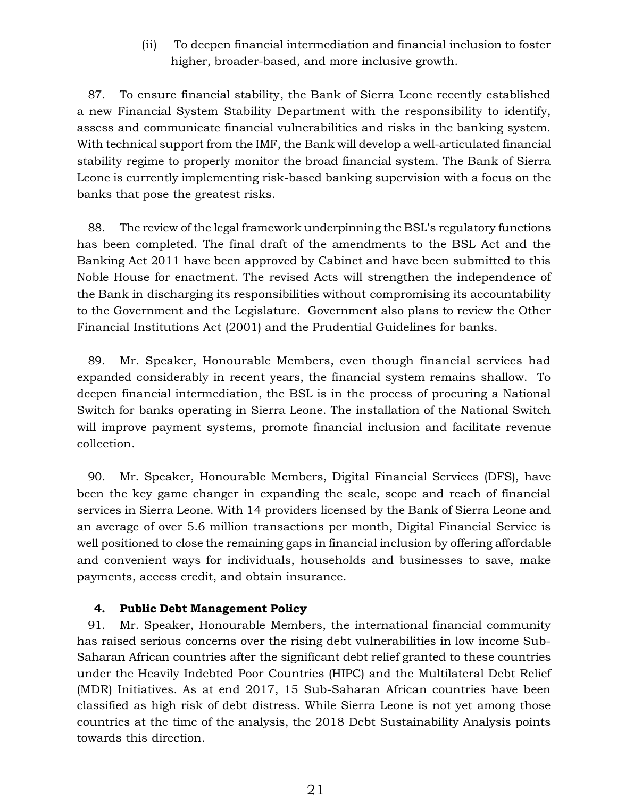(ii) To deepen financial intermediation and financial inclusion to foster higher, broader-based, and more inclusive growth.

87. To ensure financial stability, the Bank of Sierra Leone recently established a new Financial System Stability Department with the responsibility to identify, assess and communicate financial vulnerabilities and risks in the banking system. With technical support from the IMF, the Bank will develop a well-articulated financial stability regime to properly monitor the broad financial system. The Bank of Sierra Leone is currently implementing risk-based banking supervision with a focus on the banks that pose the greatest risks.

88. The review of the legal framework underpinning the BSL's regulatory functions has been completed. The final draft of the amendments to the BSL Act and the Banking Act 2011 have been approved by Cabinet and have been submitted to this Noble House for enactment. The revised Acts will strengthen the independence of the Bank in discharging its responsibilities without compromising its accountability to the Government and the Legislature. Government also plans to review the Other Financial Institutions Act (2001) and the Prudential Guidelines for banks.

89. Mr. Speaker, Honourable Members, even though financial services had expanded considerably in recent years, the financial system remains shallow. To deepen financial intermediation, the BSL is in the process of procuring a National Switch for banks operating in Sierra Leone. The installation of the National Switch will improve payment systems, promote financial inclusion and facilitate revenue collection.

90. Mr. Speaker, Honourable Members, Digital Financial Services (DFS), have been the key game changer in expanding the scale, scope and reach of financial services in Sierra Leone. With 14 providers licensed by the Bank of Sierra Leone and an average of over 5.6 million transactions per month, Digital Financial Service is well positioned to close the remaining gaps in financial inclusion by offering affordable and convenient ways for individuals, households and businesses to save, make payments, access credit, and obtain insurance.

#### **4. Public Debt Management Policy**

91. Mr. Speaker, Honourable Members, the international financial community has raised serious concerns over the rising debt vulnerabilities in low income Sub-Saharan African countries after the significant debt relief granted to these countries under the Heavily Indebted Poor Countries (HIPC) and the Multilateral Debt Relief (MDR) Initiatives. As at end 2017, 15 Sub-Saharan African countries have been classified as high risk of debt distress. While Sierra Leone is not yet among those countries at the time of the analysis, the 2018 Debt Sustainability Analysis points towards this direction.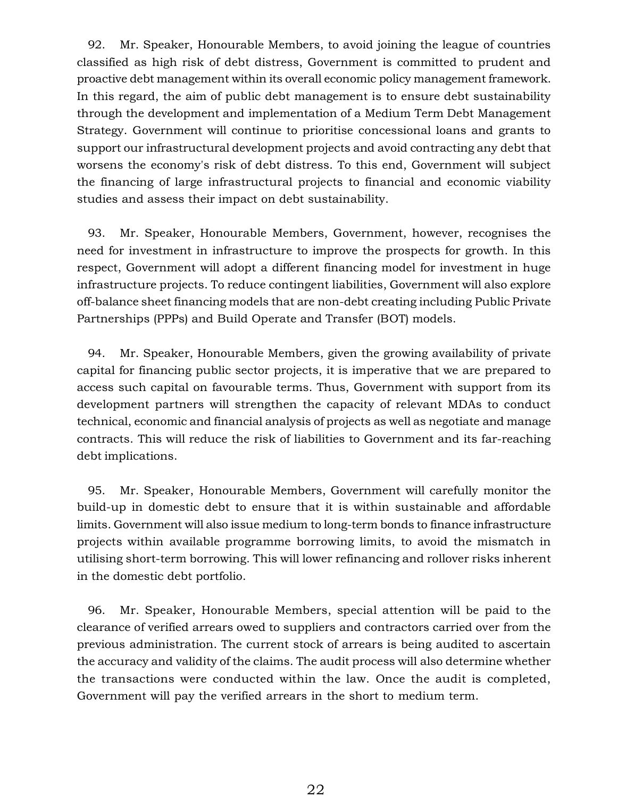92. Mr. Speaker, Honourable Members, to avoid joining the league of countries classified as high risk of debt distress, Government is committed to prudent and proactive debt management within its overall economic policy management framework. In this regard, the aim of public debt management is to ensure debt sustainability through the development and implementation of a Medium Term Debt Management Strategy. Government will continue to prioritise concessional loans and grants to support our infrastructural development projects and avoid contracting any debt that worsens the economy's risk of debt distress. To this end, Government will subject the financing of large infrastructural projects to financial and economic viability studies and assess their impact on debt sustainability.

93. Mr. Speaker, Honourable Members, Government, however, recognises the need for investment in infrastructure to improve the prospects for growth. In this respect, Government will adopt a different financing model for investment in huge infrastructure projects. To reduce contingent liabilities, Government will also explore off-balance sheet financing models that are non-debt creating including Public Private Partnerships (PPPs) and Build Operate and Transfer (BOT) models.

94. Mr. Speaker, Honourable Members, given the growing availability of private capital for financing public sector projects, it is imperative that we are prepared to access such capital on favourable terms. Thus, Government with support from its development partners will strengthen the capacity of relevant MDAs to conduct technical, economic and financial analysis of projects as well as negotiate and manage contracts. This will reduce the risk of liabilities to Government and its far-reaching debt implications.

95. Mr. Speaker, Honourable Members, Government will carefully monitor the build-up in domestic debt to ensure that it is within sustainable and affordable limits. Government will also issue medium to long-term bonds to finance infrastructure projects within available programme borrowing limits, to avoid the mismatch in utilising short-term borrowing. This will lower refinancing and rollover risks inherent in the domestic debt portfolio.

96. Mr. Speaker, Honourable Members, special attention will be paid to the clearance of verified arrears owed to suppliers and contractors carried over from the previous administration. The current stock of arrears is being audited to ascertain the accuracy and validity of the claims. The audit process will also determine whether the transactions were conducted within the law. Once the audit is completed, Government will pay the verified arrears in the short to medium term.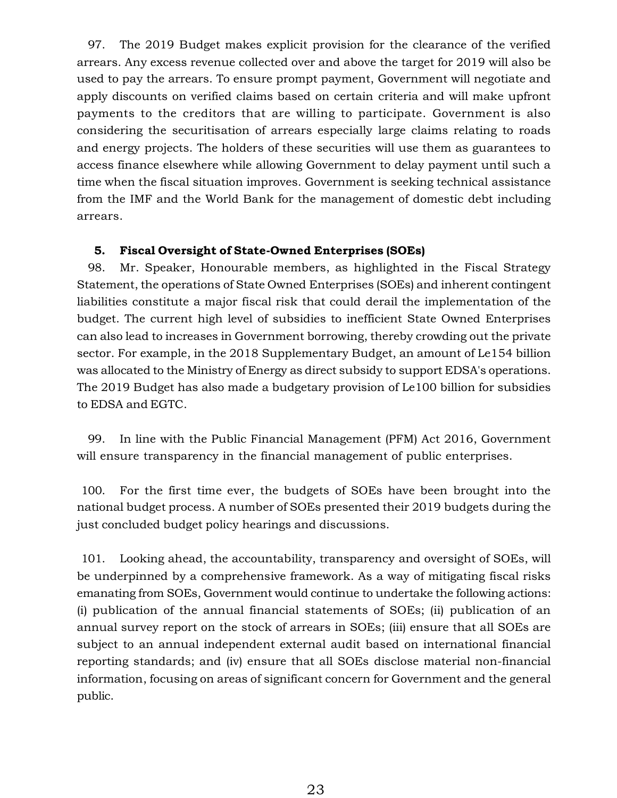97. The 2019 Budget makes explicit provision for the clearance of the verified arrears. Any excess revenue collected over and above the target for 2019 will also be used to pay the arrears. To ensure prompt payment, Government will negotiate and apply discounts on verified claims based on certain criteria and will make upfront payments to the creditors that are willing to participate. Government is also considering the securitisation of arrears especially large claims relating to roads and energy projects. The holders of these securities will use them as guarantees to access finance elsewhere while allowing Government to delay payment until such a time when the fiscal situation improves. Government is seeking technical assistance from the IMF and the World Bank for the management of domestic debt including arrears.

### **5. Fiscal Oversight of State-Owned Enterprises (SOEs)**

98. Mr. Speaker, Honourable members, as highlighted in the Fiscal Strategy Statement, the operations of State Owned Enterprises (SOEs) and inherent contingent liabilities constitute a major fiscal risk that could derail the implementation of the budget. The current high level of subsidies to inefficient State Owned Enterprises can also lead to increases in Government borrowing, thereby crowding out the private sector. For example, in the 2018 Supplementary Budget, an amount of Le154 billion was allocated to the Ministry of Energy as direct subsidy to support EDSA's operations. The 2019 Budget has also made a budgetary provision of Le100 billion for subsidies to EDSA and EGTC.

99. In line with the Public Financial Management (PFM) Act 2016, Government will ensure transparency in the financial management of public enterprises.

100. For the first time ever, the budgets of SOEs have been brought into the national budget process. A number of SOEs presented their 2019 budgets during the just concluded budget policy hearings and discussions.

101. Looking ahead, the accountability, transparency and oversight of SOEs, will be underpinned by a comprehensive framework. As a way of mitigating fiscal risks emanating from SOEs, Government would continue to undertake the following actions: (i) publication of the annual financial statements of SOEs; (ii) publication of an annual survey report on the stock of arrears in SOEs; (iii) ensure that all SOEs are subject to an annual independent external audit based on international financial reporting standards; and (iv) ensure that all SOEs disclose material non-financial information, focusing on areas of significant concern for Government and the general public.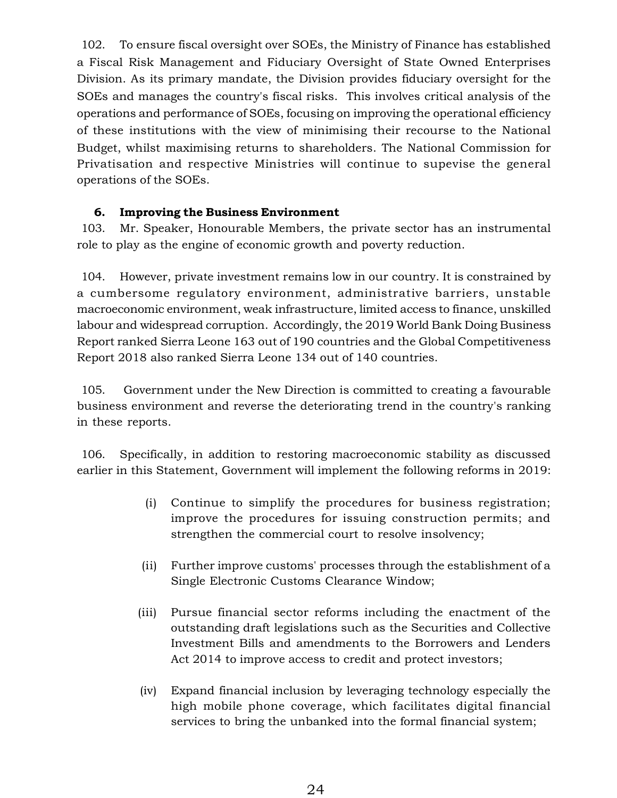102. To ensure fiscal oversight over SOEs, the Ministry of Finance has established a Fiscal Risk Management and Fiduciary Oversight of State Owned Enterprises Division. As its primary mandate, the Division provides fiduciary oversight for the SOEs and manages the country's fiscal risks. This involves critical analysis of the operations and performance of SOEs, focusing on improving the operational efficiency of these institutions with the view of minimising their recourse to the National Budget, whilst maximising returns to shareholders. The National Commission for Privatisation and respective Ministries will continue to supevise the general operations of the SOEs.

## **6. Improving the Business Environment**

103. Mr. Speaker, Honourable Members, the private sector has an instrumental role to play as the engine of economic growth and poverty reduction.

104. However, private investment remains low in our country. It is constrained by a cumbersome regulatory environment, administrative barriers, unstable macroeconomic environment, weak infrastructure, limited access to finance, unskilled labour and widespread corruption. Accordingly, the 2019 World Bank Doing Business Report ranked Sierra Leone 163 out of 190 countries and the Global Competitiveness Report 2018 also ranked Sierra Leone 134 out of 140 countries.

105. Government under the New Direction is committed to creating a favourable business environment and reverse the deteriorating trend in the country's ranking in these reports.

106. Specifically, in addition to restoring macroeconomic stability as discussed earlier in this Statement, Government will implement the following reforms in 2019:

- (i) Continue to simplify the procedures for business registration; improve the procedures for issuing construction permits; and strengthen the commercial court to resolve insolvency;
- (ii) Further improve customs' processes through the establishment of a Single Electronic Customs Clearance Window;
- (iii) Pursue financial sector reforms including the enactment of the outstanding draft legislations such as the Securities and Collective Investment Bills and amendments to the Borrowers and Lenders Act 2014 to improve access to credit and protect investors;
- (iv) Expand financial inclusion by leveraging technology especially the high mobile phone coverage, which facilitates digital financial services to bring the unbanked into the formal financial system;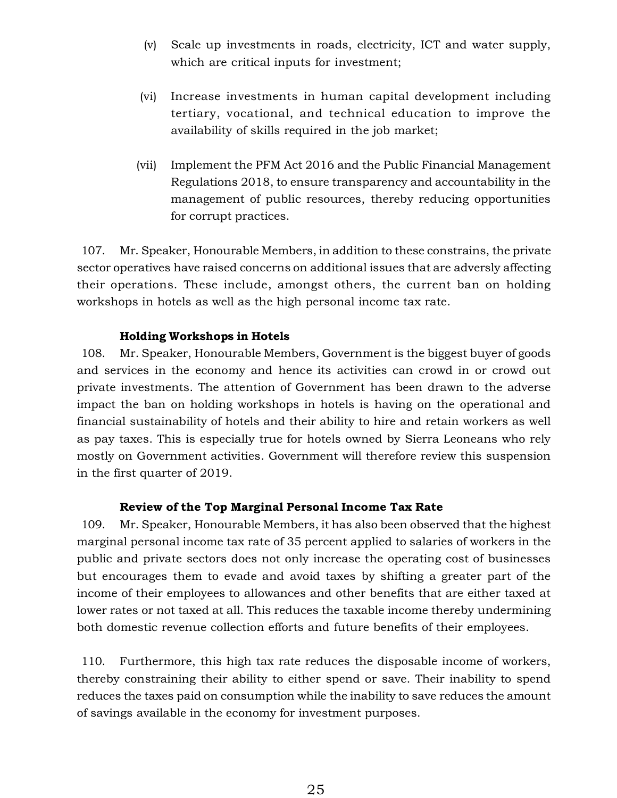- (v) Scale up investments in roads, electricity, ICT and water supply, which are critical inputs for investment;
- (vi) Increase investments in human capital development including tertiary, vocational, and technical education to improve the availability of skills required in the job market;
- (vii) Implement the PFM Act 2016 and the Public Financial Management Regulations 2018, to ensure transparency and accountability in the management of public resources, thereby reducing opportunities for corrupt practices.

107. Mr. Speaker, Honourable Members, in addition to these constrains, the private sector operatives have raised concerns on additional issues that are adversly affecting their operations. These include, amongst others, the current ban on holding workshops in hotels as well as the high personal income tax rate.

#### **Holding Workshops in Hotels**

108. Mr. Speaker, Honourable Members, Government is the biggest buyer of goods and services in the economy and hence its activities can crowd in or crowd out private investments. The attention of Government has been drawn to the adverse impact the ban on holding workshops in hotels is having on the operational and financial sustainability of hotels and their ability to hire and retain workers as well as pay taxes. This is especially true for hotels owned by Sierra Leoneans who rely mostly on Government activities. Government will therefore review this suspension in the first quarter of 2019.

#### **Review of the Top Marginal Personal Income Tax Rate**

109. Mr. Speaker, Honourable Members, it has also been observed that the highest marginal personal income tax rate of 35 percent applied to salaries of workers in the public and private sectors does not only increase the operating cost of businesses but encourages them to evade and avoid taxes by shifting a greater part of the income of their employees to allowances and other benefits that are either taxed at lower rates or not taxed at all. This reduces the taxable income thereby undermining both domestic revenue collection efforts and future benefits of their employees.

110. Furthermore, this high tax rate reduces the disposable income of workers, thereby constraining their ability to either spend or save. Their inability to spend reduces the taxes paid on consumption while the inability to save reduces the amount of savings available in the economy for investment purposes.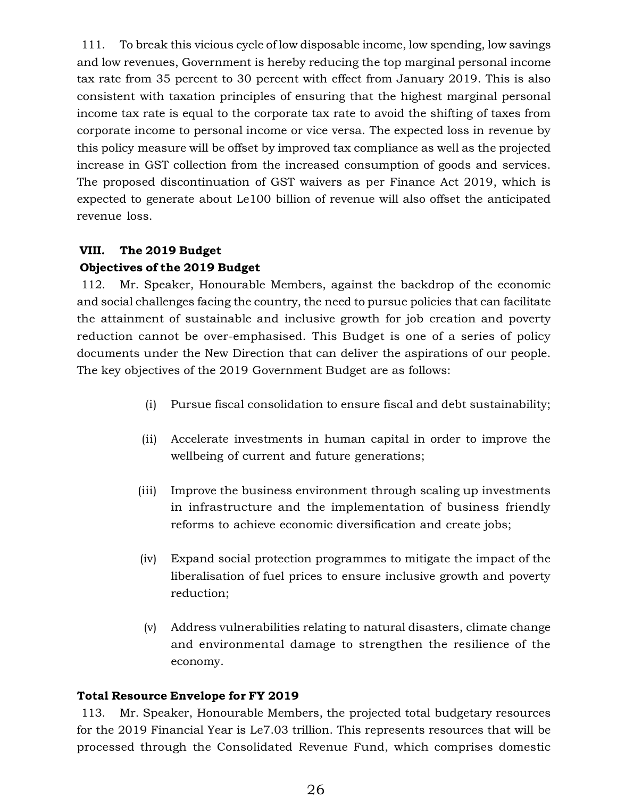111. To break this vicious cycle of low disposable income, low spending, low savings and low revenues, Government is hereby reducing the top marginal personal income tax rate from 35 percent to 30 percent with effect from January 2019. This is also consistent with taxation principles of ensuring that the highest marginal personal income tax rate is equal to the corporate tax rate to avoid the shifting of taxes from corporate income to personal income or vice versa. The expected loss in revenue by this policy measure will be offset by improved tax compliance as well as the projected increase in GST collection from the increased consumption of goods and services. The proposed discontinuation of GST waivers as per Finance Act 2019, which is expected to generate about Le100 billion of revenue will also offset the anticipated revenue loss.

## **VIII. The 2019 Budget Objectives of the 2019 Budget**

112. Mr. Speaker, Honourable Members, against the backdrop of the economic and social challenges facing the country, the need to pursue policies that can facilitate the attainment of sustainable and inclusive growth for job creation and poverty reduction cannot be over-emphasised. This Budget is one of a series of policy documents under the New Direction that can deliver the aspirations of our people. The key objectives of the 2019 Government Budget are as follows:

- (i) Pursue fiscal consolidation to ensure fiscal and debt sustainability;
- (ii) Accelerate investments in human capital in order to improve the wellbeing of current and future generations;
- (iii) Improve the business environment through scaling up investments in infrastructure and the implementation of business friendly reforms to achieve economic diversification and create jobs;
- (iv) Expand social protection programmes to mitigate the impact of the liberalisation of fuel prices to ensure inclusive growth and poverty reduction;
- (v) Address vulnerabilities relating to natural disasters, climate change and environmental damage to strengthen the resilience of the economy.

## **Total Resource Envelope for FY 2019**

113. Mr. Speaker, Honourable Members, the projected total budgetary resources for the 2019 Financial Year is Le7.03 trillion. This represents resources that will be processed through the Consolidated Revenue Fund, which comprises domestic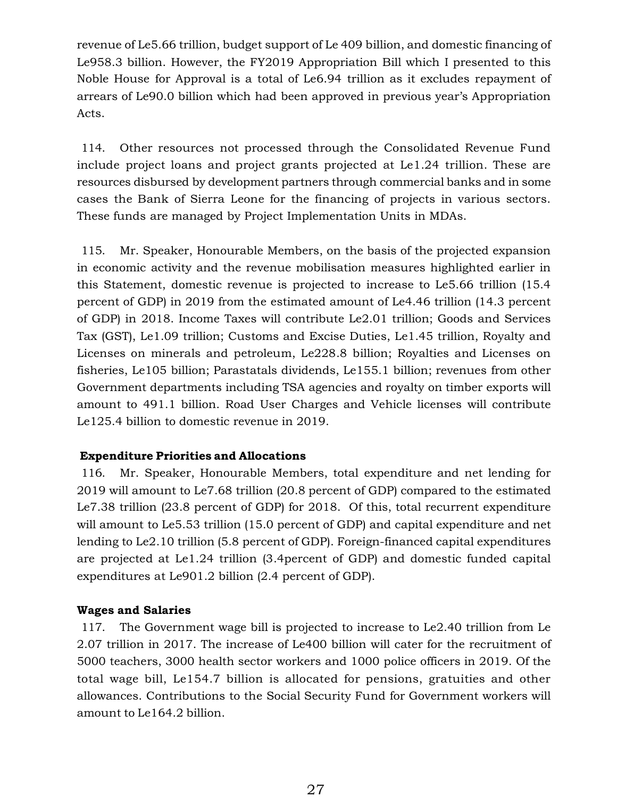revenue of Le5.66 trillion, budget support of Le 409 billion, and domestic financing of Le958.3 billion. However, the FY2019 Appropriation Bill which I presented to this Noble House for Approval is a total of Le6.94 trillion as it excludes repayment of arrears of Le90.0 billion which had been approved in previous year's Appropriation Acts.

114. Other resources not processed through the Consolidated Revenue Fund include project loans and project grants projected at Le1.24 trillion. These are resources disbursed by development partners through commercial banks and in some cases the Bank of Sierra Leone for the financing of projects in various sectors. These funds are managed by Project Implementation Units in MDAs.

115. Mr. Speaker, Honourable Members, on the basis of the projected expansion in economic activity and the revenue mobilisation measures highlighted earlier in this Statement, domestic revenue is projected to increase to Le5.66 trillion (15.4 percent of GDP) in 2019 from the estimated amount of Le4.46 trillion (14.3 percent of GDP) in 2018. Income Taxes will contribute Le2.01 trillion; Goods and Services Tax (GST), Le1.09 trillion; Customs and Excise Duties, Le1.45 trillion, Royalty and Licenses on minerals and petroleum, Le228.8 billion; Royalties and Licenses on fisheries, Le105 billion; Parastatals dividends, Le155.1 billion; revenues from other Government departments including TSA agencies and royalty on timber exports will amount to 491.1 billion. Road User Charges and Vehicle licenses will contribute Le125.4 billion to domestic revenue in 2019.

#### **Expenditure Priorities and Allocations**

116. Mr. Speaker, Honourable Members, total expenditure and net lending for 2019 will amount to Le7.68 trillion (20.8 percent of GDP) compared to the estimated Le7.38 trillion (23.8 percent of GDP) for 2018. Of this, total recurrent expenditure will amount to Le5.53 trillion (15.0 percent of GDP) and capital expenditure and net lending to Le2.10 trillion (5.8 percent of GDP). Foreign-financed capital expenditures are projected at Le1.24 trillion (3.4percent of GDP) and domestic funded capital expenditures at Le901.2 billion (2.4 percent of GDP).

## **Wages and Salaries**

117. The Government wage bill is projected to increase to Le2.40 trillion from Le 2.07 trillion in 2017. The increase of Le400 billion will cater for the recruitment of 5000 teachers, 3000 health sector workers and 1000 police officers in 2019. Of the total wage bill, Le154.7 billion is allocated for pensions, gratuities and other allowances. Contributions to the Social Security Fund for Government workers will amount to Le164.2 billion.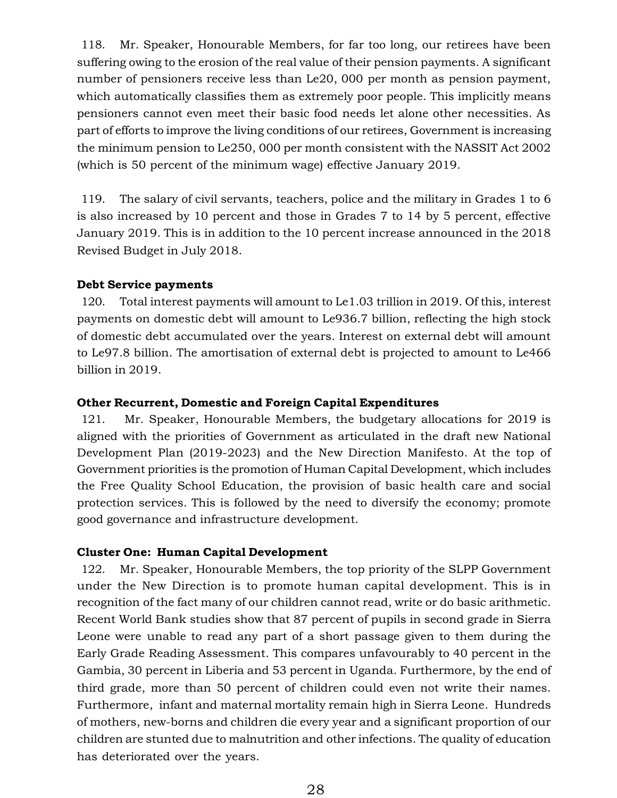118. Mr. Speaker, Honourable Members, for far too long, our retirees have been suffering owing to the erosion of the real value of their pension payments. A significant number of pensioners receive less than Le20, 000 per month as pension payment, which automatically classifies them as extremely poor people. This implicitly means pensioners cannot even meet their basic food needs let alone other necessities. As part of efforts to improve the living conditions of our retirees, Government is increasing the minimum pension to Le250, 000 per month consistent with the NASSIT Act 2002 (which is 50 percent of the minimum wage) effective January 2019.

119. The salary of civil servants, teachers, police and the military in Grades 1 to 6 is also increased by 10 percent and those in Grades 7 to 14 by 5 percent, effective January 2019. This is in addition to the 10 percent increase announced in the 2018 Revised Budget in July 2018.

#### **Debt Service payments**

120. Total interest payments will amount to Le1.03 trillion in 2019. Of this, interest payments on domestic debt will amount to Le936.7 billion, reflecting the high stock of domestic debt accumulated over the years. Interest on external debt will amount to Le97.8 billion. The amortisation of external debt is projected to amount to Le466 billion in 2019.

#### **Other Recurrent, Domestic and Foreign Capital Expenditures**

121. Mr. Speaker, Honourable Members, the budgetary allocations for 2019 is aligned with the priorities of Government as articulated in the draft new National Development Plan (2019-2023) and the New Direction Manifesto. At the top of Government priorities is the promotion of Human Capital Development, which includes the Free Quality School Education, the provision of basic health care and social protection services. This is followed by the need to diversify the economy; promote good governance and infrastructure development.

#### **Cluster One: Human Capital Development**

122. Mr. Speaker, Honourable Members, the top priority of the SLPP Government under the New Direction is to promote human capital development. This is in recognition of the fact many of our children cannot read, write or do basic arithmetic. Recent World Bank studies show that 87 percent of pupils in second grade in Sierra Leone were unable to read any part of a short passage given to them during the Early Grade Reading Assessment. This compares unfavourably to 40 percent in the Gambia, 30 percent in Liberia and 53 percent in Uganda. Furthermore, by the end of third grade, more than 50 percent of children could even not write their names. Furthermore, infant and maternal mortality remain high in Sierra Leone. Hundreds of mothers, new-borns and children die every year and a significant proportion of our children are stunted due to malnutrition and other infections. The quality of education has deteriorated over the years.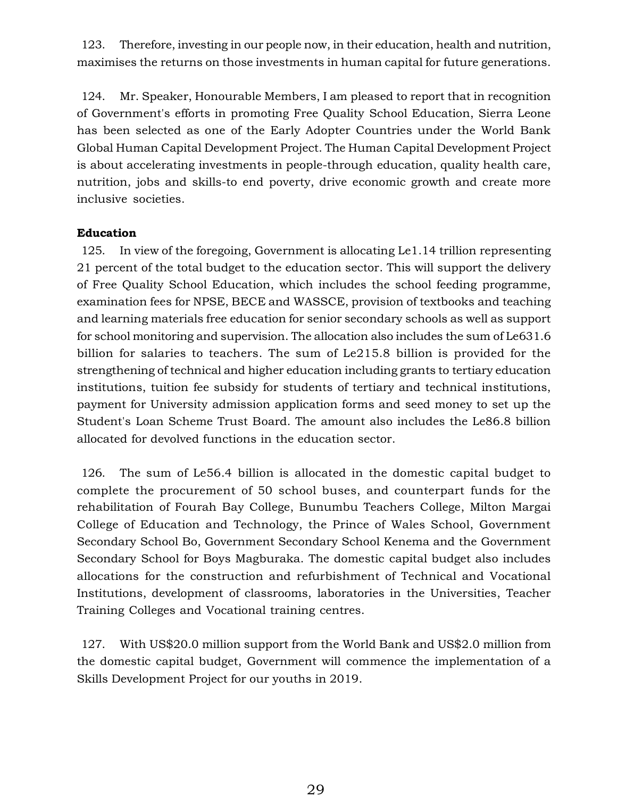123. Therefore, investing in our people now, in their education, health and nutrition, maximises the returns on those investments in human capital for future generations.

124. Mr. Speaker, Honourable Members, I am pleased to report that in recognition of Government's efforts in promoting Free Quality School Education, Sierra Leone has been selected as one of the Early Adopter Countries under the World Bank Global Human Capital Development Project. The Human Capital Development Project is about accelerating investments in people-through education, quality health care, nutrition, jobs and skills-to end poverty, drive economic growth and create more inclusive societies.

## **Education**

125. In view of the foregoing, Government is allocating Le1.14 trillion representing 21 percent of the total budget to the education sector. This will support the delivery of Free Quality School Education, which includes the school feeding programme, examination fees for NPSE, BECE and WASSCE, provision of textbooks and teaching and learning materials free education for senior secondary schools as well as support for school monitoring and supervision. The allocation also includes the sum of Le631.6 billion for salaries to teachers. The sum of Le215.8 billion is provided for the strengthening of technical and higher education including grants to tertiary education institutions, tuition fee subsidy for students of tertiary and technical institutions, payment for University admission application forms and seed money to set up the Student's Loan Scheme Trust Board. The amount also includes the Le86.8 billion allocated for devolved functions in the education sector.

126. The sum of Le56.4 billion is allocated in the domestic capital budget to complete the procurement of 50 school buses, and counterpart funds for the rehabilitation of Fourah Bay College, Bunumbu Teachers College, Milton Margai College of Education and Technology, the Prince of Wales School, Government Secondary School Bo, Government Secondary School Kenema and the Government Secondary School for Boys Magburaka. The domestic capital budget also includes allocations for the construction and refurbishment of Technical and Vocational Institutions, development of classrooms, laboratories in the Universities, Teacher Training Colleges and Vocational training centres.

127. With US\$20.0 million support from the World Bank and US\$2.0 million from the domestic capital budget, Government will commence the implementation of a Skills Development Project for our youths in 2019.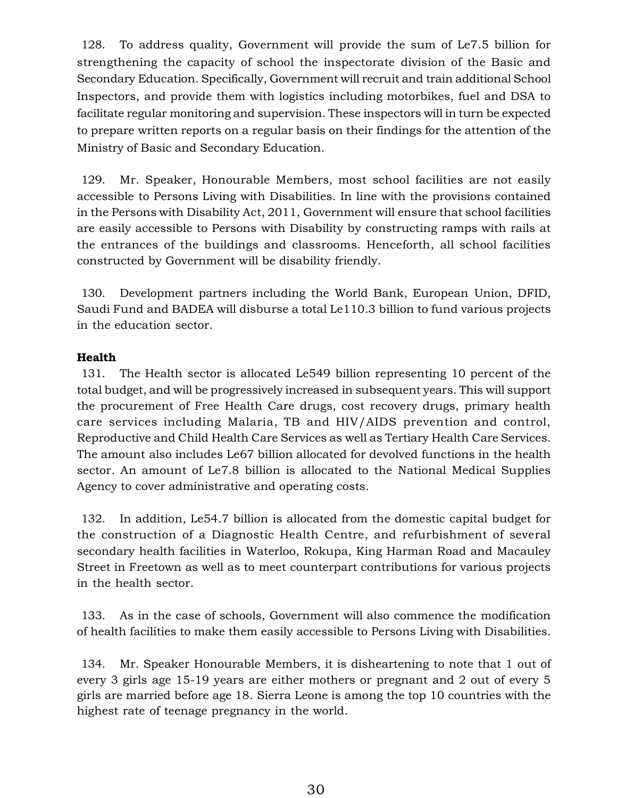128. To address quality, Government will provide the sum of Le7.5 billion for strengthening the capacity of school the inspectorate division of the Basic and Secondary Education. Specifically, Government will recruit and train additional School Inspectors, and provide them with logistics including motorbikes, fuel and DSA to facilitate regular monitoring and supervision. These inspectors will in turn be expected to prepare written reports on a regular basis on their findings for the attention of the Ministry of Basic and Secondary Education.

129. Mr. Speaker, Honourable Members, most school facilities are not easily accessible to Persons Living with Disabilities. In line with the provisions contained in the Persons with Disability Act, 2011, Government will ensure that school facilities are easily accessible to Persons with Disability by constructing ramps with rails at the entrances of the buildings and classrooms. Henceforth, all school facilities constructed by Government will be disability friendly.

130. Development partners including the World Bank, European Union, DFID, Saudi Fund and BADEA will disburse a total Le110.3 billion to fund various projects in the education sector.

## **Health**

131. The Health sector is allocated Le549 billion representing 10 percent of the total budget, and will be progressively increased in subsequent years. This will support the procurement of Free Health Care drugs, cost recovery drugs, primary health care services including Malaria, TB and HIV/AIDS prevention and control, Reproductive and Child Health Care Services as well as Tertiary Health Care Services. The amount also includes Le67 billion allocated for devolved functions in the health sector. An amount of Le7.8 billion is allocated to the National Medical Supplies Agency to cover administrative and operating costs.

132. In addition, Le54.7 billion is allocated from the domestic capital budget for the construction of a Diagnostic Health Centre, and refurbishment of several secondary health facilities in Waterloo, Rokupa, King Harman Road and Macauley Street in Freetown as well as to meet counterpart contributions for various projects in the health sector.

133. As in the case of schools, Government will also commence the modification of health facilities to make them easily accessible to Persons Living with Disabilities.

134. Mr. Speaker Honourable Members, it is disheartening to note that 1 out of every 3 girls age 15-19 years are either mothers or pregnant and 2 out of every 5 girls are married before age 18. Sierra Leone is among the top 10 countries with the highest rate of teenage pregnancy in the world.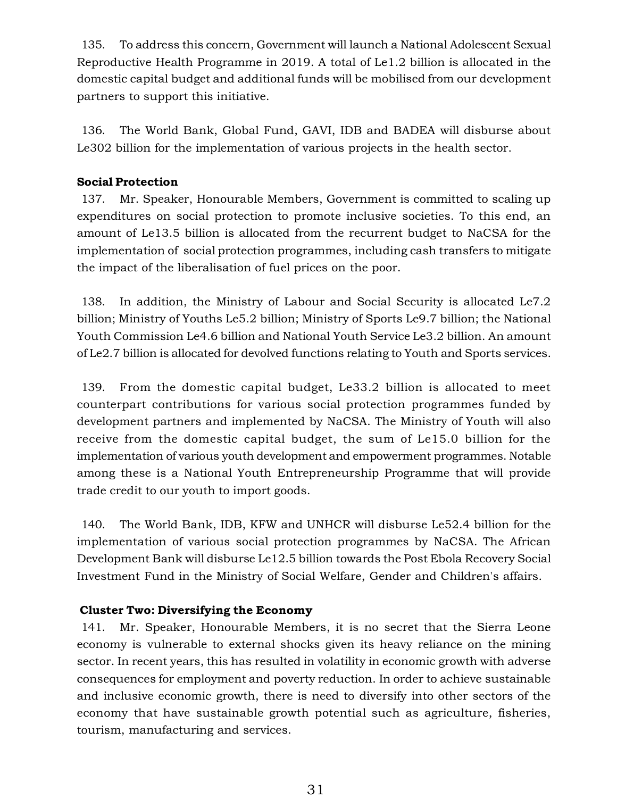135. To address this concern, Government will launch a National Adolescent Sexual Reproductive Health Programme in 2019. A total of Le1.2 billion is allocated in the domestic capital budget and additional funds will be mobilised from our development partners to support this initiative.

136. The World Bank, Global Fund, GAVI, IDB and BADEA will disburse about Le302 billion for the implementation of various projects in the health sector.

## **Social Protection**

137. Mr. Speaker, Honourable Members, Government is committed to scaling up expenditures on social protection to promote inclusive societies. To this end, an amount of Le13.5 billion is allocated from the recurrent budget to NaCSA for the implementation of social protection programmes, including cash transfers to mitigate the impact of the liberalisation of fuel prices on the poor.

138. In addition, the Ministry of Labour and Social Security is allocated Le7.2 billion; Ministry of Youths Le5.2 billion; Ministry of Sports Le9.7 billion; the National Youth Commission Le4.6 billion and National Youth Service Le3.2 billion. An amount of Le2.7 billion is allocated for devolved functions relating to Youth and Sports services.

139. From the domestic capital budget, Le33.2 billion is allocated to meet counterpart contributions for various social protection programmes funded by development partners and implemented by NaCSA. The Ministry of Youth will also receive from the domestic capital budget, the sum of Le15.0 billion for the implementation of various youth development and empowerment programmes. Notable among these is a National Youth Entrepreneurship Programme that will provide trade credit to our youth to import goods.

140. The World Bank, IDB, KFW and UNHCR will disburse Le52.4 billion for the implementation of various social protection programmes by NaCSA. The African Development Bank will disburse Le12.5 billion towards the Post Ebola Recovery Social Investment Fund in the Ministry of Social Welfare, Gender and Children's affairs.

## **Cluster Two: Diversifying the Economy**

141. Mr. Speaker, Honourable Members, it is no secret that the Sierra Leone economy is vulnerable to external shocks given its heavy reliance on the mining sector. In recent years, this has resulted in volatility in economic growth with adverse consequences for employment and poverty reduction. In order to achieve sustainable and inclusive economic growth, there is need to diversify into other sectors of the economy that have sustainable growth potential such as agriculture, fisheries, tourism, manufacturing and services.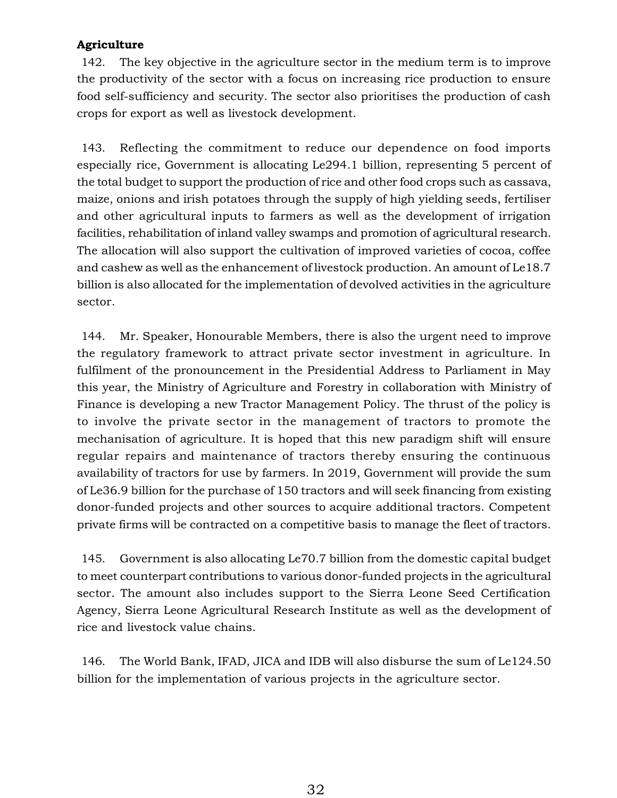## **Agriculture**

142. The key objective in the agriculture sector in the medium term is to improve the productivity of the sector with a focus on increasing rice production to ensure food self-sufficiency and security. The sector also prioritises the production of cash crops for export as well as livestock development.

143. Reflecting the commitment to reduce our dependence on food imports especially rice, Government is allocating Le294.1 billion, representing 5 percent of the total budget to support the production of rice and other food crops such as cassava, maize, onions and irish potatoes through the supply of high yielding seeds, fertiliser and other agricultural inputs to farmers as well as the development of irrigation facilities, rehabilitation of inland valley swamps and promotion of agricultural research. The allocation will also support the cultivation of improved varieties of cocoa, coffee and cashew as well as the enhancement of livestock production. An amount of Le18.7 billion is also allocated for the implementation of devolved activities in the agriculture sector.

144. Mr. Speaker, Honourable Members, there is also the urgent need to improve the regulatory framework to attract private sector investment in agriculture. In fulfilment of the pronouncement in the Presidential Address to Parliament in May this year, the Ministry of Agriculture and Forestry in collaboration with Ministry of Finance is developing a new Tractor Management Policy. The thrust of the policy is to involve the private sector in the management of tractors to promote the mechanisation of agriculture. It is hoped that this new paradigm shift will ensure regular repairs and maintenance of tractors thereby ensuring the continuous availability of tractors for use by farmers. In 2019, Government will provide the sum of Le36.9 billion for the purchase of 150 tractors and will seek financing from existing donor-funded projects and other sources to acquire additional tractors. Competent private firms will be contracted on a competitive basis to manage the fleet of tractors.

145. Government is also allocating Le70.7 billion from the domestic capital budget to meet counterpart contributions to various donor-funded projects in the agricultural sector. The amount also includes support to the Sierra Leone Seed Certification Agency, Sierra Leone Agricultural Research Institute as well as the development of rice and livestock value chains.

146. The World Bank, IFAD, JICA and IDB will also disburse the sum of Le124.50 billion for the implementation of various projects in the agriculture sector.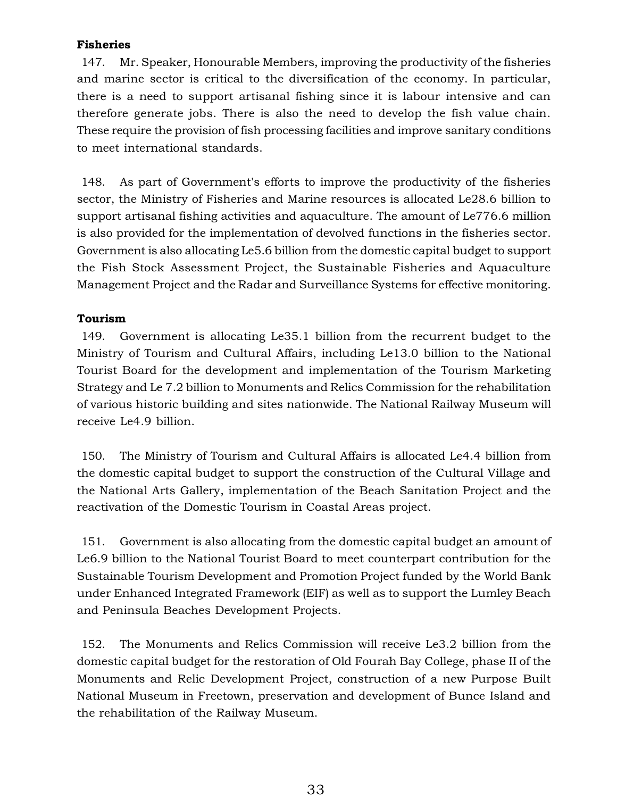## **Fisheries**

147. Mr. Speaker, Honourable Members, improving the productivity of the fisheries and marine sector is critical to the diversification of the economy. In particular, there is a need to support artisanal fishing since it is labour intensive and can therefore generate jobs. There is also the need to develop the fish value chain. These require the provision of fish processing facilities and improve sanitary conditions to meet international standards.

148. As part of Government's efforts to improve the productivity of the fisheries sector, the Ministry of Fisheries and Marine resources is allocated Le28.6 billion to support artisanal fishing activities and aquaculture. The amount of Le776.6 million is also provided for the implementation of devolved functions in the fisheries sector. Government is also allocating Le5.6 billion from the domestic capital budget to support the Fish Stock Assessment Project, the Sustainable Fisheries and Aquaculture Management Project and the Radar and Surveillance Systems for effective monitoring.

## **Tourism**

149. Government is allocating Le35.1 billion from the recurrent budget to the Ministry of Tourism and Cultural Affairs, including Le13.0 billion to the National Tourist Board for the development and implementation of the Tourism Marketing Strategy and Le 7.2 billion to Monuments and Relics Commission for the rehabilitation of various historic building and sites nationwide. The National Railway Museum will receive Le4.9 billion.

150. The Ministry of Tourism and Cultural Affairs is allocated Le4.4 billion from the domestic capital budget to support the construction of the Cultural Village and the National Arts Gallery, implementation of the Beach Sanitation Project and the reactivation of the Domestic Tourism in Coastal Areas project.

151. Government is also allocating from the domestic capital budget an amount of Le6.9 billion to the National Tourist Board to meet counterpart contribution for the Sustainable Tourism Development and Promotion Project funded by the World Bank under Enhanced Integrated Framework (EIF) as well as to support the Lumley Beach and Peninsula Beaches Development Projects.

152. The Monuments and Relics Commission will receive Le3.2 billion from the domestic capital budget for the restoration of Old Fourah Bay College, phase II of the Monuments and Relic Development Project, construction of a new Purpose Built National Museum in Freetown, preservation and development of Bunce Island and the rehabilitation of the Railway Museum.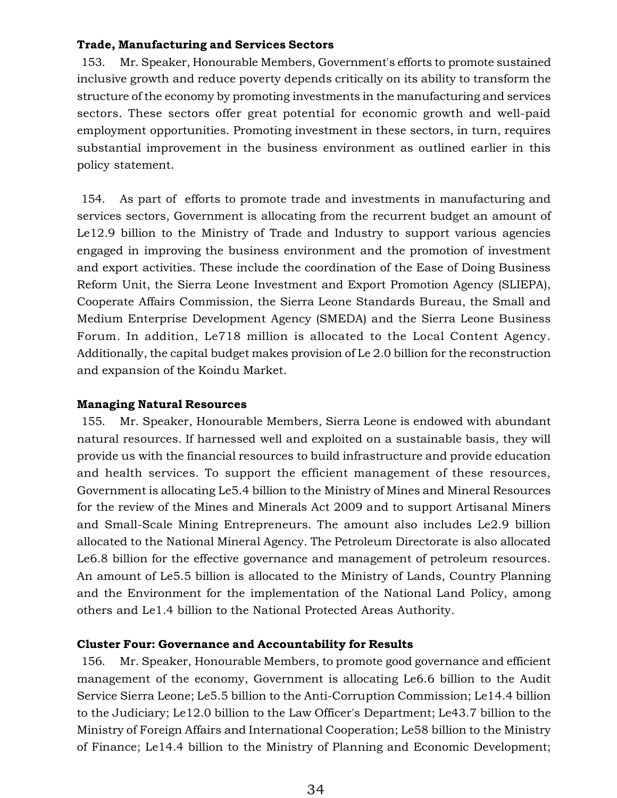## **Trade, Manufacturing and Services Sectors**

153. Mr. Speaker, Honourable Members, Government's efforts to promote sustained inclusive growth and reduce poverty depends critically on its ability to transform the structure of the economy by promoting investments in the manufacturing and services sectors. These sectors offer great potential for economic growth and well-paid employment opportunities. Promoting investment in these sectors, in turn, requires substantial improvement in the business environment as outlined earlier in this policy statement.

154. As part of efforts to promote trade and investments in manufacturing and services sectors, Government is allocating from the recurrent budget an amount of Le12.9 billion to the Ministry of Trade and Industry to support various agencies engaged in improving the business environment and the promotion of investment and export activities. These include the coordination of the Ease of Doing Business Reform Unit, the Sierra Leone Investment and Export Promotion Agency (SLIEPA), Cooperate Affairs Commission, the Sierra Leone Standards Bureau, the Small and Medium Enterprise Development Agency (SMEDA) and the Sierra Leone Business Forum. In addition, Le718 million is allocated to the Local Content Agency. Additionally, the capital budget makes provision of Le 2.0 billion for the reconstruction and expansion of the Koindu Market.

### **Managing Natural Resources**

155. Mr. Speaker, Honourable Members, Sierra Leone is endowed with abundant natural resources. If harnessed well and exploited on a sustainable basis, they will provide us with the financial resources to build infrastructure and provide education and health services. To support the efficient management of these resources, Government is allocating Le5.4 billion to the Ministry of Mines and Mineral Resources for the review of the Mines and Minerals Act 2009 and to support Artisanal Miners and Small-Scale Mining Entrepreneurs. The amount also includes Le2.9 billion allocated to the National Mineral Agency. The Petroleum Directorate is also allocated Le6.8 billion for the effective governance and management of petroleum resources. An amount of Le5.5 billion is allocated to the Ministry of Lands, Country Planning and the Environment for the implementation of the National Land Policy, among others and Le1.4 billion to the National Protected Areas Authority.

#### **Cluster Four: Governance and Accountability for Results**

156. Mr. Speaker, Honourable Members, to promote good governance and efficient management of the economy, Government is allocating Le6.6 billion to the Audit Service Sierra Leone; Le5.5 billion to the Anti-Corruption Commission; Le14.4 billion to the Judiciary; Le12.0 billion to the Law Officer's Department; Le43.7 billion to the Ministry of Foreign Affairs and International Cooperation; Le58 billion to the Ministry of Finance; Le14.4 billion to the Ministry of Planning and Economic Development;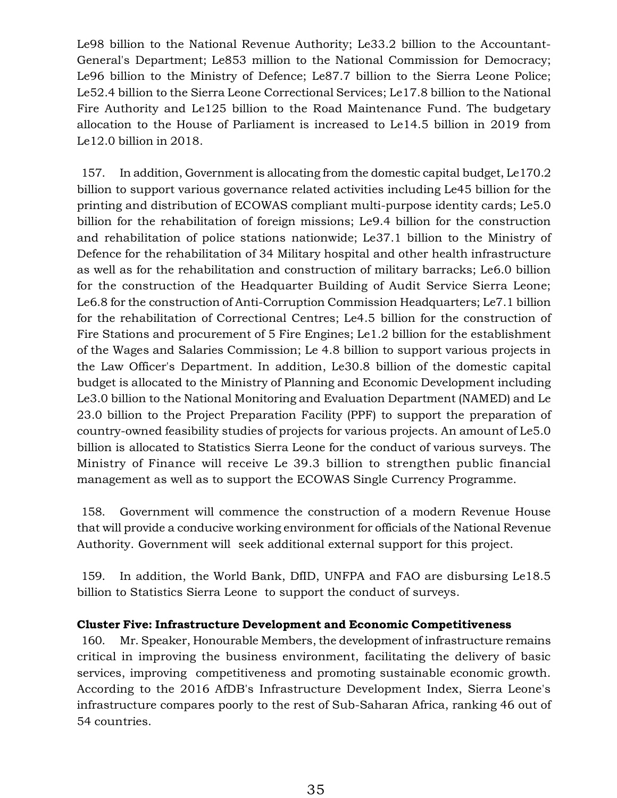Le98 billion to the National Revenue Authority; Le33.2 billion to the Accountant-General's Department; Le853 million to the National Commission for Democracy; Le96 billion to the Ministry of Defence; Le87.7 billion to the Sierra Leone Police; Le52.4 billion to the Sierra Leone Correctional Services; Le17.8 billion to the National Fire Authority and Le125 billion to the Road Maintenance Fund. The budgetary allocation to the House of Parliament is increased to Le14.5 billion in 2019 from Le12.0 billion in 2018.

157. In addition, Government is allocating from the domestic capital budget, Le170.2 billion to support various governance related activities including Le45 billion for the printing and distribution of ECOWAS compliant multi-purpose identity cards; Le5.0 billion for the rehabilitation of foreign missions; Le9.4 billion for the construction and rehabilitation of police stations nationwide; Le37.1 billion to the Ministry of Defence for the rehabilitation of 34 Military hospital and other health infrastructure as well as for the rehabilitation and construction of military barracks; Le6.0 billion for the construction of the Headquarter Building of Audit Service Sierra Leone; Le6.8 for the construction of Anti-Corruption Commission Headquarters; Le7.1 billion for the rehabilitation of Correctional Centres; Le4.5 billion for the construction of Fire Stations and procurement of 5 Fire Engines; Le1.2 billion for the establishment of the Wages and Salaries Commission; Le 4.8 billion to support various projects in the Law Officer's Department. In addition, Le30.8 billion of the domestic capital budget is allocated to the Ministry of Planning and Economic Development including Le3.0 billion to the National Monitoring and Evaluation Department (NAMED) and Le 23.0 billion to the Project Preparation Facility (PPF) to support the preparation of country-owned feasibility studies of projects for various projects. An amount of Le5.0 billion is allocated to Statistics Sierra Leone for the conduct of various surveys. The Ministry of Finance will receive Le 39.3 billion to strengthen public financial management as well as to support the ECOWAS Single Currency Programme.

158. Government will commence the construction of a modern Revenue House that will provide a conducive working environment for officials of the National Revenue Authority. Government will seek additional external support for this project.

159. In addition, the World Bank, DfID, UNFPA and FAO are disbursing Le18.5 billion to Statistics Sierra Leone to support the conduct of surveys.

#### **Cluster Five: Infrastructure Development and Economic Competitiveness**

160. Mr. Speaker, Honourable Members, the development of infrastructure remains critical in improving the business environment, facilitating the delivery of basic services, improving competitiveness and promoting sustainable economic growth. According to the 2016 AfDB's Infrastructure Development Index, Sierra Leone's infrastructure compares poorly to the rest of Sub-Saharan Africa, ranking 46 out of 54 countries.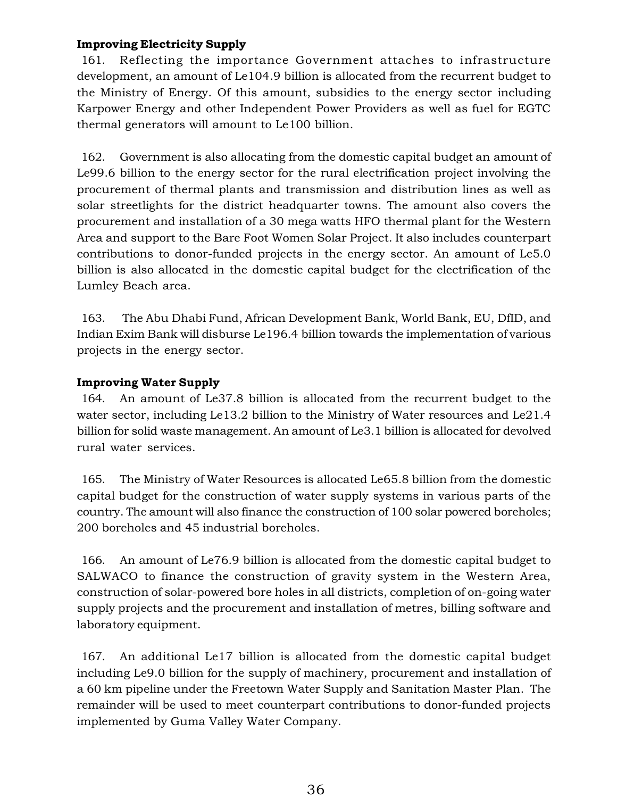# **Improving Electricity Supply**

161. Reflecting the importance Government attaches to infrastructure development, an amount of Le104.9 billion is allocated from the recurrent budget to the Ministry of Energy. Of this amount, subsidies to the energy sector including Karpower Energy and other Independent Power Providers as well as fuel for EGTC thermal generators will amount to Le100 billion.

162. Government is also allocating from the domestic capital budget an amount of Le99.6 billion to the energy sector for the rural electrification project involving the procurement of thermal plants and transmission and distribution lines as well as solar streetlights for the district headquarter towns. The amount also covers the procurement and installation of a 30 mega watts HFO thermal plant for the Western Area and support to the Bare Foot Women Solar Project. It also includes counterpart contributions to donor-funded projects in the energy sector. An amount of Le5.0 billion is also allocated in the domestic capital budget for the electrification of the Lumley Beach area.

163. The Abu Dhabi Fund, African Development Bank, World Bank, EU, DfID, and Indian Exim Bank will disburse Le196.4 billion towards the implementation of various projects in the energy sector.

# **Improving Water Supply**

164. An amount of Le37.8 billion is allocated from the recurrent budget to the water sector, including Le13.2 billion to the Ministry of Water resources and Le21.4 billion for solid waste management. An amount of Le3.1 billion is allocated for devolved rural water services.

165. The Ministry of Water Resources is allocated Le65.8 billion from the domestic capital budget for the construction of water supply systems in various parts of the country. The amount will also finance the construction of 100 solar powered boreholes; 200 boreholes and 45 industrial boreholes.

166. An amount of Le76.9 billion is allocated from the domestic capital budget to SALWACO to finance the construction of gravity system in the Western Area, construction of solar-powered bore holes in all districts, completion of on-going water supply projects and the procurement and installation of metres, billing software and laboratory equipment.

167. An additional Le17 billion is allocated from the domestic capital budget including Le9.0 billion for the supply of machinery, procurement and installation of a 60 km pipeline under the Freetown Water Supply and Sanitation Master Plan. The remainder will be used to meet counterpart contributions to donor-funded projects implemented by Guma Valley Water Company.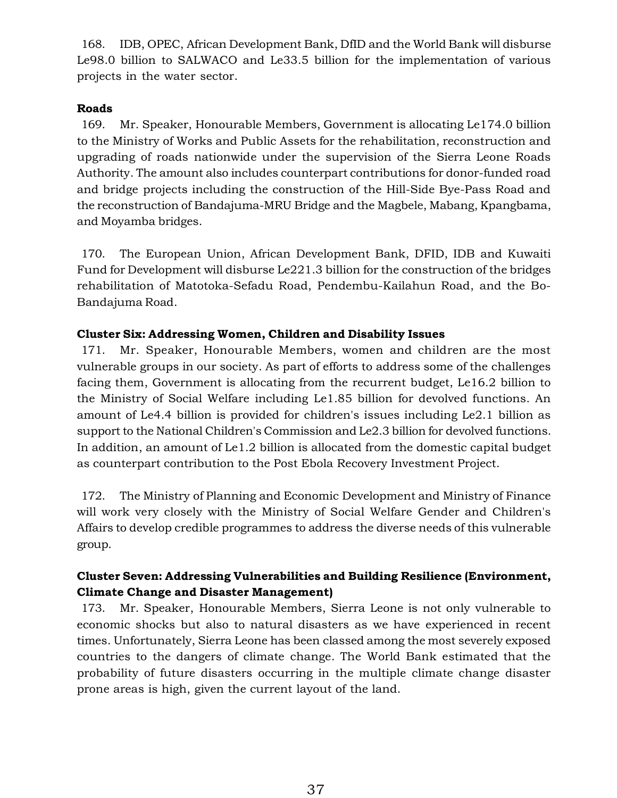168. IDB, OPEC, African Development Bank, DfID and the World Bank will disburse Le98.0 billion to SALWACO and Le33.5 billion for the implementation of various projects in the water sector.

# **Roads**

169. Mr. Speaker, Honourable Members, Government is allocating Le174.0 billion to the Ministry of Works and Public Assets for the rehabilitation, reconstruction and upgrading of roads nationwide under the supervision of the Sierra Leone Roads Authority. The amount also includes counterpart contributions for donor-funded road and bridge projects including the construction of the Hill-Side Bye-Pass Road and the reconstruction of Bandajuma-MRU Bridge and the Magbele, Mabang, Kpangbama, and Moyamba bridges.

170. The European Union, African Development Bank, DFID, IDB and Kuwaiti Fund for Development will disburse Le221.3 billion for the construction of the bridges rehabilitation of Matotoka-Sefadu Road, Pendembu-Kailahun Road, and the Bo-Bandajuma Road.

# **Cluster Six: Addressing Women, Children and Disability Issues**

171. Mr. Speaker, Honourable Members, women and children are the most vulnerable groups in our society. As part of efforts to address some of the challenges facing them, Government is allocating from the recurrent budget, Le16.2 billion to the Ministry of Social Welfare including Le1.85 billion for devolved functions. An amount of Le4.4 billion is provided for children's issues including Le2.1 billion as support to the National Children's Commission and Le2.3 billion for devolved functions. In addition, an amount of Le1.2 billion is allocated from the domestic capital budget as counterpart contribution to the Post Ebola Recovery Investment Project.

172. The Ministry of Planning and Economic Development and Ministry of Finance will work very closely with the Ministry of Social Welfare Gender and Children's Affairs to develop credible programmes to address the diverse needs of this vulnerable group.

# **Cluster Seven: Addressing Vulnerabilities and Building Resilience (Environment, Climate Change and Disaster Management)**

173. Mr. Speaker, Honourable Members, Sierra Leone is not only vulnerable to economic shocks but also to natural disasters as we have experienced in recent times. Unfortunately, Sierra Leone has been classed among the most severely exposed countries to the dangers of climate change. The World Bank estimated that the probability of future disasters occurring in the multiple climate change disaster prone areas is high, given the current layout of the land.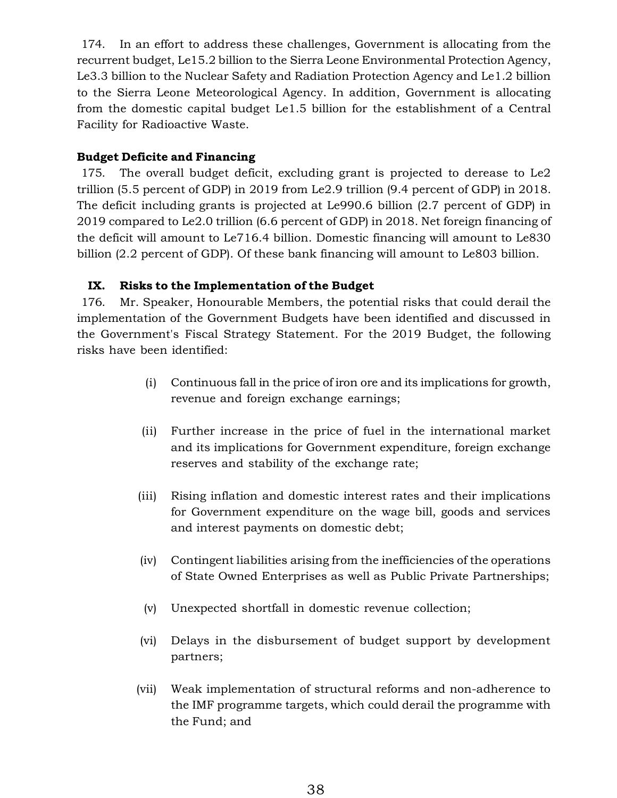174. In an effort to address these challenges, Government is allocating from the recurrent budget, Le15.2 billion to the Sierra Leone Environmental Protection Agency, Le3.3 billion to the Nuclear Safety and Radiation Protection Agency and Le1.2 billion to the Sierra Leone Meteorological Agency. In addition, Government is allocating from the domestic capital budget Le1.5 billion for the establishment of a Central Facility for Radioactive Waste.

# **Budget Deficite and Financing**

175. The overall budget deficit, excluding grant is projected to derease to Le2 trillion (5.5 percent of GDP) in 2019 from Le2.9 trillion (9.4 percent of GDP) in 2018. The deficit including grants is projected at Le990.6 billion (2.7 percent of GDP) in 2019 compared to Le2.0 trillion (6.6 percent of GDP) in 2018. Net foreign financing of the deficit will amount to Le716.4 billion. Domestic financing will amount to Le830 billion (2.2 percent of GDP). Of these bank financing will amount to Le803 billion.

# **IX. Risks to the Implementation of the Budget**

176. Mr. Speaker, Honourable Members, the potential risks that could derail the implementation of the Government Budgets have been identified and discussed in the Government's Fiscal Strategy Statement. For the 2019 Budget, the following risks have been identified:

- (i) Continuous fall in the price of iron ore and its implications for growth, revenue and foreign exchange earnings;
- (ii) Further increase in the price of fuel in the international market and its implications for Government expenditure, foreign exchange reserves and stability of the exchange rate;
- (iii) Rising inflation and domestic interest rates and their implications for Government expenditure on the wage bill, goods and services and interest payments on domestic debt;
- (iv) Contingent liabilities arising from the inefficiencies of the operations of State Owned Enterprises as well as Public Private Partnerships;
- (v) Unexpected shortfall in domestic revenue collection;
- (vi) Delays in the disbursement of budget support by development partners;
- (vii) Weak implementation of structural reforms and non-adherence to the IMF programme targets, which could derail the programme with the Fund; and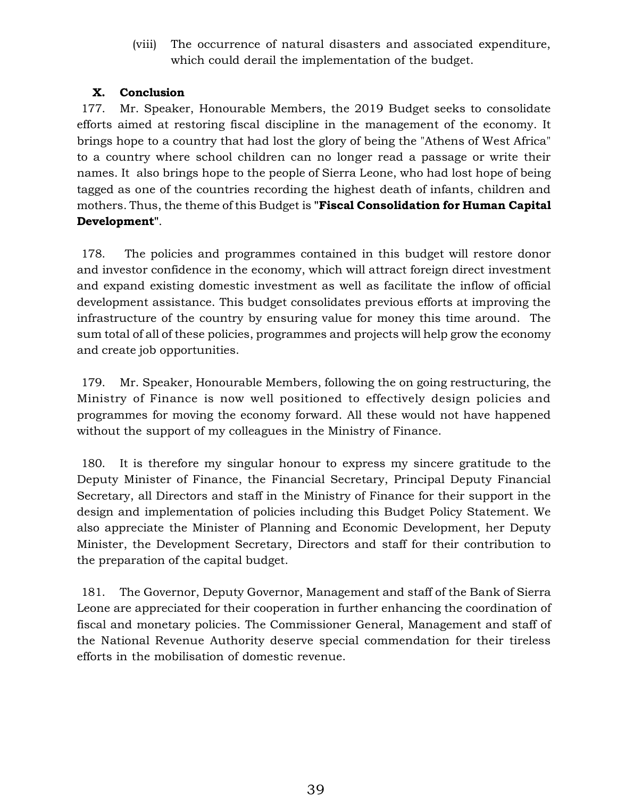(viii) The occurrence of natural disasters and associated expenditure, which could derail the implementation of the budget.

# **X. Conclusion**

177. Mr. Speaker, Honourable Members, the 2019 Budget seeks to consolidate efforts aimed at restoring fiscal discipline in the management of the economy. It brings hope to a country that had lost the glory of being the "Athens of West Africa" to a country where school children can no longer read a passage or write their names. It also brings hope to the people of Sierra Leone, who had lost hope of being tagged as one of the countries recording the highest death of infants, children and mothers. Thus, the theme of this Budget is **"Fiscal Consolidation for Human Capital Development"**.

178. The policies and programmes contained in this budget will restore donor and investor confidence in the economy, which will attract foreign direct investment and expand existing domestic investment as well as facilitate the inflow of official development assistance. This budget consolidates previous efforts at improving the infrastructure of the country by ensuring value for money this time around. The sum total of all of these policies, programmes and projects will help grow the economy and create job opportunities.

179. Mr. Speaker, Honourable Members, following the on going restructuring, the Ministry of Finance is now well positioned to effectively design policies and programmes for moving the economy forward. All these would not have happened without the support of my colleagues in the Ministry of Finance.

180. It is therefore my singular honour to express my sincere gratitude to the Deputy Minister of Finance, the Financial Secretary, Principal Deputy Financial Secretary, all Directors and staff in the Ministry of Finance for their support in the design and implementation of policies including this Budget Policy Statement. We also appreciate the Minister of Planning and Economic Development, her Deputy Minister, the Development Secretary, Directors and staff for their contribution to the preparation of the capital budget.

181. The Governor, Deputy Governor, Management and staff of the Bank of Sierra Leone are appreciated for their cooperation in further enhancing the coordination of fiscal and monetary policies. The Commissioner General, Management and staff of the National Revenue Authority deserve special commendation for their tireless efforts in the mobilisation of domestic revenue.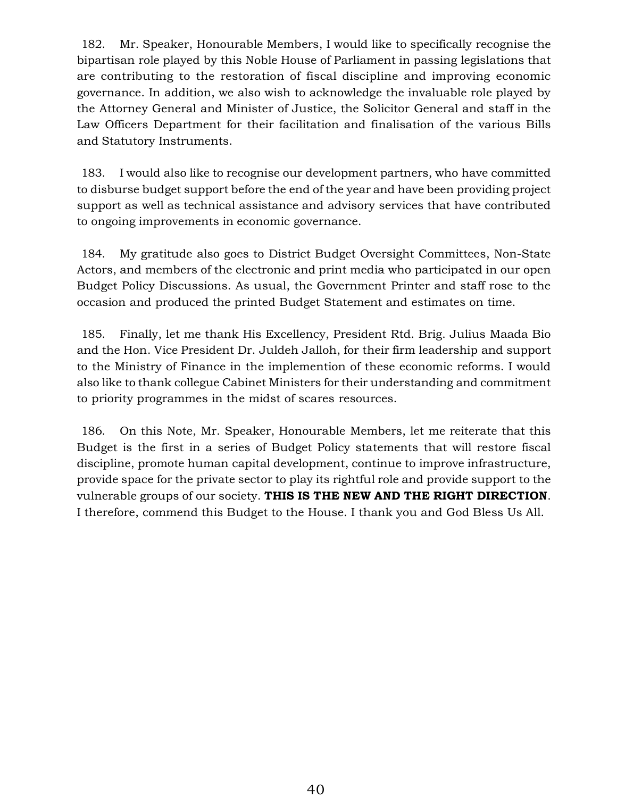182. Mr. Speaker, Honourable Members, I would like to specifically recognise the bipartisan role played by this Noble House of Parliament in passing legislations that are contributing to the restoration of fiscal discipline and improving economic governance. In addition, we also wish to acknowledge the invaluable role played by the Attorney General and Minister of Justice, the Solicitor General and staff in the Law Officers Department for their facilitation and finalisation of the various Bills and Statutory Instruments.

183. I would also like to recognise our development partners, who have committed to disburse budget support before the end of the year and have been providing project support as well as technical assistance and advisory services that have contributed to ongoing improvements in economic governance.

184. My gratitude also goes to District Budget Oversight Committees, Non-State Actors, and members of the electronic and print media who participated in our open Budget Policy Discussions. As usual, the Government Printer and staff rose to the occasion and produced the printed Budget Statement and estimates on time.

185. Finally, let me thank His Excellency, President Rtd. Brig. Julius Maada Bio and the Hon. Vice President Dr. Juldeh Jalloh, for their firm leadership and support to the Ministry of Finance in the implemention of these economic reforms. I would also like to thank collegue Cabinet Ministers for their understanding and commitment to priority programmes in the midst of scares resources.

186. On this Note, Mr. Speaker, Honourable Members, let me reiterate that this Budget is the first in a series of Budget Policy statements that will restore fiscal discipline, promote human capital development, continue to improve infrastructure, provide space for the private sector to play its rightful role and provide support to the vulnerable groups of our society. **THIS IS THE NEW AND THE RIGHT DIRECTION**. I therefore, commend this Budget to the House. I thank you and God Bless Us All.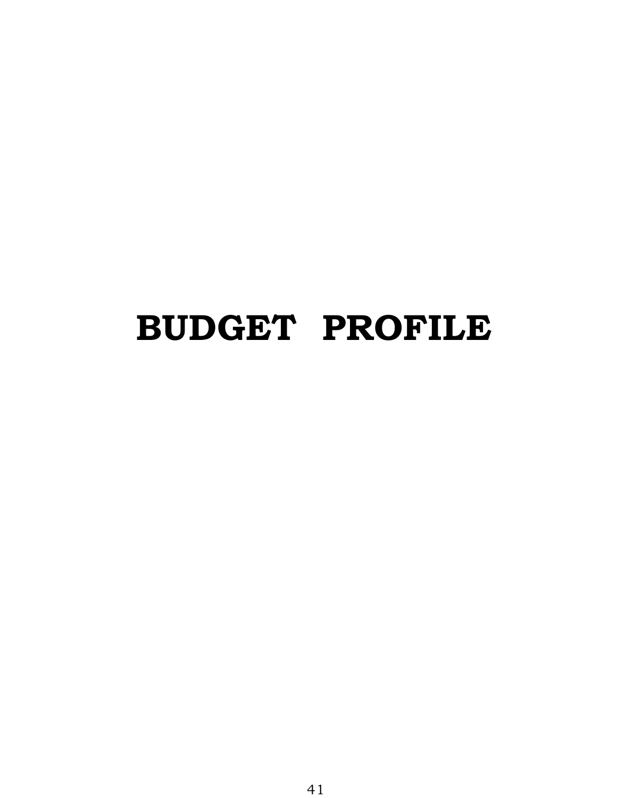# **BUDGET PROFILE**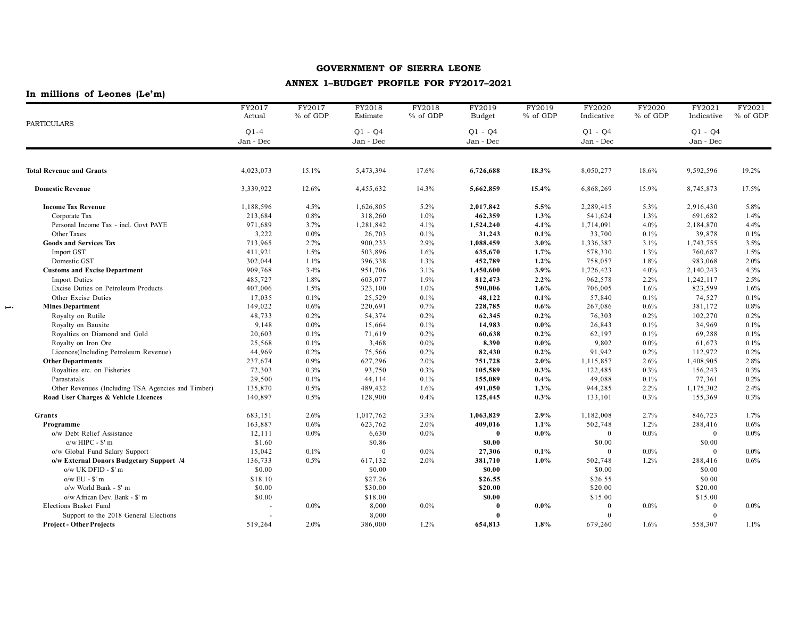## **ANNEX 1–BUDGET PROFILE FOR FY2017–2021**

## **In millions of Leones (Le'm)**

 $\overline{\phantom{m}}$  .

|                                                    | FY2017<br>Actual    | FY2017<br>% of GDP | FY2018<br>Estimate     | FY2018<br>% of GDP                               | FY2019<br><b>Budget</b> | FY2019<br>% of GDP | FY2020<br>Indicative | FY2020<br>% of GDP     | FY2021<br>Indicative | FY2021<br>% of GDP |
|----------------------------------------------------|---------------------|--------------------|------------------------|--------------------------------------------------|-------------------------|--------------------|----------------------|------------------------|----------------------|--------------------|
| <b>PARTICULARS</b>                                 | $Q1-4$<br>Jan - Dec |                    | $Q1 - Q4$<br>Jan - Dec | $O1 - O4$<br>$Q1 - Q4$<br>Jan - Dec<br>Jan - Dec |                         |                    |                      | $Q1 - Q4$<br>Jan - Dec |                      |                    |
|                                                    |                     |                    |                        |                                                  |                         |                    |                      |                        |                      |                    |
| <b>Total Revenue and Grants</b>                    | 4,023,073           | 15.1%              | 5,473,394              | 17.6%                                            | 6,726,688               | 18.3%              | 8,050,277            | 18.6%                  | 9,592,596            | 19.2%              |
| <b>Domestic Revenue</b>                            | 3,339,922           | 12.6%              | 4,455,632              | 14.3%                                            | 5,662,859               | 15.4%              | 6,868,269            | 15.9%                  | 8,745,873            | 17.5%              |
| <b>Income Tax Revenue</b>                          | 1,188,596           | 4.5%               | 1,626,805              | $5.2\%$                                          | 2,017,842               | 5.5%               | 2,289,415            | 5.3%                   | 2,916,430            | 5.8%               |
| Corporate Tax                                      | 213,684             | 0.8%               | 318,260                | $1.0\%$                                          | 462,359                 | 1.3%               | 541,624              | 1.3%                   | 691,682              | 1.4%               |
| Personal Income Tax - incl. Govt PAYE              | 971,689             | 3.7%               | 1,281,842              | 4.1%                                             | 1,524,240               | 4.1%               | 1,714,091            | 4.0%                   | 2,184,870            | 4.4%               |
| <b>Other Taxes</b>                                 | 3,222               | $0.0\%$            | 26,703                 | 0.1%                                             | 31,243                  | 0.1%               | 33,700               | 0.1%                   | 39,878               | 0.1%               |
| <b>Goods and Services Tax</b>                      | 713,965             | 2.7%               | 900,233                | 2.9%                                             | 1,088,459               | 3.0%               | 1,336,387            | 3.1%                   | 1,743,755            | 3.5%               |
| <b>Import GST</b>                                  | 411,921             | 1.5%               | 503,896                | 1.6%                                             | 635,670                 | 1.7%               | 578,330              | 1.3%                   | 760,687              | 1.5%               |
| Domestic GST                                       | 302,044             | 1.1%               | 396,338                | 1.3%                                             | 452,789                 | 1.2%               | 758,057              | 1.8%                   | 983,068              | 2.0%               |
| <b>Customs and Excise Department</b>               | 909,768             | 3.4%               | 951,706                | 3.1%                                             | 1,450,600               | 3.9%               | 1,726,423            | 4.0%                   | 2,140,243            | 4.3%               |
| <b>Import Duties</b>                               | 485,727             | 1.8%               | 603,077                | 1.9%                                             | 812,473                 | 2.2%               | 962,578              | 2.2%                   | 1,242,117            | 2.5%               |
| Excise Duties on Petroleum Products                | 407,006             | 1.5%               | 323,100                | $1.0\%$                                          | 590,006                 | 1.6%               | 706,005              | 1.6%                   | 823,599              | 1.6%               |
| Other Excise Duties                                | 17,035              | 0.1%               | 25,529                 | 0.1%                                             | 48,122                  | 0.1%               | 57,840               | 0.1%                   | 74,527               | 0.1%               |
| <b>Mines Department</b>                            | 149,022             | 0.6%               | 220,691                | 0.7%                                             | 228,785                 | 0.6%               | 267,086              | 0.6%                   | 381,172              | 0.8%               |
| Royalty on Rutile                                  | 48,733              | 0.2%               | 54,374                 | 0.2%                                             | 62,345                  | 0.2%               | 76,303               | 0.2%                   | 102,270              | 0.2%               |
| Royalty on Bauxite                                 | 9,148               | $0.0\%$            | 15,664                 | 0.1%                                             | 14,983                  | $0.0\%$            | 26,843               | 0.1%                   | 34,969               | 0.1%               |
| Royalties on Diamond and Gold                      | 20,603              | 0.1%               | 71,619                 | 0.2%                                             | 60,638                  | 0.2%               | 62,197               | 0.1%                   | 69,288               | 0.1%               |
| Royalty on Iron Ore                                | 25,568              | 0.1%               | 3,468                  | $0.0\%$                                          | 8,390                   | $0.0\%$            | 9,802                | $0.0\%$                | 61,673               | 0.1%               |
| Licences(Including Petroleum Revenue)              | 44,969              | 0.2%               | 75,566                 | 0.2%                                             | 82,430                  | 0.2%               | 91,942               | 0.2%                   | 112,972              | 0.2%               |
| <b>Other Departments</b>                           | 237,674             | 0.9%               | 627,296                | $2.0\%$                                          | 751,728                 | 2.0%               | 1,115,857            | 2.6%                   | 1,408,905            | 2.8%               |
| Royalties etc. on Fisheries                        | 72,303              | 0.3%               | 93,750                 | 0.3%                                             | 105,589                 | 0.3%               | 122,485              | 0.3%                   | 156,243              | 0.3%               |
| Parastatals                                        | 29,500              | 0.1%               | 44,114                 | 0.1%                                             | 155,089                 | 0.4%               | 49,088               | 0.1%                   | 77,361               | 0.2%               |
| Other Revenues (Including TSA Agencies and Timber) | 135,870             | 0.5%               | 489,432                | 1.6%                                             | 491,050                 | 1.3%               | 944,285              | 2.2%                   | 1,175,302            | 2.4%               |
| Road User Charges & Vehicle Licences               | 140,897             | 0.5%               | 128,900                | 0.4%                                             | 125,445                 | 0.3%               | 133,101              | 0.3%                   | 155,369              | 0.3%               |
| Grants                                             | 683,151             | 2.6%               | 1,017,762              | 3.3%                                             | 1,063,829               | 2.9%               | 1,182,008            | 2.7%                   | 846,723              | 1.7%               |
| Programme                                          | 163,887             | 0.6%               | 623,762                | $2.0\%$                                          | 409,016                 | 1.1%               | 502,748              | 1.2%                   | 288,416              | 0.6%               |
| o/w Debt Relief Assistance                         | 12,111              | $0.0\%$            | 6,630                  | $0.0\%$                                          | $\theta$                | $0.0\%$            | $\overline{0}$       | $0.0\%$                | $\Omega$             | 0.0%               |
| $o/w$ HIPC - $$'$ m                                | \$1.60              |                    | \$0.86                 |                                                  | \$0.00                  |                    | \$0.00               |                        | \$0.00               |                    |
| o/w Global Fund Salary Support                     | 15,042              | 0.1%               | $\theta$               | $0.0\%$                                          | 27,306                  | 0.1%               | $\mathbf{0}$         | $0.0\%$                | $\theta$             | 0.0%               |
| o/w External Donors Budgetary Support /4           | 136,733             | 0.5%               | 617,132                | $2.0\%$                                          | 381,710                 | 1.0%               | 502,748              | 1.2%                   | 288,416              | 0.6%               |
| o/w UK DFID - \$' m                                | \$0.00              |                    | \$0.00                 |                                                  | \$0.00                  |                    | \$0.00               |                        | \$0.00               |                    |
| $o/w$ EU - $$'$ m                                  | \$18.10             |                    | \$27.26                |                                                  | \$26.55                 |                    | \$26.55              |                        | \$0.00               |                    |
| o/w World Bank - \$' m                             | \$0.00              |                    | \$30.00                |                                                  | \$20.00                 |                    | \$20.00              |                        | \$20.00              |                    |
| o/w African Dev. Bank - \$' m                      | \$0.00              |                    | \$18.00                |                                                  | \$0.00                  |                    | \$15.00              |                        | \$15.00              |                    |
| Elections Basket Fund                              |                     | $0.0\%$            | 8,000                  | $0.0\%$                                          | $\theta$                | $0.0\%$            | $\mathbf{0}$         | $0.0\%$                | $\mathbf{0}$         | 0.0%               |
| Support to the 2018 General Elections              |                     |                    | 8,000                  |                                                  | $\theta$                |                    | $\theta$             |                        | $\Omega$             |                    |
| <b>Project - Other Projects</b>                    | 519,264             | 2.0%               | 386,000                | 1.2%                                             | 654,813                 | 1.8%               | 679,260              | 1.6%                   | 558,307              | 1.1%               |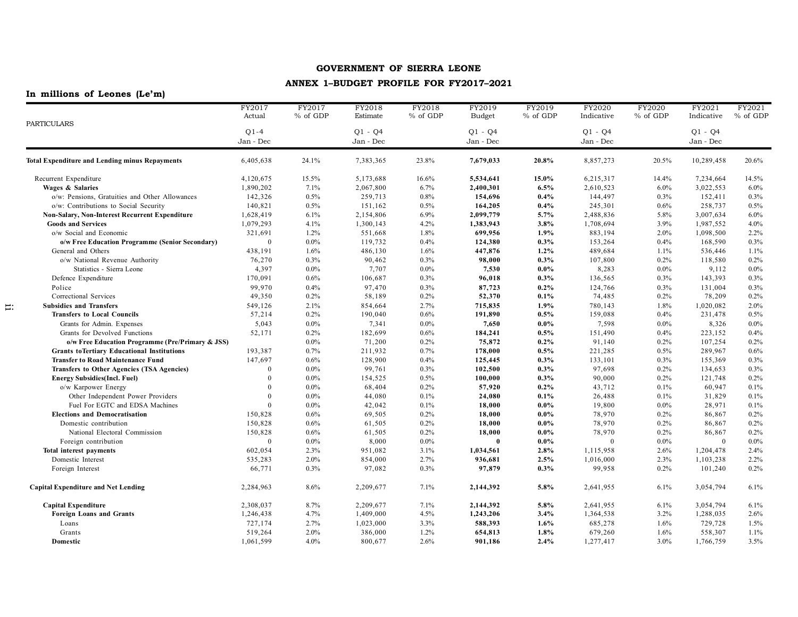## **ANNEX 1–BUDGET PROFILE FOR FY2017–2021**

## **In millions of Leones (Le'm)**

 $\Xi$ :

|                                                       | FY2017         | FY2017   | FY2018    | FY2018   | FY2019        | FY2019   | FY2020     | FY2020   | FY2021       | FY2021   |
|-------------------------------------------------------|----------------|----------|-----------|----------|---------------|----------|------------|----------|--------------|----------|
| <b>PARTICULARS</b>                                    | Actual         | % of GDP | Estimate  | % of GDP | <b>Budget</b> | % of GDP | Indicative | % of GDP | Indicative   | % of GDP |
|                                                       | $Q1-4$         |          | $Q1 - Q4$ |          | $O1 - O4$     |          | $O1 - O4$  |          | $Q1 - Q4$    |          |
|                                                       | Jan - Dec      |          | Jan - Dec |          | Jan - Dec     |          | Jan - Dec  |          | Jan - Dec    |          |
|                                                       |                |          |           |          |               |          |            |          |              |          |
| <b>Total Expenditure and Lending minus Repayments</b> | 6,405,638      | 24.1%    | 7,383,365 | 23.8%    | 7,679,033     | 20.8%    | 8,857,273  | 20.5%    | 10,289,458   | 20.6%    |
| Recurrent Expenditure                                 | 4,120,675      | 15.5%    | 5,173,688 | 16.6%    | 5,534,641     | 15.0%    | 6,215,317  | 14.4%    | 7,234,664    | 14.5%    |
| Wages & Salaries                                      | 1,890,202      | 7.1%     | 2,067,800 | 6.7%     | 2,400,301     | 6.5%     | 2,610,523  | 6.0%     | 3,022,553    | $6.0\%$  |
| o/w: Pensions, Gratuities and Other Allowances        | 142,326        | 0.5%     | 259,713   | 0.8%     | 154,696       | 0.4%     | 144,497    | 0.3%     | 152,411      | 0.3%     |
| o/w: Contributions to Social Security                 | 140,821        | 0.5%     | 151,162   | 0.5%     | 164,205       | 0.4%     | 245,301    | 0.6%     | 258,737      | 0.5%     |
| Non-Salary, Non-Interest Recurrent Expenditure        | 1,628,419      | 6.1%     | 2,154,806 | 6.9%     | 2,099,779     | 5.7%     | 2,488,836  | 5.8%     | 3,007,634    | $6.0\%$  |
| <b>Goods and Services</b>                             | 1,079,293      | 4.1%     | 1,300,143 | 4.2%     | 1,383,943     | 3.8%     | 1,708,694  | 3.9%     | 1,987,552    | 4.0%     |
| o/w Social and Economic                               | 321,691        | 1.2%     | 551,668   | 1.8%     | 699,956       | 1.9%     | 883,194    | 2.0%     | 1,098,500    | 2.2%     |
| o/w Free Education Programme (Senior Secondary)       | $\Omega$       | 0.0%     | 119,732   | 0.4%     | 124,380       | $0.3\%$  | 153,264    | 0.4%     | 168,590      | 0.3%     |
| General and Others                                    | 438,191        | 1.6%     | 486,130   | 1.6%     | 447,876       | 1.2%     | 489,684    | 1.1%     | 536,446      | 1.1%     |
| o/w National Revenue Authority                        | 76,270         | 0.3%     | 90,462    | 0.3%     | 98,000        | 0.3%     | 107,800    | 0.2%     | 118,580      | 0.2%     |
| Statistics - Sierra Leone                             | 4,397          | $0.0\%$  | 7,707     | $0.0\%$  | 7,530         | $0.0\%$  | 8,283      | $0.0\%$  | 9,112        | $0.0\%$  |
| Defence Expenditure                                   | 170,091        | 0.6%     | 106,687   | 0.3%     | 96,018        | 0.3%     | 136,565    | 0.3%     | 143,393      | 0.3%     |
| Police                                                | 99,970         | 0.4%     | 97,470    | 0.3%     | 87,723        | $0.2\%$  | 124,766    | 0.3%     | 131,004      | $0.3\%$  |
| Correctional Services                                 | 49,350         | 0.2%     | 58,189    | 0.2%     | 52,370        | 0.1%     | 74,485     | 0.2%     | 78,209       | 0.2%     |
| <b>Subsidies and Transfers</b>                        | 549,126        | 2.1%     | 854,664   | 2.7%     | 715,835       | 1.9%     | 780,143    | 1.8%     | 1,020,082    | $2.0\%$  |
| <b>Transfers to Local Councils</b>                    | 57,214         | 0.2%     | 190,040   | 0.6%     | 191,890       | 0.5%     | 159,088    | 0.4%     | 231,478      | 0.5%     |
| Grants for Admin. Expenses                            | 5,043          | $0.0\%$  | 7,341     | $0.0\%$  | 7,650         | $0.0\%$  | 7,598      | $0.0\%$  | 8,326        | $0.0\%$  |
| Grants for Devolved Functions                         | 52,171         | 0.2%     | 182,699   | 0.6%     | 184,241       | 0.5%     | 151,490    | 0.4%     | 223,152      | 0.4%     |
| o/w Free Education Programme (Pre/Primary & JSS)      |                | $0.0\%$  | 71,200    | 0.2%     | 75,872        | $0.2\%$  | 91,140     | 0.2%     | 107,254      | 0.2%     |
| <b>Grants toTertiary Educational Institutions</b>     | 193,387        | 0.7%     | 211,932   | 0.7%     | 178,000       | 0.5%     | 221,285    | 0.5%     | 289,967      | 0.6%     |
| <b>Transfer to Road Maintenance Fund</b>              | 147,697        | 0.6%     | 128,900   | 0.4%     | 125,445       | $0.3\%$  | 133,101    | 0.3%     | 155,369      | 0.3%     |
| Transfers to Other Agencies (TSA Agencies)            | $\Omega$       | 0.0%     | 99,761    | 0.3%     | 102,500       | 0.3%     | 97,698     | 0.2%     | 134,653      | 0.3%     |
| <b>Energy Subsidies(Incl. Fuel)</b>                   | $\overline{0}$ | $0.0\%$  | 154,525   | 0.5%     | 100,000       | 0.3%     | 90,000     | 0.2%     | 121,748      | 0.2%     |
| o/w Karpower Energy                                   | $\Omega$       | $0.0\%$  | 68,404    | 0.2%     | 57,920        | 0.2%     | 43,712     | 0.1%     | 60,947       | 0.1%     |
| Other Independent Power Providers                     | $\Omega$       | 0.0%     | 44,080    | 0.1%     | 24,080        | 0.1%     | 26,488     | 0.1%     | 31,829       | 0.1%     |
| Fuel For EGTC and EDSA Machines                       | $\Omega$       | 0.0%     | 42,042    | 0.1%     | 18,000        | $0.0\%$  | 19,800     | $0.0\%$  | 28,971       | 0.1%     |
| <b>Elections and Democratisation</b>                  | 150,828        | 0.6%     | 69,505    | 0.2%     | 18,000        | $0.0\%$  | 78,970     | 0.2%     | 86,867       | 0.2%     |
| Domestic contribution                                 | 150,828        | 0.6%     | 61,505    | 0.2%     | 18,000        | $0.0\%$  | 78,970     | 0.2%     | 86,867       | 0.2%     |
| National Electoral Commission                         | 150,828        | 0.6%     | 61,505    | 0.2%     | 18,000        | $0.0\%$  | 78,970     | 0.2%     | 86,867       | 0.2%     |
| Foreign contribution                                  | $\overline{0}$ | 0.0%     | 8,000     | $0.0\%$  | $\bf{0}$      | $0.0\%$  | $\theta$   | $0.0\%$  | $\mathbf{0}$ | $0.0\%$  |
| <b>Total interest payments</b>                        | 602,054        | 2.3%     | 951,082   | 3.1%     | 1,034,561     | 2.8%     | 1,115,958  | 2.6%     | 1,204,478    | 2.4%     |
| Domestic Interest                                     | 535,283        | 2.0%     | 854,000   | 2.7%     | 936,681       | 2.5%     | 1,016,000  | 2.3%     | 1,103,238    | 2.2%     |
| Foreign Interest                                      | 66,771         | 0.3%     | 97,082    | 0.3%     | 97,879        | 0.3%     | 99,958     | 0.2%     | 101,240      | 0.2%     |
| <b>Capital Expenditure and Net Lending</b>            | 2,284,963      | 8.6%     | 2,209,677 | 7.1%     | 2,144,392     | 5.8%     | 2,641,955  | 6.1%     | 3,054,794    | 6.1%     |
| <b>Capital Expenditure</b>                            | 2,308,037      | 8.7%     | 2,209,677 | 7.1%     | 2,144,392     | 5.8%     | 2,641,955  | 6.1%     | 3,054,794    | 6.1%     |
| <b>Foreign Loans and Grants</b>                       | 1,246,438      | 4.7%     | 1,409,000 | 4.5%     | 1,243,206     | 3.4%     | 1,364,538  | 3.2%     | 1,288,035    | 2.6%     |
| Loans                                                 | 727,174        | 2.7%     | 1,023,000 | 3.3%     | 588,393       | 1.6%     | 685,278    | 1.6%     | 729,728      | 1.5%     |
| Grants                                                | 519,264        | 2.0%     | 386,000   | 1.2%     | 654,813       | 1.8%     | 679,260    | 1.6%     | 558,307      | 1.1%     |
| Domestic                                              | 1,061,599      | 4.0%     | 800,677   | 2.6%     | 901,186       | 2.4%     | 1,277,417  | 3.0%     | 1,766,759    | 3.5%     |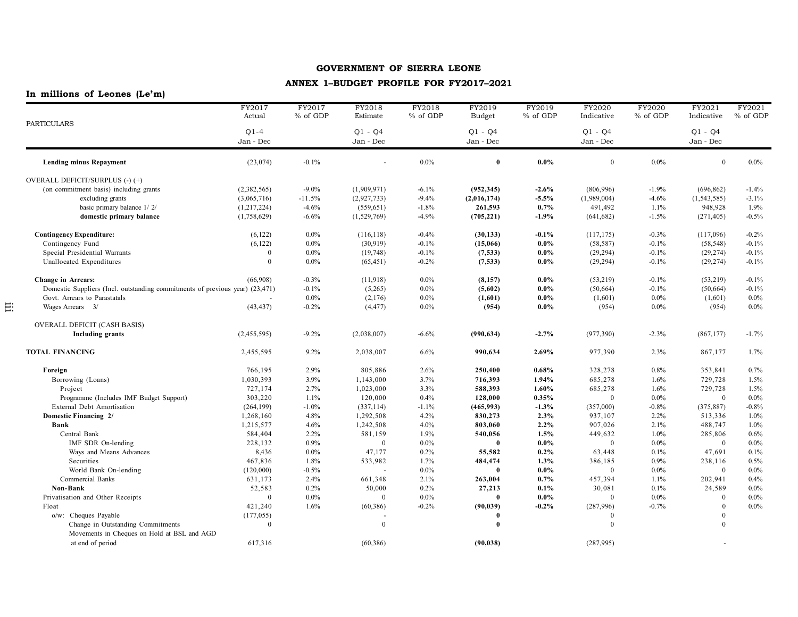## **ANNEX 1–BUDGET PROFILE FOR FY2017–2021**

|                                                                              | FY2017<br>Actual | FY2017<br>% of GDP | FY2018<br>Estimate | FY2018<br>% of GDP | FY2019<br><b>Budget</b> | FY2019<br>% of GDP | FY2020<br>Indicative | $\overline{\text{FY2}}$ 020<br>% of GDP | FY2021<br>Indicative | FY2021<br>% of GDP |
|------------------------------------------------------------------------------|------------------|--------------------|--------------------|--------------------|-------------------------|--------------------|----------------------|-----------------------------------------|----------------------|--------------------|
| <b>PARTICULARS</b>                                                           |                  |                    |                    |                    |                         |                    |                      |                                         |                      |                    |
|                                                                              | $Q1-4$           |                    | $Q1 - Q4$          |                    | $Q1 - Q4$               |                    | $Q1 - Q4$            |                                         | $Q1 - Q4$            |                    |
|                                                                              | Jan - Dec        |                    | Jan - Dec          |                    | Jan - Dec               |                    | Jan - Dec            |                                         | Jan - Dec            |                    |
| <b>Lending minus Repayment</b>                                               | (23, 074)        | $-0.1%$            |                    | $0.0\%$            | $\bf{0}$                | $0.0\%$            | $\mathbf{0}$         | $0.0\%$                                 | $\theta$             | $0.0\%$            |
| OVERALL DEFICIT/SURPLUS (-)(+)                                               |                  |                    |                    |                    |                         |                    |                      |                                         |                      |                    |
| (on commitment basis) including grants                                       | (2,382,565)      | $-9.0\%$           | (1,909,971)        | $-6.1%$            | (952, 345)              | $-2.6%$            | (806,996)            | $-1.9%$                                 | (696, 862)           | $-1.4%$            |
| excluding grants                                                             | (3,065,716)      | $-11.5%$           | (2,927,733)        | $-9.4%$            | (2,016,174)             | $-5.5%$            | (1,989,004)          | $-4.6%$                                 | (1, 543, 585)        | $-3.1%$            |
| basic primary balance 1/2/                                                   | (1, 217, 224)    | $-4.6%$            | (559, 651)         | $-1.8%$            | 261,593                 | 0.7%               | 491,492              | 1.1%                                    | 948,928              | 1.9%               |
| domestic primary balance                                                     | (1,758,629)      | $-6.6%$            | (1,529,769)        | $-4.9%$            | (705, 221)              | $-1.9\%$           | (641, 682)           | $-1.5%$                                 | (271, 405)           | $-0.5%$            |
| <b>Contingency Expenditure:</b>                                              | (6, 122)         | $0.0\%$            | (116, 118)         | $-0.4%$            | (30, 133)               | $-0.1\%$           | (117, 175)           | $-0.3%$                                 | (117,096)            | $-0.2%$            |
| Contingency Fund                                                             | (6, 122)         | 0.0%               | (30, 919)          | $-0.1%$            | (15,066)                | $0.0\%$            | (58, 587)            | $-0.1%$                                 | (58, 548)            | $-0.1%$            |
| Special Presidential Warrants                                                | $\mathbf{0}$     | 0.0%               | (19,748)           | $-0.1%$            | (7,533)                 | $0.0\%$            | (29, 294)            | $-0.1%$                                 | (29, 274)            | $-0.1%$            |
| Unallocated Expenditures                                                     | $\theta$         | $0.0\%$            | (65, 451)          | $-0.2%$            | (7,533)                 | $0.0\%$            | (29, 294)            | $-0.1%$                                 | (29, 274)            | $-0.1%$            |
| <b>Change in Arrears:</b>                                                    | (66,908)         | $-0.3%$            | (11,918)           | $0.0\%$            | (8, 157)                | $0.0\%$            | (53,219)             | $-0.1%$                                 | (53,219)             | $-0.1%$            |
| Domestic Suppliers (Incl. outstanding commitments of previous year) (23,471) |                  | $-0.1%$            | (5,265)            | $0.0\%$            | (5,602)                 | $0.0\%$            | (50, 664)            | $-0.1%$                                 | (50, 664)            | $-0.1%$            |
| Govt. Arrears to Parastatals                                                 |                  | 0.0%               | (2,176)            | $0.0\%$            | (1,601)                 | $0.0\%$            | (1,601)              | $0.0\%$                                 | (1,601)              | $0.0\%$            |
| Wages Arrears 3/                                                             | (43, 437)        | $-0.2%$            | (4, 477)           | $0.0\%$            | (954)                   | $0.0\%$            | (954)                | $0.0\%$                                 | (954)                | $0.0\%$            |
| <b>OVERALL DEFICIT (CASH BASIS)</b>                                          |                  |                    |                    |                    |                         |                    |                      |                                         |                      |                    |
| <b>Including grants</b>                                                      | (2,455,595)      | $-9.2%$            | (2,038,007)        | $-6.6%$            | (990, 634)              | $-2.7%$            | (977, 390)           | $-2.3%$                                 | (867, 177)           | $-1.7%$            |
| TOTAL FINANCING                                                              | 2,455,595        | 9.2%               | 2,038,007          | 6.6%               | 990,634                 | 2.69%              | 977,390              | 2.3%                                    | 867,177              | 1.7%               |
| Foreign                                                                      | 766,195          | 2.9%               | 805,886            | 2.6%               | 250,400                 | 0.68%              | 328,278              | 0.8%                                    | 353,841              | 0.7%               |
| Borrowing (Loans)                                                            | 1,030,393        | 3.9%               | 1,143,000          | 3.7%               | 716,393                 | 1.94%              | 685,278              | 1.6%                                    | 729,728              | 1.5%               |
| Project                                                                      | 727,174          | 2.7%               | 1,023,000          | 3.3%               | 588,393                 | 1.60%              | 685,278              | 1.6%                                    | 729,728              | 1.5%               |
| Programme (Includes IMF Budget Support)                                      | 303,220          | 1.1%               | 120,000            | 0.4%               | 128,000                 | 0.35%              | $\mathbf{0}$         | $0.0\%$                                 | $\overline{0}$       | 0.0%               |
| <b>External Debt Amortisation</b>                                            | (264, 199)       | $-1.0%$            | (337, 114)         | $-1.1%$            | (465,993)               | $-1.3%$            | (357,000)            | $-0.8%$                                 | (375, 887)           | $-0.8%$            |
| Domestic Financing 2/                                                        | 1,268,160        | 4.8%               | 1,292,508          | 4.2%               | 830,273                 | 2.3%               | 937,107              | 2.2%                                    | 513,336              | 1.0%               |
| Bank                                                                         | 1,215,577        | 4.6%               | 1,242,508          | 4.0%               | 803,060                 | 2.2%               | 907,026              | 2.1%                                    | 488,747              | 1.0%               |
| Central Bank                                                                 | 584,404          | 2.2%               | 581,159            | 1.9%               | 540,056                 | 1.5%               | 449,632              | 1.0%                                    | 285,806              | 0.6%               |
| IMF SDR On-lending                                                           | 228,132          | 0.9%               | $\mathbf{0}$       | $0.0\%$            | $\theta$                | $0.0\%$            | $\theta$             | $0.0\%$                                 | $\overline{0}$       | $0.0\%$            |
| Ways and Means Advances                                                      | 8,436            | 0.0%               | 47,177             | 0.2%               | 55,582                  | $0.2\%$            | 63,448               | 0.1%                                    | 47,691               | 0.1%               |
| Securities                                                                   | 467,836          | 1.8%               | 533,982            | 1.7%               | 484,474                 | 1.3%               | 386,185              | 0.9%                                    | 238,116              | 0.5%               |
| World Bank On-lending                                                        | (120,000)        | $-0.5%$            |                    | $0.0\%$            | $\theta$                | $0.0\%$            | $\mathbf{0}$         | $0.0\%$                                 | $\overline{0}$       | 0.0%               |
| Commercial Banks                                                             | 631,173          | 2.4%               | 661,348            | 2.1%               | 263,004                 | 0.7%               | 457,394              | 1.1%                                    | 202,941              | 0.4%               |
| Non-Bank                                                                     | 52,583           | 0.2%               | 50,000             | 0.2%               | 27,213                  | $0.1\%$            | 30,081               | 0.1%                                    | 24,589               | $0.0\%$            |
| Privatisation and Other Receipts                                             | $\mathbf{0}$     | 0.0%               | $\Omega$           | $0.0\%$            | $\theta$                | $0.0\%$            | $\mathbf{0}$         | $0.0\%$                                 | $\theta$             | 0.0%               |
| Float                                                                        | 421,240          | 1.6%               | (60, 386)          | $-0.2%$            | (90, 039)               | $-0.2\%$           | (287,996)            | $-0.7%$                                 | $\overline{0}$       | $0.0\%$            |
| o/w: Cheques Payable                                                         | (177, 055)       |                    |                    |                    | $\theta$                |                    | $\theta$             |                                         | $\overline{0}$       |                    |
| Change in Outstanding Commitments                                            | $\mathbf{0}$     |                    | $\mathbf{0}$       |                    | $\theta$                |                    | $\theta$             |                                         | $\theta$             |                    |
| Movements in Cheques on Hold at BSL and AGD                                  |                  |                    |                    |                    |                         |                    |                      |                                         |                      |                    |
| at end of period                                                             | 617,316          |                    | (60, 386)          |                    | (90, 038)               |                    | (287,995)            |                                         |                      |                    |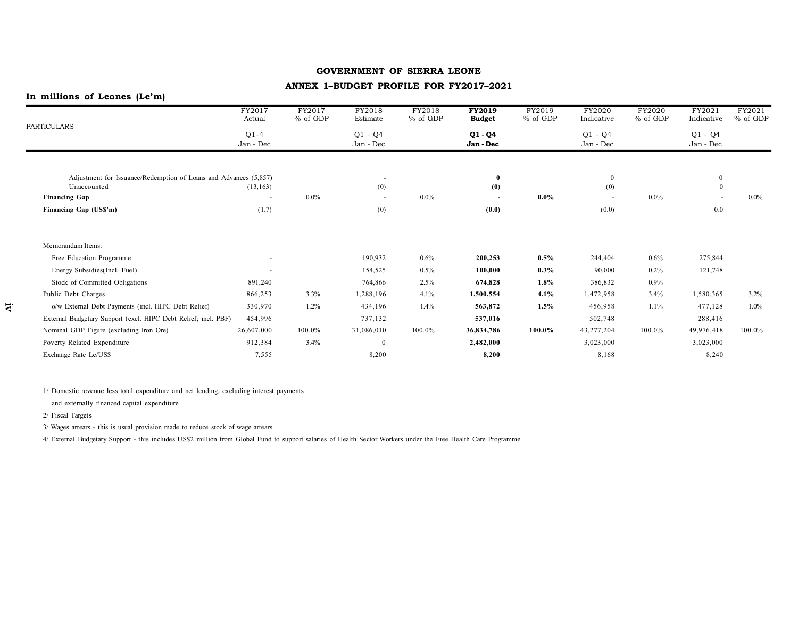#### **ANNEX 1–BUDGET PROFILE FOR FY2017–2021**

# **In millions of Leones (Le'm)**

| PARTICULARS                                                      | FY2017<br>Actual         | FY2017<br>$%$ of GDP | FY2018<br>Estimate       | FY2018<br>$%$ of GDP | <b>FY2019</b><br><b>Budget</b> | FY2019<br>% of GDP | FY2020<br>Indicative   | FY2020<br>$%$ of GDP | FY2021<br>Indicative   | FY2021<br>$%$ of GDP |
|------------------------------------------------------------------|--------------------------|----------------------|--------------------------|----------------------|--------------------------------|--------------------|------------------------|----------------------|------------------------|----------------------|
|                                                                  | $Q1-4$<br>Jan - Dec      |                      | $Q1 - Q4$<br>Jan - Dec   |                      | $Q1 - Q4$<br>Jan - Dec         |                    | $Q1 - Q4$<br>Jan - Dec |                      | $Q1 - Q4$<br>Jan - Dec |                      |
|                                                                  |                          |                      |                          |                      |                                |                    |                        |                      |                        |                      |
| Adjustment for Issuance/Redemption of Loans and Advances (5,857) |                          |                      | $\sim$                   |                      |                                |                    | $\mathbf{0}$           |                      | $\mathbf{0}$           |                      |
| Unaccounted                                                      | (13, 163)                |                      | (0)                      |                      | (0)                            |                    | (0)                    |                      | $\mathbf{0}$           |                      |
| <b>Financing Gap</b>                                             |                          | $0.0\%$              | $\overline{\phantom{a}}$ | $0.0\%$              |                                | $0.0\%$            |                        | $0.0\%$              | $\sim$                 | $0.0\%$              |
| Financing Gap (US\$'m)                                           | (1.7)                    |                      | (0)                      |                      | (0.0)                          |                    | (0.0)                  |                      | 0.0                    |                      |
| Memorandum Items:                                                |                          |                      |                          |                      |                                |                    |                        |                      |                        |                      |
| Free Education Programme                                         | $\sim$                   |                      | 190,932                  | 0.6%                 | 200,253                        | 0.5%               | 244,404                | 0.6%                 | 275,844                |                      |
| Energy Subsidies(Incl. Fuel)                                     | $\overline{\phantom{0}}$ |                      | 154,525                  | 0.5%                 | 100,000                        | $0.3\%$            | 90,000                 | $0.2\%$              | 121,748                |                      |
| Stock of Committed Obligations                                   | 891,240                  |                      | 764,866                  | 2.5%                 | 674,828                        | 1.8%               | 386,832                | $0.9\%$              |                        |                      |
| Public Debt Charges                                              | 866,253                  | 3.3%                 | 1,288,196                | 4.1%                 | 1,500,554                      | 4.1%               | 1,472,958              | 3.4%                 | 1,580,365              | $3.2\%$              |
| o/w External Debt Payments (incl. HIPC Debt Relief)              | 330,970                  | 1.2%                 | 434,196                  | 1.4%                 | 563,872                        | 1.5%               | 456,958                | 1.1%                 | 477,128                | $1.0\%$              |
| External Budgetary Support (excl. HIPC Debt Relief; incl. PBF)   | 454,996                  |                      | 737,132                  |                      | 537,016                        |                    | 502,748                |                      | 288,416                |                      |
| Nominal GDP Figure (excluding Iron Ore)                          | 26,607,000               | 100.0%               | 31,086,010               | 100.0%               | 36,834,786                     | 100.0%             | 43,277,204             | 100.0%               | 49,976,418             | 100.0%               |
| Poverty Related Expenditure                                      | 912,384                  | 3.4%                 | $\boldsymbol{0}$         |                      | 2,482,000                      |                    | 3,023,000              |                      | 3,023,000              |                      |
| Exchange Rate Le/US\$                                            | 7,555                    |                      | 8,200                    |                      | 8,200                          |                    | 8,168                  |                      | 8,240                  |                      |
|                                                                  |                          |                      |                          |                      |                                |                    |                        |                      |                        |                      |

1/ Domestic revenue less total expenditure and net lending, excluding interest payments

and externally financed capital expenditure

2/ Fiscal Targets

3/ Wages arrears - this is usual provision made to reduce stock of wage arrears.

4/ External Budgetary Support - this includes US\$2 million from Global Fund to support salaries of Health Sector Workers under the Free Health Care Programme.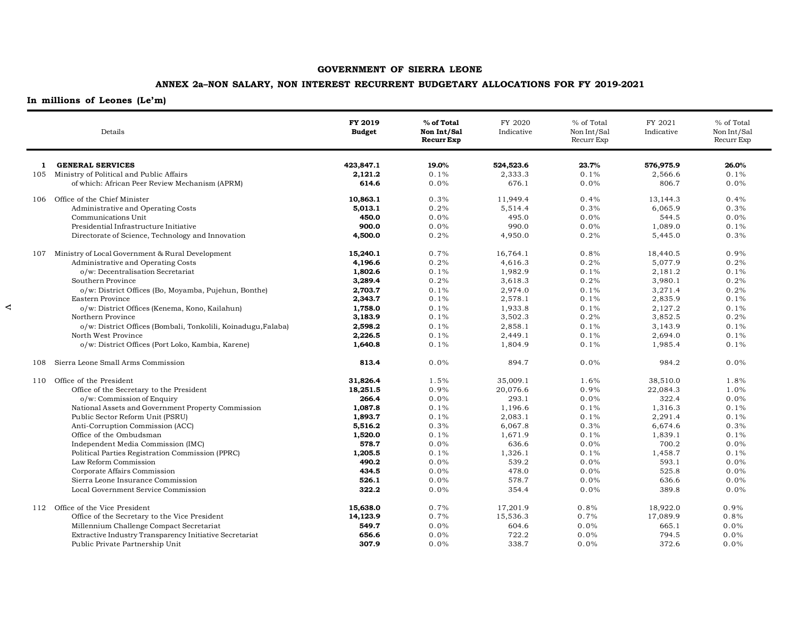## **ANNEX 2a–NON SALARY, NON INTEREST RECURRENT BUDGETARY ALLOCATIONS FOR FY 2019-2021**

## **In millions of Leones (Le'm)**

 $\prec$ 

|     | Details                                                       | FY 2019<br><b>Budget</b> | % of Total<br>Non Int/Sal<br><b>Recurr Exp</b> | FY 2020<br>Indicative | % of Total<br>Non Int/Sal<br>Recurr Exp | FY 2021<br>Indicative | % of Total<br>Non Int/Sal<br>Recurr Exp |
|-----|---------------------------------------------------------------|--------------------------|------------------------------------------------|-----------------------|-----------------------------------------|-----------------------|-----------------------------------------|
| 1   | <b>GENERAL SERVICES</b>                                       | 423,847.1                | 19.0%                                          | 524,523.6             | 23.7%                                   | 576,975.9             | 26.0%                                   |
| 105 | Ministry of Political and Public Affairs                      | 2,121.2                  | 0.1%                                           | 2,333.3               | 0.1%                                    | 2,566.6               | 0.1%                                    |
|     | of which: African Peer Review Mechanism (APRM)                | 614.6                    | 0.0%                                           | 676.1                 | 0.0%                                    | 806.7                 | 0.0%                                    |
| 106 | Office of the Chief Minister                                  | 10,863.1                 | 0.3%                                           | 11,949.4              | 0.4%                                    | 13,144.3              | 0.4%                                    |
|     | Administrative and Operating Costs                            | 5,013.1                  | 0.2%                                           | 5,514.4               | 0.3%                                    | 6,065.9               | 0.3%                                    |
|     | Communications Unit                                           | 450.0                    | 0.0%                                           | 495.0                 | 0.0%                                    | 544.5                 | 0.0%                                    |
|     | Presidential Infrastructure Initiative                        | 900.0                    | 0.0%                                           | 990.0                 | 0.0%                                    | 1,089.0               | 0.1%                                    |
|     | Directorate of Science, Technology and Innovation             | 4,500.0                  | 0.2%                                           | 4,950.0               | 0.2%                                    | 5,445.0               | 0.3%                                    |
| 107 | Ministry of Local Government & Rural Development              | 15,240.1                 | 0.7%                                           | 16,764.1              | 0.8%                                    | 18,440.5              | 0.9%                                    |
|     | Administrative and Operating Costs                            | 4,196.6                  | 0.2%                                           | 4,616.3               | 0.2%                                    | 5,077.9               | 0.2%                                    |
|     | o/w: Decentralisation Secretariat                             | 1,802.6                  | 0.1%                                           | 1,982.9               | 0.1%                                    | 2,181.2               | 0.1%                                    |
|     | Southern Province                                             | 3,289.4                  | 0.2%                                           | 3,618.3               | 0.2%                                    | 3,980.1               | 0.2%                                    |
|     | o/w: District Offices (Bo, Moyamba, Pujehun, Bonthe)          | 2,703.7                  | 0.1%                                           | 2,974.0               | 0.1%                                    | 3,271.4               | 0.2%                                    |
|     | Eastern Province                                              | 2,343.7                  | 0.1%                                           | 2,578.1               | 0.1%                                    | 2,835.9               | 0.1%                                    |
|     | o/w: District Offices (Kenema, Kono, Kailahun)                | 1,758.0                  | 0.1%                                           | 1,933.8               | 0.1%                                    | 2,127.2               | 0.1%                                    |
|     | Northern Province                                             | 3,183.9                  | 0.1%                                           | 3,502.3               | 0.2%                                    | 3,852.5               | 0.2%                                    |
|     | o/w: District Offices (Bombali, Tonkolili, Koinadugu, Falaba) | 2,598.2                  | 0.1%                                           | 2,858.1               | 0.1%                                    | 3,143.9               | 0.1%                                    |
|     | North West Province                                           | 2,226.5                  | 0.1%                                           | 2,449.1               | 0.1%                                    | 2,694.0               | 0.1%                                    |
|     | o/w: District Offices (Port Loko, Kambia, Karene)             | 1,640.8                  | 0.1%                                           | 1,804.9               | 0.1%                                    | 1,985.4               | 0.1%                                    |
| 108 | Sierra Leone Small Arms Commission                            | 813.4                    | 0.0%                                           | 894.7                 | 0.0%                                    | 984.2                 | 0.0%                                    |
| 110 | Office of the President                                       | 31,826.4                 | 1.5%                                           | 35,009.1              | 1.6%                                    | 38,510.0              | 1.8%                                    |
|     | Office of the Secretary to the President                      | 18,251.5                 | 0.9%                                           | 20,076.6              | 0.9%                                    | 22,084.3              | 1.0%                                    |
|     | o/w: Commission of Enquiry                                    | 266.4                    | 0.0%                                           | 293.1                 | 0.0%                                    | 322.4                 | 0.0%                                    |
|     | National Assets and Government Property Commission            | 1,087.8                  | 0.1%                                           | 1,196.6               | 0.1%                                    | 1,316.3               | 0.1%                                    |
|     | Public Sector Reform Unit (PSRU)                              | 1,893.7                  | 0.1%                                           | 2,083.1               | 0.1%                                    | 2,291.4               | 0.1%                                    |
|     | Anti-Corruption Commission (ACC)                              | 5,516.2                  | 0.3%                                           | 6,067.8               | 0.3%                                    | 6,674.6               | 0.3%                                    |
|     | Office of the Ombudsman                                       | 1,520.0                  | 0.1%                                           | 1,671.9               | 0.1%                                    | 1,839.1               | 0.1%                                    |
|     | Independent Media Commission (IMC)                            | 578.7                    | 0.0%                                           | 636.6                 | 0.0%                                    | 700.2                 | 0.0%                                    |
|     | Political Parties Registration Commission (PPRC)              | 1,205.5                  | 0.1%                                           | 1,326.1               | 0.1%                                    | 1,458.7               | 0.1%                                    |
|     | Law Reform Commission                                         | 490.2                    | 0.0%                                           | 539.2                 | 0.0%                                    | 593.1                 | 0.0%                                    |
|     | Corporate Affairs Commission                                  | 434.5                    | 0.0%                                           | 478.0                 | 0.0%                                    | 525.8                 | 0.0%                                    |
|     | Sierra Leone Insurance Commission                             | 526.1                    | 0.0%                                           | 578.7                 | 0.0%                                    | 636.6                 | 0.0%                                    |
|     | Local Government Service Commission                           | 322.2                    | 0.0%                                           | 354.4                 | 0.0%                                    | 389.8                 | 0.0%                                    |
|     | 112 Office of the Vice President                              | 15,638.0                 | 0.7%                                           | 17,201.9              | 0.8%                                    | 18,922.0              | 0.9%                                    |
|     | Office of the Secretary to the Vice President                 | 14,123.9                 | 0.7%                                           | 15,536.3              | 0.7%                                    | 17,089.9              | 0.8%                                    |
|     | Millennium Challenge Compact Secretariat                      | 549.7                    | 0.0%                                           | 604.6                 | $0.0\%$                                 | 665.1                 | 0.0%                                    |
|     | Extractive Industry Transparency Initiative Secretariat       | 656.6                    | 0.0%                                           | 722.2                 | 0.0%                                    | 794.5                 | 0.0%                                    |
|     | Public Private Partnership Unit                               | 307.9                    | 0.0%                                           | 338.7                 | 0.0%                                    | 372.6                 | 0.0%                                    |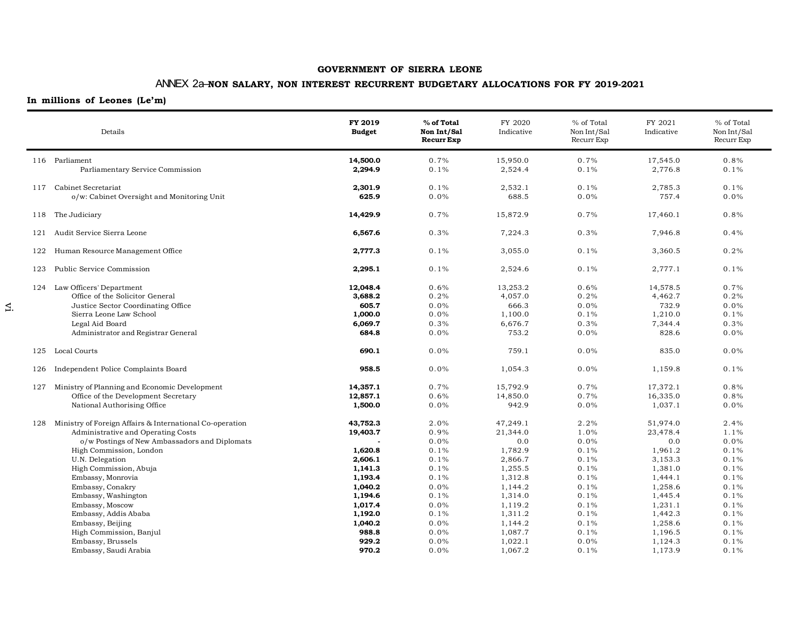# ANNEX 2a–**NON SALARY, NON INTEREST RECURRENT BUDGETARY ALLOCATIONS FOR FY 2019-2021**

|     | Details                                                                                                                                                                                                                                                                                                                                                                                                                             | FY 2019<br><b>Budget</b>                                                                                                                           | % of Total<br>Non Int/Sal<br><b>Recurr Exp</b>                                                                          | FY 2020<br>Indicative                                                                                                                                           | % of Total<br>Non Int/Sal<br>Recurr Exp                                                                                 | FY 2021<br>Indicative                                                                                                                                           | % of Total<br>Non Int/Sal<br>Recurr Exp                                                                              |
|-----|-------------------------------------------------------------------------------------------------------------------------------------------------------------------------------------------------------------------------------------------------------------------------------------------------------------------------------------------------------------------------------------------------------------------------------------|----------------------------------------------------------------------------------------------------------------------------------------------------|-------------------------------------------------------------------------------------------------------------------------|-----------------------------------------------------------------------------------------------------------------------------------------------------------------|-------------------------------------------------------------------------------------------------------------------------|-----------------------------------------------------------------------------------------------------------------------------------------------------------------|----------------------------------------------------------------------------------------------------------------------|
|     | 116 Parliament<br>Parliamentary Service Commission                                                                                                                                                                                                                                                                                                                                                                                  | 14,500.0<br>2,294.9                                                                                                                                | 0.7%<br>0.1%                                                                                                            | 15,950.0<br>2,524.4                                                                                                                                             | 0.7%<br>0.1%                                                                                                            | 17,545.0<br>2,776.8                                                                                                                                             | 0.8%<br>0.1%                                                                                                         |
| 117 | Cabinet Secretariat<br>o/w: Cabinet Oversight and Monitoring Unit                                                                                                                                                                                                                                                                                                                                                                   | 2,301.9<br>625.9                                                                                                                                   | 0.1%<br>$0.0\%$                                                                                                         | 2,532.1<br>688.5                                                                                                                                                | 0.1%<br>$0.0\%$                                                                                                         | 2,785.3<br>757.4                                                                                                                                                | 0.1%<br>0.0%                                                                                                         |
| 118 | The Judiciary                                                                                                                                                                                                                                                                                                                                                                                                                       | 14,429.9                                                                                                                                           | 0.7%                                                                                                                    | 15,872.9                                                                                                                                                        | 0.7%                                                                                                                    | 17,460.1                                                                                                                                                        | 0.8%                                                                                                                 |
| 121 | Audit Service Sierra Leone                                                                                                                                                                                                                                                                                                                                                                                                          | 6,567.6                                                                                                                                            | 0.3%                                                                                                                    | 7,224.3                                                                                                                                                         | 0.3%                                                                                                                    | 7,946.8                                                                                                                                                         | 0.4%                                                                                                                 |
| 122 | Human Resource Management Office                                                                                                                                                                                                                                                                                                                                                                                                    | 2,777.3                                                                                                                                            | 0.1%                                                                                                                    | 3,055.0                                                                                                                                                         | 0.1%                                                                                                                    | 3,360.5                                                                                                                                                         | 0.2%                                                                                                                 |
| 123 | Public Service Commission                                                                                                                                                                                                                                                                                                                                                                                                           | 2,295.1                                                                                                                                            | 0.1%                                                                                                                    | 2,524.6                                                                                                                                                         | 0.1%                                                                                                                    | 2,777.1                                                                                                                                                         | 0.1%                                                                                                                 |
|     | 124 Law Officers' Department<br>Office of the Solicitor General<br>Justice Sector Coordinating Office<br>Sierra Leone Law School<br>Legal Aid Board<br>Administrator and Registrar General                                                                                                                                                                                                                                          | 12,048.4<br>3,688.2<br>605.7<br>1,000.0<br>6,069.7<br>684.8                                                                                        | 0.6%<br>0.2%<br>0.0%<br>0.0%<br>0.3%<br>$0.0\%$                                                                         | 13,253.2<br>4,057.0<br>666.3<br>1,100.0<br>6,676.7<br>753.2                                                                                                     | 0.6%<br>0.2%<br>0.0%<br>0.1%<br>0.3%<br>0.0%                                                                            | 14,578.5<br>4,462.7<br>732.9<br>1,210.0<br>7,344.4<br>828.6                                                                                                     | 0.7%<br>0.2%<br>0.0%<br>0.1%<br>0.3%<br>0.0%                                                                         |
| 125 | Local Courts                                                                                                                                                                                                                                                                                                                                                                                                                        | 690.1                                                                                                                                              | $0.0\%$                                                                                                                 | 759.1                                                                                                                                                           | 0.0%                                                                                                                    | 835.0                                                                                                                                                           | 0.0%                                                                                                                 |
| 126 | Independent Police Complaints Board                                                                                                                                                                                                                                                                                                                                                                                                 | 958.5                                                                                                                                              | 0.0%                                                                                                                    | 1,054.3                                                                                                                                                         | $0.0\%$                                                                                                                 | 1,159.8                                                                                                                                                         | 0.1%                                                                                                                 |
| 127 | Ministry of Planning and Economic Development<br>Office of the Development Secretary<br>National Authorising Office                                                                                                                                                                                                                                                                                                                 | 14,357.1<br>12,857.1<br>1,500.0                                                                                                                    | 0.7%<br>0.6%<br>0.0%                                                                                                    | 15,792.9<br>14,850.0<br>942.9                                                                                                                                   | 0.7%<br>0.7%<br>$0.0\%$                                                                                                 | 17,372.1<br>16,335.0<br>1,037.1                                                                                                                                 | 0.8%<br>0.8%<br>0.0%                                                                                                 |
|     | 128 Ministry of Foreign Affairs & International Co-operation<br>Administrative and Operating Costs<br>o/w Postings of New Ambassadors and Diplomats<br>High Commission, London<br>U.N. Delegation<br>High Commission, Abuja<br>Embassy, Monrovia<br>Embassy, Conakry<br>Embassy, Washington<br>Embassy, Moscow<br>Embassy, Addis Ababa<br>Embassy, Beijing<br>High Commission, Banjul<br>Embassy, Brussels<br>Embassy, Saudi Arabia | 43,752.3<br>19,403.7<br>1,620.8<br>2,606.1<br>1.141.3<br>1,193.4<br>1,040.2<br>1,194.6<br>1,017.4<br>1,192.0<br>1,040.2<br>988.8<br>929.2<br>970.2 | 2.0%<br>0.9%<br>0.0%<br>0.1%<br>0.1%<br>0.1%<br>0.1%<br>0.0%<br>0.1%<br>$0.0\%$<br>0.1%<br>0.0%<br>0.0%<br>0.0%<br>0.0% | 47,249.1<br>21,344.0<br>0.0<br>1,782.9<br>2,866.7<br>1,255.5<br>1,312.8<br>1,144.2<br>1,314.0<br>1,119.2<br>1,311.2<br>1,144.2<br>1,087.7<br>1,022.1<br>1,067.2 | 2.2%<br>1.0%<br>0.0%<br>0.1%<br>0.1%<br>0.1%<br>0.1%<br>0.1%<br>0.1%<br>0.1%<br>0.1%<br>0.1%<br>0.1%<br>$0.0\%$<br>0.1% | 51,974.0<br>23,478.4<br>0.0<br>1,961.2<br>3,153.3<br>1,381.0<br>1,444.1<br>1,258.6<br>1,445.4<br>1,231.1<br>1,442.3<br>1,258.6<br>1,196.5<br>1,124.3<br>1,173.9 | 2.4%<br>1.1%<br>0.0%<br>0.1%<br>0.1%<br>0.1%<br>0.1%<br>0.1%<br>0.1%<br>0.1%<br>0.1%<br>0.1%<br>0.1%<br>0.1%<br>0.1% |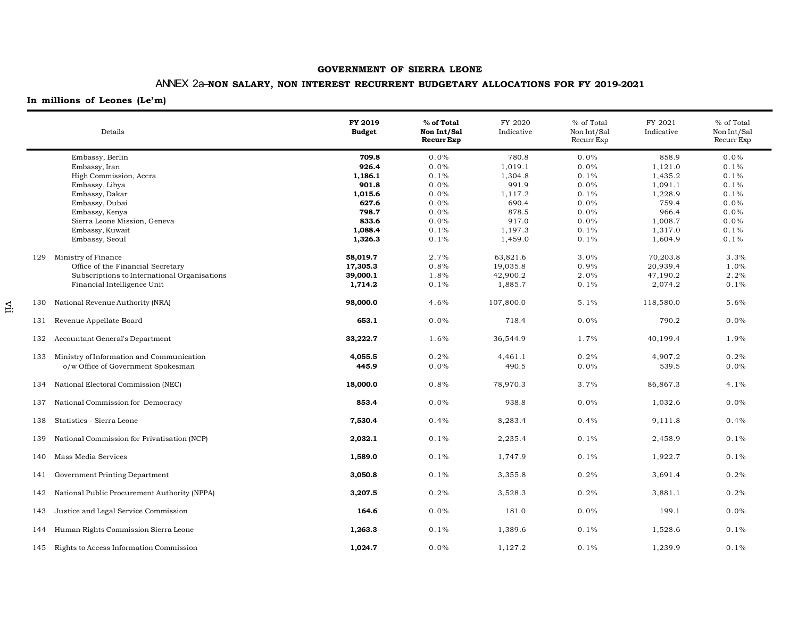# ANNEX 2a–**NON SALARY, NON INTEREST RECURRENT BUDGETARY ALLOCATIONS FOR FY 2019-2021**

## **In millions of Leones (Le'm)**

 $\Xi$ 

|     | Details                                      | FY 2019<br><b>Budget</b> | % of Total<br>Non Int/Sal<br><b>Recurr Exp</b> | FY 2020<br>Indicative | % of Total<br>Non Int/Sal<br>Recurr Exp | FY 2021<br>Indicative | % of Total<br>Non Int/Sal<br>Recurr Exp |
|-----|----------------------------------------------|--------------------------|------------------------------------------------|-----------------------|-----------------------------------------|-----------------------|-----------------------------------------|
|     | Embassy, Berlin                              | 709.8                    | 0.0%                                           | 780.8                 | 0.0%                                    | 858.9                 | 0.0%                                    |
|     | Embassy, Iran                                | 926.4                    | 0.0%                                           | 1,019.1               | 0.0%                                    | 1,121.0               | 0.1%                                    |
|     | High Commission, Accra                       | 1,186.1                  | 0.1%                                           | 1,304.8               | 0.1%                                    | 1,435.2               | 0.1%                                    |
|     | Embassy, Libya                               | 901.8                    | 0.0%                                           | 991.9                 | 0.0%                                    | 1,091.1               | 0.1%                                    |
|     | Embassy, Dakar                               | 1,015.6                  | 0.0%                                           | 1,117.2               | 0.1%                                    | 1,228.9               | 0.1%                                    |
|     | Embassy, Dubai                               | 627.6                    | 0.0%                                           | 690.4                 | 0.0%                                    | 759.4                 | 0.0%                                    |
|     | Embassy, Kenya                               | 798.7                    | 0.0%                                           | 878.5                 | 0.0%                                    | 966.4                 | $0.0\%$                                 |
|     | Sierra Leone Mission, Geneva                 | 833.6                    | 0.0%                                           | 917.0                 | 0.0%                                    | 1,008.7               | $0.0\%$                                 |
|     | Embassy, Kuwait                              | 1,088.4                  | 0.1%                                           | 1,197.3               | 0.1%                                    | 1,317.0               | 0.1%                                    |
|     | Embassy, Seoul                               | 1,326.3                  | 0.1%                                           | 1,459.0               | 0.1%                                    | 1,604.9               | 0.1%                                    |
| 129 | Ministry of Finance                          | 58,019.7                 | 2.7%                                           | 63,821.6              | 3.0%                                    | 70,203.8              | 3.3%                                    |
|     | Office of the Financial Secretary            | 17,305.3                 | 0.8%                                           | 19,035.8              | 0.9%                                    | 20,939.4              | 1.0%                                    |
|     | Subscriptions to International Organisations | 39,000.1                 | 1.8%                                           | 42,900.2              | 2.0%                                    | 47,190.2              | 2.2%                                    |
|     | Financial Intelligence Unit                  | 1,714.2                  | 0.1%                                           | 1,885.7               | 0.1%                                    | 2,074.2               | 0.1%                                    |
| 130 | National Revenue Authority (NRA)             | 98,000.0                 | 4.6%                                           | 107,800.0             | 5.1%                                    | 118,580.0             | 5.6%                                    |
| 131 | Revenue Appellate Board                      | 653.1                    | 0.0%                                           | 718.4                 | 0.0%                                    | 790.2                 | 0.0%                                    |
| 132 | Accountant General's Department              | 33,222.7                 | 1.6%                                           | 36,544.9              | 1.7%                                    | 40,199.4              | 1.9%                                    |
| 133 | Ministry of Information and Communication    | 4,055.5                  | 0.2%                                           | 4,461.1               | 0.2%                                    | 4,907.2               | 0.2%                                    |
|     | o/w Office of Government Spokesman           | 445.9                    | 0.0%                                           | 490.5                 | 0.0%                                    | 539.5                 | 0.0%                                    |
| 134 | National Electoral Commission (NEC)          | 18,000.0                 | 0.8%                                           | 78,970.3              | 3.7%                                    | 86,867.3              | 4.1%                                    |
| 137 | National Commission for Democracy            | 853.4                    | 0.0%                                           | 938.8                 | 0.0%                                    | 1,032.6               | 0.0%                                    |
| 138 | Statistics - Sierra Leone                    | 7,530.4                  | 0.4%                                           | 8,283.4               | 0.4%                                    | 9,111.8               | 0.4%                                    |
| 139 | National Commission for Privatisation (NCP)  | 2,032.1                  | 0.1%                                           | 2,235.4               | 0.1%                                    | 2,458.9               | 0.1%                                    |
| 140 | Mass Media Services                          | 1,589.0                  | 0.1%                                           | 1,747.9               | 0.1%                                    | 1,922.7               | 0.1%                                    |
| 141 | Government Printing Department               | 3,050.8                  | 0.1%                                           | 3,355.8               | 0.2%                                    | 3,691.4               | 0.2%                                    |
| 142 | National Public Procurement Authority (NPPA) | 3,207.5                  | 0.2%                                           | 3,528.3               | 0.2%                                    | 3,881.1               | 0.2%                                    |
| 143 | Justice and Legal Service Commission         | 164.6                    | 0.0%                                           | 181.0                 | 0.0%                                    | 199.1                 | 0.0%                                    |
| 144 | Human Rights Commission Sierra Leone         | 1,263.3                  | 0.1%                                           | 1,389.6               | 0.1%                                    | 1,528.6               | 0.1%                                    |
|     | 145 Rights to Access Information Commission  | 1,024.7                  | 0.0%                                           | 1,127.2               | 0.1%                                    | 1,239.9               | 0.1%                                    |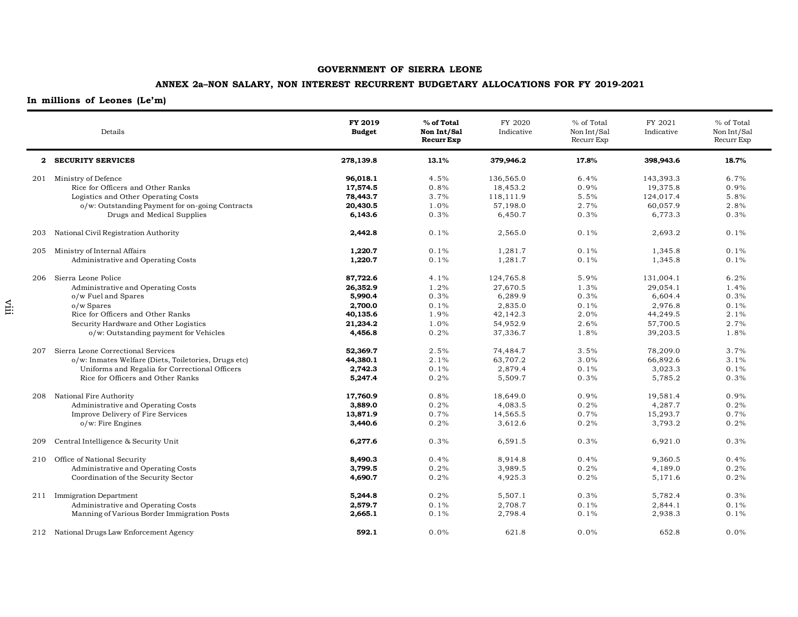## **ANNEX 2a–NON SALARY, NON INTEREST RECURRENT BUDGETARY ALLOCATIONS FOR FY 2019-2021**

|     | Details                                              | FY 2019<br><b>Budget</b> | % of Total<br>Non Int/Sal<br><b>Recurr Exp</b> | FY 2020<br>Indicative | % of Total<br>Non Int/Sal<br>Recurr Exp | FY 2021<br>Indicative | % of Total<br>Non Int/Sal<br>Recurr Exp |
|-----|------------------------------------------------------|--------------------------|------------------------------------------------|-----------------------|-----------------------------------------|-----------------------|-----------------------------------------|
|     | 2 SECURITY SERVICES                                  | 278,139.8                | 13.1%                                          | 379,946.2             | 17.8%                                   | 398,943.6             | 18.7%                                   |
|     | 201 Ministry of Defence                              | 96,018.1                 | 4.5%                                           | 136,565.0             | 6.4%                                    | 143,393.3             | 6.7%                                    |
|     | Rice for Officers and Other Ranks                    | 17,574.5                 | 0.8%                                           | 18,453.2              | 0.9%                                    | 19,375.8              | 0.9%                                    |
|     | Logistics and Other Operating Costs                  | 78,443.7                 | 3.7%                                           | 118,111.9             | 5.5%                                    | 124,017.4             | 5.8%                                    |
|     | o/w: Outstanding Payment for on-going Contracts      | 20,430.5                 | 1.0%                                           | 57,198.0              | 2.7%                                    | 60,057.9              | 2.8%                                    |
|     | Drugs and Medical Supplies                           | 6,143.6                  | 0.3%                                           | 6,450.7               | 0.3%                                    | 6,773.3               | 0.3%                                    |
| 203 | National Civil Registration Authority                | 2,442.8                  | 0.1%                                           | 2,565.0               | 0.1%                                    | 2,693.2               | 0.1%                                    |
| 205 | Ministry of Internal Affairs                         | 1,220.7                  | 0.1%                                           | 1,281.7               | 0.1%                                    | 1,345.8               | 0.1%                                    |
|     | Administrative and Operating Costs                   | 1,220.7                  | 0.1%                                           | 1,281.7               | 0.1%                                    | 1,345.8               | 0.1%                                    |
| 206 | Sierra Leone Police                                  | 87,722.6                 | 4.1%                                           | 124,765.8             | 5.9%                                    | 131,004.1             | 6.2%                                    |
|     | Administrative and Operating Costs                   | 26,352.9                 | 1.2%                                           | 27,670.5              | 1.3%                                    | 29,054.1              | 1.4%                                    |
|     | o/w Fuel and Spares                                  | 5,990.4                  | 0.3%                                           | 6,289.9               | 0.3%                                    | 6,604.4               | 0.3%                                    |
|     | o/w Spares                                           | 2,700.0                  | 0.1%                                           | 2,835.0               | 0.1%                                    | 2,976.8               | 0.1%                                    |
|     | Rice for Officers and Other Ranks                    | 40,135.6                 | 1.9%                                           | 42,142.3              | 2.0%                                    | 44,249.5              | 2.1%                                    |
|     | Security Hardware and Other Logistics                | 21,234.2                 | 1.0%                                           | 54,952.9              | 2.6%                                    | 57,700.5              | 2.7%                                    |
|     | o/w: Outstanding payment for Vehicles                | 4,456.8                  | 0.2%                                           | 37,336.7              | 1.8%                                    | 39,203.5              | 1.8%                                    |
| 207 | Sierra Leone Correctional Services                   | 52,369.7                 | 2.5%                                           | 74,484.7              | 3.5%                                    | 78,209.0              | 3.7%                                    |
|     | o/w: Inmates Welfare (Diets, Toiletories, Drugs etc) | 44,380.1                 | 2.1%                                           | 63,707.2              | 3.0%                                    | 66,892.6              | 3.1%                                    |
|     | Uniforms and Regalia for Correctional Officers       | 2,742.3                  | 0.1%                                           | 2,879.4               | 0.1%                                    | 3,023.3               | 0.1%                                    |
|     | Rice for Officers and Other Ranks                    | 5,247.4                  | 0.2%                                           | 5,509.7               | 0.3%                                    | 5,785.2               | 0.3%                                    |
| 208 | National Fire Authority                              | 17,760.9                 | 0.8%                                           | 18,649.0              | 0.9%                                    | 19,581.4              | 0.9%                                    |
|     | Administrative and Operating Costs                   | 3,889.0                  | 0.2%                                           | 4,083.5               | 0.2%                                    | 4,287.7               | 0.2%                                    |
|     | Improve Delivery of Fire Services                    | 13,871.9                 | 0.7%                                           | 14,565.5              | 0.7%                                    | 15,293.7              | 0.7%                                    |
|     | o/w: Fire Engines                                    | 3,440.6                  | 0.2%                                           | 3,612.6               | 0.2%                                    | 3,793.2               | 0.2%                                    |
| 209 | Central Intelligence & Security Unit                 | 6,277.6                  | 0.3%                                           | 6,591.5               | 0.3%                                    | 6,921.0               | 0.3%                                    |
| 210 | Office of National Security                          | 8,490.3                  | 0.4%                                           | 8,914.8               | 0.4%                                    | 9,360.5               | 0.4%                                    |
|     | Administrative and Operating Costs                   | 3,799.5                  | 0.2%                                           | 3,989.5               | 0.2%                                    | 4,189.0               | 0.2%                                    |
|     | Coordination of the Security Sector                  | 4,690.7                  | 0.2%                                           | 4,925.3               | 0.2%                                    | 5,171.6               | 0.2%                                    |
|     | 211 Immigration Department                           | 5,244.8                  | 0.2%                                           | 5,507.1               | 0.3%                                    | 5,782.4               | 0.3%                                    |
|     | Administrative and Operating Costs                   | 2,579.7                  | 0.1%                                           | 2,708.7               | 0.1%                                    | 2,844.1               | 0.1%                                    |
|     | Manning of Various Border Immigration Posts          | 2,665.1                  | 0.1%                                           | 2,798.4               | 0.1%                                    | 2,938.3               | 0.1%                                    |
|     | 212 National Drugs Law Enforcement Agency            | 592.1                    | 0.0%                                           | 621.8                 | 0.0%                                    | 652.8                 | 0.0%                                    |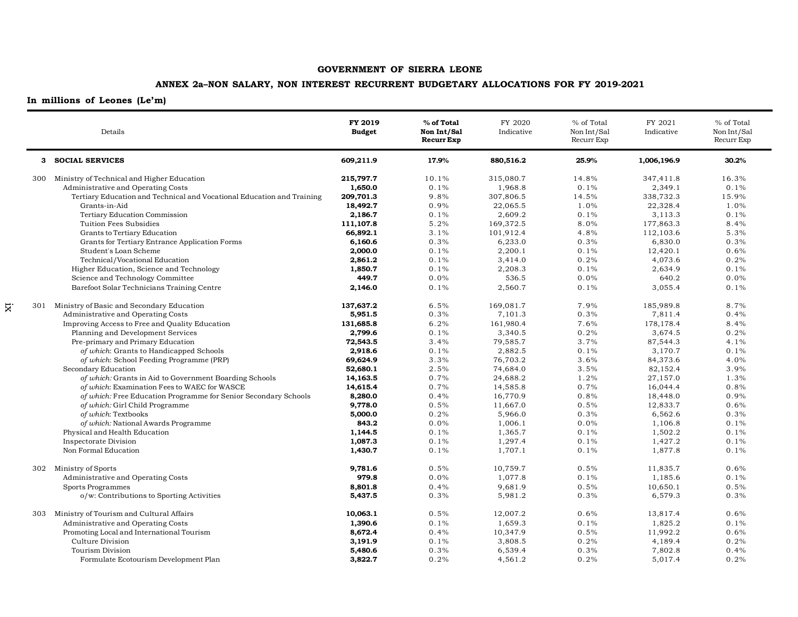## **ANNEX 2a–NON SALARY, NON INTEREST RECURRENT BUDGETARY ALLOCATIONS FOR FY 2019-2021**

## **In millions of Leones (Le'm)**

ix

|     | Details                                                                | FY 2019<br><b>Budget</b> | % of Total<br>Non Int/Sal<br><b>Recurr Exp</b> | FY 2020<br>Indicative | % of Total<br>Non Int/Sal<br>Recurr Exp | FY 2021<br>Indicative | % of Total<br>Non Int/Sal<br>Recurr Exp |
|-----|------------------------------------------------------------------------|--------------------------|------------------------------------------------|-----------------------|-----------------------------------------|-----------------------|-----------------------------------------|
|     | 3 SOCIAL SERVICES                                                      | 609,211.9                | 17.9%                                          | 880,516.2             | 25.9%                                   | 1,006,196.9           | 30.2%                                   |
|     | 300 Ministry of Technical and Higher Education                         | 215,797.7                | 10.1%                                          | 315,080.7             | 14.8%                                   | 347,411.8             | 16.3%                                   |
|     | Administrative and Operating Costs                                     | 1,650.0                  | 0.1%                                           | 1,968.8               | 0.1%                                    | 2,349.1               | 0.1%                                    |
|     | Tertiary Education and Technical and Vocational Education and Training | 209,701.3                | 9.8%                                           | 307,806.5             | 14.5%                                   | 338,732.3             | 15.9%                                   |
|     | Grants-in-Aid                                                          | 18,492.7                 | 0.9%                                           | 22,065.5              | 1.0%                                    | 22,328.4              | 1.0%                                    |
|     | Tertiary Education Commission                                          | 2,186.7                  | 0.1%                                           | 2,609.2               | 0.1%                                    | 3,113.3               | 0.1%                                    |
|     | Tuition Fees Subsidies                                                 | 111,107.8                | 5.2%                                           | 169,372.5             | 8.0%                                    | 177,863.3             | 8.4%                                    |
|     | Grants to Tertiary Education                                           | 66,892.1                 | 3.1%                                           | 101,912.4             | 4.8%                                    | 112,103.6             | 5.3%                                    |
|     | Grants for Tertiary Entrance Application Forms                         | 6,160.6                  | 0.3%                                           | 6,233.0               | 0.3%                                    | 6,830.0               | 0.3%                                    |
|     | Student's Loan Scheme                                                  | 2,000.0                  | 0.1%                                           | 2,200.1               | 0.1%                                    | 12,420.1              | 0.6%                                    |
|     | Technical/Vocational Education                                         | 2,861.2                  | 0.1%                                           | 3,414.0               | 0.2%                                    | 4,073.6               | 0.2%                                    |
|     | Higher Education, Science and Technology                               | 1,850.7                  | 0.1%                                           | 2,208.3               | 0.1%                                    | 2,634.9               | 0.1%                                    |
|     | Science and Technology Committee                                       | 449.7                    | 0.0%                                           | 536.5                 | 0.0%                                    | 640.2                 | 0.0%                                    |
|     | Barefoot Solar Technicians Training Centre                             | 2,146.0                  | 0.1%                                           | 2,560.7               | 0.1%                                    | 3,055.4               | 0.1%                                    |
|     | 301 Ministry of Basic and Secondary Education                          | 137,637.2                | 6.5%                                           | 169,081.7             | 7.9%                                    | 185,989.8             | 8.7%                                    |
|     | Administrative and Operating Costs                                     | 5,951.5                  | 0.3%                                           | 7,101.3               | 0.3%                                    | 7,811.4               | 0.4%                                    |
|     | Improving Access to Free and Quality Education                         | 131,685.8                | 6.2%                                           | 161,980.4             | 7.6%                                    | 178,178.4             | 8.4%                                    |
|     | Planning and Development Services                                      | 2,799.6                  | 0.1%                                           | 3,340.5               | 0.2%                                    | 3,674.5               | 0.2%                                    |
|     | Pre-primary and Primary Education                                      | 72,543.5                 | 3.4%                                           | 79,585.7              | 3.7%                                    | 87,544.3              | 4.1%                                    |
|     | of which: Grants to Handicapped Schools                                | 2,918.6                  | 0.1%                                           | 2,882.5               | 0.1%                                    | 3,170.7               | 0.1%                                    |
|     | of which: School Feeding Programme (PRP)                               | 69,624.9                 | 3.3%                                           | 76,703.2              | 3.6%                                    | 84,373.6              | 4.0%                                    |
|     | Secondary Education                                                    | 52,680.1                 | 2.5%                                           | 74,684.0              | 3.5%                                    | 82,152.4              | 3.9%                                    |
|     | of which: Grants in Aid to Government Boarding Schools                 | 14,163.5                 | 0.7%                                           | 24,688.2              | 1.2%                                    | 27,157.0              | 1.3%                                    |
|     | of which: Examination Fees to WAEC for WASCE                           | 14,615.4                 | 0.7%                                           | 14,585.8              | 0.7%                                    | 16,044.4              | 0.8%                                    |
|     | of which: Free Education Programme for Senior Secondary Schools        | 8,280.0                  | 0.4%                                           | 16,770.9              | 0.8%                                    | 18,448.0              | 0.9%                                    |
|     | of which: Girl Child Programme                                         | 9,778.0                  | 0.5%                                           | 11,667.0              | 0.5%                                    | 12,833.7              | 0.6%                                    |
|     | of which: Textbooks                                                    | 5,000.0                  | 0.2%                                           | 5,966.0               | 0.3%                                    | 6,562.6               | 0.3%                                    |
|     | of which: National Awards Programme                                    | 843.2                    | 0.0%                                           | 1,006.1               | 0.0%                                    | 1,106.8               | 0.1%                                    |
|     | Physical and Health Education                                          | 1,144.5                  | 0.1%                                           | 1,365.7               | 0.1%                                    | 1,502.2               | 0.1%                                    |
|     | Inspectorate Division                                                  | 1,087.3                  | 0.1%                                           | 1,297.4               | 0.1%                                    | 1,427.2               | 0.1%                                    |
|     | Non Formal Education                                                   | 1,430.7                  | 0.1%                                           | 1,707.1               | 0.1%                                    | 1,877.8               | 0.1%                                    |
|     | 302 Ministry of Sports                                                 | 9,781.6                  | 0.5%                                           | 10,759.7              | 0.5%                                    | 11,835.7              | 0.6%                                    |
|     | Administrative and Operating Costs                                     | 979.8                    | 0.0%                                           | 1,077.8               | 0.1%                                    | 1,185.6               | 0.1%                                    |
|     | Sports Programmes                                                      | 8,801.8                  | 0.4%                                           | 9,681.9               | 0.5%                                    | 10,650.1              | 0.5%                                    |
|     | o/w: Contributions to Sporting Activities                              | 5,437.5                  | 0.3%                                           | 5,981.2               | 0.3%                                    | 6,579.3               | 0.3%                                    |
| 303 | Ministry of Tourism and Cultural Affairs                               | 10,063.1                 | 0.5%                                           | 12,007.2              | 0.6%                                    | 13,817.4              | 0.6%                                    |
|     | Administrative and Operating Costs                                     | 1,390.6                  | 0.1%                                           | 1,659.3               | 0.1%                                    | 1,825.2               | 0.1%                                    |
|     | Promoting Local and International Tourism                              | 8,672.4                  | 0.4%                                           | 10,347.9              | 0.5%                                    | 11,992.2              | 0.6%                                    |
|     | Culture Division                                                       | 3,191.9                  | 0.1%                                           | 3,808.5               | 0.2%                                    | 4,189.4               | 0.2%                                    |
|     | Tourism Division                                                       | 5,480.6                  | 0.3%                                           | 6,539.4               | 0.3%                                    | 7,802.8               | 0.4%                                    |
|     | Formulate Ecotourism Development Plan                                  | 3,822.7                  | 0.2%                                           | 4,561.2               | 0.2%                                    | 5,017.4               | 0.2%                                    |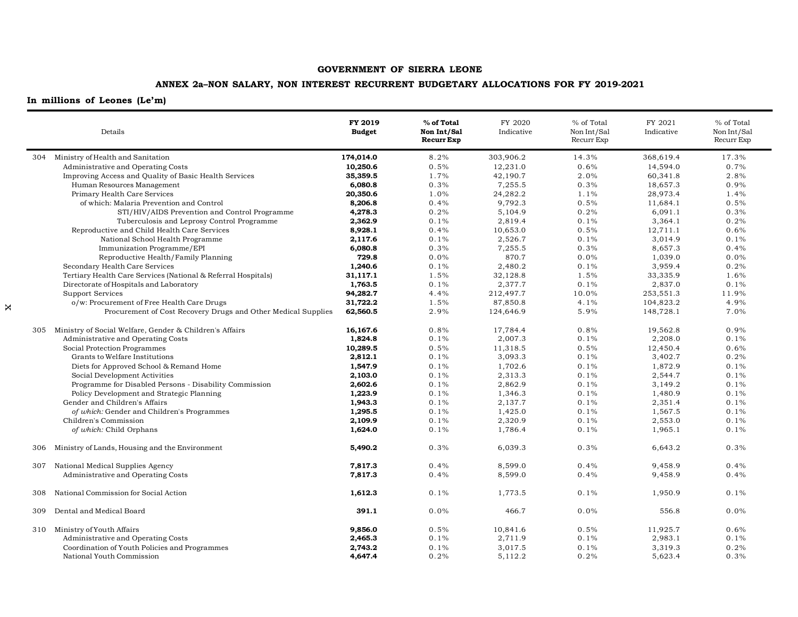## **ANNEX 2a–NON SALARY, NON INTEREST RECURRENT BUDGETARY ALLOCATIONS FOR FY 2019-2021**

|     | Details                                                       | FY 2019<br><b>Budget</b> | % of Total<br>Non Int/Sal<br><b>Recurr Exp</b> | FY 2020<br>Indicative | % of Total<br>Non Int/Sal<br>Recurr Exp | FY 2021<br>Indicative | % of Total<br>Non Int/Sal<br>Recurr Exp |
|-----|---------------------------------------------------------------|--------------------------|------------------------------------------------|-----------------------|-----------------------------------------|-----------------------|-----------------------------------------|
|     | 304 Ministry of Health and Sanitation                         | 174,014.0                | 8.2%                                           | 303,906.2             | 14.3%                                   | 368,619.4             | 17.3%                                   |
|     | Administrative and Operating Costs                            | 10,250.6                 | 0.5%                                           | 12,231.0              | 0.6%                                    | 14,594.0              | 0.7%                                    |
|     | Improving Access and Quality of Basic Health Services         | 35,359.5                 | 1.7%                                           | 42,190.7              | 2.0%                                    | 60,341.8              | 2.8%                                    |
|     | Human Resources Management                                    | 6,080.8                  | 0.3%                                           | 7,255.5               | 0.3%                                    | 18,657.3              | 0.9%                                    |
|     | Primary Health Care Services                                  | 20,350.6                 | 1.0%                                           | 24,282.2              | 1.1%                                    | 28,973.4              | 1.4%                                    |
|     | of which: Malaria Prevention and Control                      | 8,206.8                  | 0.4%                                           | 9,792.3               | 0.5%                                    | 11,684.1              | 0.5%                                    |
|     | STI/HIV/AIDS Prevention and Control Programme                 | 4,278.3                  | 0.2%                                           | 5,104.9               | 0.2%                                    | 6,091.1               | 0.3%                                    |
|     | Tuberculosis and Leprosy Control Programme                    | 2,362.9                  | 0.1%                                           | 2,819.4               | 0.1%                                    | 3,364.1               | 0.2%                                    |
|     | Reproductive and Child Health Care Services                   | 8,928.1                  | 0.4%                                           | 10,653.0              | 0.5%                                    | 12,711.1              | 0.6%                                    |
|     | National School Health Programme                              | 2,117.6                  | 0.1%                                           | 2,526.7               | 0.1%                                    | 3,014.9               | 0.1%                                    |
|     | Immunization Programme/EPI                                    | 6,080.8                  | 0.3%                                           | 7,255.5               | 0.3%                                    | 8,657.3               | 0.4%                                    |
|     | Reproductive Health/Family Planning                           | 729.8                    | 0.0%                                           | 870.7                 | 0.0%                                    | 1,039.0               | 0.0%                                    |
|     | Secondary Health Care Services                                | 1,240.6                  | 0.1%                                           | 2,480.2               | 0.1%                                    | 3,959.4               | 0.2%                                    |
|     | Tertiary Health Care Services (National & Referral Hospitals) | 31,117.1                 | 1.5%                                           | 32,128.8              | 1.5%                                    | 33,335.9              | 1.6%                                    |
|     | Directorate of Hospitals and Laboratory                       | 1,763.5                  | 0.1%                                           | 2,377.7               | 0.1%                                    | 2,837.0               | 0.1%                                    |
|     | <b>Support Services</b>                                       | 94,282.7                 | 4.4%                                           | 212,497.7             | 10.0%                                   | 253,551.3             | 11.9%                                   |
|     | o/w: Procurement of Free Health Care Drugs                    | 31,722.2                 | 1.5%                                           | 87,850.8              | 4.1%                                    | 104,823.2             | 4.9%                                    |
|     | Procurement of Cost Recovery Drugs and Other Medical Supplies | 62,560.5                 | 2.9%                                           | 124,646.9             | 5.9%                                    | 148,728.1             | 7.0%                                    |
| 305 | Ministry of Social Welfare, Gender & Children's Affairs       | 16,167.6                 | 0.8%                                           | 17,784.4              | 0.8%                                    | 19,562.8              | 0.9%                                    |
|     | Administrative and Operating Costs                            | 1,824.8                  | 0.1%                                           | 2,007.3               | 0.1%                                    | 2,208.0               | 0.1%                                    |
|     | Social Protection Programmes                                  | 10,289.5                 | 0.5%                                           | 11,318.5              | 0.5%                                    | 12,450.4              | 0.6%                                    |
|     | Grants to Welfare Institutions                                | 2,812.1                  | 0.1%                                           | 3,093.3               | 0.1%                                    | 3,402.7               | 0.2%                                    |
|     | Diets for Approved School & Remand Home                       | 1,547.9                  | 0.1%                                           | 1,702.6               | 0.1%                                    | 1,872.9               | 0.1%                                    |
|     | Social Development Activities                                 | 2,103.0                  | 0.1%                                           | 2,313.3               | 0.1%                                    | 2,544.7               | 0.1%                                    |
|     | Programme for Disabled Persons - Disability Commission        | 2,602.6                  | 0.1%                                           | 2,862.9               | 0.1%                                    | 3,149.2               | 0.1%                                    |
|     | Policy Development and Strategic Planning                     | 1,223.9                  | 0.1%                                           | 1,346.3               | 0.1%                                    | 1,480.9               | 0.1%                                    |
|     | Gender and Children's Affairs                                 | 1,943.3                  | 0.1%                                           | 2,137.7               | 0.1%                                    | 2,351.4               | 0.1%                                    |
|     | of which: Gender and Children's Programmes                    | 1,295.5                  | 0.1%                                           | 1,425.0               | 0.1%                                    | 1,567.5               | 0.1%                                    |
|     | Children's Commission                                         | 2,109.9                  | 0.1%                                           | 2,320.9               | 0.1%                                    | 2,553.0               | 0.1%                                    |
|     | of which: Child Orphans                                       | 1,624.0                  | 0.1%                                           | 1,786.4               | 0.1%                                    | 1,965.1               | 0.1%                                    |
| 306 | Ministry of Lands, Housing and the Environment                | 5,490.2                  | 0.3%                                           | 6,039.3               | 0.3%                                    | 6,643.2               | 0.3%                                    |
| 307 | National Medical Supplies Agency                              | 7,817.3                  | 0.4%                                           | 8,599.0               | 0.4%                                    | 9,458.9               | 0.4%                                    |
|     | Administrative and Operating Costs                            | 7,817.3                  | 0.4%                                           | 8,599.0               | 0.4%                                    | 9,458.9               | 0.4%                                    |
| 308 | National Commission for Social Action                         | 1,612.3                  | 0.1%                                           | 1,773.5               | 0.1%                                    | 1,950.9               | 0.1%                                    |
| 309 | Dental and Medical Board                                      | 391.1                    | $0.0\%$                                        | 466.7                 | 0.0%                                    | 556.8                 | 0.0%                                    |
|     | 310 Ministry of Youth Affairs                                 | 9,856.0                  | 0.5%                                           | 10,841.6              | 0.5%                                    | 11,925.7              | 0.6%                                    |
|     | Administrative and Operating Costs                            | 2,465.3                  | 0.1%                                           | 2,711.9               | 0.1%                                    | 2,983.1               | 0.1%                                    |
|     | Coordination of Youth Policies and Programmes                 | 2,743.2                  | 0.1%                                           | 3,017.5               | 0.1%                                    | 3,319.3               | 0.2%                                    |
|     | National Youth Commission                                     | 4,647.4                  | 0.2%                                           | 5,112.2               | 0.2%                                    | 5,623.4               | 0.3%                                    |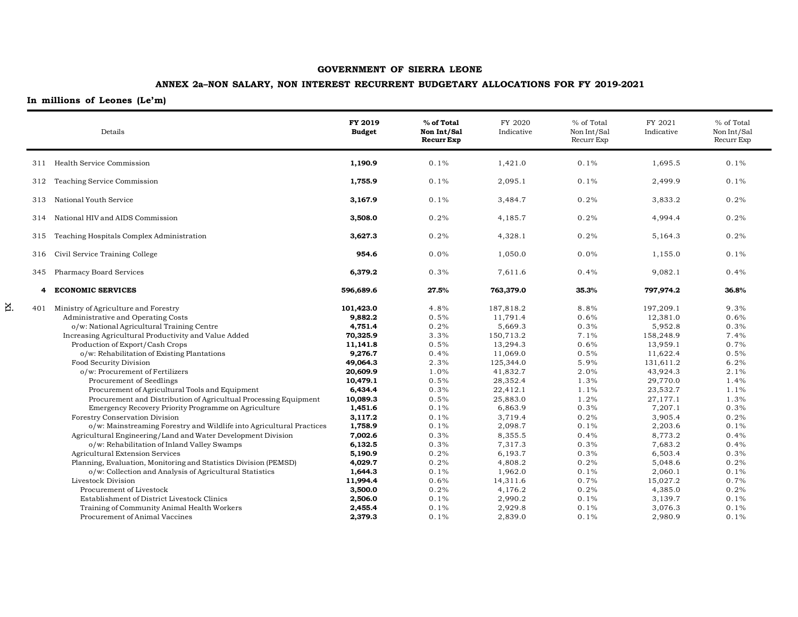## **ANNEX 2a–NON SALARY, NON INTEREST RECURRENT BUDGETARY ALLOCATIONS FOR FY 2019-2021**

## **In millions of Leones (Le'm)**

xi

|     | Details                                                                                                                                                                                                                                                                                                                                                                                                                                                                                                                                                                                                                                                                                                              | FY 2019<br><b>Budget</b>                                                                                                                                                  | % of Total<br>Non Int/Sal<br><b>Recurr Exp</b>                                                                       | FY 2020<br>Indicative                                                                                                                                                          | % of Total<br>Non Int/Sal<br>Recurr Exp                                                                              | FY 2021<br>Indicative                                                                                                                                                          | % of Total<br>Non Int/Sal<br>Recurr Exp                                                                              |
|-----|----------------------------------------------------------------------------------------------------------------------------------------------------------------------------------------------------------------------------------------------------------------------------------------------------------------------------------------------------------------------------------------------------------------------------------------------------------------------------------------------------------------------------------------------------------------------------------------------------------------------------------------------------------------------------------------------------------------------|---------------------------------------------------------------------------------------------------------------------------------------------------------------------------|----------------------------------------------------------------------------------------------------------------------|--------------------------------------------------------------------------------------------------------------------------------------------------------------------------------|----------------------------------------------------------------------------------------------------------------------|--------------------------------------------------------------------------------------------------------------------------------------------------------------------------------|----------------------------------------------------------------------------------------------------------------------|
|     | 311 Health Service Commission                                                                                                                                                                                                                                                                                                                                                                                                                                                                                                                                                                                                                                                                                        | 1,190.9                                                                                                                                                                   | 0.1%                                                                                                                 | 1,421.0                                                                                                                                                                        | 0.1%                                                                                                                 | 1,695.5                                                                                                                                                                        | 0.1%                                                                                                                 |
| 312 | Teaching Service Commission                                                                                                                                                                                                                                                                                                                                                                                                                                                                                                                                                                                                                                                                                          | 1,755.9                                                                                                                                                                   | 0.1%                                                                                                                 | 2,095.1                                                                                                                                                                        | 0.1%                                                                                                                 | 2,499.9                                                                                                                                                                        | 0.1%                                                                                                                 |
| 313 | National Youth Service                                                                                                                                                                                                                                                                                                                                                                                                                                                                                                                                                                                                                                                                                               | 3,167.9                                                                                                                                                                   | 0.1%                                                                                                                 | 3,484.7                                                                                                                                                                        | 0.2%                                                                                                                 | 3,833.2                                                                                                                                                                        | 0.2%                                                                                                                 |
| 314 | National HIV and AIDS Commission                                                                                                                                                                                                                                                                                                                                                                                                                                                                                                                                                                                                                                                                                     | 3,508.0                                                                                                                                                                   | 0.2%                                                                                                                 | 4,185.7                                                                                                                                                                        | 0.2%                                                                                                                 | 4,994.4                                                                                                                                                                        | 0.2%                                                                                                                 |
| 315 | Teaching Hospitals Complex Administration                                                                                                                                                                                                                                                                                                                                                                                                                                                                                                                                                                                                                                                                            | 3,627.3                                                                                                                                                                   | 0.2%                                                                                                                 | 4,328.1                                                                                                                                                                        | 0.2%                                                                                                                 | 5,164.3                                                                                                                                                                        | 0.2%                                                                                                                 |
| 316 | Civil Service Training College                                                                                                                                                                                                                                                                                                                                                                                                                                                                                                                                                                                                                                                                                       | 954.6                                                                                                                                                                     | 0.0%                                                                                                                 | 1,050.0                                                                                                                                                                        | 0.0%                                                                                                                 | 1,155.0                                                                                                                                                                        | 0.1%                                                                                                                 |
|     | 345 Pharmacy Board Services                                                                                                                                                                                                                                                                                                                                                                                                                                                                                                                                                                                                                                                                                          | 6,379.2                                                                                                                                                                   | 0.3%                                                                                                                 | 7,611.6                                                                                                                                                                        | 0.4%                                                                                                                 | 9,082.1                                                                                                                                                                        | 0.4%                                                                                                                 |
| 4   | <b>ECONOMIC SERVICES</b>                                                                                                                                                                                                                                                                                                                                                                                                                                                                                                                                                                                                                                                                                             | 596,689.6                                                                                                                                                                 | 27.5%                                                                                                                | 763,379.0                                                                                                                                                                      | 35.3%                                                                                                                | 797,974.2                                                                                                                                                                      | 36.8%                                                                                                                |
| 401 | Ministry of Agriculture and Forestry<br>Administrative and Operating Costs<br>o/w: National Agricultural Training Centre<br>Increasing Agricultural Productivity and Value Added<br>Production of Export/Cash Crops<br>o/w: Rehabilitation of Existing Plantations<br>Food Security Division<br>o/w: Procurement of Fertilizers<br>Procurement of Seedlings<br>Procurement of Agricultural Tools and Equipment<br>Procurement and Distribution of Agricultual Processing Equipment<br>Emergency Recovery Priority Programme on Agriculture<br>Forestry Conservation Division<br>o/w: Mainstreaming Forestry and Wildlife into Agricultural Practices<br>Agricultural Engineering/Land and Water Development Division | 101,423.0<br>9,882.2<br>4,751.4<br>70,325.9<br>11,141.8<br>9,276.7<br>49,064.3<br>20,609.9<br>10,479.1<br>6,434.4<br>10,089.3<br>1,451.6<br>3,117.2<br>1,758.9<br>7,002.6 | 4.8%<br>0.5%<br>0.2%<br>3.3%<br>0.5%<br>0.4%<br>2.3%<br>1.0%<br>0.5%<br>0.3%<br>0.5%<br>0.1%<br>0.1%<br>0.1%<br>0.3% | 187,818.2<br>11,791.4<br>5,669.3<br>150,713.2<br>13,294.3<br>11,069.0<br>125,344.0<br>41,832.7<br>28,352.4<br>22,412.1<br>25,883.0<br>6,863.9<br>3,719.4<br>2,098.7<br>8,355.5 | 8.8%<br>0.6%<br>0.3%<br>7.1%<br>0.6%<br>0.5%<br>5.9%<br>2.0%<br>1.3%<br>1.1%<br>1.2%<br>0.3%<br>0.2%<br>0.1%<br>0.4% | 197,209.1<br>12,381.0<br>5,952.8<br>158,248.9<br>13,959.1<br>11,622.4<br>131,611.2<br>43,924.3<br>29,770.0<br>23,532.7<br>27,177.1<br>7,207.1<br>3,905.4<br>2,203.6<br>8,773.2 | 9.3%<br>0.6%<br>0.3%<br>7.4%<br>0.7%<br>0.5%<br>6.2%<br>2.1%<br>1.4%<br>1.1%<br>1.3%<br>0.3%<br>0.2%<br>0.1%<br>0.4% |
|     | o/w: Rehabilitation of Inland Valley Swamps<br>Agricultural Extension Services<br>Planning, Evaluation, Monitoring and Statistics Division (PEMSD)<br>o/w: Collection and Analysis of Agricultural Statistics<br>Livestock Division<br>Procurement of Livestock<br>Establishment of District Livestock Clinics<br>Training of Community Animal Health Workers<br>Procurement of Animal Vaccines                                                                                                                                                                                                                                                                                                                      | 6,132.5<br>5,190.9<br>4,029.7<br>1,644.3<br>11,994.4<br>3,500.0<br>2,506.0<br>2,455.4<br>2,379.3                                                                          | 0.3%<br>0.2%<br>0.2%<br>0.1%<br>0.6%<br>0.2%<br>0.1%<br>0.1%<br>0.1%                                                 | 7,317.3<br>6,193.7<br>4,808.2<br>1,962.0<br>14,311.6<br>4,176.2<br>2,990.2<br>2,929.8<br>2,839.0                                                                               | 0.3%<br>0.3%<br>0.2%<br>0.1%<br>0.7%<br>0.2%<br>0.1%<br>0.1%<br>0.1%                                                 | 7,683.2<br>6,503.4<br>5,048.6<br>2,060.1<br>15,027.2<br>4,385.0<br>3,139.7<br>3,076.3<br>2,980.9                                                                               | 0.4%<br>0.3%<br>0.2%<br>0.1%<br>0.7%<br>0.2%<br>0.1%<br>0.1%<br>0.1%                                                 |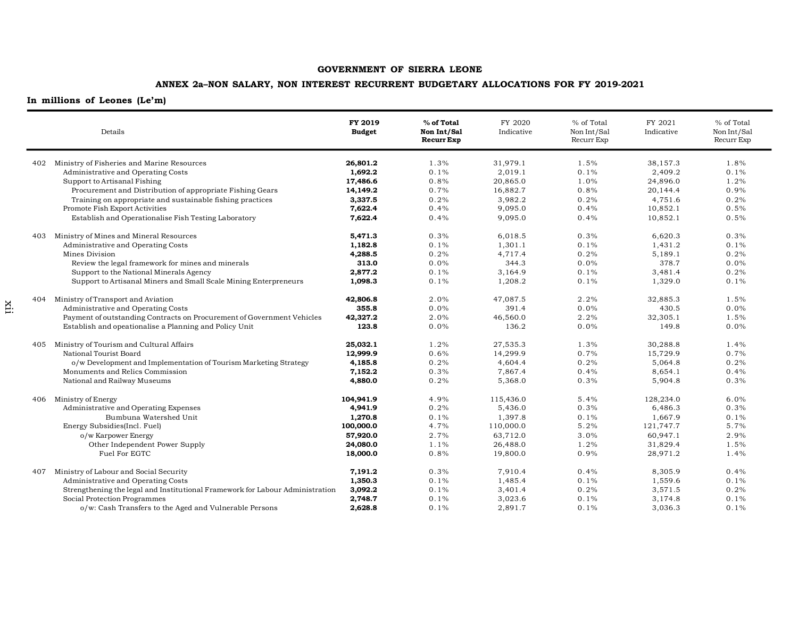## **ANNEX 2a–NON SALARY, NON INTEREST RECURRENT BUDGETARY ALLOCATIONS FOR FY 2019-2021**

|     | Details                                                                       | FY 2019<br><b>Budget</b> | % of Total<br>Non Int/Sal<br><b>Recurr Exp</b> | FY 2020<br>Indicative | % of Total<br>Non Int/Sal<br>Recurr Exp | FY 2021<br>Indicative | % of Total<br>Non Int/Sal<br>Recurr Exp |
|-----|-------------------------------------------------------------------------------|--------------------------|------------------------------------------------|-----------------------|-----------------------------------------|-----------------------|-----------------------------------------|
|     | 402 Ministry of Fisheries and Marine Resources                                | 26,801.2                 | 1.3%                                           | 31,979.1              | 1.5%                                    | 38,157.3              | 1.8%                                    |
|     | Administrative and Operating Costs                                            | 1,692.2                  | 0.1%                                           | 2,019.1               | 0.1%                                    | 2,409.2               | 0.1%                                    |
|     | Support to Artisanal Fishing                                                  | 17,486.6                 | 0.8%                                           | 20,865.0              | 1.0%                                    | 24,896.0              | 1.2%                                    |
|     | Procurement and Distribution of appropriate Fishing Gears                     | 14,149.2                 | 0.7%                                           | 16,882.7              | 0.8%                                    | 20,144.4              | 0.9%                                    |
|     | Training on appropriate and sustainable fishing practices                     | 3,337.5                  | 0.2%                                           | 3,982.2               | 0.2%                                    | 4,751.6               | 0.2%                                    |
|     | Promote Fish Export Activities                                                | 7,622.4                  | 0.4%                                           | 9,095.0               | 0.4%                                    | 10,852.1              | 0.5%                                    |
|     | Establish and Operationalise Fish Testing Laboratory                          | 7,622.4                  | 0.4%                                           | 9,095.0               | 0.4%                                    | 10,852.1              | 0.5%                                    |
| 403 | Ministry of Mines and Mineral Resources                                       | 5,471.3                  | 0.3%                                           | 6,018.5               | 0.3%                                    | 6,620.3               | 0.3%                                    |
|     | Administrative and Operating Costs                                            | 1,182.8                  | 0.1%                                           | 1,301.1               | 0.1%                                    | 1,431.2               | 0.1%                                    |
|     | Mines Division                                                                | 4,288.5                  | 0.2%                                           | 4,717.4               | 0.2%                                    | 5,189.1               | 0.2%                                    |
|     | Review the legal framework for mines and minerals                             | 313.0                    | 0.0%                                           | 344.3                 | 0.0%                                    | 378.7                 | 0.0%                                    |
|     | Support to the National Minerals Agency                                       | 2,877.2                  | 0.1%                                           | 3,164.9               | 0.1%                                    | 3,481.4               | 0.2%                                    |
|     | Support to Artisanal Miners and Small Scale Mining Enterpreneurs              | 1,098.3                  | 0.1%                                           | 1,208.2               | 0.1%                                    | 1,329.0               | 0.1%                                    |
|     | 404 Ministry of Transport and Aviation                                        | 42,806.8                 | 2.0%                                           | 47,087.5              | 2.2%                                    | 32,885.3              | 1.5%                                    |
|     | Administrative and Operating Costs                                            | 355.8                    | 0.0%                                           | 391.4                 | 0.0%                                    | 430.5                 | $0.0\%$                                 |
|     | Payment of outstanding Contracts on Procurement of Government Vehicles        | 42,327.2                 | 2.0%                                           | 46,560.0              | 2.2%                                    | 32,305.1              | 1.5%                                    |
|     | Establish and opeationalise a Planning and Policy Unit                        | 123.8                    | 0.0%                                           | 136.2                 | 0.0%                                    | 149.8                 | 0.0%                                    |
|     | 405 Ministry of Tourism and Cultural Affairs                                  | 25,032.1                 | 1.2%                                           | 27,535.3              | 1.3%                                    | 30,288.8              | 1.4%                                    |
|     | National Tourist Board                                                        | 12,999.9                 | 0.6%                                           | 14,299.9              | 0.7%                                    | 15,729.9              | 0.7%                                    |
|     | o/w Development and Implementation of Tourism Marketing Strategy              | 4,185.8                  | 0.2%                                           | 4,604.4               | 0.2%                                    | 5,064.8               | 0.2%                                    |
|     | Monuments and Relics Commission                                               | 7,152.2                  | 0.3%                                           | 7,867.4               | 0.4%                                    | 8,654.1               | 0.4%                                    |
|     | National and Railway Museums                                                  | 4,880.0                  | 0.2%                                           | 5,368.0               | 0.3%                                    | 5,904.8               | 0.3%                                    |
| 406 | Ministry of Energy                                                            | 104,941.9                | 4.9%                                           | 115,436.0             | 5.4%                                    | 128,234.0             | 6.0%                                    |
|     | Administrative and Operating Expenses                                         | 4,941.9                  | 0.2%                                           | 5,436.0               | 0.3%                                    | 6,486.3               | 0.3%                                    |
|     | Bumbuna Watershed Unit                                                        | 1,270.8                  | 0.1%                                           | 1,397.8               | 0.1%                                    | 1,667.9               | 0.1%                                    |
|     | Energy Subsidies(Incl. Fuel)                                                  | 100,000.0                | 4.7%                                           | 110,000.0             | 5.2%                                    | 121,747.7             | 5.7%                                    |
|     | o/w Karpower Energy                                                           | 57,920.0                 | 2.7%                                           | 63,712.0              | 3.0%                                    | 60,947.1              | 2.9%                                    |
|     | Other Independent Power Supply                                                | 24,080.0                 | 1.1%                                           | 26,488.0              | 1.2%                                    | 31,829.4              | 1.5%                                    |
|     | Fuel For EGTC                                                                 | 18,000.0                 | 0.8%                                           | 19,800.0              | 0.9%                                    | 28,971.2              | 1.4%                                    |
| 407 | Ministry of Labour and Social Security                                        | 7,191.2                  | 0.3%                                           | 7,910.4               | 0.4%                                    | 8,305.9               | 0.4%                                    |
|     | Administrative and Operating Costs                                            | 1,350.3                  | 0.1%                                           | 1,485.4               | 0.1%                                    | 1,559.6               | 0.1%                                    |
|     | Strengthening the legal and Institutional Framework for Labour Administration | 3,092.2                  | 0.1%                                           | 3,401.4               | 0.2%                                    | 3,571.5               | 0.2%                                    |
|     | Social Protection Programmes                                                  | 2,748.7                  | 0.1%                                           | 3,023.6               | 0.1%                                    | 3,174.8               | $0.1\%$                                 |
|     | o/w: Cash Transfers to the Aged and Vulnerable Persons                        | 2,628.8                  | 0.1%                                           | 2,891.7               | 0.1%                                    | 3,036.3               | 0.1%                                    |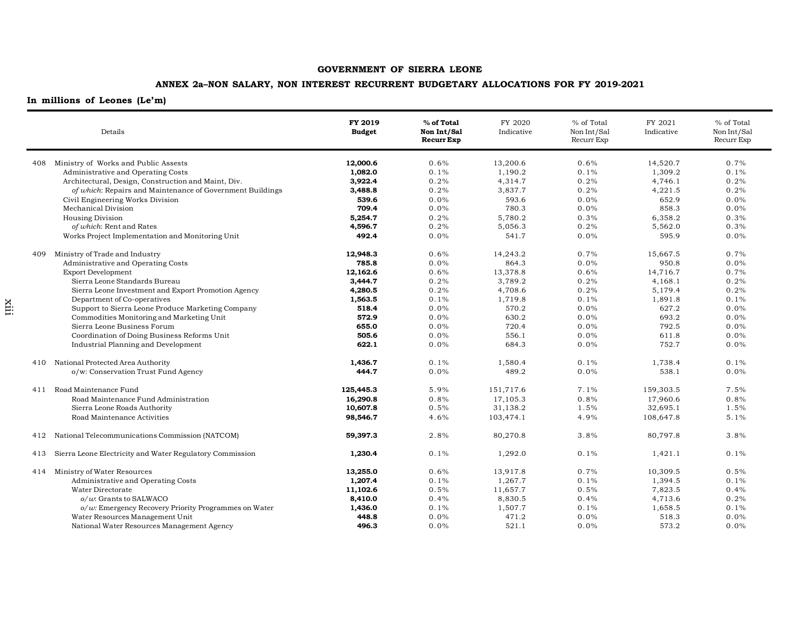## **ANNEX 2a–NON SALARY, NON INTEREST RECURRENT BUDGETARY ALLOCATIONS FOR FY 2019-2021**

|     | Details                                                   | FY 2019<br><b>Budget</b> | % of Total<br>Non Int/Sal<br><b>Recurr Exp</b> | FY 2020<br>Indicative | % of Total<br>Non Int/Sal<br>Recurr Exp | FY 2021<br>Indicative | % of Total<br>Non Int/Sal<br>Recurr Exp |
|-----|-----------------------------------------------------------|--------------------------|------------------------------------------------|-----------------------|-----------------------------------------|-----------------------|-----------------------------------------|
|     | 408 Ministry of Works and Public Assests                  | 12,000.6                 | 0.6%                                           | 13.200.6              | 0.6%                                    | 14,520.7              | 0.7%                                    |
|     | Administrative and Operating Costs                        | 1.082.0                  | 0.1%                                           | 1,190.2               | 0.1%                                    | 1,309.2               | 0.1%                                    |
|     | Architectural, Design, Construction and Maint, Div.       | 3,922.4                  | 0.2%                                           | 4,314.7               | 0.2%                                    | 4,746.1               | 0.2%                                    |
|     | of which: Repairs and Maintenance of Government Buildings | 3,488.8                  | 0.2%                                           | 3,837.7               | 0.2%                                    | 4,221.5               | 0.2%                                    |
|     | Civil Engineering Works Division                          | 539.6                    | 0.0%                                           | 593.6                 | $0.0\%$                                 | 652.9                 | 0.0%                                    |
|     | Mechanical Division                                       | 709.4                    | 0.0%                                           | 780.3                 | 0.0%                                    | 858.3                 | 0.0%                                    |
|     | <b>Housing Division</b>                                   | 5,254.7                  | 0.2%                                           | 5,780.2               | 0.3%                                    | 6,358.2               | 0.3%                                    |
|     | of which: Rent and Rates                                  | 4,596.7                  | 0.2%                                           | 5,056.3               | 0.2%                                    | 5,562.0               | 0.3%                                    |
|     | Works Project Implementation and Monitoring Unit          | 492.4                    | 0.0%                                           | 541.7                 | 0.0%                                    | 595.9                 | 0.0%                                    |
| 409 | Ministry of Trade and Industry                            | 12,948.3                 | 0.6%                                           | 14,243.2              | 0.7%                                    | 15,667.5              | 0.7%                                    |
|     | Administrative and Operating Costs                        | 785.8                    | 0.0%                                           | 864.3                 | 0.0%                                    | 950.8                 | 0.0%                                    |
|     | <b>Export Development</b>                                 | 12,162.6                 | 0.6%                                           | 13,378.8              | 0.6%                                    | 14,716.7              | 0.7%                                    |
|     | Sierra Leone Standards Bureau                             | 3,444.7                  | 0.2%                                           | 3,789.2               | 0.2%                                    | 4,168.1               | 0.2%                                    |
|     | Sierra Leone Investment and Export Promotion Agency       | 4,280.5                  | 0.2%                                           | 4,708.6               | 0.2%                                    | 5,179.4               | 0.2%                                    |
|     | Department of Co-operatives                               | 1,563.5                  | 0.1%                                           | 1,719.8               | 0.1%                                    | 1,891.8               | 0.1%                                    |
|     | Support to Sierra Leone Produce Marketing Company         | 518.4                    | 0.0%                                           | 570.2                 | 0.0%                                    | 627.2                 | 0.0%                                    |
|     | Commodities Monitoring and Marketing Unit                 | 572.9                    | 0.0%                                           | 630.2                 | $0.0\%$                                 | 693.2                 | 0.0%                                    |
|     | Sierra Leone Business Forum                               | 655.0                    | 0.0%                                           | 720.4                 | 0.0%                                    | 792.5                 | 0.0%                                    |
|     | Coordination of Doing Business Reforms Unit               | 505.6                    | 0.0%                                           | 556.1                 | 0.0%                                    | 611.8                 | 0.0%                                    |
|     | Industrial Planning and Development                       | 622.1                    | 0.0%                                           | 684.3                 | 0.0%                                    | 752.7                 | 0.0%                                    |
| 410 | National Protected Area Authority                         | 1,436.7                  | 0.1%                                           | 1,580.4               | 0.1%                                    | 1,738.4               | 0.1%                                    |
|     | o/w: Conservation Trust Fund Agency                       | 444.7                    | 0.0%                                           | 489.2                 | 0.0%                                    | 538.1                 | 0.0%                                    |
| 411 | Road Maintenance Fund                                     | 125,445.3                | 5.9%                                           | 151,717.6             | 7.1%                                    | 159,303.5             | 7.5%                                    |
|     | Road Maintenance Fund Administration                      | 16,290.8                 | 0.8%                                           | 17,105.3              | 0.8%                                    | 17.960.6              | 0.8%                                    |
|     | Sierra Leone Roads Authority                              | 10,607.8                 | 0.5%                                           | 31,138.2              | 1.5%                                    | 32,695.1              | 1.5%                                    |
|     | Road Maintenance Activities                               | 98,546.7                 | 4.6%                                           | 103,474.1             | 4.9%                                    | 108,647.8             | 5.1%                                    |
| 412 | National Telecommunications Commission (NATCOM)           | 59,397.3                 | 2.8%                                           | 80,270.8              | 3.8%                                    | 80,797.8              | 3.8%                                    |
| 413 | Sierra Leone Electricity and Water Regulatory Commission  | 1,230.4                  | 0.1%                                           | 1,292.0               | 0.1%                                    | 1,421.1               | 0.1%                                    |
|     | 414 Ministry of Water Resources                           | 13,255.0                 | 0.6%                                           | 13,917.8              | 0.7%                                    | 10,309.5              | 0.5%                                    |
|     | Administrative and Operating Costs                        | 1,207.4                  | 0.1%                                           | 1,267.7               | 0.1%                                    | 1,394.5               | 0.1%                                    |
|     | Water Directorate                                         | 11,102.6                 | 0.5%                                           | 11,657.7              | 0.5%                                    | 7,823.5               | 0.4%                                    |
|     | $o/w$ : Grants to SALWACO                                 | 8,410.0                  | 0.4%                                           | 8,830.5               | 0.4%                                    | 4,713.6               | 0.2%                                    |
|     | $o/w$ : Emergency Recovery Priority Programmes on Water   | 1,436.0                  | 0.1%                                           | 1,507.7               | 0.1%                                    | 1,658.5               | 0.1%                                    |
|     | Water Resources Management Unit                           | 448.8                    | 0.0%                                           | 471.2                 | 0.0%                                    | 518.3                 | 0.0%                                    |
|     | National Water Resources Management Agency                | 496.3                    | 0.0%                                           | 521.1                 | 0.0%                                    | 573.2                 | 0.0%                                    |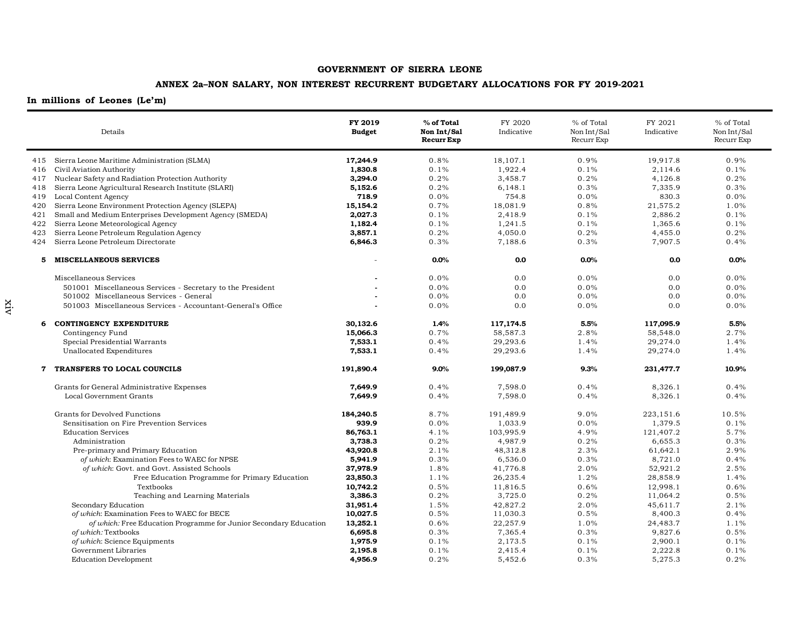## **ANNEX 2a–NON SALARY, NON INTEREST RECURRENT BUDGETARY ALLOCATIONS FOR FY 2019-2021**

|     | Details                                                           | FY 2019<br><b>Budget</b> | % of Total<br>Non Int/Sal<br><b>Recurr Exp</b> | FY 2020<br>Indicative | % of Total<br>Non Int/Sal<br>Recurr Exp | FY 2021<br>Indicative | % of Total<br>Non Int/Sal<br>Recurr Exp |
|-----|-------------------------------------------------------------------|--------------------------|------------------------------------------------|-----------------------|-----------------------------------------|-----------------------|-----------------------------------------|
|     | 415 Sierra Leone Maritime Administration (SLMA)                   | 17,244.9                 | 0.8%                                           | 18,107.1              | 0.9%                                    | 19,917.8              | 0.9%                                    |
| 416 | Civil Aviation Authority                                          | 1,830.8                  | 0.1%                                           | 1,922.4               | 0.1%                                    | 2,114.6               | 0.1%                                    |
| 417 | Nuclear Safety and Radiation Protection Authority                 | 3,294.0                  | 0.2%                                           | 3,458.7               | 0.2%                                    | 4,126.8               | 0.2%                                    |
| 418 | Sierra Leone Agricultural Research Institute (SLARI)              | 5,152.6                  | 0.2%                                           | 6,148.1               | 0.3%                                    | 7,335.9               | 0.3%                                    |
| 419 | Local Content Agency                                              | 718.9                    | 0.0%                                           | 754.8                 | $0.0\%$                                 | 830.3                 | 0.0%                                    |
| 420 | Sierra Leone Environment Protection Agency (SLEPA)                | 15,154.2                 | 0.7%                                           | 18,081.9              | 0.8%                                    | 21,575.2              | 1.0%                                    |
| 421 | Small and Medium Enterprises Development Agency (SMEDA)           | 2,027.3                  | 0.1%                                           | 2,418.9               | 0.1%                                    | 2,886.2               | 0.1%                                    |
| 422 | Sierra Leone Meteorological Agency                                | 1,182.4                  | 0.1%                                           | 1,241.5               | 0.1%                                    | 1,365.6               | 0.1%                                    |
| 423 | Sierra Leone Petroleum Regulation Agency                          | 3,857.1                  | 0.2%                                           | 4,050.0               | 0.2%                                    | 4,455.0               | 0.2%                                    |
| 424 | Sierra Leone Petroleum Directorate                                | 6,846.3                  | 0.3%                                           | 7,188.6               | 0.3%                                    | 7,907.5               | 0.4%                                    |
| 5   | <b>MISCELLANEOUS SERVICES</b>                                     |                          | 0.0%                                           | 0.0                   | 0.0%                                    | 0.0                   | 0.0%                                    |
|     | Miscellaneous Services                                            |                          | 0.0%                                           | 0.0                   | 0.0%                                    | 0.0                   | 0.0%                                    |
|     | 501001 Miscellaneous Services - Secretary to the President        |                          | 0.0%                                           | 0.0                   | 0.0%                                    | 0.0                   | 0.0%                                    |
|     | 501002 Miscellaneous Services - General                           |                          | 0.0%                                           | 0.0                   | 0.0%                                    | 0.0                   | 0.0%                                    |
|     | 501003 Miscellaneous Services - Accountant-General's Office       |                          | 0.0%                                           | 0.0                   | 0.0%                                    | 0.0                   | 0.0%                                    |
| 6   | <b>CONTINGENCY EXPENDITURE</b>                                    | 30,132.6                 | 1.4%                                           | 117,174.5             | 5.5%                                    | 117,095.9             | 5.5%                                    |
|     | Contingency Fund                                                  | 15,066.3                 | 0.7%                                           | 58,587.3              | 2.8%                                    | 58,548.0              | 2.7%                                    |
|     | Special Presidential Warrants                                     | 7,533.1                  | 0.4%                                           | 29,293.6              | 1.4%                                    | 29,274.0              | 1.4%                                    |
|     | Unallocated Expenditures                                          | 7,533.1                  | 0.4%                                           | 29,293.6              | 1.4%                                    | 29,274.0              | 1.4%                                    |
| 7   | TRANSFERS TO LOCAL COUNCILS                                       | 191,890.4                | $9.0\%$                                        | 199,087.9             | 9.3%                                    | 231,477.7             | 10.9%                                   |
|     | Grants for General Administrative Expenses                        | 7,649.9                  | 0.4%                                           | 7,598.0               | 0.4%                                    | 8,326.1               | 0.4%                                    |
|     | Local Government Grants                                           | 7,649.9                  | 0.4%                                           | 7,598.0               | 0.4%                                    | 8,326.1               | 0.4%                                    |
|     | Grants for Devolved Functions                                     | 184,240.5                | 8.7%                                           | 191,489.9             | 9.0%                                    | 223,151.6             | 10.5%                                   |
|     | Sensitisation on Fire Prevention Services                         | 939.9                    | 0.0%                                           | 1,033.9               | $0.0\%$                                 | 1,379.5               | 0.1%                                    |
|     | <b>Education Services</b>                                         | 86,763.1                 | 4.1%                                           | 103,995.9             | 4.9%                                    | 121,407.2             | 5.7%                                    |
|     | Administration                                                    | 3,738.3                  | 0.2%                                           | 4,987.9               | 0.2%                                    | 6,655.3               | 0.3%                                    |
|     | Pre-primary and Primary Education                                 | 43,920.8                 | 2.1%                                           | 48,312.8              | 2.3%                                    | 61,642.1              | 2.9%                                    |
|     | of which: Examination Fees to WAEC for NPSE                       | 5,941.9                  | 0.3%                                           | 6,536.0               | 0.3%                                    | 8,721.0               | 0.4%                                    |
|     | of which: Govt. and Govt. Assisted Schools                        | 37,978.9                 | 1.8%                                           | 41,776.8              | 2.0%                                    | 52,921.2              | 2.5%                                    |
|     | Free Education Programme for Primary Education                    | 23,850.3                 | 1.1%                                           | 26,235.4              | 1.2%                                    | 28,858.9              | 1.4%                                    |
|     | Textbooks                                                         | 10,742.2                 | 0.5%                                           | 11,816.5              | 0.6%                                    | 12,998.1              | 0.6%                                    |
|     | Teaching and Learning Materials                                   | 3,386.3                  | 0.2%                                           | 3,725.0               | 0.2%                                    | 11,064.2              | 0.5%                                    |
|     | Secondary Education                                               | 31,951.4                 | 1.5%                                           | 42,827.2              | 2.0%                                    | 45,611.7              | 2.1%                                    |
|     | of which: Examination Fees to WAEC for BECE                       | 10,027.5                 | 0.5%                                           | 11,030.3              | 0.5%                                    | 8,400.3               | 0.4%                                    |
|     | of which: Free Education Programme for Junior Secondary Education | 13,252.1                 | 0.6%                                           | 22,257.9              | 1.0%                                    | 24,483.7              | 1.1%                                    |
|     | of which: Textbooks                                               | 6,695.8                  | 0.3%                                           | 7,365.4               | 0.3%                                    | 9,827.6               | 0.5%                                    |
|     | of which: Science Equipments                                      | 1,975.9                  | 0.1%                                           | 2,173.5               | 0.1%                                    | 2,900.1               | 0.1%                                    |
|     | Government Libraries                                              | 2,195.8                  | 0.1%                                           | 2,415.4               | 0.1%                                    | 2,222.8               | 0.1%                                    |
|     | <b>Education Development</b>                                      | 4,956.9                  | 0.2%                                           | 5,452.6               | 0.3%                                    | 5,275.3               | 0.2%                                    |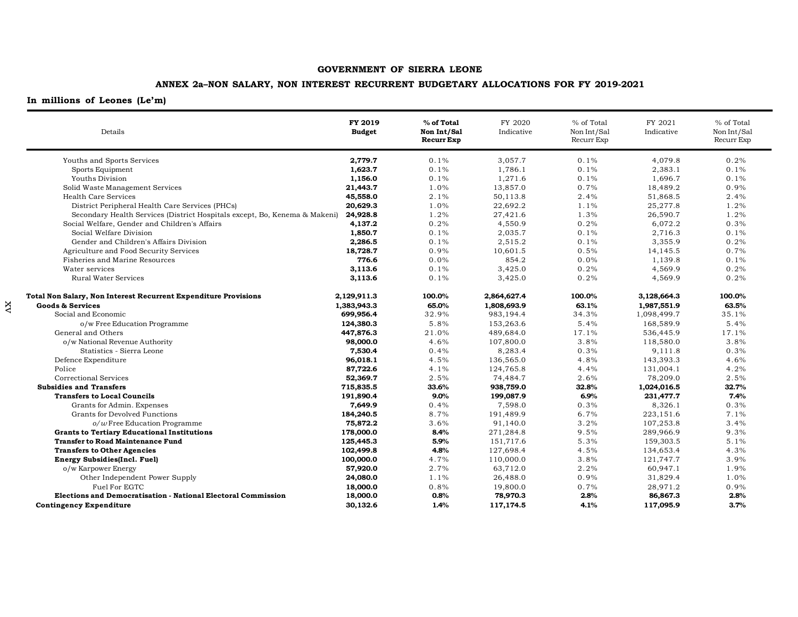## **ANNEX 2a–NON SALARY, NON INTEREST RECURRENT BUDGETARY ALLOCATIONS FOR FY 2019-2021**

| Details                                                                    | FY 2019<br><b>Budget</b> | % of Total<br>Non Int/Sal<br><b>Recurr Exp</b> | FY 2020<br>Indicative | % of Total<br>Non Int/Sal<br>Recurr Exp | FY 2021<br>Indicative | % of Total<br>Non Int/Sal<br>Recurr Exp |
|----------------------------------------------------------------------------|--------------------------|------------------------------------------------|-----------------------|-----------------------------------------|-----------------------|-----------------------------------------|
| Youths and Sports Services                                                 | 2,779.7                  | 0.1%                                           | 3,057.7               | 0.1%                                    | 4,079.8               | 0.2%                                    |
| Sports Equipment                                                           | 1,623.7                  | 0.1%                                           | 1,786.1               | 0.1%                                    | 2,383.1               | 0.1%                                    |
| Youths Division                                                            | 1,156.0                  | 0.1%                                           | 1,271.6               | 0.1%                                    | 1,696.7               | 0.1%                                    |
| Solid Waste Management Services                                            | 21,443.7                 | 1.0%                                           | 13,857.0              | 0.7%                                    | 18,489.2              | 0.9%                                    |
| Health Care Services                                                       | 45,558.0                 | 2.1%                                           | 50,113.8              | 2.4%                                    | 51,868.5              | 2.4%                                    |
| District Peripheral Health Care Services (PHCs)                            | 20,629.3                 | 1.0%                                           | 22,692.2              | $1.1\%$                                 | 25,277.8              | 1.2%                                    |
| Secondary Health Services (District Hospitals except, Bo, Kenema & Makeni) | 24,928.8                 | 1.2%                                           | 27,421.6              | 1.3%                                    | 26,590.7              | 1.2%                                    |
| Social Welfare, Gender and Children's Affairs                              | 4,137.2                  | 0.2%                                           | 4,550.9               | 0.2%                                    | 6,072.2               | 0.3%                                    |
| Social Welfare Division                                                    | 1,850.7                  | 0.1%                                           | 2,035.7               | 0.1%                                    | 2,716.3               | 0.1%                                    |
| Gender and Children's Affairs Division                                     | 2,286.5                  | 0.1%                                           | 2,515.2               | 0.1%                                    | 3,355.9               | 0.2%                                    |
| Agriculture and Food Security Services                                     | 18,728.7                 | 0.9%                                           | 10,601.5              | 0.5%                                    | 14,145.5              | 0.7%                                    |
| Fisheries and Marine Resources                                             | 776.6                    | 0.0%                                           | 854.2                 | 0.0%                                    | 1,139.8               | 0.1%                                    |
| Water services                                                             | 3,113.6                  | 0.1%                                           | 3,425.0               | 0.2%                                    | 4,569.9               | 0.2%                                    |
| Rural Water Services                                                       | 3,113.6                  | 0.1%                                           | 3,425.0               | 0.2%                                    | 4,569.9               | 0.2%                                    |
| Total Non Salary, Non Interest Recurrent Expenditure Provisions            | 2,129,911.3              | 100.0%                                         | 2,864,627.4           | 100.0%                                  | 3,128,664.3           | 100.0%                                  |
| <b>Goods &amp; Services</b>                                                | 1,383,943.3              | 65.0%                                          | 1,808,693.9           | 63.1%                                   | 1,987,551.9           | 63.5%                                   |
| Social and Economic                                                        | 699,956.4                | 32.9%                                          | 983,194.4             | 34.3%                                   | 1,098,499.7           | 35.1%                                   |
| o/w Free Education Programme                                               | 124,380.3                | 5.8%                                           | 153,263.6             | 5.4%                                    | 168,589.9             | 5.4%                                    |
| General and Others                                                         | 447,876.3                | 21.0%                                          | 489,684.0             | 17.1%                                   | 536,445.9             | 17.1%                                   |
| o/w National Revenue Authority                                             | 98,000.0                 | 4.6%                                           | 107,800.0             | 3.8%                                    | 118,580.0             | 3.8%                                    |
| Statistics - Sierra Leone                                                  | 7,530.4                  | 0.4%                                           | 8,283.4               | 0.3%                                    | 9,111.8               | 0.3%                                    |
| Defence Expenditure                                                        | 96,018.1                 | 4.5%                                           | 136,565.0             | 4.8%                                    | 143,393.3             | 4.6%                                    |
| Police                                                                     | 87,722.6                 | 4.1%                                           | 124,765.8             | 4.4%                                    | 131,004.1             | 4.2%                                    |
| Correctional Services                                                      | 52,369.7                 | 2.5%                                           | 74,484.7              | 2.6%                                    | 78,209.0              | 2.5%                                    |
| <b>Subsidies and Transfers</b>                                             | 715,835.5                | 33.6%                                          | 938,759.0             | 32.8%                                   | 1,024,016.5           | 32.7%                                   |
| <b>Transfers to Local Councils</b>                                         | 191,890.4                | 9.0%                                           | 199,087.9             | 6.9%                                    | 231,477.7             | 7.4%                                    |
| Grants for Admin. Expenses                                                 | 7,649.9                  | 0.4%                                           | 7,598.0               | 0.3%                                    | 8,326.1               | 0.3%                                    |
| Grants for Devolved Functions                                              | 184,240.5                | 8.7%                                           | 191,489.9             | 6.7%                                    | 223,151.6             | 7.1%                                    |
| $o/w$ Free Education Programme                                             | 75,872.2                 | 3.6%                                           | 91,140.0              | 3.2%                                    | 107,253.8             | 3.4%                                    |
| <b>Grants to Tertiary Educational Institutions</b>                         | 178,000.0                | 8.4%                                           | 271,284.8             | 9.5%                                    | 289,966.9             | 9.3%                                    |
| <b>Transfer to Road Maintenance Fund</b>                                   | 125,445.3                | 5.9%                                           | 151,717.6             | 5.3%                                    | 159,303.5             | 5.1%                                    |
| <b>Transfers to Other Agencies</b>                                         | 102,499.8                | 4.8%                                           | 127,698.4             | 4.5%                                    | 134,653.4             | 4.3%                                    |
| <b>Energy Subsidies(Incl. Fuel)</b>                                        | 100,000.0                | 4.7%                                           | 110,000.0             | 3.8%                                    | 121,747.7             | 3.9%                                    |
| o/w Karpower Energy                                                        | 57,920.0                 | 2.7%                                           | 63,712.0              | 2.2%                                    | 60,947.1              | 1.9%                                    |
| Other Independent Power Supply                                             | 24,080.0                 | 1.1%                                           | 26,488.0              | 0.9%                                    | 31,829.4              | 1.0%                                    |
| Fuel For EGTC                                                              | 18,000.0                 | 0.8%                                           | 19,800.0              | 0.7%                                    | 28,971.2              | 0.9%                                    |
| <b>Elections and Democratisation - National Electoral Commission</b>       | 18,000.0                 | 0.8%                                           | 78,970.3              | 2.8%                                    | 86,867.3              | 2.8%                                    |
| <b>Contingency Expenditure</b>                                             | 30.132.6                 | 1.4%                                           | 117,174.5             | 4.1%                                    | 117,095.9             | 3.7%                                    |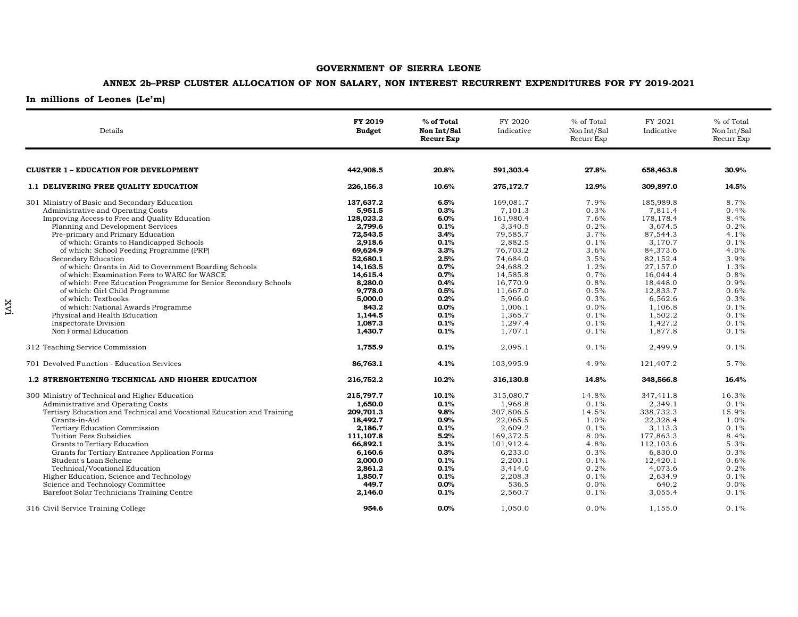## **ANNEX 2b–PRSP CLUSTER ALLOCATION OF NON SALARY, NON INTEREST RECURRENT EXPENDITURES FOR FY 2019-2021**

| Details                                                                                                                                                                                                                                                                                                                                                                                                                                                                                                                                                                                                                                                                                             | FY 2019<br><b>Budget</b>                                                                                                                                                                       | % of Total<br>Non Int/Sal<br><b>Recurr Exp</b>                                                                                       | FY 2020<br>Indicative                                                                                                                                                                              | % of Total<br>Non Int/Sal<br>Recurr Exp                                                                                              | FY 2021<br>Indicative                                                                                                                                                                              | % of Total<br>Non Int/Sal<br>Recurr Exp                                                                                              |
|-----------------------------------------------------------------------------------------------------------------------------------------------------------------------------------------------------------------------------------------------------------------------------------------------------------------------------------------------------------------------------------------------------------------------------------------------------------------------------------------------------------------------------------------------------------------------------------------------------------------------------------------------------------------------------------------------------|------------------------------------------------------------------------------------------------------------------------------------------------------------------------------------------------|--------------------------------------------------------------------------------------------------------------------------------------|----------------------------------------------------------------------------------------------------------------------------------------------------------------------------------------------------|--------------------------------------------------------------------------------------------------------------------------------------|----------------------------------------------------------------------------------------------------------------------------------------------------------------------------------------------------|--------------------------------------------------------------------------------------------------------------------------------------|
| <b>CLUSTER 1 - EDUCATION FOR DEVELOPMENT</b>                                                                                                                                                                                                                                                                                                                                                                                                                                                                                                                                                                                                                                                        | 442,908.5                                                                                                                                                                                      | 20.8%                                                                                                                                | 591,303.4                                                                                                                                                                                          | 27.8%                                                                                                                                | 658,463.8                                                                                                                                                                                          | 30.9%                                                                                                                                |
| 1.1 DELIVERING FREE QUALITY EDUCATION                                                                                                                                                                                                                                                                                                                                                                                                                                                                                                                                                                                                                                                               | 226,156.3                                                                                                                                                                                      | 10.6%                                                                                                                                | 275,172.7                                                                                                                                                                                          | 12.9%                                                                                                                                | 309,897.0                                                                                                                                                                                          | 14.5%                                                                                                                                |
| 301 Ministry of Basic and Secondary Education<br>Administrative and Operating Costs<br>Improving Access to Free and Quality Education<br>Planning and Development Services<br>Pre-primary and Primary Education<br>of which: Grants to Handicapped Schools<br>of which: School Feeding Programme (PRP)<br>Secondary Education<br>of which: Grants in Aid to Government Boarding Schools<br>of which: Examination Fees to WAEC for WASCE<br>of which: Free Education Programme for Senior Secondary Schools<br>of which: Girl Child Programme<br>of which: Textbooks<br>of which: National Awards Programme<br>Physical and Health Education<br><b>Inspectorate Division</b><br>Non Formal Education | 137,637.2<br>5,951.5<br>128,023.2<br>2,799.6<br>72,543.5<br>2,918.6<br>69,624.9<br>52,680.1<br>14,163.5<br>14,615.4<br>8,280.0<br>9,778.0<br>5,000.0<br>843.2<br>1,144.5<br>1,087.3<br>1,430.7 | 6.5%<br>0.3%<br>6.0%<br>0.1%<br>3.4%<br>0.1%<br>3.3%<br>2.5%<br>0.7%<br>0.7%<br>0.4%<br>0.5%<br>0.2%<br>0.0%<br>0.1%<br>0.1%<br>0.1% | 169,081.7<br>7,101.3<br>161,980.4<br>3,340.5<br>79,585.7<br>2,882.5<br>76,703.2<br>74,684.0<br>24,688.2<br>14,585.8<br>16,770.9<br>11,667.0<br>5,966.0<br>1,006.1<br>1,365.7<br>1,297.4<br>1,707.1 | 7.9%<br>0.3%<br>7.6%<br>0.2%<br>3.7%<br>0.1%<br>3.6%<br>3.5%<br>1.2%<br>0.7%<br>0.8%<br>0.5%<br>0.3%<br>0.0%<br>0.1%<br>0.1%<br>0.1% | 185,989.8<br>7,811.4<br>178,178.4<br>3,674.5<br>87,544.3<br>3,170.7<br>84,373.6<br>82,152.4<br>27,157.0<br>16,044.4<br>18,448.0<br>12,833.7<br>6,562.6<br>1,106.8<br>1,502.2<br>1,427.2<br>1,877.8 | 8.7%<br>0.4%<br>8.4%<br>0.2%<br>4.1%<br>0.1%<br>4.0%<br>3.9%<br>1.3%<br>0.8%<br>0.9%<br>0.6%<br>0.3%<br>0.1%<br>0.1%<br>0.1%<br>0.1% |
| 312 Teaching Service Commission                                                                                                                                                                                                                                                                                                                                                                                                                                                                                                                                                                                                                                                                     | 1,755.9                                                                                                                                                                                        | 0.1%                                                                                                                                 | 2,095.1                                                                                                                                                                                            | 0.1%                                                                                                                                 | 2,499.9                                                                                                                                                                                            | 0.1%                                                                                                                                 |
| 701 Devolved Function - Education Services                                                                                                                                                                                                                                                                                                                                                                                                                                                                                                                                                                                                                                                          | 86,763.1                                                                                                                                                                                       | 4.1%                                                                                                                                 | 103,995.9                                                                                                                                                                                          | 4.9%                                                                                                                                 | 121,407.2                                                                                                                                                                                          | 5.7%                                                                                                                                 |
| 1.2 STRENGHTENING TECHNICAL AND HIGHER EDUCATION                                                                                                                                                                                                                                                                                                                                                                                                                                                                                                                                                                                                                                                    | 216,752.2                                                                                                                                                                                      | 10.2%                                                                                                                                | 316,130.8                                                                                                                                                                                          | 14.8%                                                                                                                                | 348,566.8                                                                                                                                                                                          | 16.4%                                                                                                                                |
| 300 Ministry of Technical and Higher Education<br>Administrative and Operating Costs<br>Tertiary Education and Technical and Vocational Education and Training<br>Grants-in-Aid<br>Tertiary Education Commission<br>Tuition Fees Subsidies<br>Grants to Tertiary Education<br>Grants for Tertiary Entrance Application Forms<br>Student's Loan Scheme<br>Technical/Vocational Education<br>Higher Education, Science and Technology<br>Science and Technology Committee<br>Barefoot Solar Technicians Training Centre                                                                                                                                                                               | 215,797.7<br>1,650.0<br>209,701.3<br>18,492.7<br>2,186.7<br>111,107.8<br>66,892.1<br>6,160.6<br>2,000.0<br>2,861.2<br>1,850.7<br>449.7<br>2,146.0                                              | 10.1%<br>0.1%<br>9.8%<br>0.9%<br>0.1%<br>5.2%<br>3.1%<br>0.3%<br>0.1%<br>0.1%<br>0.1%<br>0.0%<br>0.1%                                | 315,080.7<br>1,968.8<br>307,806.5<br>22,065.5<br>2,609.2<br>169,372.5<br>101,912.4<br>6,233.0<br>2,200.1<br>3,414.0<br>2,208.3<br>536.5<br>2,560.7                                                 | 14.8%<br>0.1%<br>14.5%<br>1.0%<br>0.1%<br>8.0%<br>4.8%<br>0.3%<br>0.1%<br>0.2%<br>0.1%<br>0.0%<br>0.1%                               | 347,411.8<br>2,349.1<br>338,732.3<br>22,328.4<br>3,113.3<br>177,863.3<br>112,103.6<br>6,830.0<br>12,420.1<br>4,073.6<br>2,634.9<br>640.2<br>3,055.4                                                | 16.3%<br>0.1%<br>15.9%<br>1.0%<br>0.1%<br>8.4%<br>5.3%<br>0.3%<br>0.6%<br>0.2%<br>0.1%<br>0.0%<br>0.1%                               |
| 316 Civil Service Training College                                                                                                                                                                                                                                                                                                                                                                                                                                                                                                                                                                                                                                                                  | 954.6                                                                                                                                                                                          | 0.0%                                                                                                                                 | 1,050.0                                                                                                                                                                                            | 0.0%                                                                                                                                 | 1,155.0                                                                                                                                                                                            | 0.1%                                                                                                                                 |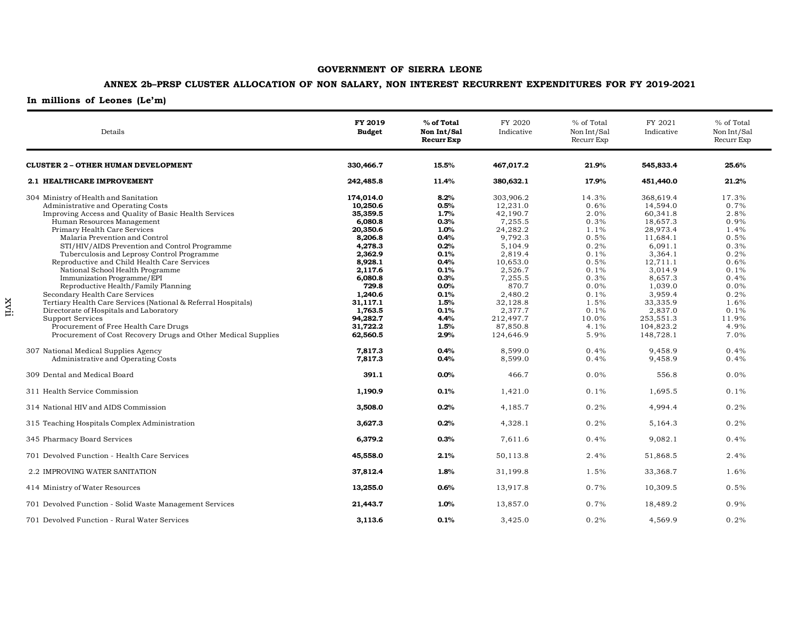## **ANNEX 2b–PRSP CLUSTER ALLOCATION OF NON SALARY, NON INTEREST RECURRENT EXPENDITURES FOR FY 2019-2021**

| Details                                                                                                                                                                                                                                                                                                                                                                                                                                                                                                                                                                                                                                                                                                                                                                        | FY 2019<br><b>Budget</b>                                                                                                                                                                                  | % of Total<br>Non Int/Sal<br><b>Recurr Exp</b>                                                                                               | FY 2020<br>Indicative                                                                                                                                                                                        | % of Total<br>Non Int/Sal<br>Recurr Exp                                                                                                        | FY 2021<br>Indicative                                                                                                                                                                                             | % of Total<br>Non Int/Sal<br>Recurr Exp                                                                                                        |
|--------------------------------------------------------------------------------------------------------------------------------------------------------------------------------------------------------------------------------------------------------------------------------------------------------------------------------------------------------------------------------------------------------------------------------------------------------------------------------------------------------------------------------------------------------------------------------------------------------------------------------------------------------------------------------------------------------------------------------------------------------------------------------|-----------------------------------------------------------------------------------------------------------------------------------------------------------------------------------------------------------|----------------------------------------------------------------------------------------------------------------------------------------------|--------------------------------------------------------------------------------------------------------------------------------------------------------------------------------------------------------------|------------------------------------------------------------------------------------------------------------------------------------------------|-------------------------------------------------------------------------------------------------------------------------------------------------------------------------------------------------------------------|------------------------------------------------------------------------------------------------------------------------------------------------|
| <b>CLUSTER 2 - OTHER HUMAN DEVELOPMENT</b>                                                                                                                                                                                                                                                                                                                                                                                                                                                                                                                                                                                                                                                                                                                                     | 330,466.7                                                                                                                                                                                                 | 15.5%                                                                                                                                        | 467,017.2                                                                                                                                                                                                    | 21.9%                                                                                                                                          | 545,833.4                                                                                                                                                                                                         | 25.6%                                                                                                                                          |
| 2.1 HEALTHCARE IMPROVEMENT                                                                                                                                                                                                                                                                                                                                                                                                                                                                                                                                                                                                                                                                                                                                                     | 242,485.8                                                                                                                                                                                                 | 11.4%                                                                                                                                        | 380,632.1                                                                                                                                                                                                    | 17.9%                                                                                                                                          | 451,440.0                                                                                                                                                                                                         | 21.2%                                                                                                                                          |
| 304 Ministry of Health and Sanitation<br>Administrative and Operating Costs<br>Improving Access and Quality of Basic Health Services<br>Human Resources Management<br>Primary Health Care Services<br>Malaria Prevention and Control<br>STI/HIV/AIDS Prevention and Control Programme<br>Tuberculosis and Leprosy Control Programme<br>Reproductive and Child Health Care Services<br>National School Health Programme<br>Immunization Programme/EPI<br>Reproductive Health/Family Planning<br>Secondary Health Care Services<br>Tertiary Health Care Services (National & Referral Hospitals)<br>Directorate of Hospitals and Laboratory<br><b>Support Services</b><br>Procurement of Free Health Care Drugs<br>Procurement of Cost Recovery Drugs and Other Medical Supplies | 174,014.0<br>10,250.6<br>35,359.5<br>6,080.8<br>20,350.6<br>8,206.8<br>4,278.3<br>2,362.9<br>8,928.1<br>2.117.6<br>6,080.8<br>729.8<br>1,240.6<br>31,117.1<br>1,763.5<br>94,282.7<br>31,722.2<br>62,560.5 | 8.2%<br>0.5%<br>1.7%<br>0.3%<br>1.0%<br>0.4%<br>0.2%<br>0.1%<br>0.4%<br>0.1%<br>0.3%<br>0.0%<br>0.1%<br>1.5%<br>0.1%<br>4.4%<br>1.5%<br>2.9% | 303,906.2<br>12,231.0<br>42,190.7<br>7,255.5<br>24,282.2<br>9,792.3<br>5,104.9<br>2,819.4<br>10,653.0<br>2,526.7<br>7,255.5<br>870.7<br>2,480.2<br>32,128.8<br>2,377.7<br>212,497.7<br>87,850.8<br>124,646.9 | 14.3%<br>0.6%<br>2.0%<br>0.3%<br>1.1%<br>0.5%<br>0.2%<br>0.1%<br>0.5%<br>0.1%<br>0.3%<br>0.0%<br>0.1%<br>1.5%<br>0.1%<br>10.0%<br>4.1%<br>5.9% | 368,619.4<br>14.594.0<br>60,341.8<br>18.657.3<br>28,973.4<br>11,684.1<br>6,091.1<br>3,364.1<br>12,711.1<br>3.014.9<br>8.657.3<br>1,039.0<br>3,959.4<br>33,335.9<br>2,837.0<br>253,551.3<br>104,823.2<br>148,728.1 | 17.3%<br>0.7%<br>2.8%<br>0.9%<br>1.4%<br>0.5%<br>0.3%<br>0.2%<br>0.6%<br>0.1%<br>0.4%<br>0.0%<br>0.2%<br>1.6%<br>0.1%<br>11.9%<br>4.9%<br>7.0% |
| 307 National Medical Supplies Agency<br>Administrative and Operating Costs                                                                                                                                                                                                                                                                                                                                                                                                                                                                                                                                                                                                                                                                                                     | 7,817.3<br>7,817.3                                                                                                                                                                                        | 0.4%<br>0.4%                                                                                                                                 | 8,599.0<br>8,599.0                                                                                                                                                                                           | 0.4%<br>0.4%                                                                                                                                   | 9,458.9<br>9,458.9                                                                                                                                                                                                | 0.4%<br>0.4%                                                                                                                                   |
| 309 Dental and Medical Board                                                                                                                                                                                                                                                                                                                                                                                                                                                                                                                                                                                                                                                                                                                                                   | 391.1                                                                                                                                                                                                     | 0.0%                                                                                                                                         | 466.7                                                                                                                                                                                                        | 0.0%                                                                                                                                           | 556.8                                                                                                                                                                                                             | 0.0%                                                                                                                                           |
| 311 Health Service Commission                                                                                                                                                                                                                                                                                                                                                                                                                                                                                                                                                                                                                                                                                                                                                  | 1,190.9                                                                                                                                                                                                   | 0.1%                                                                                                                                         | 1,421.0                                                                                                                                                                                                      | 0.1%                                                                                                                                           | 1,695.5                                                                                                                                                                                                           | 0.1%                                                                                                                                           |
| 314 National HIV and AIDS Commission                                                                                                                                                                                                                                                                                                                                                                                                                                                                                                                                                                                                                                                                                                                                           | 3,508.0                                                                                                                                                                                                   | 0.2%                                                                                                                                         | 4,185.7                                                                                                                                                                                                      | 0.2%                                                                                                                                           | 4,994.4                                                                                                                                                                                                           | 0.2%                                                                                                                                           |
| 315 Teaching Hospitals Complex Administration                                                                                                                                                                                                                                                                                                                                                                                                                                                                                                                                                                                                                                                                                                                                  | 3,627.3                                                                                                                                                                                                   | 0.2%                                                                                                                                         | 4,328.1                                                                                                                                                                                                      | 0.2%                                                                                                                                           | 5,164.3                                                                                                                                                                                                           | 0.2%                                                                                                                                           |
| 345 Pharmacy Board Services                                                                                                                                                                                                                                                                                                                                                                                                                                                                                                                                                                                                                                                                                                                                                    | 6,379.2                                                                                                                                                                                                   | 0.3%                                                                                                                                         | 7,611.6                                                                                                                                                                                                      | 0.4%                                                                                                                                           | 9,082.1                                                                                                                                                                                                           | 0.4%                                                                                                                                           |
| 701 Devolved Function - Health Care Services                                                                                                                                                                                                                                                                                                                                                                                                                                                                                                                                                                                                                                                                                                                                   | 45,558.0                                                                                                                                                                                                  | 2.1%                                                                                                                                         | 50,113.8                                                                                                                                                                                                     | 2.4%                                                                                                                                           | 51,868.5                                                                                                                                                                                                          | 2.4%                                                                                                                                           |
| 2.2 IMPROVING WATER SANITATION                                                                                                                                                                                                                                                                                                                                                                                                                                                                                                                                                                                                                                                                                                                                                 | 37,812.4                                                                                                                                                                                                  | 1.8%                                                                                                                                         | 31,199.8                                                                                                                                                                                                     | 1.5%                                                                                                                                           | 33,368.7                                                                                                                                                                                                          | 1.6%                                                                                                                                           |
| 414 Ministry of Water Resources                                                                                                                                                                                                                                                                                                                                                                                                                                                                                                                                                                                                                                                                                                                                                | 13,255.0                                                                                                                                                                                                  | 0.6%                                                                                                                                         | 13,917.8                                                                                                                                                                                                     | 0.7%                                                                                                                                           | 10,309.5                                                                                                                                                                                                          | 0.5%                                                                                                                                           |
| 701 Devolved Function - Solid Waste Management Services                                                                                                                                                                                                                                                                                                                                                                                                                                                                                                                                                                                                                                                                                                                        | 21,443.7                                                                                                                                                                                                  | 1.0%                                                                                                                                         | 13,857.0                                                                                                                                                                                                     | 0.7%                                                                                                                                           | 18,489.2                                                                                                                                                                                                          | 0.9%                                                                                                                                           |
| 701 Devolved Function - Rural Water Services                                                                                                                                                                                                                                                                                                                                                                                                                                                                                                                                                                                                                                                                                                                                   | 3,113.6                                                                                                                                                                                                   | 0.1%                                                                                                                                         | 3,425.0                                                                                                                                                                                                      | 0.2%                                                                                                                                           | 4,569.9                                                                                                                                                                                                           | 0.2%                                                                                                                                           |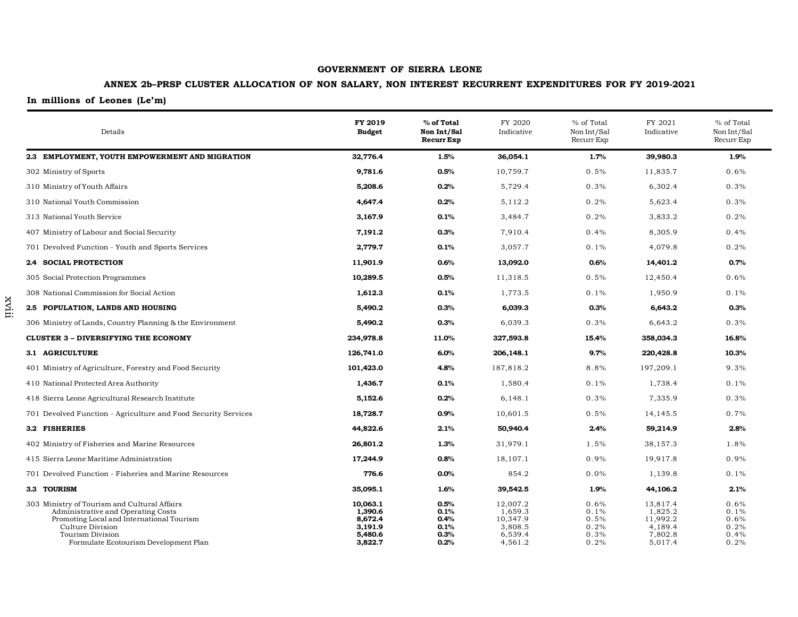## **ANNEX 2b–PRSP CLUSTER ALLOCATION OF NON SALARY, NON INTEREST RECURRENT EXPENDITURES FOR FY 2019-2021**

## **In millions of Leones (Le'm)**

xviii

| Details                                                                                                                                                                                                          | FY 2019<br><b>Budget</b>                                        | % of Total<br>Non Int/Sal<br><b>Recurr Exp</b> | FY 2020<br>Indicative                                            | % of Total<br>Non Int/Sal<br>Recurr Exp      | FY 2021<br>Indicative                                            | % of Total<br>Non Int/Sal<br>Recurr Exp      |
|------------------------------------------------------------------------------------------------------------------------------------------------------------------------------------------------------------------|-----------------------------------------------------------------|------------------------------------------------|------------------------------------------------------------------|----------------------------------------------|------------------------------------------------------------------|----------------------------------------------|
| 2.3 EMPLOYMENT, YOUTH EMPOWERMENT AND MIGRATION                                                                                                                                                                  | 32,776.4                                                        | 1.5%                                           | 36,054.1                                                         | 1.7%                                         | 39,980.3                                                         | 1.9%                                         |
| 302 Ministry of Sports                                                                                                                                                                                           | 9,781.6                                                         | 0.5%                                           | 10,759.7                                                         | 0.5%                                         | 11,835.7                                                         | 0.6%                                         |
| 310 Ministry of Youth Affairs                                                                                                                                                                                    | 5,208.6                                                         | 0.2%                                           | 5,729.4                                                          | 0.3%                                         | 6,302.4                                                          | 0.3%                                         |
| 310 National Youth Commission                                                                                                                                                                                    | 4,647.4                                                         | 0.2%                                           | 5,112.2                                                          | 0.2%                                         | 5,623.4                                                          | 0.3%                                         |
| 313 National Youth Service                                                                                                                                                                                       | 3,167.9                                                         | 0.1%                                           | 3,484.7                                                          | 0.2%                                         | 3,833.2                                                          | 0.2%                                         |
| 407 Ministry of Labour and Social Security                                                                                                                                                                       | 7,191.2                                                         | 0.3%                                           | 7,910.4                                                          | 0.4%                                         | 8,305.9                                                          | 0.4%                                         |
| 701 Devolved Function - Youth and Sports Services                                                                                                                                                                | 2,779.7                                                         | 0.1%                                           | 3,057.7                                                          | 0.1%                                         | 4,079.8                                                          | 0.2%                                         |
| 2.4 SOCIAL PROTECTION                                                                                                                                                                                            | 11,901.9                                                        | 0.6%                                           | 13,092.0                                                         | 0.6%                                         | 14,401.2                                                         | 0.7%                                         |
| 305 Social Protection Programmes                                                                                                                                                                                 | 10,289.5                                                        | 0.5%                                           | 11,318.5                                                         | 0.5%                                         | 12,450.4                                                         | 0.6%                                         |
| 308 National Commission for Social Action                                                                                                                                                                        | 1,612.3                                                         | 0.1%                                           | 1,773.5                                                          | 0.1%                                         | 1,950.9                                                          | 0.1%                                         |
| 2.5 POPULATION, LANDS AND HOUSING                                                                                                                                                                                | 5,490.2                                                         | 0.3%                                           | 6,039.3                                                          | 0.3%                                         | 6,643.2                                                          | 0.3%                                         |
| 306 Ministry of Lands, Country Planning & the Environment                                                                                                                                                        | 5,490.2                                                         | 0.3%                                           | 6,039.3                                                          | 0.3%                                         | 6,643.2                                                          | 0.3%                                         |
| <b>CLUSTER 3 - DIVERSIFYING THE ECONOMY</b>                                                                                                                                                                      | 234,978.8                                                       | 11.0%                                          | 327,593.8                                                        | 15.4%                                        | 358,034.3                                                        | 16.8%                                        |
| 3.1 AGRICULTURE                                                                                                                                                                                                  | 126,741.0                                                       | 6.0%                                           | 206,148.1                                                        | 9.7%                                         | 220,428.8                                                        | 10.3%                                        |
| 401 Ministry of Agriculture, Forestry and Food Security                                                                                                                                                          | 101,423.0                                                       | 4.8%                                           | 187,818.2                                                        | 8.8%                                         | 197,209.1                                                        | 9.3%                                         |
| 410 National Protected Area Authority                                                                                                                                                                            | 1,436.7                                                         | 0.1%                                           | 1,580.4                                                          | 0.1%                                         | 1,738.4                                                          | 0.1%                                         |
| 418 Sierra Leone Agricultural Research Institute                                                                                                                                                                 | 5,152.6                                                         | 0.2%                                           | 6,148.1                                                          | 0.3%                                         | 7,335.9                                                          | 0.3%                                         |
| 701 Devolved Function - Agriculture and Food Security Services                                                                                                                                                   | 18,728.7                                                        | 0.9%                                           | 10,601.5                                                         | 0.5%                                         | 14,145.5                                                         | 0.7%                                         |
| 3.2 FISHERIES                                                                                                                                                                                                    | 44,822.6                                                        | 2.1%                                           | 50,940.4                                                         | 2.4%                                         | 59,214.9                                                         | 2.8%                                         |
| 402 Ministry of Fisheries and Marine Resources                                                                                                                                                                   | 26,801.2                                                        | 1.3%                                           | 31,979.1                                                         | 1.5%                                         | 38,157.3                                                         | 1.8%                                         |
| 415 Sierra Leone Maritime Administration                                                                                                                                                                         | 17,244.9                                                        | 0.8%                                           | 18,107.1                                                         | 0.9%                                         | 19,917.8                                                         | 0.9%                                         |
| 701 Devolved Function - Fisheries and Marine Resources                                                                                                                                                           | 776.6                                                           | $0.0\%$                                        | 854.2                                                            | 0.0%                                         | 1,139.8                                                          | 0.1%                                         |
| 3.3 TOURISM                                                                                                                                                                                                      | 35,095.1                                                        | 1.6%                                           | 39,542.5                                                         | 1.9%                                         | 44,106.2                                                         | 2.1%                                         |
| 303 Ministry of Tourism and Cultural Affairs<br>Administrative and Operating Costs<br>Promoting Local and International Tourism<br>Culture Division<br>Tourism Division<br>Formulate Ecotourism Development Plan | 10,063.1<br>1.390.6<br>8,672.4<br>3,191.9<br>5,480.6<br>3,822.7 | 0.5%<br>0.1%<br>0.4%<br>0.1%<br>0.3%<br>0.2%   | 12,007.2<br>1,659.3<br>10,347.9<br>3,808.5<br>6,539.4<br>4,561.2 | 0.6%<br>0.1%<br>0.5%<br>0.2%<br>0.3%<br>0.2% | 13,817.4<br>1,825.2<br>11,992.2<br>4,189.4<br>7,802.8<br>5,017.4 | 0.6%<br>0.1%<br>0.6%<br>0.2%<br>0.4%<br>0.2% |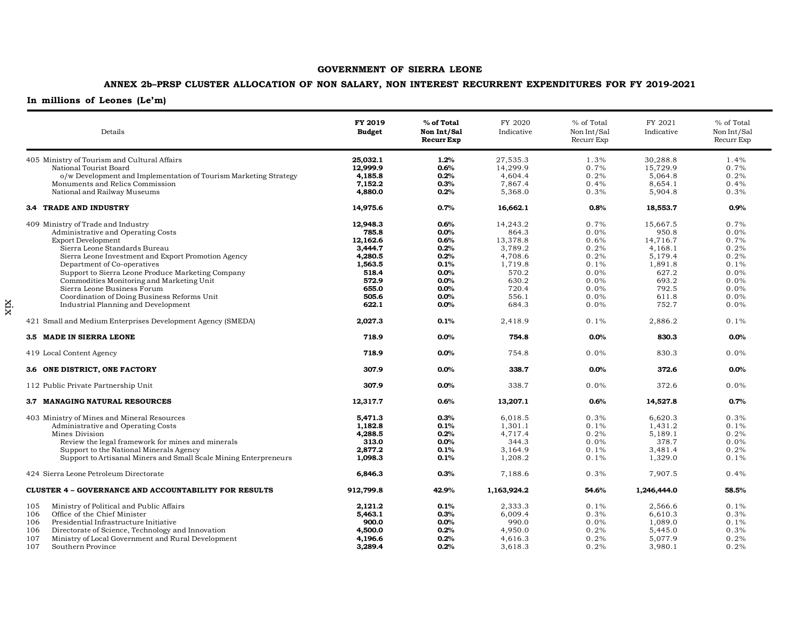## **ANNEX 2b–PRSP CLUSTER ALLOCATION OF NON SALARY, NON INTEREST RECURRENT EXPENDITURES FOR FY 2019-2021**

| Details                                                          | FY 2019<br><b>Budget</b> | % of Total<br>Non Int/Sal<br><b>Recurr Exp</b> | FY 2020<br>Indicative | % of Total<br>Non Int/Sal<br>Recurr Exp | FY 2021<br>Indicative | % of Total<br>Non Int/Sal<br>Recurr Exp |
|------------------------------------------------------------------|--------------------------|------------------------------------------------|-----------------------|-----------------------------------------|-----------------------|-----------------------------------------|
| 405 Ministry of Tourism and Cultural Affairs                     | 25,032.1                 | 1.2%                                           | 27,535.3              | 1.3%                                    | 30,288.8              | 1.4%                                    |
| National Tourist Board                                           | 12.999.9                 | 0.6%                                           | 14,299.9              | 0.7%                                    | 15.729.9              | 0.7%                                    |
| o/w Development and Implementation of Tourism Marketing Strategy | 4,185.8                  | 0.2%                                           | 4,604.4               | 0.2%                                    | 5,064.8               | 0.2%                                    |
| Monuments and Relics Commission                                  | 7,152.2                  | 0.3%                                           | 7,867.4               | 0.4%                                    | 8,654.1               | 0.4%                                    |
| National and Railway Museums                                     | 4,880.0                  | 0.2%                                           | 5,368.0               | 0.3%                                    | 5,904.8               | 0.3%                                    |
| <b>3.4 TRADE AND INDUSTRY</b>                                    | 14,975.6                 | 0.7%                                           | 16,662.1              | 0.8%                                    | 18,553.7              | 0.9%                                    |
| 409 Ministry of Trade and Industry                               | 12,948.3                 | 0.6%                                           | 14,243.2              | 0.7%                                    | 15,667.5              | 0.7%                                    |
| Administrative and Operating Costs                               | 785.8                    | 0.0%                                           | 864.3                 | 0.0%                                    | 950.8                 | $0.0\%$                                 |
| <b>Export Development</b>                                        | 12,162.6                 | 0.6%                                           | 13,378.8              | 0.6%                                    | 14,716.7              | 0.7%                                    |
| Sierra Leone Standards Bureau                                    | 3,444.7                  | 0.2%                                           | 3,789.2               | 0.2%                                    | 4,168.1               | 0.2%                                    |
| Sierra Leone Investment and Export Promotion Agency              | 4,280.5                  | 0.2%                                           | 4,708.6               | 0.2%                                    | 5,179.4               | 0.2%                                    |
| Department of Co-operatives                                      | 1,563.5                  | 0.1%                                           | 1,719.8               | 0.1%                                    | 1,891.8               | 0.1%                                    |
| Support to Sierra Leone Produce Marketing Company                | 518.4                    | 0.0%                                           | 570.2                 | 0.0%                                    | 627.2                 | $0.0\%$                                 |
|                                                                  |                          |                                                |                       |                                         |                       |                                         |
| Commodities Monitoring and Marketing Unit                        | 572.9                    | 0.0%                                           | 630.2                 | 0.0%                                    | 693.2                 | 0.0%                                    |
| Sierra Leone Business Forum                                      | 655.0                    | 0.0%                                           | 720.4                 | 0.0%                                    | 792.5                 | $0.0\%$                                 |
| Coordination of Doing Business Reforms Unit                      | 505.6                    | 0.0%                                           | 556.1                 | 0.0%                                    | 611.8                 | $0.0\%$                                 |
| Industrial Planning and Development                              | 622.1                    | 0.0%                                           | 684.3                 | 0.0%                                    | 752.7                 | $0.0\%$                                 |
| 421 Small and Medium Enterprises Development Agency (SMEDA)      | 2,027.3                  | 0.1%                                           | 2,418.9               | 0.1%                                    | 2,886.2               | 0.1%                                    |
| 3.5 MADE IN SIERRA LEONE                                         | 718.9                    | 0.0%                                           | 754.8                 | 0.0%                                    | 830.3                 | 0.0%                                    |
| 419 Local Content Agency                                         | 718.9                    | 0.0%                                           | 754.8                 | 0.0%                                    | 830.3                 | $0.0\%$                                 |
| 3.6 ONE DISTRICT, ONE FACTORY                                    | 307.9                    | 0.0%                                           | 338.7                 | 0.0%                                    | 372.6                 | $0.0\%$                                 |
| 112 Public Private Partnership Unit                              | 307.9                    | 0.0%                                           | 338.7                 | 0.0%                                    | 372.6                 | 0.0%                                    |
| 3.7 MANAGING NATURAL RESOURCES                                   | 12,317.7                 | 0.6%                                           | 13,207.1              | 0.6%                                    | 14,527.8              | 0.7%                                    |
| 403 Ministry of Mines and Mineral Resources                      | 5,471.3                  | 0.3%                                           | 6,018.5               | 0.3%                                    | 6,620.3               | 0.3%                                    |
| Administrative and Operating Costs                               | 1,182.8                  | 0.1%                                           | 1,301.1               | 0.1%                                    | 1,431.2               | 0.1%                                    |
| Mines Division                                                   | 4,288.5                  | 0.2%                                           | 4,717.4               | 0.2%                                    | 5,189.1               | 0.2%                                    |
| Review the legal framework for mines and minerals                | 313.0                    | 0.0%                                           | 344.3                 | 0.0%                                    | 378.7                 | $0.0\%$                                 |
| Support to the National Minerals Agency                          | 2,877.2                  | 0.1%                                           | 3,164.9               | 0.1%                                    | 3,481.4               | 0.2%                                    |
| Support to Artisanal Miners and Small Scale Mining Enterpreneurs | 1,098.3                  | 0.1%                                           | 1,208.2               | 0.1%                                    | 1,329.0               | 0.1%                                    |
| 424 Sierra Leone Petroleum Directorate                           | 6,846.3                  | 0.3%                                           | 7,188.6               | 0.3%                                    | 7,907.5               | 0.4%                                    |
| <b>CLUSTER 4 - GOVERNANCE AND ACCOUNTABILITY FOR RESULTS</b>     | 912,799.8                | 42.9%                                          | 1,163,924.2           | 54.6%                                   | 1,246,444.0           | 58.5%                                   |
|                                                                  |                          |                                                |                       |                                         |                       | 0.1%                                    |
| Ministry of Political and Public Affairs<br>105                  | 2,121.2                  | 0.1%                                           | 2,333.3               | 0.1%                                    | 2,566.6               |                                         |
| Office of the Chief Minister<br>106                              | 5,463.1                  | 0.3%                                           | 6,009.4               | 0.3%                                    | 6,610.3               | 0.3%                                    |
| 106<br>Presidential Infrastructure Initiative                    | 900.0                    | 0.0%                                           | 990.0                 | 0.0%                                    | 1,089.0               | 0.1%                                    |
| 106<br>Directorate of Science, Technology and Innovation         | 4,500.0                  | 0.2%                                           | 4,950.0               | 0.2%                                    | 5,445.0               | 0.3%                                    |
| 107<br>Ministry of Local Government and Rural Development        | 4.196.6                  | 0.2%                                           | 4,616.3               | 0.2%                                    | 5,077.9               | 0.2%                                    |
| 107<br>Southern Province                                         | 3,289.4                  | 0.2%                                           | 3,618.3               | 0.2%                                    | 3,980.1               | 0.2%                                    |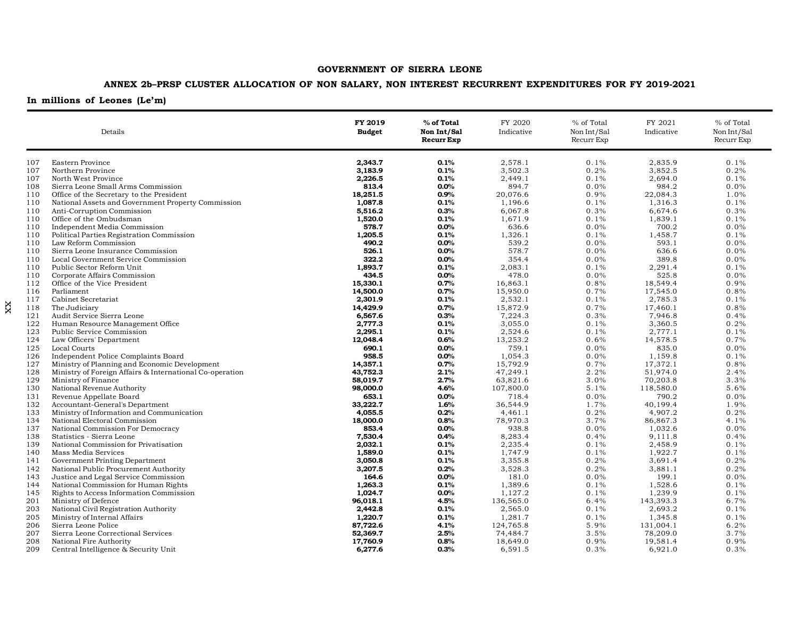## **ANNEX 2b–PRSP CLUSTER ALLOCATION OF NON SALARY, NON INTEREST RECURRENT EXPENDITURES FOR FY 2019-2021**

## **In millions of Leones (Le'm)**

xx

| Details    |                                                                              | FY 2019<br><b>Budget</b> | % of Total<br>Non Int/Sal<br><b>Recurr Exp</b> | FY 2020<br>Indicative | % of Total<br>Non Int/Sal<br>Recurr Exp | FY 2021<br>Indicative | % of Total<br>Non Int/Sal<br>Recurr Exp |
|------------|------------------------------------------------------------------------------|--------------------------|------------------------------------------------|-----------------------|-----------------------------------------|-----------------------|-----------------------------------------|
| 107        | Eastern Province                                                             | 2,343.7                  | 0.1%                                           | 2,578.1               | 0.1%                                    | 2,835.9               | 0.1%                                    |
| 107        | Northern Province                                                            | 3,183.9                  | 0.1%                                           | 3,502.3               | 0.2%                                    | 3,852.5               | 0.2%                                    |
| 107        | North West Province                                                          | 2,226.5                  | 0.1%                                           | 2,449.1               | 0.1%                                    | 2,694.0               | 0.1%                                    |
| 108        | Sierra Leone Small Arms Commission                                           | 813.4                    | 0.0%                                           | 894.7                 | 0.0%                                    | 984.2                 | 0.0%                                    |
| 110        | Office of the Secretary to the President                                     | 18,251.5                 | 0.9%                                           | 20,076.6              | 0.9%                                    | 22,084.3              | 1.0%                                    |
| 110        | National Assets and Government Property Commission                           | 1,087.8                  | 0.1%                                           | 1,196.6               | 0.1%                                    | 1,316.3               | 0.1%                                    |
| 110        | Anti-Corruption Commission                                                   | 5,516.2                  | 0.3%                                           | 6,067.8               | 0.3%                                    | 6,674.6               | 0.3%                                    |
| 110        | Office of the Ombudsman                                                      | 1,520.0                  | 0.1%                                           | 1,671.9               | 0.1%                                    | 1,839.1               | 0.1%                                    |
| 110        | Independent Media Commission                                                 | 578.7                    | $0.0\%$                                        | 636.6                 | 0.0%                                    | 700.2                 | 0.0%                                    |
| 110        | Political Parties Registration Commission                                    | 1,205.5                  | 0.1%                                           | 1,326.1               | 0.1%                                    | 1,458.7               | 0.1%                                    |
| 110        | Law Reform Commission                                                        | 490.2                    | 0.0%                                           | 539.2                 | 0.0%                                    | 593.1                 | 0.0%                                    |
| 110        | Sierra Leone Insurance Commission                                            | 526.1                    | 0.0%                                           | 578.7                 | 0.0%                                    | 636.6                 | 0.0%                                    |
| 110        | Local Government Service Commission                                          | 322.2                    | 0.0%                                           | 354.4                 | 0.0%                                    | 389.8                 | 0.0%                                    |
| 110        | Public Sector Reform Unit                                                    | 1,893.7                  | 0.1%                                           | 2,083.1               | 0.1%                                    | 2,291.4               | 0.1%                                    |
| 110        | Corporate Affairs Commission                                                 | 434.5                    | 0.0%                                           | 478.0                 | 0.0%                                    | 525.8                 | $0.0\%$                                 |
| 112        | Office of the Vice President                                                 | 15,330.1                 | 0.7%                                           | 16,863.1              | 0.8%                                    | 18,549.4              | 0.9%                                    |
| 116        | Parliament                                                                   | 14,500.0                 | 0.7%                                           | 15,950.0              | 0.7%                                    | 17,545.0              | 0.8%                                    |
| 117        | Cabinet Secretariat                                                          | 2,301.9                  | 0.1%                                           | 2,532.1               | 0.1%                                    | 2,785.3               | 0.1%                                    |
| 118        | The Judiciary                                                                | 14,429.9                 | 0.7%                                           | 15,872.9              | 0.7%                                    | 17,460.1              | 0.8%                                    |
| 121        | Audit Service Sierra Leone                                                   | 6,567.6                  | 0.3%                                           | 7,224.3               | 0.3%                                    | 7,946.8               | 0.4%                                    |
| 122        | Human Resource Management Office                                             | 2,777.3                  | 0.1%                                           | 3,055.0               | 0.1%                                    | 3,360.5               | 0.2%                                    |
| 123        | Public Service Commission                                                    | 2.295.1                  | 0.1%                                           | 2,524.6               | 0.1%                                    | 2,777.1               | 0.1%                                    |
| 124        | Law Officers' Department                                                     | 12,048.4                 | 0.6%                                           | 13,253.2              | 0.6%                                    | 14,578.5              | 0.7%                                    |
| 125        | Local Courts                                                                 | 690.1                    | $0.0\%$                                        | 759.1                 | 0.0%                                    | 835.0                 | 0.0%                                    |
| 126        | Independent Police Complaints Board                                          | 958.5                    | $0.0\%$                                        | 1,054.3               | 0.0%                                    | 1,159.8               | 0.1%                                    |
| 127        | Ministry of Planning and Economic Development                                | 14,357.1                 | 0.7%                                           | 15,792.9              | 0.7%                                    | 17,372.1              | 0.8%                                    |
| 128        | Ministry of Foreign Affairs & International Co-operation                     | 43,752.3                 | 2.1%                                           | 47,249.1              | 2.2%                                    | 51,974.0              | 2.4%                                    |
| 129        | Ministry of Finance                                                          | 58,019.7                 | 2.7%                                           | 63,821.6              | 3.0%                                    | 70,203.8              | 3.3%                                    |
| 130        | National Revenue Authority                                                   | 98,000.0                 | 4.6%                                           | 107,800.0             | 5.1%                                    | 118,580.0             | 5.6%                                    |
| 131        | Revenue Appellate Board                                                      | 653.1                    | $0.0\%$                                        | 718.4                 | 0.0%                                    | 790.2                 | 0.0%                                    |
| 132<br>133 | Accountant-General's Department<br>Ministry of Information and Communication | 33,222.7<br>4,055.5      | 1.6%<br>0.2%                                   | 36,544.9<br>4,461.1   | 1.7%<br>0.2%                            | 40,199.4<br>4,907.2   | 1.9%<br>0.2%                            |
|            |                                                                              |                          |                                                | 78,970.3              | 3.7%                                    | 86,867.3              | 4.1%                                    |
| 134<br>137 | National Electoral Commission<br>National Commission For Democracy           | 18,000.0<br>853.4        | 0.8%<br>0.0%                                   | 938.8                 | 0.0%                                    | 1,032.6               | 0.0%                                    |
| 138        | Statistics - Sierra Leone                                                    | 7,530.4                  | 0.4%                                           | 8,283.4               | 0.4%                                    | 9,111.8               | 0.4%                                    |
| 139        | National Commission for Privatisation                                        | 2,032.1                  | 0.1%                                           | 2,235.4               | 0.1%                                    | 2,458.9               | 0.1%                                    |
| 140        | Mass Media Services                                                          | 1,589.0                  | 0.1%                                           | 1,747.9               | 0.1%                                    | 1,922.7               | 0.1%                                    |
| 141        | Government Printing Department                                               | 3,050.8                  | 0.1%                                           | 3,355.8               | 0.2%                                    | 3,691.4               | 0.2%                                    |
| 142        | National Public Procurement Authority                                        | 3,207.5                  | 0.2%                                           | 3,528.3               | 0.2%                                    | 3,881.1               | 0.2%                                    |
| 143        | Justice and Legal Service Commission                                         | 164.6                    | $0.0\%$                                        | 181.0                 | 0.0%                                    | 199.1                 | 0.0%                                    |
| 144        | National Commission for Human Rights                                         | 1,263.3                  | 0.1%                                           | 1,389.6               | 0.1%                                    | 1,528.6               | 0.1%                                    |
| 145        | Rights to Access Information Commission                                      | 1.024.7                  | 0.0%                                           | 1,127.2               | 0.1%                                    | 1,239.9               | 0.1%                                    |
| 201        | Ministry of Defence                                                          | 96,018.1                 | 4.5%                                           | 136,565.0             | 6.4%                                    | 143,393.3             | 6.7%                                    |
| 203        | National Civil Registration Authority                                        | 2,442.8                  | 0.1%                                           | 2,565.0               | 0.1%                                    | 2,693.2               | 0.1%                                    |
| 205        | Ministry of Internal Affairs                                                 | 1,220.7                  | 0.1%                                           | 1,281.7               | 0.1%                                    | 1,345.8               | 0.1%                                    |
| 206        | Sierra Leone Police                                                          | 87,722.6                 | 4.1%                                           | 124,765.8             | 5.9%                                    | 131,004.1             | 6.2%                                    |
| 207        | Sierra Leone Correctional Services                                           | 52,369.7                 | 2.5%                                           | 74,484.7              | 3.5%                                    | 78,209.0              | 3.7%                                    |
| 208        | National Fire Authority                                                      | 17,760.9                 | 0.8%                                           | 18,649.0              | 0.9%                                    | 19,581.4              | 0.9%                                    |
| 209        | Central Intelligence & Security Unit                                         | 6,277.6                  | 0.3%                                           | 6,591.5               | 0.3%                                    | 6,921.0               | 0.3%                                    |
|            |                                                                              |                          |                                                |                       |                                         |                       |                                         |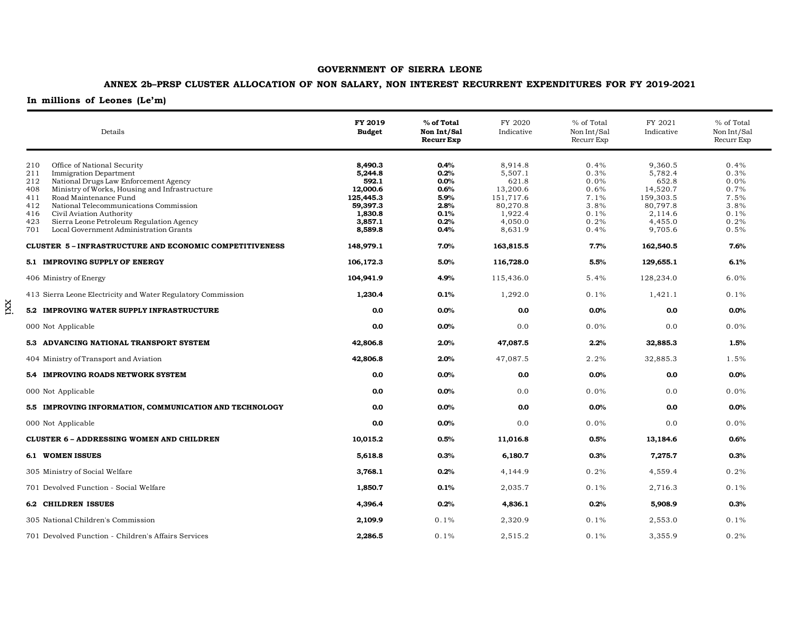## **ANNEX 2b–PRSP CLUSTER ALLOCATION OF NON SALARY, NON INTEREST RECURRENT EXPENDITURES FOR FY 2019-2021**

**In millions of Leones (Le'm)**

xxi

| Details                                                                                                                                                                                                                                                                                                                                                                                                    | FY 2019<br><b>Budget</b>                                                                          | % of Total<br>Non Int/Sal<br><b>Recurr Exp</b>                       | FY 2020<br>Indicative                                                                             | % of Total<br>Non Int/Sal<br>Recurr Exp                              | FY 2021<br>Indicative                                                                             | % of Total<br>Non Int/Sal<br>Recurr Exp                                 |
|------------------------------------------------------------------------------------------------------------------------------------------------------------------------------------------------------------------------------------------------------------------------------------------------------------------------------------------------------------------------------------------------------------|---------------------------------------------------------------------------------------------------|----------------------------------------------------------------------|---------------------------------------------------------------------------------------------------|----------------------------------------------------------------------|---------------------------------------------------------------------------------------------------|-------------------------------------------------------------------------|
| 210<br>Office of National Security<br>211<br><b>Immigration Department</b><br>212<br>National Drugs Law Enforcement Agency<br>Ministry of Works, Housing and Infrastructure<br>408<br>Road Maintenance Fund<br>411<br>National Telecommunications Commission<br>412<br>416<br>Civil Aviation Authority<br>423<br>Sierra Leone Petroleum Regulation Agency<br>Local Government Administration Grants<br>701 | 8,490.3<br>5,244.8<br>592.1<br>12,000.6<br>125,445.3<br>59,397.3<br>1,830.8<br>3,857.1<br>8,589.8 | 0.4%<br>0.2%<br>0.0%<br>0.6%<br>5.9%<br>2.8%<br>0.1%<br>0.2%<br>0.4% | 8,914.8<br>5,507.1<br>621.8<br>13,200.6<br>151,717.6<br>80,270.8<br>1,922.4<br>4,050.0<br>8,631.9 | 0.4%<br>0.3%<br>0.0%<br>0.6%<br>7.1%<br>3.8%<br>0.1%<br>0.2%<br>0.4% | 9,360.5<br>5,782.4<br>652.8<br>14,520.7<br>159,303.5<br>80,797.8<br>2.114.6<br>4,455.0<br>9,705.6 | 0.4%<br>0.3%<br>$0.0\%$<br>0.7%<br>7.5%<br>3.8%<br>0.1%<br>0.2%<br>0.5% |
| <b>CLUSTER 5-INFRASTRUCTURE AND ECONOMIC COMPETITIVENESS</b>                                                                                                                                                                                                                                                                                                                                               | 148,979.1                                                                                         | 7.0%                                                                 | 163,815.5                                                                                         | 7.7%                                                                 | 162,540.5                                                                                         | 7.6%                                                                    |
| 5.1 IMPROVING SUPPLY OF ENERGY                                                                                                                                                                                                                                                                                                                                                                             | 106,172.3                                                                                         | 5.0%                                                                 | 116,728.0                                                                                         | 5.5%                                                                 | 129,655.1                                                                                         | 6.1%                                                                    |
| 406 Ministry of Energy                                                                                                                                                                                                                                                                                                                                                                                     | 104,941.9                                                                                         | 4.9%                                                                 | 115,436.0                                                                                         | 5.4%                                                                 | 128,234.0                                                                                         | $6.0\%$                                                                 |
| 413 Sierra Leone Electricity and Water Regulatory Commission                                                                                                                                                                                                                                                                                                                                               | 1,230.4                                                                                           | 0.1%                                                                 | 1,292.0                                                                                           | 0.1%                                                                 | 1,421.1                                                                                           | 0.1%                                                                    |
| 5.2 IMPROVING WATER SUPPLY INFRASTRUCTURE                                                                                                                                                                                                                                                                                                                                                                  | 0.0                                                                                               | 0.0%                                                                 | 0.0                                                                                               | 0.0%                                                                 | 0.0                                                                                               | 0.0%                                                                    |
| 000 Not Applicable                                                                                                                                                                                                                                                                                                                                                                                         | 0.0                                                                                               | 0.0%                                                                 | 0.0                                                                                               | 0.0%                                                                 | 0.0                                                                                               | $0.0\%$                                                                 |
| 5.3 ADVANCING NATIONAL TRANSPORT SYSTEM                                                                                                                                                                                                                                                                                                                                                                    | 42,806.8                                                                                          | 2.0%                                                                 | 47,087.5                                                                                          | 2.2%                                                                 | 32,885.3                                                                                          | $1.5\%$                                                                 |
| 404 Ministry of Transport and Aviation                                                                                                                                                                                                                                                                                                                                                                     | 42,806.8                                                                                          | 2.0%                                                                 | 47,087.5                                                                                          | 2.2%                                                                 | 32,885.3                                                                                          | 1.5%                                                                    |
| 5.4 IMPROVING ROADS NETWORK SYSTEM                                                                                                                                                                                                                                                                                                                                                                         | 0.0                                                                                               | 0.0%                                                                 | 0.0                                                                                               | 0.0%                                                                 | 0.0                                                                                               | $0.0\%$                                                                 |
| 000 Not Applicable                                                                                                                                                                                                                                                                                                                                                                                         | 0.0                                                                                               | 0.0%                                                                 | 0.0                                                                                               | 0.0%                                                                 | 0.0                                                                                               | $0.0\%$                                                                 |
| 5.5 IMPROVING INFORMATION, COMMUNICATION AND TECHNOLOGY                                                                                                                                                                                                                                                                                                                                                    | 0.0                                                                                               | 0.0%                                                                 | 0.0                                                                                               | 0.0%                                                                 | 0.0                                                                                               | $0.0\%$                                                                 |
| 000 Not Applicable                                                                                                                                                                                                                                                                                                                                                                                         | 0.0                                                                                               | 0.0%                                                                 | 0.0                                                                                               | 0.0%                                                                 | 0.0                                                                                               | $0.0\%$                                                                 |
| <b>CLUSTER 6 - ADDRESSING WOMEN AND CHILDREN</b>                                                                                                                                                                                                                                                                                                                                                           | 10,015.2                                                                                          | 0.5%                                                                 | 11,016.8                                                                                          | 0.5%                                                                 | 13,184.6                                                                                          | 0.6%                                                                    |
| <b>6.1 WOMEN ISSUES</b>                                                                                                                                                                                                                                                                                                                                                                                    | 5,618.8                                                                                           | 0.3%                                                                 | 6,180.7                                                                                           | 0.3%                                                                 | 7,275.7                                                                                           | 0.3%                                                                    |
| 305 Ministry of Social Welfare                                                                                                                                                                                                                                                                                                                                                                             | 3,768.1                                                                                           | 0.2%                                                                 | 4,144.9                                                                                           | 0.2%                                                                 | 4,559.4                                                                                           | 0.2%                                                                    |
| 701 Devolved Function - Social Welfare                                                                                                                                                                                                                                                                                                                                                                     | 1,850.7                                                                                           | 0.1%                                                                 | 2,035.7                                                                                           | 0.1%                                                                 | 2,716.3                                                                                           | 0.1%                                                                    |
| <b>6.2 CHILDREN ISSUES</b>                                                                                                                                                                                                                                                                                                                                                                                 | 4,396.4                                                                                           | 0.2%                                                                 | 4,836.1                                                                                           | 0.2%                                                                 | 5,908.9                                                                                           | 0.3%                                                                    |
| 305 National Children's Commission                                                                                                                                                                                                                                                                                                                                                                         | 2,109.9                                                                                           | 0.1%                                                                 | 2,320.9                                                                                           | 0.1%                                                                 | 2,553.0                                                                                           | 0.1%                                                                    |
| 701 Devolved Function - Children's Affairs Services                                                                                                                                                                                                                                                                                                                                                        | 2,286.5                                                                                           | 0.1%                                                                 | 2,515.2                                                                                           | 0.1%                                                                 | 3,355.9                                                                                           | 0.2%                                                                    |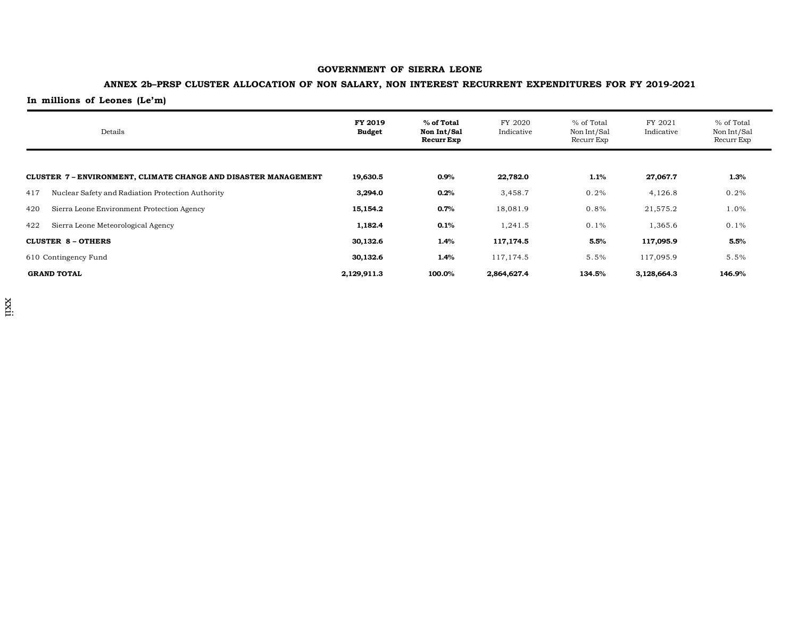## **ANNEX 2b–PRSP CLUSTER ALLOCATION OF NON SALARY, NON INTEREST RECURRENT EXPENDITURES FOR FY 2019-2021**

|                                                               | Details                                           | FY 2019<br><b>Budget</b> | % of Total<br>Non Int/Sal<br>Recurr Exp | FY 2020<br>Indicative | % of Total<br>Non Int/Sal<br>Recurr Exp | FY 2021<br>Indicative | % of Total<br>Non Int/Sal<br>Recurr Exp |
|---------------------------------------------------------------|---------------------------------------------------|--------------------------|-----------------------------------------|-----------------------|-----------------------------------------|-----------------------|-----------------------------------------|
|                                                               |                                                   |                          |                                         |                       |                                         |                       |                                         |
| CLUSTER 7-ENVIRONMENT, CLIMATE CHANGE AND DISASTER MANAGEMENT |                                                   | 19,630.5                 | $0.9\%$                                 | 22,782.0              | 1.1%                                    | 27,067.7              | 1.3%                                    |
| 417                                                           | Nuclear Safety and Radiation Protection Authority | 3,294.0                  | 0.2%                                    | 3,458.7               | 0.2%                                    | 4,126.8               | 0.2%                                    |
| 420                                                           | Sierra Leone Environment Protection Agency        | 15,154.2                 | 0.7%                                    | 18,081.9              | 0.8%                                    | 21,575.2              | 1.0%                                    |
| 422                                                           | Sierra Leone Meteorological Agency                | 1,182.4                  | 0.1%                                    | 1,241.5               | 0.1%                                    | 1,365.6               | 0.1%                                    |
|                                                               | <b>CLUSTER 8 - OTHERS</b>                         | 30,132.6                 | 1.4%                                    | 117,174.5             | 5.5%                                    | 117,095.9             | 5.5%                                    |
| 610 Contingency Fund                                          |                                                   | 30,132.6                 | 1.4%                                    | 117,174.5             | 5.5%                                    | 117,095.9             | 5.5%                                    |
| <b>GRAND TOTAL</b>                                            |                                                   | 2,129,911.3              | 100.0%                                  | 2,864,627.4           | 134.5%                                  | 3,128,664.3           | 146.9%                                  |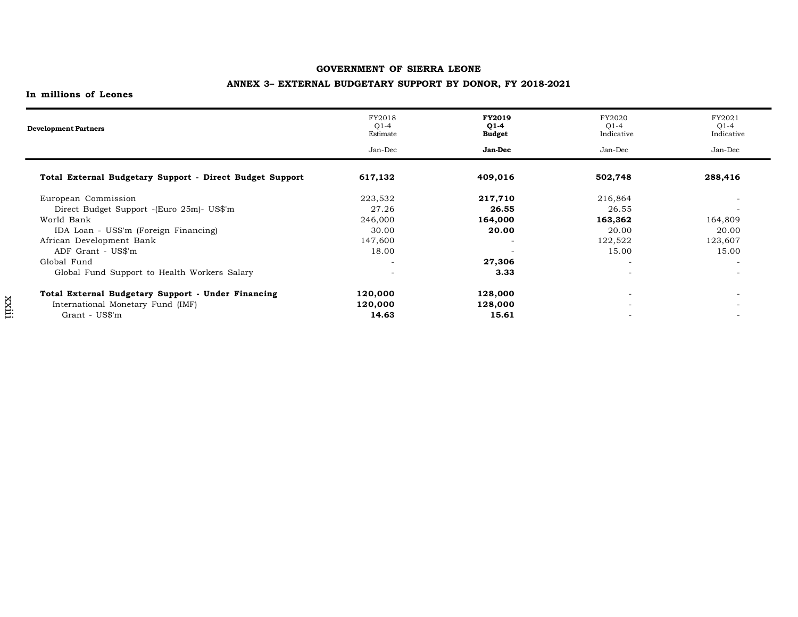## **ANNEX 3– EXTERNAL BUDGETARY SUPPORT BY DONOR, FY 2018-2021**

| <b>Development Partners</b>                              | FY2018<br>$Q1-4$<br>Estimate | <b>FY2019</b><br>$Q1-4$<br><b>Budget</b> | FY2020<br>$O1-4$<br>Indicative | FY2021<br>$Q1-4$<br>Indicative |
|----------------------------------------------------------|------------------------------|------------------------------------------|--------------------------------|--------------------------------|
|                                                          | Jan-Dec                      | <b>Jan-Dec</b>                           | Jan-Dec                        | Jan-Dec                        |
| Total External Budgetary Support - Direct Budget Support | 617,132                      | 409,016                                  | 502,748                        | 288,416                        |
| European Commission                                      | 223,532                      | 217,710                                  | 216,864                        |                                |
| Direct Budget Support - (Euro 25m) - US\$'m              | 27.26                        | 26.55                                    | 26.55                          | $\overline{a}$                 |
| World Bank                                               | 246,000                      | 164,000                                  | 163,362                        | 164,809                        |
| IDA Loan - US\$'m (Foreign Financing)                    | 30.00                        | 20.00                                    | 20.00                          | 20.00                          |
| African Development Bank                                 | 147,600                      |                                          | 122,522                        | 123,607                        |
| ADF Grant - US\$'m                                       | 18.00                        |                                          | 15.00                          | 15.00                          |
| Global Fund                                              | ٠                            | 27,306                                   | $\overline{\phantom{a}}$       | $\overline{a}$                 |
| Global Fund Support to Health Workers Salary             | $\overline{\phantom{0}}$     | 3.33                                     | $\overline{\phantom{0}}$       | $\overline{\phantom{a}}$       |
| Total External Budgetary Support - Under Financing       | 120,000                      | 128,000                                  | $\overline{\phantom{a}}$       |                                |
| International Monetary Fund (IMF)                        | 120,000                      | 128,000                                  |                                |                                |
| Grant - US\$'m                                           | 14.63                        | 15.61                                    |                                |                                |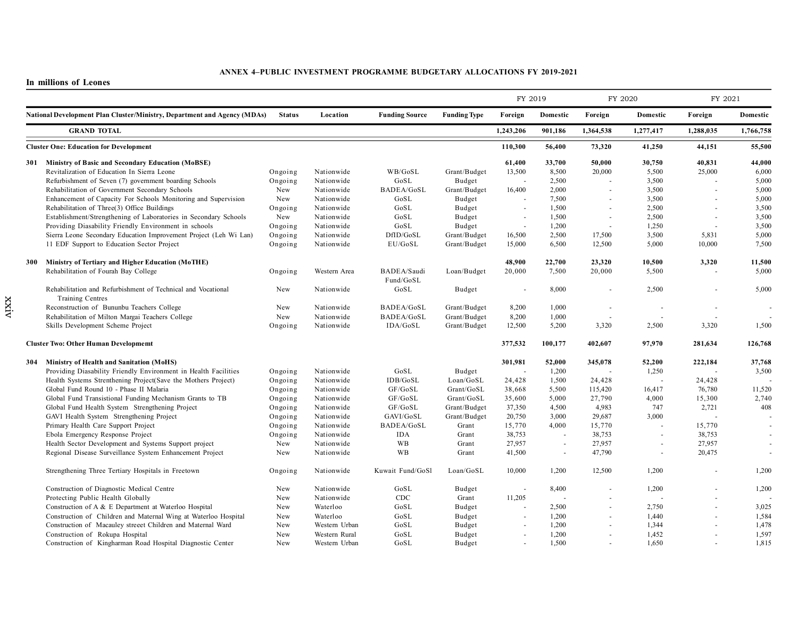|     |                                                                          |                    |               |                       |                     | FY 2019                  |          | FY 2020   |                          | FY 2021   |           |
|-----|--------------------------------------------------------------------------|--------------------|---------------|-----------------------|---------------------|--------------------------|----------|-----------|--------------------------|-----------|-----------|
|     | National Development Plan Cluster/Ministry, Department and Agency (MDAs) | <b>Status</b>      | Location      | <b>Funding Source</b> | <b>Funding Type</b> | Foreign                  | Domestic | Foreign   | Domestic                 | Foreign   | Domestic  |
|     | <b>GRAND TOTAL</b>                                                       |                    |               |                       |                     | 1,243,206                | 901,186  | 1,364,538 | 1,277,417                | 1,288,035 | 1,766,758 |
|     | <b>Cluster One: Education for Development</b>                            |                    |               |                       |                     | 110,300                  | 56,400   | 73,320    | 41,250                   | 44,151    | 55,500    |
|     | 301 Ministry of Basic and Secondary Education (MoBSE)                    |                    |               |                       |                     | 61,400                   | 33,700   | 50,000    | 30,750                   | 40,831    | 44,000    |
|     | Revitalization of Education In Sierra Leone                              | Ongoing            | Nationwide    | WB/GoSL               | Grant/Budget        | 13,500                   | 8,500    | 20.000    | 5.500                    | 25,000    | 6.000     |
|     | Refurbishment of Seven (7) government boarding Schools                   | Ongoing            | Nationwide    | GoSL                  | Budget              |                          | 2,500    | $\sim$    | 3,500                    | ÷.        | 5,000     |
|     | Rehabilitation of Government Secondary Schools                           | New                | Nationwide    | BADEA/GoSL            | Grant/Budget        | 16,400                   | 2,000    | $\sim$    | 3,500                    | $\sim$    | 5,000     |
|     | Enhancement of Capacity For Schools Monitoring and Supervision           | New                | Nationwide    | GoSL                  | Budget              |                          | 7,500    | $\sim$    | 3,500                    |           | 5,000     |
|     | Rehabilitation of Three(3) Office Buildings                              | Ongoing            | Nationwide    | GoSL                  | Budget              | $\sim$                   | 1,500    | ÷.        | 2,500                    | $\sim$    | 3,500     |
|     | Establishment/Strengthening of Laboratories in Secondary Schools         | New                | Nationwide    | GoSL                  | Budget              |                          | 1,500    | ÷.        | 2,500                    | $\sim$    | 3,500     |
|     | Providing Diasability Friendly Environment in schools                    |                    | Nationwide    | GoSL                  | Budget              | $\sim$                   | 1,200    | $\sim$    | 1,250                    | $\sim$    | 3,500     |
|     | Sierra Leone Secondary Education Improvement Project (Leh Wi Lan)        | Ongoing<br>Ongoing | Nationwide    | DfID/GoSL             | Grant/Budget        | 16,500                   | 2,500    | 17,500    | 3,500                    | 5,831     | 5,000     |
|     |                                                                          |                    |               |                       |                     |                          |          |           |                          |           |           |
|     | 11 EDF Support to Education Sector Project                               | Ongoing            | Nationwide    | EU/GoSL               | Grant/Budget        | 15,000                   | 6,500    | 12,500    | 5.000                    | 10,000    | 7,500     |
| 300 | Ministry of Tertiary and Higher Education (MoTHE)                        |                    |               |                       |                     | 48,900                   | 22,700   | 23.320    | 10,500                   | 3,320     | 11.500    |
|     | Rehabilitation of Fourah Bay College                                     | Ongoing            | Western Area  | BADEA/Saudi           | Loan/Budget         | 20,000                   | 7,500    | 20,000    | 5,500                    | $\sim$    | 5,000     |
|     |                                                                          |                    |               | Fund/GoSL             |                     |                          |          |           |                          |           |           |
|     | Rehabilitation and Refurbishment of Technical and Vocational             | New                | Nationwide    | GoSL                  | Budget              |                          | 8,000    | $\sim$    | 2,500                    |           | 5,000     |
|     | <b>Training Centres</b>                                                  |                    |               |                       |                     |                          |          |           |                          |           |           |
|     | Reconstruction of Bununbu Teachers College                               | New                | Nationwide    | BADEA/GoSL            | Grant/Budget        | 8,200                    | 1,000    | ÷.        |                          | $\sim$    |           |
|     |                                                                          |                    |               |                       |                     |                          |          |           |                          |           |           |
|     | Rehabilitation of Milton Margai Teachers College                         | New                | Nationwide    | BADEA/GoSL            | Grant/Budget        | 8,200                    | 1,000    |           |                          |           |           |
|     | Skills Development Scheme Project                                        | Ongoing            | Nationwide    | IDA/GoSL              | Grant/Budget        | 12,500                   | 5,200    | 3,320     | 2,500                    | 3,320     | 1,500     |
|     | <b>Cluster Two: Other Human Developmemt</b>                              |                    |               |                       |                     | 377,532                  | 100,177  | 402,607   | 97.970                   | 281,634   | 126,768   |
|     | 304 Ministry of Health and Sanitation (MoHS)                             |                    |               |                       |                     | 301,981                  | 52,000   | 345,078   | 52,200                   | 222,184   | 37,768    |
|     | Providing Diasability Friendly Environment in Health Facilities          | Ongoing            | Nationwide    | GoSL                  | Budget              |                          | 1,200    |           | 1,250                    | $\sim$    | 3,500     |
|     | Health Systems Strenthening Project(Save the Mothers Project)            | Ongoing            | Nationwide    | IDB/GoSL              | Loan/GoSL           | 24,428                   | 1,500    | 24,428    | $\overline{\phantom{a}}$ | 24,428    |           |
|     | Global Fund Round 10 - Phase II Malaria                                  | Ongoing            | Nationwide    | GF/GoSL               | Grant/GoSL          | 38,668                   | 5,500    | 115,420   | 16,417                   | 76,780    | 11,520    |
|     | Global Fund Transistional Funding Mechanism Grants to TB                 | Ongoing            | Nationwide    | GF/GoSL               | Grant/GoSL          | 35,600                   | 5,000    | 27,790    | 4,000                    | 15,300    | 2,740     |
|     | Global Fund Health System Strengthening Project                          | Ongoing            | Nationwide    | GF/GoSL               | Grant/Budget        | 37,350                   | 4,500    | 4,983     | 747                      | 2,721     | 408       |
|     | GAVI Health System Strengthening Project                                 | Ongoing            | Nationwide    | GAVI/GoSL             | Grant/Budget        | 20,750                   | 3,000    | 29,687    | 3,000                    |           |           |
|     | Primary Health Care Support Project                                      | Ongoing            | Nationwide    | BADEA/GoSL            | Grant               | 15,770                   | 4,000    | 15,770    |                          | 15,770    |           |
|     | Ebola Emergency Response Project                                         | Ongoing            | Nationwide    | <b>IDA</b>            | Grant               | 38,753                   | $\sim$   | 38,753    |                          | 38,753    |           |
|     | Health Sector Development and Systems Support project                    | New                | Nationwide    | <b>WB</b>             | Grant               | 27,957                   |          | 27,957    |                          | 27,957    |           |
|     | Regional Disease Surveillance System Enhancement Project                 | New                | Nationwide    | <b>WB</b>             | Grant               | 41,500                   | $\sim$   | 47,790    |                          | 20,475    |           |
|     |                                                                          |                    |               |                       |                     |                          |          |           |                          |           |           |
|     | Strengthening Three Tertiary Hospitals in Freetown                       | Ongoing            | Nationwide    | Kuwait Fund/GoSl      | Loan/GoSL           | 10,000                   | 1,200    | 12,500    | 1,200                    |           | 1,200     |
|     | Construction of Diagnostic Medical Centre                                | New                | Nationwide    | GoSL                  | Budget              | $\sim$                   | 8,400    | $\sim$    | 1,200                    |           | 1,200     |
|     | Protecting Public Health Globally                                        | New                | Nationwide    | CDC                   | Grant               | 11,205                   | $\sim$   | $\sim$    |                          | ÷.        |           |
|     | Construction of A & E Department at Waterloo Hospital                    | New                | Waterloo      | GoSL                  | Budget              |                          | 2,500    | $\sim$    | 2,750                    |           | 3,025     |
|     | Construction of Children and Maternal Wing at Waterloo Hospital          | New                | Waterloo      | GoSL                  | Budget              | $\sim$                   | 1,200    | $\sim$    | 1,440                    | ä,        | 1,584     |
|     | Construction of Macauley streeet Children and Maternal Ward              | New                | Western Urban | GoSL                  | Budget              |                          | 1,200    | $\sim$    | 1,344                    |           | 1,478     |
|     | Construction of Rokupa Hospital                                          | New                | Western Rural | GoSL                  | Budget              | $\overline{\phantom{a}}$ | 1,200    | $\sim$    | 1,452                    | ÷,        | 1,597     |
|     | Construction of Kingharman Road Hospital Diagnostic Center               | New                | Western Urban | GoSL                  | Budget              |                          | 1,500    |           | 1,650                    | ÷         | 1,815     |
|     |                                                                          |                    |               |                       |                     |                          |          |           |                          |           |           |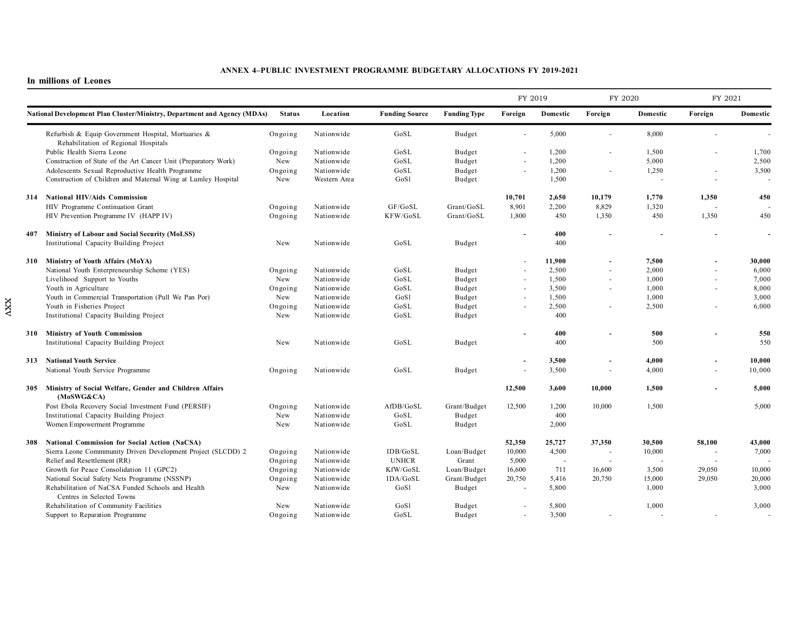|     |                                                                                             |               |              |                       |                     | FY 2019                  |                          | FY 2020                  |          | FY 2021                  |          |
|-----|---------------------------------------------------------------------------------------------|---------------|--------------|-----------------------|---------------------|--------------------------|--------------------------|--------------------------|----------|--------------------------|----------|
|     | <b>National Development Plan Cluster/Ministry, Department and Agency (MDAs)</b>             | <b>Status</b> | Location     | <b>Funding Source</b> | <b>Funding Type</b> | Foreign                  | Domestic                 | Foreign                  | Domestic | Foreign                  | Domestic |
|     | Refurbish & Equip Government Hospital, Mortuaries &<br>Rehabilitation of Regional Hospitals | Ongoing       | Nationwide   | GoSL                  | Budget              |                          | 5,000                    |                          | 8,000    |                          |          |
|     | Public Health Sierra Leone                                                                  | Ongoing       | Nationwide   | GoSL                  | Budget              |                          | 1,200                    |                          | 1,500    |                          | 1,700    |
|     | Construction of State of the Art Cancer Unit (Preparatory Work)                             | New           | Nationwide   | GoSL                  | Budget              | $\overline{\phantom{a}}$ | 1,200                    |                          | 5,000    |                          | 2,500    |
|     | Adolescents Sexual Reproductive Health Programme                                            | Ongoing       | Nationwide   | GoSL                  | Budget              |                          | 1,200                    |                          | 1,250    |                          | 3,500    |
|     | Construction of Children and Maternal Wing at Lumley Hospital                               | New           | Western Area | GoSl                  | Budget              |                          | 1,500                    |                          |          | $\sim$                   |          |
|     | 314 National HIV/Aids Commission                                                            |               |              |                       |                     | 10,701                   | 2,650                    | 10,179                   | 1,770    | 1,350                    | 450      |
|     | HIV Programme Continuation Grant                                                            | Ongoing       | Nationwide   | GF/GoSL               | Grant/GoSL          | 8.901                    | 2,200                    | 8,829                    | 1,320    | ÷,                       |          |
|     | HIV Prevention Programme IV (HAPP IV)                                                       | Ongoing       | Nationwide   | KFW/GoSL              | Grant/GoSL          | 1.800                    | 450                      | 1,350                    | 450      | 1,350                    | 450      |
| 407 | Ministry of Labour and Social Security (MoLSS)                                              |               |              |                       |                     |                          | 400                      |                          |          |                          | $\sim$   |
|     | Institutional Capacity Building Project                                                     | New           | Nationwide   | GoSL                  | Budget              |                          | 400                      |                          |          |                          |          |
|     | 310 Ministry of Youth Affairs (MoYA)                                                        |               |              |                       |                     |                          | 11,900                   |                          | 7,500    |                          | 30,000   |
|     | National Youth Enterpreneurship Scheme (YES)                                                | Ongoing       | Nationwide   | GoSL                  | Budget              |                          | 2,500                    | $\overline{\phantom{a}}$ | 2,000    | $\overline{a}$           | 6,000    |
|     | Livelihood Support to Youths                                                                | New           | Nationwide   | GoSL                  | Budget              |                          | 1,500                    |                          | 1,000    |                          | 7,000    |
|     | Youth in Agriculture                                                                        | Ongoing       | Nationwide   | GoSL                  | Budget              | $\sim$                   | 3,500                    | $\sim$                   | 1,000    | ÷                        | 8,000    |
|     | Youth in Commercial Transportation (Pull We Pan Por)                                        | New           | Nationwide   | GoSl                  | Budget              |                          | 1,500                    |                          | 1,000    |                          | 3,000    |
|     | Youth in Fisheries Project                                                                  | Ongoing       | Nationwide   | GoSL                  | Budget              | $\overline{\phantom{a}}$ | 2,500                    |                          | 2,500    | $\overline{\phantom{a}}$ | 6,000    |
|     | Institutional Capacity Building Project                                                     | New           | Nationwide   | GoSL                  | Budget              |                          | 400                      |                          |          |                          |          |
| 310 | <b>Ministry of Youth Commission</b>                                                         |               |              |                       |                     |                          | 400                      |                          | 500      |                          | 550      |
|     | Institutional Capacity Building Project                                                     | New           | Nationwide   | GoSL                  | Budget              |                          | 400                      |                          | 500      |                          | 550      |
|     | 313 National Youth Service                                                                  |               |              |                       |                     |                          | 3,500                    |                          | 4,000    |                          | 10.000   |
|     | National Youth Service Programme                                                            | Ongoing       | Nationwide   | GoSL                  | Budget              |                          | 3,500                    |                          | 4,000    |                          | 10,000   |
|     | 305 Ministry of Social Welfare, Gender and Children Affairs<br>(MoSWG&CA)                   |               |              |                       |                     | 12,500                   | 3,600                    | 10,000                   | 1,500    |                          | 5,000    |
|     | Post Ebola Recovery Social Investment Fund (PERSIF)                                         | Ongoing       | Nationwide   | AfDB/GoSL             | Grant/Budget        | 12,500                   | 1,200                    | 10,000                   | 1,500    |                          | 5,000    |
|     | Institutional Capacity Building Project                                                     | New           | Nationwide   | GoSL                  | Budget              |                          | 400                      |                          |          |                          |          |
|     | Women Empowerment Programme                                                                 | New           | Nationwide   | GoSL                  | Budget              |                          | 2,000                    |                          |          |                          |          |
| 308 | <b>National Commission for Social Action (NaCSA)</b>                                        |               |              |                       |                     | 52,350                   | 25,727                   | 37,350                   | 30,500   | 58,100                   | 43,000   |
|     | Sierra Leone Commmunity Driven Development Project (SLCDD) 2                                | Ongoing       | Nationwide   | IDB/GoSL              | Loan/Budget         | 10,000                   | 4,500                    |                          | 10,000   | $\sim$                   | 7,000    |
|     | Relief and Resettlement (RR)                                                                | Ongoing       | Nationwide   | <b>UNHCR</b>          | Grant               | 5,000                    | $\overline{\phantom{a}}$ |                          |          | $\sim$                   |          |
|     | Growth for Peace Consolidation 11 (GPC2)                                                    | Ongoing       | Nationwide   | KfW/GoSL              | Loan/Budget         | 16,600                   | 711                      | 16,600                   | 3,500    | 29,050                   | 10,000   |
|     | National Social Safety Nets Programme (NSSNP)                                               | Ongoing       | Nationwide   | IDA/GoSL              | Grant/Budget        | 20,750                   | 5,416                    | 20,750                   | 15,000   | 29,050                   | 20,000   |
|     | Rehabilitation of NaCSA Funded Schools and Health                                           | New           | Nationwide   | GoSl                  | Budget              |                          | 5,800                    |                          | 1,000    |                          | 3,000    |
|     | Centres in Selected Towns                                                                   |               |              |                       |                     |                          |                          |                          |          |                          |          |
|     | Rehabilitation of Community Facilities                                                      | New           | Nationwide   | GoSl                  | Budget              |                          | 5,800                    |                          | 1,000    |                          | 3,000    |
|     | Support to Reparation Programme                                                             | Ongoing       | Nationwide   | GoSL                  | Budget              | $\sim$                   | 3,500                    |                          |          |                          |          |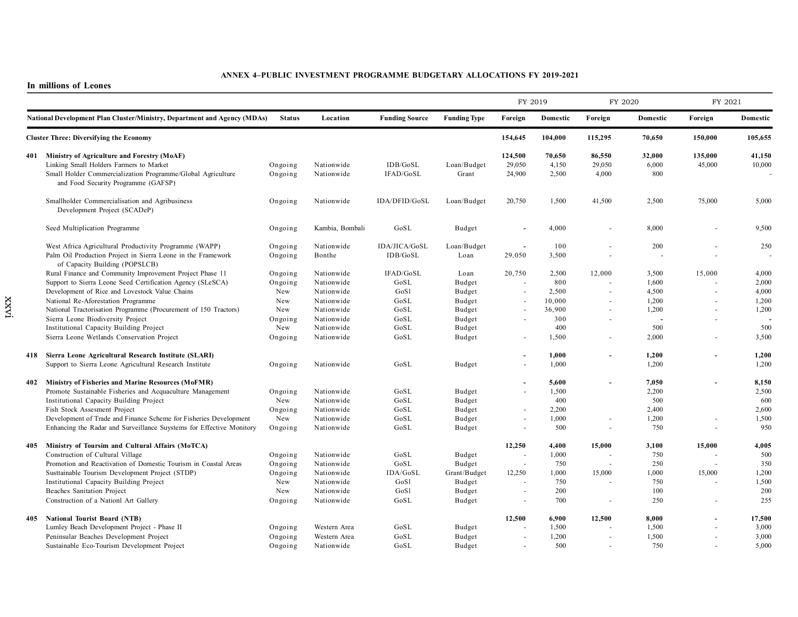#### **In millions of Leones**

xxvi

|     |                                                                                                                                                                                                  |                               |                                            |                           |                            | FY 2019                                    |                           | FY 2020                   |                         | FY 2021                  |                         |
|-----|--------------------------------------------------------------------------------------------------------------------------------------------------------------------------------------------------|-------------------------------|--------------------------------------------|---------------------------|----------------------------|--------------------------------------------|---------------------------|---------------------------|-------------------------|--------------------------|-------------------------|
|     | National Development Plan Cluster/Ministry, Department and Agency (MDAs)                                                                                                                         | Foreign                       | Domestic                                   | Foreign                   | Domestic                   | Foreign                                    | Domestic                  |                           |                         |                          |                         |
|     | <b>Cluster Three: Diversifying the Economy</b>                                                                                                                                                   |                               |                                            |                           |                            | 154,645                                    | 104,000                   | 115,295                   | 70,650                  | 150,000                  | 105,655                 |
|     | 401 Ministry of Agriculture and Forestry (MoAF)<br>Linking Small Holders Farmers to Market<br>Small Holder Commercialization Programme/Global Agriculture<br>and Food Security Programme (GAFSP) | Ongoing<br>Ongoing            | Nationwide<br>Nationwide                   | IDB/GoSL<br>IFAD/GoSL     | Loan/Budget<br>Grant       | 124,500<br>29,050<br>24,900                | 70,650<br>4,150<br>2,500  | 86,550<br>29,050<br>4,000 | 32,000<br>6,000<br>800  | 135,000<br>45,000        | 41,150<br>10,000        |
|     | Smallholder Commercialisation and Agribusiness<br>Development Project (SCADeP)                                                                                                                   | Ongoing                       | Nationwide                                 | IDA/DFID/GoSL             | Loan/Budget                | 20,750                                     | 1,500                     | 41,500                    | 2,500                   | 75,000                   | 5,000                   |
|     | Seed Multiplication Programme                                                                                                                                                                    | Ongoing                       | Kambia, Bombali                            | GoSL                      | Budget                     |                                            | 4,000                     |                           | 8,000                   |                          | 9,500                   |
|     | West Africa Agricultural Productivity Programme (WAPP)<br>Palm Oil Production Project in Sierra Leone in the Framework<br>of Capacity Building (POPSLCB)                                         | Ongoing<br>Ongoing            | Nationwide<br>Bonthe                       | IDA/JICA/GoSL<br>IDB/GoSL | Loan/Budget<br>Loan        | $\sim$<br>29,050                           | 100<br>3,500              |                           | 200                     | ÷.                       | 250                     |
|     | Rural Finance and Community Improvement Project Phase 11<br>Support to Sierra Leone Seed Certification Agency (SLeSCA)                                                                           | Ongoing<br>Ongoing            | Nationwide<br>Nationwide                   | IFAD/GoSL<br>GoSL         | Loan<br>Budget             | 20,750                                     | 2,500<br>800              | 12,000                    | 3,500<br>1,600          | 15,000                   | 4,000<br>2,000          |
|     | Development of Rice and Lovestock Value Chains<br>National Re-Aforestation Programme<br>National Tractorisation Programme (Procurement of 150 Tractors)                                          | New<br>New<br>New             | Nationwide<br>Nationwide<br>Nationwide     | GoSl<br>GoSL<br>GoSL      | Budget<br>Budget<br>Budget | ä,<br>ä,                                   | 2,500<br>10,000<br>36,900 | $\sim$<br>$\sim$          | 4,500<br>1,200<br>1,200 | $\sim$<br>$\blacksquare$ | 4,000<br>1,200<br>1,200 |
|     | Sierra Leone Biodiversity Project<br>Institutional Capacity Building Project                                                                                                                     | Ongoing<br>New                | Nationwide<br>Nationwide                   | GoSL<br>GoSL              | Budget<br>Budget           |                                            | 300<br>400                |                           | 500                     | $\overline{a}$           | 500                     |
|     | Sierra Leone Wetlands Conservation Project                                                                                                                                                       | Ongoing                       | Nationwide                                 | GoSL                      | Budget                     |                                            | 1,500                     | $\sim$                    | 2,000                   | ÷.                       | 3,500                   |
|     | 418 Sierra Leone Agricultural Research Institute (SLARI)<br>Support to Sierra Leone Agricultural Research Institute                                                                              | Ongoing                       | Nationwide                                 | GoSL                      | Budget                     | ÷.                                         | 1,000<br>1,000            |                           | 1,200<br>1,200          |                          | 1,200<br>1,200          |
|     | 402 Ministry of Fisheries and Marine Resources (MoFMR)<br>Promote Sustainable Fisheries and Acquaculture Management<br>Institutional Capacity Building Project                                   | Ongoing<br>New                | Nationwide<br>Nationwide                   | GoSL<br>GoSL              | Budget<br>Budget           |                                            | 5,600<br>1,500<br>400     | $\overline{\phantom{a}}$  | 7,050<br>2,200<br>500   |                          | 8,150<br>2,500<br>600   |
|     | Fish Stock Assesment Project<br>Development of Trade and Finance Scheme for Fisheries Development<br>Enhancing the Radar and Surveillance Suystems for Effective Monitory                        | Ongoing<br>New<br>Ongoing     | Nationwide<br>Nationwide<br>Nationwide     | GoSL<br>GoSL<br>GoSL      | Budget<br>Budget<br>Budget | ä,<br>ä,<br>$\overline{\phantom{a}}$       | 2,200<br>1,000<br>500     | $\sim$<br>$\blacksquare$  | 2,400<br>1,200<br>750   | $\overline{\phantom{a}}$ | 2,600<br>1,500<br>950   |
| 405 | Ministry of Toursim and Cultural Affairs (MoTCA)<br>Construction of Cultural Village                                                                                                             | Ongoing                       | Nationwide                                 | GoSL                      | Budget                     | 12,250                                     | 4,400<br>1,000            | 15,000                    | 3,100<br>750            | 15,000                   | 4,005<br>500            |
|     | Promotion and Reactivation of Domestic Tourism in Coastal Areas<br>Susttainable Tourism Development Project (STDP)                                                                               | Ongoing<br>Ongoing            | Nationwide<br>Nationwide                   | GoSL<br>IDA/GoSL          | Budget<br>Grant/Budget     | $\overline{\phantom{a}}$<br>12,250         | 750<br>1,000              | 15,000                    | 250<br>1,000            | $\overline{a}$<br>15,000 | 350<br>1,200            |
|     | Institutional Capacity Building Project<br>Beaches Sanitation Project<br>Construction of a Nationl Art Gallery                                                                                   | New<br>New<br>Ongoing         | Nationwide<br>Nationwide<br>Nationwide     | GoSl<br>GoSl<br>GoSL      | Budget<br>Budget<br>Budget | $\overline{a}$<br>$\overline{\phantom{a}}$ | 750<br>200<br>700         | $\sim$<br>$\sim$          | 750<br>100<br>250       | $\overline{a}$<br>÷.     | 1,500<br>200<br>255     |
| 405 | <b>National Tourist Board (NTB)</b>                                                                                                                                                              |                               |                                            |                           |                            | 12,500                                     | 6,900                     | 12,500                    | 8,000                   |                          | 17,500                  |
|     | Lumley Beach Development Project - Phase II<br>Peninsular Beaches Development Project<br>Sustainable Eco-Tourism Development Project                                                             | Ongoing<br>Ongoing<br>Ongoing | Western Area<br>Western Area<br>Nationwide | GoSL<br>GoSL<br>GoSL      | Budget<br>Budget<br>Budget | $\overline{a}$                             | 1,500<br>1,200<br>500     | $\sim$                    | 1,500<br>1,500<br>750   | $\sim$                   | 3,000<br>3,000<br>5,000 |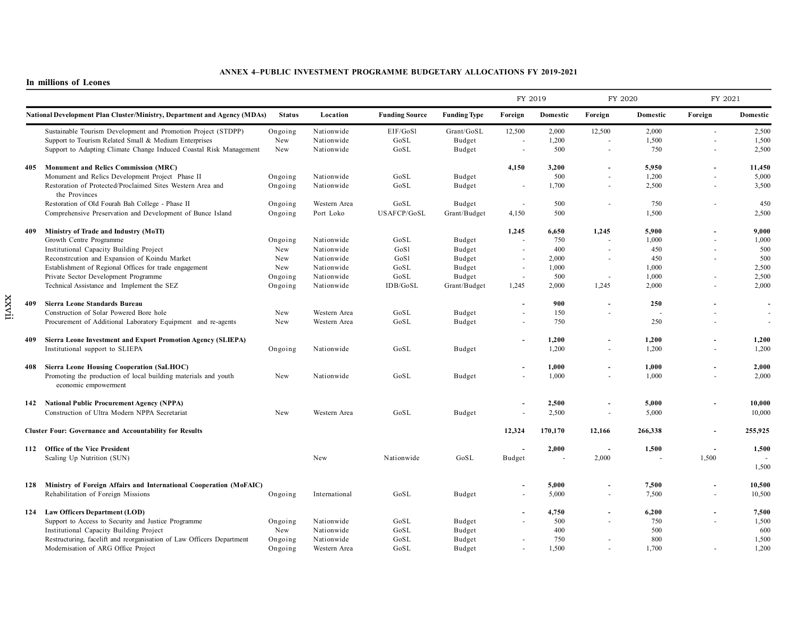#### **In millions of Leones**

xxvii

|     |                                                                                        |               |               |                       |                     | FY 2019                  |          | FY 2020                  |                | FY 2021 |          |
|-----|----------------------------------------------------------------------------------------|---------------|---------------|-----------------------|---------------------|--------------------------|----------|--------------------------|----------------|---------|----------|
|     | <b>National Development Plan Cluster/Ministry, Department and Agency (MDAs)</b>        | <b>Status</b> | Location      | <b>Funding Source</b> | <b>Funding Type</b> | Foreign                  | Domestic | Foreign                  | Domestic       | Foreign | Domestic |
|     | Sustainable Tourism Development and Promotion Project (STDPP)                          | Ongoing       | Nationwide    | EIF/GoSl              | Grant/GoSL          | 12,500                   | 2,000    | 12,500                   | 2,000          | $\sim$  | 2,500    |
|     | Support to Tourism Related Small & Medium Enterprises                                  | New           | Nationwide    | GoSL                  | Budget              |                          | 1,200    |                          | 1,500          |         | 1,500    |
|     | Support to Adapting Climate Change Induced Coastal Risk Management                     | New           | Nationwide    | GoSL                  | Budget              | ÷,                       | 500      | $\blacksquare$           | 750            |         | 2,500    |
| 405 | <b>Monument and Relics Commission (MRC)</b>                                            |               |               |                       |                     | 4,150                    | 3,200    | $\overline{\phantom{a}}$ | 5,950          |         | 11,450   |
|     | Monument and Relics Development Project Phase II                                       | Ongoing       | Nationwide    | GoSL                  | Budget              |                          | 500      | $\overline{a}$           | 1,200          |         | 5,000    |
|     | Restoration of Protected/Proclaimed Sites Western Area and<br>the Provinces            | Ongoing       | Nationwide    | GoSL                  | Budget              | $\sim$                   | 1,700    | $\overline{\phantom{a}}$ | 2,500          | $\sim$  | 3,500    |
|     | Restoration of Old Fourah Bah College - Phase II                                       | Ongoing       | Western Area  | GoSL                  | Budget              | $\overline{a}$           | 500      | $\sim$                   | 750            |         | 450      |
|     | Comprehensive Preservation and Development of Bunce Island                             | Ongoing       | Port Loko     | USAFCP/GoSL           | Grant/Budget        | 4,150                    | 500      |                          | 1,500          |         | 2,500    |
| 409 | Ministry of Trade and Industry (MoTI)                                                  |               |               |                       |                     | 1,245                    | 6,650    | 1,245                    | 5,900          |         | 9,000    |
|     | Growth Centre Programme                                                                | Ongoing       | Nationwide    | GoSL                  | Budget              |                          | 750      |                          | 1,000          |         | 1,000    |
|     | Institutional Capacity Building Project                                                | New           | Nationwide    | GoSl                  | Budget              | ÷.                       | 400      | ÷.                       | 450            |         | 500      |
|     | Reconstrcution and Expansion of Koindu Market                                          | New           | Nationwide    | GoSl                  | Budget              |                          | 2,000    | $\overline{\phantom{a}}$ | 450            |         | 500      |
|     | Establishment of Regional Offices for trade engagement                                 | New           | Nationwide    | GoSL                  | Budget              | $\sim$                   | 1,000    |                          | 1,000          |         | 2,500    |
|     | Private Sector Development Programme                                                   | Ongoing       | Nationwide    | GoSL                  | Budget              | $\sim$                   | 500      |                          | 1,000          |         | 2,500    |
|     | Technical Assistance and Implement the SEZ                                             | Ongoing       | Nationwide    | IDB/GoSL              | Grant/Budget        | 1,245                    | 2,000    | 1,245                    | 2,000          |         | 2,000    |
| 409 | Sierra Leone Standards Bureau                                                          |               |               |                       |                     |                          | 900      | $\sim$                   | 250            |         |          |
|     | Construction of Solar Powered Bore hole                                                | New           | Western Area  | GoSL                  | Budget              |                          | 150      | $\overline{a}$           |                |         |          |
|     | Procurement of Additional Laboratory Equipment and re-agents                           | New           | Western Area  | GoSL                  | Budget              | $\overline{\phantom{a}}$ | 750      |                          | 250            |         | ÷.       |
| 409 | Sierra Leone Investment and Export Promotion Agency (SLIEPA)                           |               |               |                       |                     |                          | 1,200    | $\blacksquare$           | 1,200          |         | 1,200    |
|     | Institutional support to SLIEPA                                                        | Ongoing       | Nationwide    | GoSL                  | Budget              |                          | 1,200    | $\overline{\phantom{a}}$ | 1,200          |         | 1,200    |
|     | 408 Sierra Leone Housing Cooperation (SaLHOC)                                          |               |               |                       |                     |                          | 1,000    | $\sim$                   | 1,000          |         | 2,000    |
|     | Promoting the production of local building materials and youth<br>economic empowerment | New           | Nationwide    | GoSL                  | Budget              |                          | 1,000    | $\sim$                   | 1,000          |         | 2,000    |
|     | 142 National Public Procurement Agency (NPPA)                                          |               |               |                       |                     |                          | 2,500    | $\overline{\phantom{a}}$ | 5,000          |         | 10,000   |
|     | Construction of Ultra Modern NPPA Secretariat                                          | New           | Western Area  | GoSL                  | Budget              |                          | 2,500    | $\sim$                   | 5,000          |         | 10,000   |
|     | <b>Cluster Four: Governance and Accountability for Results</b>                         |               |               |                       |                     | 12,324                   | 170,170  | 12,166                   | 266.338        |         | 255,925  |
|     | 112 Office of the Vice President                                                       |               |               |                       |                     |                          | 2,000    |                          | 1,500          |         | 1,500    |
|     | Scaling Up Nutrition (SUN)                                                             |               | New           | Nationwide            | GoSL                | <b>Budget</b>            | ÷,       | 2,000                    | $\overline{a}$ | 1,500   |          |
|     |                                                                                        |               |               |                       |                     |                          |          |                          |                |         | 1,500    |
|     | 128 Ministry of Foreign Affairs and International Cooperation (MoFAIC)                 |               |               |                       |                     |                          | 5,000    | $\blacksquare$           | 7,500          |         | 10,500   |
|     | Rehabilitation of Foreign Missions                                                     | Ongoing       | International | GoSL                  | Budget              |                          | 5,000    | $\overline{\phantom{a}}$ | 7,500          |         | 10,500   |
|     | 124 Law Officers Department (LOD)                                                      |               |               |                       |                     |                          | 4,750    | $\blacksquare$           | 6,200          |         | 7,500    |
|     | Support to Access to Security and Justice Programme                                    | Ongoing       | Nationwide    | GoSL                  | Budget              |                          | 500      | $\sim$                   | 750            |         | 1,500    |
|     | Institutional Capacity Building Project                                                | New           | Nationwide    | GoSL                  | Budget              |                          | 400      |                          | 500            |         | 600      |
|     | Restructuring, facelift and reorganisation of Law Officers Department                  | Ongoing       | Nationwide    | GoSL                  | Budget              |                          | 750      | $\sim$                   | 800            |         | 1,500    |
|     | Modernisation of ARG Office Project                                                    | Ongoing       | Western Area  | GoSL                  | Budget              |                          | 1,500    |                          | 1,700          |         | 1,200    |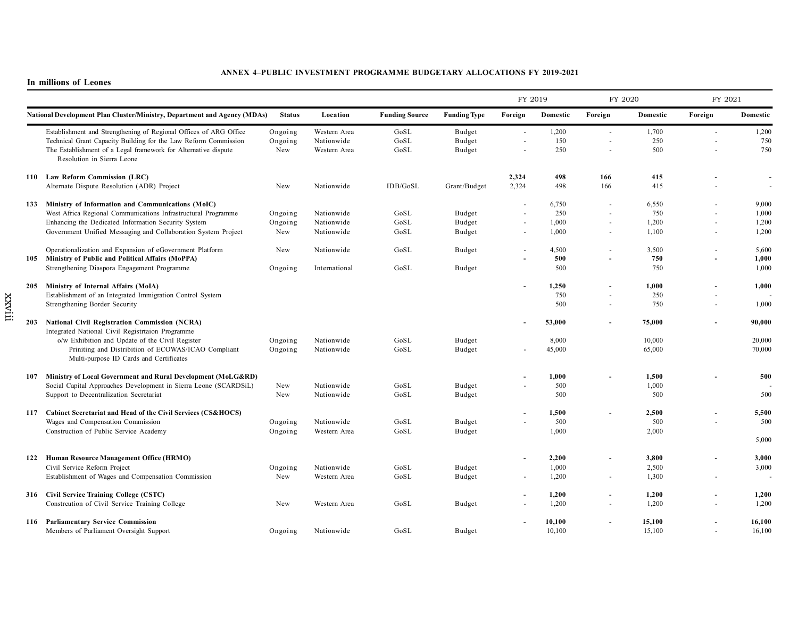#### **In millions of Leones**

|     |                                                                                                                                                                                                                                                            |                           |                                            |                       |                            | FY 2019        |                                | FY 2020                             |                                | FY 2021                  |                                  |
|-----|------------------------------------------------------------------------------------------------------------------------------------------------------------------------------------------------------------------------------------------------------------|---------------------------|--------------------------------------------|-----------------------|----------------------------|----------------|--------------------------------|-------------------------------------|--------------------------------|--------------------------|----------------------------------|
|     | <b>National Development Plan Cluster/Ministry, Department and Agency (MDAs)</b>                                                                                                                                                                            | <b>Status</b>             | Location                                   | <b>Funding Source</b> | <b>Funding Type</b>        | Foreign        | Domestic                       | Foreign                             | Domestic                       | Foreign                  | Domestic                         |
|     | Establishment and Strengthening of Regional Offices of ARG Office<br>Technical Grant Capacity Building for the Law Reform Commission<br>The Establishment of a Legal framework for Alternative dispute<br>Resolution in Sierra Leone                       | Ongoing<br>Ongoing<br>New | Western Area<br>Nationwide<br>Western Area | GoSL<br>GoSL<br>GoSL  | Budget<br>Budget<br>Budget | $\sim$         | 1,200<br>150<br>250            | ä,                                  | 1,700<br>250<br>500            | $\sim$                   | 1,200<br>750<br>750              |
|     | 110 Law Reform Commission (LRC)<br>Alternate Dispute Resolution (ADR) Project                                                                                                                                                                              | New                       | Nationwide                                 | IDB/GoSL              | Grant/Budget               | 2,324<br>2,324 | 498<br>498                     | 166<br>166                          | 415<br>415                     |                          |                                  |
|     | 133 Ministry of Information and Communications (MoIC)<br>West Africa Regional Communications Infrastructural Programme<br>Enhancing the Dedicated Information Security System<br>Government Unified Messaging and Collaboration System Project             | Ongoing<br>Ongoing<br>New | Nationwide<br>Nationwide<br>Nationwide     | GoSL<br>GoSL<br>GoSL  | Budget<br>Budget<br>Budget | $\sim$         | 6,750<br>250<br>1,000<br>1,000 | ä,<br>٠<br>$\overline{\phantom{a}}$ | 6,550<br>750<br>1,200<br>1,100 | $\sim$<br>$\sim$         | 9,000<br>1,000<br>1,200<br>1,200 |
|     | Operationalization and Expansion of eGovernment Platform<br>105 Ministry of Public and Political Affairs (MoPPA)<br>Strengthening Diaspora Engagement Programme                                                                                            | New<br>Ongoing            | Nationwide<br>International                | GoSL<br>GoSL          | Budget<br>Budget           | $\sim$         | 4,500<br>500<br>500            | $\sim$<br>٠                         | 3,500<br>750<br>750            |                          | 5,600<br>1,000<br>1,000          |
|     | 205 Ministry of Internal Affairs (MoIA)<br>Establishment of an Integrated Immigration Control System<br>Strengthening Border Security                                                                                                                      |                           |                                            |                       |                            |                | 1.250<br>750<br>500            | $\overline{\phantom{a}}$<br>ä,      | 1.000<br>250<br>750            | $\overline{\phantom{a}}$ | 1,000<br>1,000                   |
|     | 203 National Civil Registration Commission (NCRA)<br>Integrated National Civil Registrtaion Programme<br>o/w Exhibition and Update of the Civil Register<br>Priniting and Distribition of ECOWAS/ICAO Compliant<br>Multi-purpose ID Cards and Certificates | Ongoing<br>Ongoing        | Nationwide<br>Nationwide                   | GoSL<br>GoSL          | Budget<br>Budget           |                | 53,000<br>8,000<br>45,000      | ÷.                                  | 75,000<br>10,000<br>65,000     |                          | 90,000<br>20,000<br>70,000       |
| 107 | Ministry of Local Government and Rural Development (MoLG&RD)<br>Social Capital Approaches Development in Sierra Leone (SCARDSiL)<br>Support to Decentralization Secretariat                                                                                | New<br>New                | Nationwide<br>Nationwide                   | GoSL<br>GoSL          | Budget<br>Budget           |                | 1,000<br>500<br>500            |                                     | 1,500<br>1,000<br>500          |                          | 500<br>500                       |
|     | 117 Cabinet Secretariat and Head of the Civil Services (CS&HOCS)<br>Wages and Compensation Commission<br>Construction of Public Service Academy                                                                                                            | Ongoing<br>Ongoing        | Nationwide<br>Western Area                 | GoSL<br>GoSL          | Budget<br>Budget           |                | 1,500<br>500<br>1,000          | ä,                                  | 2,500<br>500<br>2,000          |                          | 5,500<br>500<br>5,000            |
|     | 122 Human Resource Management Office (HRMO)<br>Civil Service Reform Project<br>Establishment of Wages and Compensation Commission                                                                                                                          | Ongoing<br>New            | Nationwide<br>Western Area                 | GoSL<br>GoSL          | Budget<br>Budget           |                | 2,200<br>1,000<br>1,200        | ä,<br>$\overline{\phantom{a}}$      | 3,800<br>2,500<br>1,300        |                          | 3,000<br>3,000                   |
|     | 316 Civil Service Training College (CSTC)<br>Constreution of Civil Service Training College                                                                                                                                                                | New                       | Western Area                               | GoSL                  | Budget                     |                | 1,200<br>1,200                 | $\overline{\phantom{a}}$            | 1,200<br>1,200                 |                          | 1,200<br>1,200                   |
|     | 116 Parliamentary Service Commission<br>Members of Parliament Oversight Support                                                                                                                                                                            | Ongoing                   | Nationwide                                 | GoSL                  | Budget                     |                | 10,100<br>10,100               | ä,                                  | 15,100<br>15,100               |                          | 16,100<br>16,100                 |

xxviii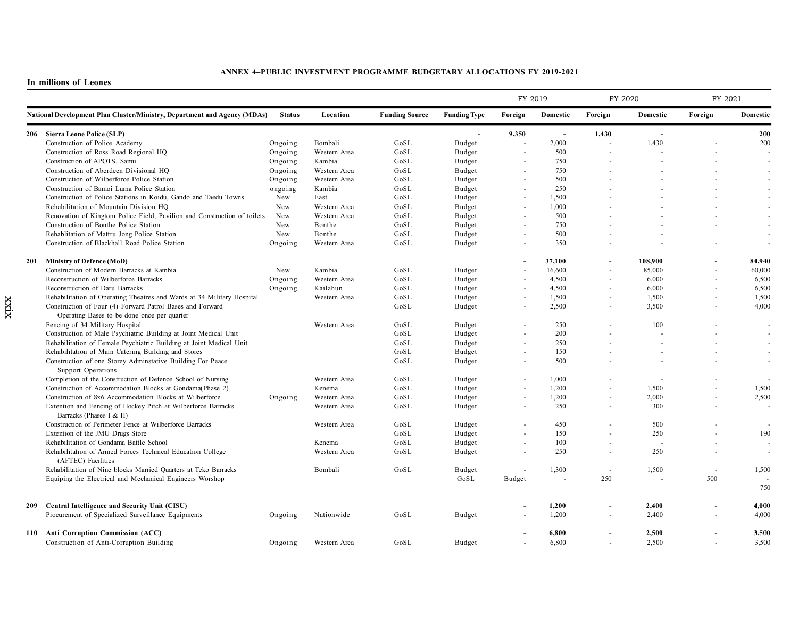|     |                                                                                                          |               |              |                       |                     | FY 2019                  |                          | FY 2020 |          | FY 2021 |          |
|-----|----------------------------------------------------------------------------------------------------------|---------------|--------------|-----------------------|---------------------|--------------------------|--------------------------|---------|----------|---------|----------|
|     | <b>National Development Plan Cluster/Ministry, Department and Agency (MDAs)</b>                          | <b>Status</b> | Location     | <b>Funding Source</b> | <b>Funding Type</b> | Foreign                  | Domestic                 | Foreign | Domestic | Foreign | Domestic |
|     | 206 Sierra Leone Police (SLP)                                                                            |               |              |                       |                     | 9,350                    | $\overline{\phantom{a}}$ | 1,430   |          |         | 200      |
|     | Construction of Police Academy                                                                           | Ongoing       | Bombali      | GoSL                  | Budget              |                          | 2,000                    |         | 1,430    |         | 200      |
|     | Construction of Ross Road Regional HQ                                                                    | Ongoing       | Western Area | GoSL                  | Budget              |                          | 500                      |         |          |         |          |
|     | Construction of APOTS, Samu                                                                              | Ongoing       | Kambia       | GoSL                  | Budget              |                          | 750                      |         |          |         |          |
|     | Construction of Aberdeen Divisional HQ                                                                   | Ongoing       | Western Area | GoSL                  | <b>Budget</b>       |                          | 750                      |         |          |         |          |
|     | Construction of Wilberforce Police Station                                                               | Ongoing       | Western Area | GoSL                  | Budget              | $\sim$                   | 500                      |         |          |         |          |
|     | Construction of Bamoi Luma Police Station                                                                | ongoing       | Kambia       | GoSL                  | Budget              |                          | 250                      |         |          |         |          |
|     | Construction of Police Stations in Koidu, Gando and Taedu Towns                                          | New           | East         | GoSL                  | <b>Budget</b>       | $\overline{\phantom{a}}$ | 1,500                    |         |          |         |          |
|     | Rehabilitation of Mountain Division HQ                                                                   | New           | Western Area | GoSL                  | Budget              | $\sim$                   | 1,000                    |         |          |         |          |
|     | Renovation of Kingtom Police Field, Pavilion and Construction of toilets                                 | New           | Western Area | GoSL                  | Budget              | $\overline{\phantom{a}}$ | 500                      |         |          |         |          |
|     | Construction of Bonthe Police Station                                                                    | New           | Bonthe       | GoSL                  | Budget              |                          | 750                      |         |          |         |          |
|     | Rehablitation of Mattru Jong Police Station                                                              | New           | Bonthe       | GoSL                  | <b>Budget</b>       | ÷.                       | 500                      |         |          |         |          |
|     | Construction of Blackhall Road Police Station                                                            | Ongoing       | Western Area | GoSL                  | Budget              |                          | 350                      |         |          |         |          |
| 201 | Ministry of Defence (MoD)                                                                                |               |              |                       |                     |                          | 37,100                   |         | 108.900  |         | 84.940   |
|     | Construction of Modern Barracks at Kambia                                                                | New           | Kambia       | GoSL                  | Budget              | ä,                       | 16,600                   | $\sim$  | 85,000   | $\sim$  | 60.000   |
|     | Reconstruction of Wilberforce Barracks                                                                   | Ongoing       | Western Area | GoSL                  | <b>Budget</b>       |                          | 4,500                    |         | 6,000    |         | 6,500    |
|     | Reconstruction of Daru Barracks                                                                          | Ongoing       | Kailahun     | GoSL                  | <b>Budget</b>       | $\blacksquare$           | 4,500                    | $\sim$  | 6,000    | ÷.      | 6,500    |
|     | Rehabilitation of Operating Theatres and Wards at 34 Military Hospital                                   |               | Western Area | GoSL                  | Budget              | $\sim$                   | 1,500                    |         | 1,500    |         | 1,500    |
|     | Construction of Four (4) Forward Patrol Bases and Forward<br>Operating Bases to be done once per quarter |               |              | GoSL                  | Budget              | $\blacksquare$           | 2,500                    |         | 3,500    | $\sim$  | 4,000    |
|     | Fencing of 34 Military Hospital                                                                          |               | Western Area | GoSL                  | <b>Budget</b>       | $\sim$                   | 250                      |         | 100      | ÷.      |          |
|     | Construction of Male Psychiatric Building at Joint Medical Unit                                          |               |              | GoSL                  | Budget              | $\sim$                   | 200                      |         |          |         |          |
|     | Rehabilitation of Female Psychiatric Building at Joint Medical Unit                                      |               |              | GoSL                  | <b>Budget</b>       | $\sim$                   | 250                      |         |          |         |          |
|     | Rehabilitation of Main Catering Building and Stores                                                      |               |              | GoSL                  | <b>Budget</b>       | $\sim$                   | 150                      |         |          |         |          |
|     | Construction of one Storey Adminstative Building For Peace                                               |               |              | GoSL                  | <b>Budget</b>       | $\sim$                   | 500                      |         |          |         |          |
|     | Support Operations                                                                                       |               |              |                       |                     |                          |                          |         |          |         |          |
|     | Completion of the Construction of Defence School of Nursing                                              |               | Western Area | GoSL                  | <b>Budget</b>       |                          | 1,000                    |         |          |         |          |
|     | Construction of Accommodation Blocks at Gondama (Phase 2)                                                |               | Kenema       | GoSL                  | <b>Budget</b>       | $\sim$                   | 1,200                    |         | 1,500    |         | 1,500    |
|     | Construction of 8x6 Accommodation Blocks at Wilberforce                                                  | Ongoing       | Western Area | GoSL                  | Budget              | $\omega$                 | 1,200                    |         | 2,000    | $\sim$  | 2,500    |
|     | Extention and Fencing of Hockey Pitch at Wilberforce Barracks<br>Barracks (Phases I & II)                |               | Western Area | GoSL                  | <b>Budget</b>       | $\sim$                   | 250                      |         | 300      |         |          |
|     | Construction of Perimeter Fence at Wilberforce Barracks                                                  |               | Western Area | GoSL                  | Budget              | ÷.                       | 450                      |         | 500      |         |          |
|     | Extention of the JMU Drugs Store                                                                         |               |              | GoSL                  | Budget              |                          | 150                      |         | 250      |         | 190      |
|     | Rehabilitation of Gondama Battle School                                                                  |               | Kenema       | GoSL                  | Budget              | $\sim$                   | 100                      |         |          | $\sim$  |          |
|     | Rehabilitation of Armed Forces Technical Education College<br>(AFTEC) Facilities                         |               | Western Area | GoSL                  | <b>Budget</b>       | $\sim$                   | 250                      |         | 250      | ÷.      | $\sim$   |
|     | Rehabilitation of Nine blocks Married Quarters at Teko Barracks                                          |               | Bombali      | GoSL                  | Budget              |                          | 1,300                    | $\sim$  | 1,500    | ÷       | 1,500    |
|     | Equiping the Electrical and Mechanical Engineers Worshop                                                 |               |              |                       | GoSL                | Budget                   |                          | 250     |          | 500     |          |
|     |                                                                                                          |               |              |                       |                     |                          |                          |         |          |         | 750      |
| 209 | Central Intelligence and Security Unit (CISU)                                                            |               |              |                       |                     |                          | 1,200                    |         | 2.400    |         | 4,000    |
|     | Procurement of Specialized Surveillance Equipments                                                       | Ongoing       | Nationwide   | GoSL                  | <b>Budget</b>       |                          | 1,200                    | $\sim$  | 2,400    | ÷       | 4,000    |
|     | 110 Anti Corruption Commission (ACC)                                                                     |               |              |                       |                     |                          | 6,800                    |         | 2,500    |         | 3,500    |
|     | Construction of Anti-Corruption Building                                                                 | Ongoing       | Western Area | GoSL                  | Budget              |                          | 6,800                    |         | 2,500    |         | 3.500    |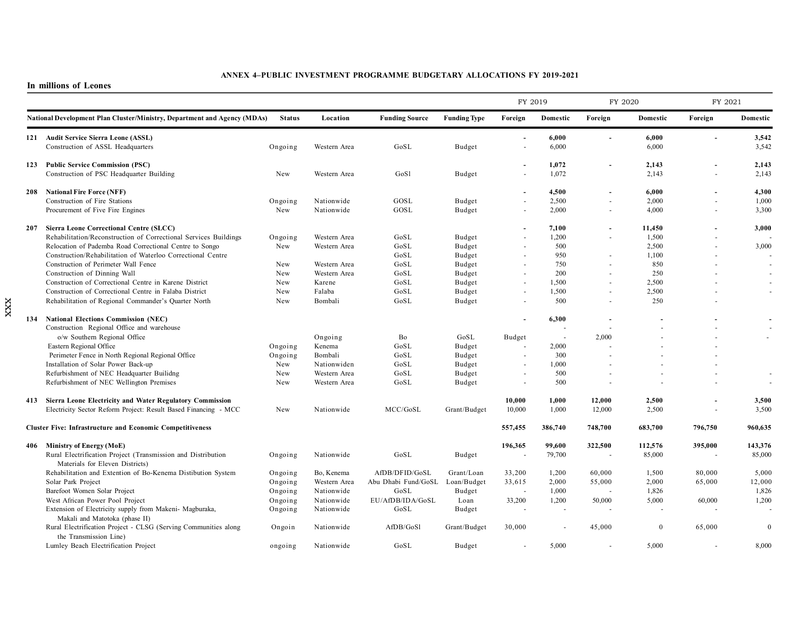#### **In millions of Leones**

xxx

|     |                                                                                                 |               |              |                                 |                     | FY 2019                  |                          | FY 2020                  |          | FY 2021 |              |
|-----|-------------------------------------------------------------------------------------------------|---------------|--------------|---------------------------------|---------------------|--------------------------|--------------------------|--------------------------|----------|---------|--------------|
|     | National Development Plan Cluster/Ministry, Department and Agency (MDAs)                        | <b>Status</b> | Location     | <b>Funding Source</b>           | <b>Funding Type</b> | Foreign                  | Domestic                 | Foreign                  | Domestic | Foreign | Domestic     |
|     | 121 Audit Service Sierra Leone (ASSL)                                                           |               |              |                                 |                     |                          | 6,000                    | $\blacksquare$           | 6,000    |         | 3,542        |
|     | Construction of ASSL Headquarters                                                               | Ongoing       | Western Area | GoSL                            | Budget              |                          | 6,000                    |                          | 6,000    |         | 3,542        |
|     | 123 Public Service Commission (PSC)                                                             |               |              |                                 |                     |                          | 1,072                    | $\overline{\phantom{a}}$ | 2,143    |         | 2,143        |
|     | Construction of PSC Headquarter Building                                                        | New           | Western Area | GoSl                            | Budget              |                          | 1,072                    |                          | 2,143    |         | 2,143        |
|     | 208 National Fire Force (NFF)                                                                   |               |              |                                 |                     |                          | 4,500                    |                          | 6.000    |         | 4,300        |
|     | Construction of Fire Stations                                                                   | Ongoing       | Nationwide   | GOSL                            | Budget              |                          | 2,500                    | $\blacksquare$           | 2,000    | $\sim$  | 1,000        |
|     | Procurement of Five Fire Engines                                                                | New           | Nationwide   | GOSL                            | Budget              |                          | 2,000                    | $\sim$                   | 4,000    |         | 3,300        |
| 207 | Sierra Leone Correctional Centre (SLCC)                                                         |               |              |                                 |                     |                          | 7,100                    | $\blacksquare$           | 11,450   |         | 3,000        |
|     | Rehabilitation/Reconstruction of Correctional Services Buildings                                | Ongoing       | Western Area | GoSL                            | Budget              |                          | 1,200                    | $\blacksquare$           | 1,500    |         |              |
|     | Relocation of Pademba Road Correctional Centre to Songo                                         | New           | Western Area | GoSL                            | Budget              |                          | 500                      |                          | 2,500    |         | 3,000        |
|     | Construction/Rehabilitation of Waterloo Correctional Centre                                     |               |              | GoSL                            | Budget              | $\sim$                   | 950                      |                          | 1,100    |         |              |
|     | Construction of Perimeter Wall Fence                                                            | New           | Western Area | GoSL                            | Budget              |                          | 750                      |                          | 850      |         |              |
|     | Construction of Dinning Wall                                                                    | New           | Western Area | GoSL                            | Budget              | $\overline{\phantom{a}}$ | 200                      |                          | 250      |         |              |
|     | Construction of Correctional Centre in Karene District                                          | New           | Karene       | GoSL                            | Budget              | ÷.                       | 1,500                    |                          | 2,500    |         |              |
|     | Construction of Correctional Centre in Falaba District                                          | New           | Falaba       | GoSL                            | Budget              | $\blacksquare$           | 1,500                    | $\sim$                   | 2,500    |         |              |
|     | Rehabilitation of Regional Commander's Quarter North                                            | New           | Bombali      | GoSL                            | Budget              | $\sim$                   | 500                      | $\sim$                   | 250      |         |              |
| 134 | <b>National Elections Commission (NEC)</b>                                                      |               |              |                                 |                     | $\blacksquare$           | 6,300                    | $\blacksquare$           |          |         |              |
|     | Construction Regional Office and warehouse                                                      |               |              |                                 |                     |                          |                          |                          |          |         |              |
|     | o/w Southern Regional Office                                                                    |               | Ongoing      | Bo                              | GoSL                | Budget                   | $\overline{\phantom{a}}$ | 2,000                    |          |         |              |
|     | Eastern Regional Office                                                                         | Ongoing       | Kenema       | GoSL                            | Budget              |                          | 2,000                    |                          |          |         |              |
|     | Perimeter Fence in North Regional Regional Office                                               | Ongoing       | Bombali      | GoSL                            | Budget              |                          | 300                      |                          |          |         |              |
|     | Installation of Solar Power Back-up                                                             | New           | Nationwiden  | GoSL                            | Budget              |                          | 1,000                    |                          |          |         |              |
|     | Refurbishment of NEC Headquarter Builidng                                                       | New           | Western Area | GoSL                            | Budget              | ÷.                       | 500                      |                          |          |         |              |
|     | Refurbishment of NEC Wellington Premises                                                        | New           | Western Area | GoSL                            | Budget              |                          | 500                      |                          |          |         |              |
|     | 413 Sierra Leone Electricity and Water Regulatory Commission                                    |               |              |                                 |                     | 10,000                   | 1,000                    | 12,000                   | 2,500    |         | 3,500        |
|     | Electricity Sector Reform Project: Result Based Financing - MCC                                 | New           | Nationwide   | MCC/GoSL                        | Grant/Budget        | 10,000                   | 1,000                    | 12,000                   | 2,500    |         | 3,500        |
|     | <b>Cluster Five: Infrastructure and Economic Competitiveness</b>                                |               |              |                                 |                     | 557,455                  | 386,740                  | 748,700                  | 683,700  | 796,750 | 960,635      |
|     | 406 Ministry of Energy (MoE)                                                                    |               |              |                                 |                     | 196,365                  | 99,600                   | 322,500                  | 112,576  | 395,000 | 143,376      |
|     | Rural Electrification Project (Transmission and Distribution<br>Materials for Eleven Districts) | Ongoing       | Nationwide   | GoSL                            | Budget              |                          | 79,700                   |                          | 85,000   |         | 85,000       |
|     | Rehabilitation and Extention of Bo-Kenema Distibution System                                    | Ongoing       | Bo, Kenema   | AfDB/DFID/GoSL                  | Grant/Loan          | 33,200                   | 1,200                    | 60,000                   | 1,500    | 80,000  | 5,000        |
|     | Solar Park Project                                                                              | Ongoing       | Western Area | Abu Dhabi Fund/GoSL Loan/Budget |                     | 33,615                   | 2,000                    | 55,000                   | 2,000    | 65,000  | 12,000       |
|     | Barefoot Women Solar Project                                                                    | Ongoing       | Nationwide   | GoSL                            | Budget              |                          | 1,000                    |                          | 1,826    |         | 1,826        |
|     | West African Power Pool Project                                                                 | Ongoing       | Nationwide   | EU/AfDB/IDA/GoSL                | Loan                | 33,200                   | 1,200                    | 50,000                   | 5,000    | 60,000  | 1,200        |
|     | Extension of Electricity supply from Makeni- Magburaka,                                         | Ongoing       | Nationwide   | GoSL                            | Budget              |                          |                          |                          |          |         |              |
|     | Makali and Matotoka (phase II)                                                                  |               |              |                                 |                     |                          |                          |                          |          |         |              |
|     | Rural Electrification Project - CLSG (Serving Communities along<br>the Transmission Line)       | Ongoin        | Nationwide   | AfDB/GoSl                       | Grant/Budget        | 30,000                   |                          | 45,000                   | $\Omega$ | 65,000  | $\mathbf{0}$ |
|     | Lumley Beach Electrification Project                                                            | ongoing       | Nationwide   | GoSL                            | Budget              |                          | 5,000                    |                          | 5,000    |         | 8,000        |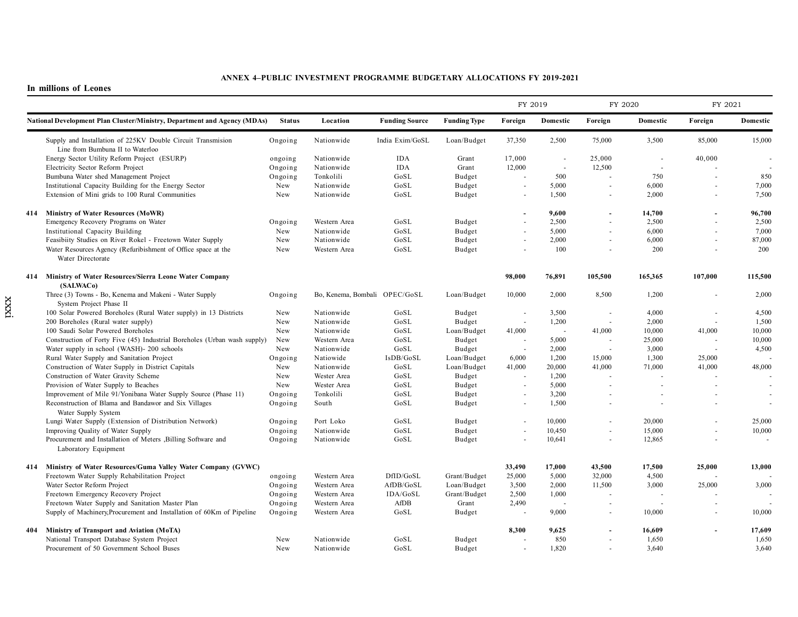|  |                                                                                                 |               |                               |                       |                                                                     | FY 2019 |                          |                          | FY 2020                  | FY 2021        |          |
|--|-------------------------------------------------------------------------------------------------|---------------|-------------------------------|-----------------------|---------------------------------------------------------------------|---------|--------------------------|--------------------------|--------------------------|----------------|----------|
|  | National Development Plan Cluster/Ministry, Department and Agency (MDAs)                        | <b>Status</b> | Location                      | <b>Funding Source</b> | <b>Funding Type</b>                                                 | Foreign | Domestic                 | Foreign                  | Domestic                 | Foreign        | Domestic |
|  | Supply and Installation of 225KV Double Circuit Transmision<br>Line from Bumbuna II to Waterloo | Ongoing       | Nationwide                    | India Exim/GoSL       | Loan/Budget                                                         | 37,350  | 2,500                    | 75,000                   | 3,500                    | 85,000         | 15,000   |
|  | Energy Sector Utility Reform Project (ESURP)                                                    | ongoing       | Nationwide                    | <b>IDA</b>            | Grant                                                               | 17,000  |                          | 25,000                   | $\overline{a}$           | 40,000         |          |
|  | Electricity Sector Reform Project                                                               | Ongoing       | Nationwide                    | <b>IDA</b>            | Grant                                                               | 12,000  | $\sim$                   | 12,500                   | $\sim$                   |                |          |
|  | Bumbuna Water shed Management Project                                                           | Ongoing       | Tonkolili                     | GoSL                  | Budget                                                              |         | 500                      | ÷.                       | 750                      | $\overline{a}$ | 850      |
|  | Institutional Capacity Building for the Energy Sector                                           | New           | Nationwide                    | GoSL                  | Budget                                                              |         | 5,000                    | $\sim$                   | 6,000                    |                | 7,000    |
|  | Extension of Mini grids to 100 Rural Communities                                                | New           | Nationwide                    | GoSL                  | Budget                                                              |         | 1,500                    | $\overline{\phantom{a}}$ | 2,000                    |                | 7,500    |
|  | 414 Ministry of Water Resources (MoWR)                                                          |               |                               |                       |                                                                     |         | 9,600                    |                          | 14,700                   |                | 96,700   |
|  | Emergency Recovery Programs on Water                                                            | Ongoing       | Western Area                  | GoSL                  | $\mathbf{B} \mathbf{u} \mathbf{d} \mathbf{g} \mathbf{e} \mathbf{t}$ |         | 2,500                    |                          | 2,500                    |                | 2,500    |
|  | Institutional Capacity Building                                                                 | New           | Nationwide                    | GoSL                  | Budget                                                              |         | 5,000                    | ÷.                       | 6,000                    |                | 7,000    |
|  | Feasibiity Studies on River Rokel - Freetown Water Supply                                       | New           | Nationwide                    | GoSL                  | Budget                                                              |         | 2,000                    | ÷.                       | 6,000                    |                | 87,000   |
|  | Water Resources Agency (Refuribishment of Office space at the<br>Water Directorate              | New           | Western Area                  | GoSL                  | Budget                                                              |         | 100                      | ÷.                       | 200                      |                | 200      |
|  | 414 Ministry of Water Resources/Sierra Leone Water Company<br>(SALWAC <sub>0</sub> )            |               |                               |                       |                                                                     | 98,000  | 76,891                   | 105,500                  | 165,365                  | 107,000        | 115,500  |
|  | Three (3) Towns - Bo, Kenema and Makeni - Water Supply<br>System Project Phase II               | Ongoing       | Bo, Kenema, Bombali OPEC/GoSL |                       | Loan/Budget                                                         | 10,000  | 2,000                    | 8,500                    | 1,200                    |                | 2,000    |
|  | 100 Solar Powered Boreholes (Rural Water supply) in 13 Districts                                | New           | Nationwide                    | GoSL                  | Budget                                                              |         | 3,500                    |                          | 4,000                    |                | 4,500    |
|  | 200 Boreholes (Rural water supply)                                                              | New           | Nationwide                    | GoSL                  | Budget                                                              |         | 1,200                    | $\sim$                   | 2,000                    |                | 1,500    |
|  | 100 Saudi Solar Powered Boreholes                                                               | New           | Nationwide                    | GoSL                  | Loan/Budget                                                         | 41,000  | $\overline{\phantom{a}}$ | 41,000                   | 10,000                   | 41,000         | 10,000   |
|  | Construction of Forty Five (45) Industrial Boreholes (Urban wash supply)                        | New           | Western Area                  | GoSL                  | Budget                                                              |         | 5,000                    | $\overline{a}$           | 25,000                   |                | 10,000   |
|  | Water supply in school (WASH)- 200 schools                                                      | New           | Nationwide                    | GoSL                  | Budget                                                              |         | 2,000                    | $\sim$                   | 3,000                    |                | 4,500    |
|  | Rural Water Supply and Sanitation Project                                                       | Ongoing       | Natiowide                     | IsDB/GoSL             | Loan/Budget                                                         | 6,000   | 1,200                    | 15,000                   | 1,300                    | 25,000         |          |
|  | Construction of Water Supply in District Capitals                                               | New           | Nationwide                    | GoSL                  | Loan/Budget                                                         | 41,000  | 20,000                   | 41,000                   | 71,000                   | 41,000         | 48,000   |
|  | Construction of Water Gravity Scheme                                                            | New           | Wester Area                   | GoSL                  | Budget                                                              |         | 1,200                    |                          |                          |                |          |
|  | Provision of Water Supply to Beaches                                                            | New           | Wester Area                   | GoSL                  | Budget                                                              |         | 5,000                    |                          |                          |                |          |
|  | Improvement of Mile 91/Yonibana Water Supply Source (Phase 11)                                  | Ongoing       | Tonkolili                     | GoSL                  | Budget                                                              |         | 3,200                    |                          |                          |                |          |
|  | Reconstruction of Blama and Bandawor and Six Villages<br>Water Supply System                    | Ongoing       | South                         | GoSL                  | Budget                                                              |         | 1,500                    |                          |                          |                |          |
|  | Lungi Water Supply (Extension of Distribution Network)                                          | Ongoing       | Port Loko                     | GoSL                  | Budget                                                              |         | 10,000                   | $\sim$                   | 20,000                   |                | 25,000   |
|  | Improving Quality of Water Supply                                                               | Ongoing       | Nationwide                    | GoSL                  | Budget                                                              |         | 10,450                   | $\sim$                   | 15,000                   |                | 10,000   |
|  | Procurement and Installation of Meters , Billing Software and<br>Laboratory Equipment           | Ongoing       | Nationwide                    | GoSL                  | Budget                                                              |         | 10,641                   | $\sim$                   | 12,865                   |                | $\sim$   |
|  | 414 Ministry of Water Resources/Guma Valley Water Company (GVWC)                                |               |                               |                       |                                                                     | 33,490  | 17,000                   | 43,500                   | 17,500                   | 25,000         | 13,000   |
|  | Freetowm Water Supply Rehabilitation Project                                                    | ongoing       | Western Area                  | DfID/GoSL             | Grant/Budget                                                        | 25,000  | 5,000                    | 32,000                   | 4,500                    |                |          |
|  | Water Sector Reform Project                                                                     | Ongoing       | Western Area                  | AfDB/GoSL             | Loan/Budget                                                         | 3,500   | 2,000                    | 11,500                   | 3,000                    | 25,000         | 3,000    |
|  | Freetown Emergency Recovery Project                                                             | Ongoing       | Western Area                  | IDA/GoSL              | Grant/Budget                                                        | 2,500   | 1,000                    |                          |                          |                |          |
|  | Freetown Water Supply and Sanitation Master Plan                                                | Ongoing       | Western Area                  | AfDB                  | Grant                                                               | 2,490   | $\overline{\phantom{a}}$ | $\overline{\phantom{a}}$ | $\overline{\phantom{a}}$ |                |          |
|  | Supply of Machinery, Procurement and Installation of 60Km of Pipeline                           | Ongoing       | Western Area                  | GoSL                  | Budget                                                              |         | 9,000                    | $\sim$                   | 10,000                   |                | 10,000   |
|  | 404 Ministry of Transport and Aviation (MoTA)                                                   |               |                               |                       |                                                                     | 8,300   | 9,625                    |                          | 16,609                   |                | 17,609   |
|  | National Transport Database System Project                                                      | New           | Nationwide                    | GoSL                  | Budget                                                              |         | 850                      | $\blacksquare$           | 1,650                    |                | 1,650    |
|  | Procurement of 50 Government School Buses                                                       | New           | Nationwide                    | GoSL                  | Budget                                                              |         | 1,820                    |                          | 3,640                    |                | 3,640    |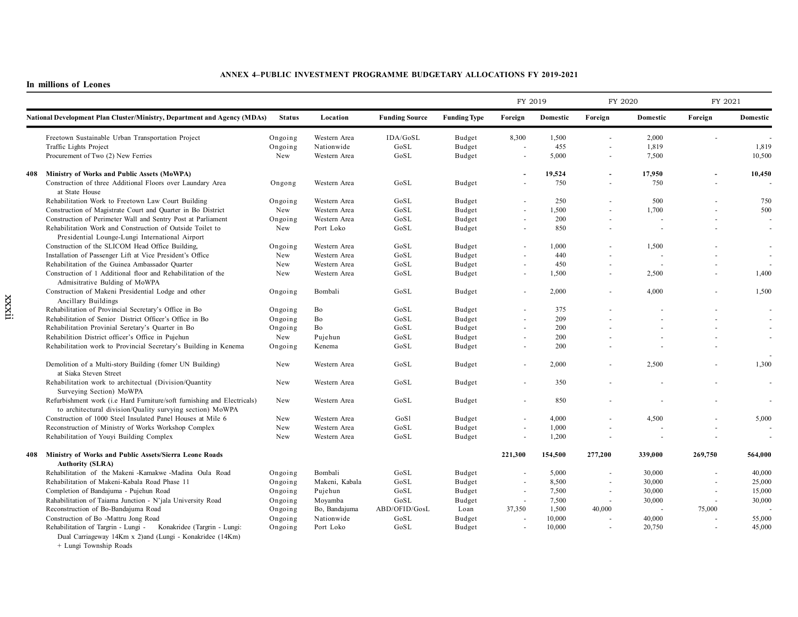**In millions of Leones**

|     |                                                                                                                                      |               |                |                       |                     |                          | FY 2019  |                          | FY 2020  | FY 2021 |          |
|-----|--------------------------------------------------------------------------------------------------------------------------------------|---------------|----------------|-----------------------|---------------------|--------------------------|----------|--------------------------|----------|---------|----------|
|     | <b>National Development Plan Cluster/Ministry, Department and Agency (MDAs)</b>                                                      | <b>Status</b> | Location       | <b>Funding Source</b> | <b>Funding Type</b> | Foreign                  | Domestic | Foreign                  | Domestic | Foreign | Domestic |
|     | Freetown Sustainable Urban Transportation Project                                                                                    | Ongoing       | Western Area   | IDA/GoSL              | Budget              | 8,300                    | 1,500    | $\sim$                   | 2,000    | ÷.      |          |
|     | Traffic Lights Project                                                                                                               | Ongoing       | Nationwide     | GoSL                  | Budget              |                          | 455      | ٠                        | 1,819    |         | 1,819    |
|     | Procurement of Two (2) New Ferries                                                                                                   | New           | Western Area   | GoSL                  | Budget              |                          | 5,000    | $\sim$                   | 7.500    |         | 10,500   |
| 408 | Ministry of Works and Public Assets (MoWPA)                                                                                          |               |                |                       |                     |                          | 19,524   | $\overline{\phantom{a}}$ | 17,950   |         | 10,450   |
|     | Construction of three Additional Floors over Laundary Area<br>at State House                                                         | Ongong        | Western Area   | GoSL                  | Budget              |                          | 750      | ÷,                       | 750      |         |          |
|     | Rehabilitation Work to Freetown Law Court Building                                                                                   | Ongoing       | Western Area   | GoSL                  | Budget              |                          | 250      |                          | 500      |         | 750      |
|     | Construction of Magistrate Court and Quarter in Bo District                                                                          | New           | Western Area   | GoSL                  | Budget              | $\sim$                   | 1,500    | $\sim$                   | 1,700    | ÷.      | 500      |
|     | Construction of Perimeter Wall and Sentry Post at Parliament                                                                         | Ongoing       | Western Area   | GoSL                  | Budget              |                          | 200      |                          |          |         |          |
|     | Rehabilitation Work and Construction of Outside Toilet to<br>Presidential Lounge-Lungi International Airport                         | New           | Port Loko      | GoSL                  | Budget              | $\sim$                   | 850      |                          |          | $\sim$  |          |
|     | Construction of the SLICOM Head Office Building,                                                                                     | Ongoing       | Western Area   | GoSL                  | Budget              |                          | 1,000    |                          | 1,500    |         |          |
|     | Installation of Passenger Lift at Vice President's Office                                                                            | New           | Western Area   | GoSL                  | Budget              |                          | 440      |                          |          |         |          |
|     | Rehabilitation of the Guinea Ambassador Quarter                                                                                      | New           | Western Area   | GoSL                  | Budget              | $\sim$                   | 450      | ÷.                       |          |         |          |
|     | Construction of 1 Additional floor and Rehabilitation of the<br>Admisitrative Bulding of MoWPA                                       | New           | Western Area   | GoSL                  | Budget              | $\sim$                   | 1,500    | $\sim$                   | 2,500    |         | 1,400    |
|     | Construction of Makeni Presidential Lodge and other<br>Ancillary Buildings                                                           | Ongoing       | Bombali        | GoSL                  | Budget              | $\sim$                   | 2,000    |                          | 4,000    |         | 1,500    |
|     | Rehabilitation of Provincial Secretary's Office in Bo                                                                                | Ongoing       | Bo             | GoSL                  | Budget              | $\sim$                   | 375      |                          |          |         |          |
|     | Rehabilitation of Senior District Officer's Office in Bo                                                                             | Ongoing       | Bo             | GoSL                  | Budget              |                          | 209      |                          |          |         |          |
|     | Rehabilitation Provinial Seretary's Quarter in Bo                                                                                    | Ongoing       | Bo             | GoSL                  | Budget              | $\sim$                   | 200      |                          |          |         |          |
|     | Rehabilition District officer's Office in Pujehun                                                                                    | New           | Pujehun        | GoSL                  | Budget              |                          | 200      |                          |          |         |          |
|     | Rehabilitation work to Provincial Secretary's Building in Kenema                                                                     | Ongoing       | Kenema         | GoSL                  | Budget              | $\overline{\phantom{a}}$ | 200      |                          |          |         |          |
|     | Demolition of a Multi-story Building (fomer UN Building)<br>at Siaka Steven Street                                                   | New           | Western Area   | GoSL                  | Budget              | ä,                       | 2,000    |                          | 2,500    |         | 1,300    |
|     | Rehabilitation work to architectual (Division/Quantity<br>Surveying Section) MoWPA                                                   | New           | Western Area   | GoSL                  | Budget              | $\sim$                   | 350      |                          |          |         |          |
|     | Refurbishment work (i.e Hard Furniture/soft furnishing and Electricals)<br>to architectural division/Quality survying section) MoWPA | New           | Western Area   | GoSL                  | Budget              |                          | 850      |                          |          |         |          |
|     | Construction of 1000 Steel Insulated Panel Houses at Mile 6                                                                          | New           | Western Area   | GoSl                  | Budget              |                          | 4,000    | ÷.                       | 4,500    | ÷.      | 5,000    |
|     | Reconstruction of Ministry of Works Workshop Complex                                                                                 | New           | Western Area   | GoSL                  | Budget              |                          | 1,000    |                          |          |         |          |
|     | Rehabilitation of Youyi Building Complex                                                                                             | New           | Western Area   | GoSL                  | Budget              | $\sim$                   | 1,200    | $\sim$                   |          | $\sim$  |          |
| 408 | Ministry of Works and Public Assets/Sierra Leone Roads                                                                               |               |                |                       |                     | 221,300                  | 154,500  | 277,200                  | 339,000  | 269,750 | 564,000  |
|     | <b>Authority (SLRA)</b>                                                                                                              |               |                |                       |                     |                          |          |                          |          |         |          |
|     | Rehabilitation of the Makeni-Kamakwe-Madina Oula Road                                                                                | Ongoing       | Bombali        | GoSL                  | Budget              |                          | 5,000    | ÷,                       | 30,000   |         | 40,000   |
|     | Rehabilitation of Makeni-Kabala Road Phase 11                                                                                        | Ongoing       | Makeni, Kabala | GoSL                  | Budget              |                          | 8,500    | ÷.                       | 30,000   |         | 25,000   |
|     | Completion of Bandajuma - Pujehun Road                                                                                               | Ongoing       | Pujehun        | GoSL                  | Budget              | $\overline{\phantom{a}}$ | 7,500    | $\sim$                   | 30,000   | $\sim$  | 15,000   |
|     | Rahabilitation of Taiama Junction - N'jala University Road                                                                           | Ongoing       | Moyamba        | GoSL                  | Budget              | $\sim$                   | 7,500    | $\overline{\phantom{a}}$ | 30,000   | $\sim$  | 30,000   |
|     | Reconstruction of Bo-Bandajuma Road                                                                                                  | Ongoing       | Bo, Bandajuma  | ABD/OFID/GosL         | Loan                | 37,350                   | 1,500    | 40,000                   |          | 75,000  |          |
|     | Construction of Bo -Mattru Jong Road                                                                                                 | Ongoing       | Nationwide     | GoSL                  | Budget              |                          | 10,000   |                          | 40,000   |         | 55,000   |
|     | Rehabilitation of Targrin - Lungi -<br>Konakridee (Targrin - Lungi:<br>Dual Carriageway 14Km x 2)and (Lungi - Konakridee (14Km)      | Ongoing       | Port Loko      | GoSL                  | Budget              |                          | 10,000   | $\sim$                   | 20,750   | $\sim$  | 45,000   |

+ Lungi Township Roads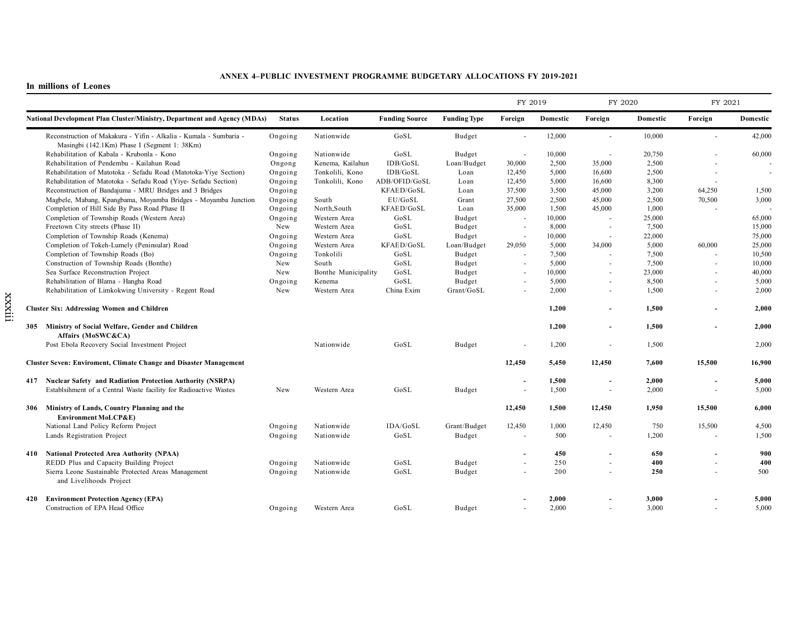|     |                                                                                                                    |               |                     |                       |                     | FY 2019                  |          | FY 2020                  |          | FY 2021                  |          |
|-----|--------------------------------------------------------------------------------------------------------------------|---------------|---------------------|-----------------------|---------------------|--------------------------|----------|--------------------------|----------|--------------------------|----------|
|     | National Development Plan Cluster/Ministry, Department and Agency (MDAs)                                           | <b>Status</b> | Location            | <b>Funding Source</b> | <b>Funding Type</b> | Foreign                  | Domestic | Foreign                  | Domestic | Foreign                  | Domestic |
|     | Reconstruction of Makakura - Yifin - Alkalia - Kumala - Sumbaria -<br>Masingbi (142.1Km) Phase I (Segment 1: 38Km) | Ongoing       | Nationwide          | GoSL                  | Budget              | $\sim$                   | 12,000   | $\sim$                   | 10,000   | $\sim$                   | 42,000   |
|     | Rehabilitation of Kabala - Krubonla - Kono                                                                         | Ongoing       | Nationwide          | GoSL                  | Budget              | $\overline{\phantom{a}}$ | 10,000   | $\sim$                   | 20,750   |                          | 60,000   |
|     | Rehabilitation of Pendembu - Kailahun Road                                                                         | Ongong        | Kenema, Kailahun    | IDB/GoSL              | Loan/Budget         | 30,000                   | 2,500    | 35,000                   | 2,500    |                          |          |
|     | Rehabilitation of Matotoka - Sefadu Road (Matotoka-Yiye Section)                                                   | Ongoing       | Tonkolili, Kono     | IDB/GoSL              | Loan                | 12,450                   | 5,000    | 16,600                   | 2,500    |                          |          |
|     | Rehabilitation of Matotoka - Sefadu Road (Yive- Sefadu Section)                                                    | Ongoing       | Tonkolili, Kono     | ADB/OFID/GoSL         | Loan                | 12,450                   | 5,000    | 16,600                   | 8,300    | $\sim$                   |          |
|     | Reconstruction of Bandajuma - MRU Bridges and 3 Bridges                                                            | Ongoing       |                     | KFAED/GoSL            | Loan                | 37,500                   | 3,500    | 45,000                   | 3,200    | 64,250                   | 1,500    |
|     | Magbele, Mabang, Kpangbama, Moyamba Bridges - Moyamba Junction                                                     | Ongoing       | South               | EU/GoSL               | Grant               | 27,500                   | 2,500    | 45,000                   | 2,500    | 70,500                   | 3,000    |
|     | Completion of Hill Side By Pass Road Phase II                                                                      | Ongoing       | North, South        | KFAED/GoSL            | Loan                | 35,000                   | 1,500    | 45,000                   | 1,000    | $\overline{\phantom{a}}$ |          |
|     | Completion of Township Roads (Western Area)                                                                        | Ongoing       | Western Area        | GoSL                  | Budget              | $\overline{\phantom{a}}$ | 10,000   | $\overline{\phantom{a}}$ | 25,000   |                          | 65,000   |
|     | Freetown City streets (Phase II)                                                                                   | New           | Western Area        | GoSL                  | Budget              | $\sim$                   | 8,000    | $\sim$                   | 7,500    |                          | 15,000   |
|     | Completion of Township Roads (Kenema)                                                                              | Ongoing       | Western Area        | GoSL                  | Budget              |                          | 10,000   |                          | 22,000   |                          | 75,000   |
|     | Completion of Tokeh-Lumely (Peninsular) Road                                                                       | Ongoing       | Western Area        | KFAED/GoSL            | Loan/Budget         | 29,050                   | 5,000    | 34,000                   | 5,000    | 60,000                   | 25,000   |
|     | Completion of Township Roads (Bo)                                                                                  | Ongoing       | Tonkolili           | GoSL                  | Budget              | $\overline{a}$           | 7,500    |                          | 7,500    | $\sim$                   | 10,500   |
|     | Construction of Township Roads (Bonthe)                                                                            | New           | South               | GoSL                  | Budget              |                          | 5,000    | $\overline{\phantom{a}}$ | 7,500    |                          | 10,000   |
|     | Sea Surface Reconstruction Project                                                                                 | New           | Bonthe Municipality | GoSL                  | Budget              | $\overline{a}$           | 10,000   |                          | 23,000   |                          | 40,000   |
|     | Rehabilitation of Blama - Hangha Road                                                                              | Ongoing       | Kenema              | GoSL                  | Budget              | ÷.                       | 5,000    | $\sim$                   | 8,500    | $\sim$                   | 5,000    |
|     | Rehabilitation of Limkokwing University - Regent Road                                                              | New           | Western Area        | China Exim            | Grant/GoSL          |                          | 2,000    |                          | 1,500    | $\sim$                   | 2,000    |
|     | <b>Cluster Six: Addressing Women and Children</b>                                                                  |               |                     |                       |                     |                          | 1,200    | $\blacksquare$           | 1,500    |                          | 2,000    |
|     | 305 Ministry of Social Welfare, Gender and Children<br>Affairs (MoSWC&CA)                                          |               |                     |                       |                     |                          | 1,200    | $\overline{\phantom{a}}$ | 1,500    | $\overline{\phantom{a}}$ | 2,000    |
|     | Post Ebola Recovery Social Investment Project                                                                      |               | Nationwide          | GoSL                  | <b>Budget</b>       |                          | 1,200    | $\sim$                   | 1,500    |                          | 2,000    |
|     | Cluster Seven: Enviroment, Climate Change and Disaster Management                                                  |               |                     |                       |                     | 12,450                   | 5,450    | 12,450                   | 7,600    | 15,500                   | 16,900   |
|     | 417 Nuclear Safety and Radiation Protection Authority (NSRPA)                                                      |               |                     |                       |                     |                          | 1,500    | $\overline{\phantom{a}}$ | 2,000    |                          | 5,000    |
|     | Establsihment of a Central Waste facility for Radioactive Wastes                                                   | New           | Western Area        | GoSL                  | Budget              |                          | 1,500    |                          | 2,000    |                          | 5,000    |
|     | 306 Ministry of Lands, Country Planning and the<br>Environment MoLCP&E)                                            |               |                     |                       |                     | 12,450                   | 1,500    | 12,450                   | 1,950    | 15,500                   | 6,000    |
|     | National Land Policy Reform Project                                                                                | Ongoing       | Nationwide          | IDA/GoSL              | Grant/Budget        | 12,450                   | 1,000    | 12,450                   | 750      | 15,500                   | 4,500    |
|     | Lands Registration Project                                                                                         | Ongoing       | Nationwide          | GoSL                  | Budget              |                          | 500      |                          | 1,200    |                          | 1,500    |
| 410 | <b>National Protected Area Authority (NPAA)</b>                                                                    |               |                     |                       |                     |                          | 450      | $\blacksquare$           | 650      |                          | 900      |
|     | REDD Plus and Capacity Building Project                                                                            | Ongoing       | Nationwide          | GoSL                  | Budget              | $\overline{a}$           | 250      | $\overline{\phantom{a}}$ | 400      | $\sim$                   | 400      |
|     | Sierra Leone Sustainable Protected Areas Management<br>and Livelihoods Project                                     | Ongoing       | Nationwide          | GoSL                  | Budget              | $\overline{a}$           | 200      | $\sim$                   | 250      | ä,                       | 500      |
| 420 | <b>Environment Protection Agency (EPA)</b>                                                                         |               |                     |                       |                     |                          | 2,000    |                          | 3,000    |                          | 5,000    |
|     | Construction of EPA Head Office                                                                                    | Ongoing       | Western Area        | GoSL                  | Budget              |                          | 2,000    |                          | 3,000    | ÷.                       | 5,000    |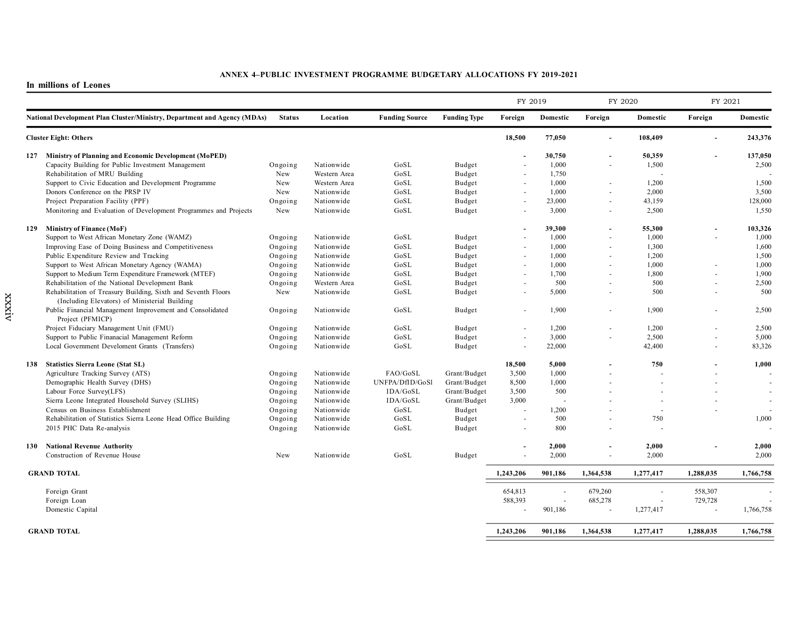|  |                                                                                                                |               |              |                       |                     | FY 2019        |          | FY 2020        |                          | FY 2021   |           |
|--|----------------------------------------------------------------------------------------------------------------|---------------|--------------|-----------------------|---------------------|----------------|----------|----------------|--------------------------|-----------|-----------|
|  | National Development Plan Cluster/Ministry, Department and Agency (MDAs)                                       | <b>Status</b> | Location     | <b>Funding Source</b> | <b>Funding Type</b> | Foreign        | Domestic | Foreign        | Domestic                 | Foreign   | Domestic  |
|  | <b>Cluster Eight: Others</b>                                                                                   |               |              |                       |                     | 18,500         | 77,050   | $\blacksquare$ | 108,409                  |           | 243,376   |
|  | 127 Ministry of Planning and Economic Development (MoPED)                                                      |               |              |                       |                     |                | 30,750   | $\blacksquare$ | 50,359                   |           | 137,050   |
|  | Capacity Building for Public Investment Management                                                             | Ongoing       | Nationwide   | GoSL                  | Budget              |                | 1,000    | $\sim$         | 1,500                    |           | 2,500     |
|  | Rehabilitation of MRU Building                                                                                 | New           | Western Area | GoSL                  | Budget              |                | 1,750    |                |                          |           |           |
|  | Support to Civic Education and Development Programme                                                           | New           | Western Area | GoSL                  | Budget              |                | 1,000    | $\sim$         | 1,200                    |           | 1,500     |
|  | Donors Conference on the PRSP IV                                                                               | New           | Nationwide   | GoSL                  | Budget              | ÷.             | 1,000    | $\sim$         | 2,000                    |           | 3,500     |
|  | Project Preparation Facility (PPF)                                                                             | Ongoing       | Nationwide   | GoSL                  | Budget              |                | 23,000   |                | 43,159                   |           | 128,000   |
|  | Monitoring and Evaluation of Development Programmes and Projects                                               | New           | Nationwide   | GoSL                  | Budget              | ÷.             | 3,000    | $\sim$         | 2,500                    |           | 1,550     |
|  | 129 Ministry of Finance (MoF)                                                                                  |               |              |                       |                     |                | 39,300   | $\sim$         | 55,300                   |           | 103,326   |
|  | Support to West African Monetary Zone (WAMZ)                                                                   | Ongoing       | Nationwide   | GoSL                  | Budget              |                | 1,000    |                | 1,000                    |           | 1,000     |
|  | Improving Ease of Doing Business and Competitiveness                                                           | Ongoing       | Nationwide   | GoSL                  | Budget              | ÷.             | 1,000    | $\sim$         | 1,300                    |           | 1,600     |
|  | Public Expenditure Review and Tracking                                                                         | Ongoing       | Nationwide   | GoSL                  | Budget              |                | 1,000    |                | 1,200                    |           | 1,500     |
|  | Support to West African Monetary Agency (WAMA)                                                                 | Ongoing       | Nationwide   | GoSL                  | Budget              | $\sim$         | 1,000    | $\sim$         | 1,000                    |           | 1,000     |
|  | Support to Medium Term Expenditure Framework (MTEF)                                                            | Ongoing       | Nationwide   | GoSL                  | Budget              |                | 1,700    | $\overline{a}$ | 1,800                    |           | 1,900     |
|  | Rehabilitation of the National Development Bank                                                                | Ongoing       | Western Area | GoSL                  | Budget              | $\blacksquare$ | 500      | $\sim$         | 500                      |           | 2,500     |
|  | Rehabilitation of Treasury Building, Sixth and Seventh Floors<br>(Including Elevators) of Ministerial Building | New           | Nationwide   | GoSL                  | Budget              |                | 5,000    | $\overline{a}$ | 500                      |           | 500       |
|  | Public Financial Management Improvement and Consolidated<br>Project (PFMICP)                                   | Ongoing       | Nationwide   | GoSL                  | Budget              |                | 1,900    | $\sim$         | 1,900                    |           | 2,500     |
|  | Project Fiduciary Management Unit (FMU)                                                                        | Ongoing       | Nationwide   | GoSL                  | Budget              |                | 1,200    |                | 1,200                    |           | 2,500     |
|  | Support to Public Finanacial Management Reform                                                                 | Ongoing       | Nationwide   | GoSL                  | Budget              |                | 3,000    | $\blacksquare$ | 2,500                    |           | 5,000     |
|  | Local Government Develoment Grants (Transfers)                                                                 | Ongoing       | Nationwide   | GoSL                  | Budget              |                | 22,000   |                | 42,400                   |           | 83,326    |
|  | 138 Statistics Sierra Leone (Stat SL)                                                                          |               |              |                       |                     | 18,500         | 5,000    |                | 750                      |           | 1,000     |
|  | Agriculture Tracking Survey (ATS)                                                                              | Ongoing       | Nationwide   | FAO/GoSL              | Grant/Budget        | 3,500          | 1,000    |                |                          |           |           |
|  | Demographic Health Survey (DHS)                                                                                | Ongoing       | Nationwide   | UNFPA/DfID/GoSl       | Grant/Budget        | 8,500          | 1,000    |                |                          |           |           |
|  | Labour Force Survey(LFS)                                                                                       | Ongoing       | Nationwide   | IDA/GoSL              | Grant/Budget        | 3,500          | 500      |                |                          |           |           |
|  | Sierra Leone Integrated Household Survey (SLIHS)                                                               | Ongoing       | Nationwide   | IDA/GoSL              | Grant/Budget        | 3,000          |          |                |                          |           |           |
|  | Census on Business Establishment                                                                               | Ongoing       | Nationwide   | GoSL                  | Budget              |                | 1,200    |                |                          |           |           |
|  | Rehabilitation of Statistics Sierra Leone Head Office Building                                                 | Ongoing       | Nationwide   | GoSL                  | Budget              |                | 500      |                | 750                      |           | 1,000     |
|  | 2015 PHC Data Re-analysis                                                                                      | Ongoing       | Nationwide   | GoSL                  | Budget              |                | 800      |                |                          |           |           |
|  | 130 National Revenue Authority                                                                                 |               |              |                       |                     |                | 2,000    | $\sim$         | 2,000                    |           | 2,000     |
|  | Construction of Revenue House                                                                                  | New           | Nationwide   | GoSL                  | Budget              |                | 2,000    | $\sim$         | 2,000                    |           | 2,000     |
|  | <b>GRAND TOTAL</b>                                                                                             |               |              |                       |                     | 1,243,206      | 901,186  | 1,364,538      | 1,277,417                | 1,288,035 | 1,766,758 |
|  | Foreign Grant                                                                                                  |               |              |                       |                     | 654,813        |          | 679,260        | $\overline{\phantom{a}}$ | 558,307   |           |
|  | Foreign Loan                                                                                                   |               |              |                       |                     | 588,393        |          | 685,278        | $\sim$                   | 729,728   |           |
|  | Domestic Capital                                                                                               |               |              |                       |                     | $\sim$         | 901,186  | $\sim$         | 1,277,417                | $\sim$    | 1,766,758 |
|  | <b>GRAND TOTAL</b>                                                                                             |               |              |                       |                     | 1,243,206      | 901,186  | 1,364,538      | 1,277,417                | 1,288,035 | 1,766,758 |
|  |                                                                                                                |               |              |                       |                     |                |          |                |                          |           |           |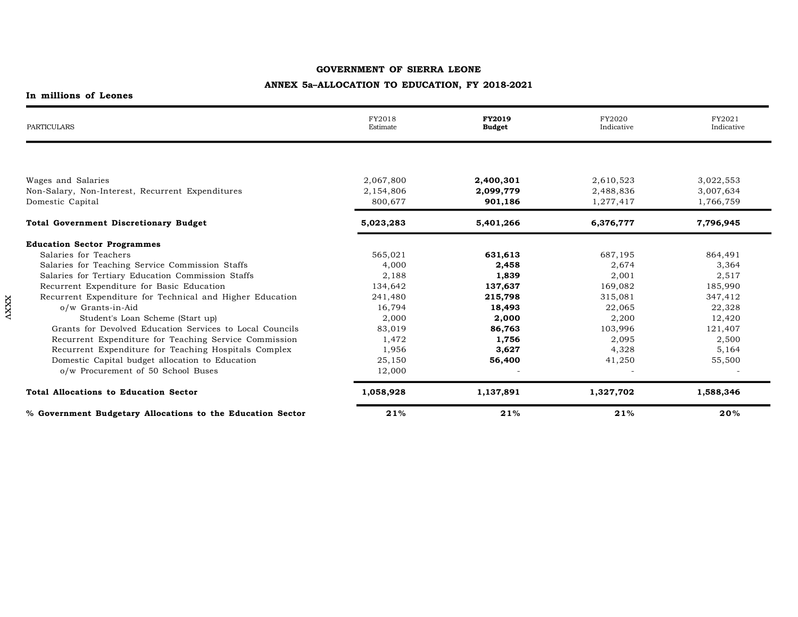# **ANNEX 5a–ALLOCATION TO EDUCATION, FY 2018-2021**

| PARTICULARS                                                | FY2018<br>Estimate | <b>FY2019</b><br><b>Budget</b> | FY2020<br>Indicative | FY2021<br>Indicative |
|------------------------------------------------------------|--------------------|--------------------------------|----------------------|----------------------|
|                                                            |                    |                                |                      |                      |
| Wages and Salaries                                         | 2,067,800          | 2,400,301                      | 2,610,523            | 3,022,553            |
| Non-Salary, Non-Interest, Recurrent Expenditures           | 2,154,806          | 2,099,779                      | 2,488,836            | 3,007,634            |
| Domestic Capital                                           | 800,677            | 901,186                        | 1,277,417            | 1,766,759            |
| <b>Total Government Discretionary Budget</b>               | 5,023,283          | 5,401,266                      | 6,376,777            | 7,796,945            |
| <b>Education Sector Programmes</b>                         |                    |                                |                      |                      |
| Salaries for Teachers                                      | 565,021            | 631,613                        | 687,195              | 864,491              |
| Salaries for Teaching Service Commission Staffs            | 4.000              | 2,458                          | 2,674                | 3,364                |
| Salaries for Tertiary Education Commission Staffs          | 2,188              | 1,839                          | 2,001                | 2,517                |
| Recurrent Expenditure for Basic Education                  | 134,642            | 137,637                        | 169,082              | 185,990              |
| Recurrent Expenditure for Technical and Higher Education   | 241,480            | 215,798                        | 315,081              | 347,412              |
| o/w Grants-in-Aid                                          | 16,794             | 18,493                         | 22,065               | 22,328               |
| Student's Loan Scheme (Start up)                           | 2,000              | 2,000                          | 2,200                | 12,420               |
| Grants for Devolved Education Services to Local Councils   | 83,019             | 86,763                         | 103,996              | 121,407              |
| Recurrent Expenditure for Teaching Service Commission      | 1,472              | 1,756                          | 2,095                | 2,500                |
| Recurrent Expenditure for Teaching Hospitals Complex       | 1,956              | 3,627                          | 4,328                | 5,164                |
| Domestic Capital budget allocation to Education            | 25,150             | 56,400                         | 41,250               | 55,500               |
| o/w Procurement of 50 School Buses                         | 12,000             |                                |                      |                      |
| <b>Total Allocations to Education Sector</b>               | 1,058,928          | 1,137,891                      | 1,327,702            | 1,588,346            |
| % Government Budgetary Allocations to the Education Sector | 21%                | 21%                            | 21%                  | 20%                  |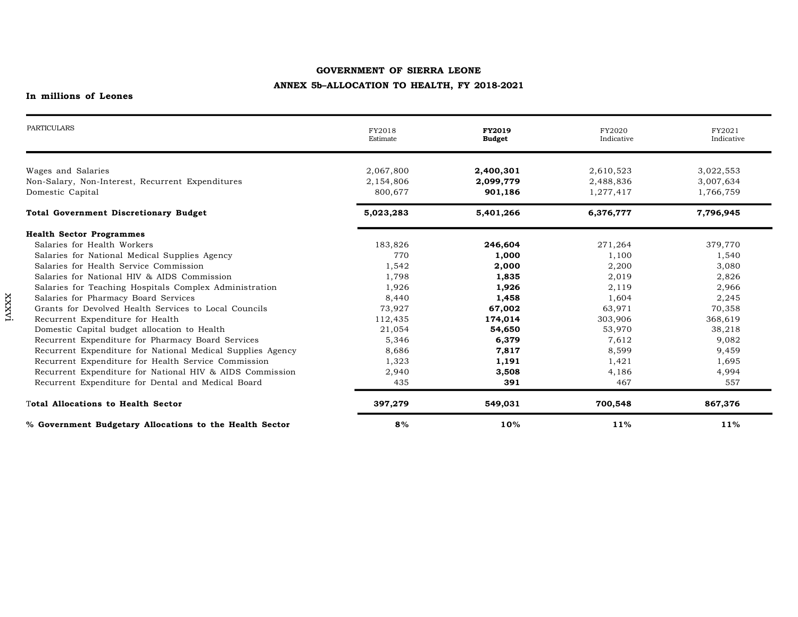## **ANNEX 5b–ALLOCATION TO HEALTH, FY 2018-2021**

| <b>PARTICULARS</b>                                                   | FY2018<br>Estimate   | <b>FY2019</b><br><b>Budget</b> | FY2020<br>Indicative   | FY2021<br>Indicative   |
|----------------------------------------------------------------------|----------------------|--------------------------------|------------------------|------------------------|
| Wages and Salaries                                                   | 2,067,800            | 2,400,301                      | 2,610,523              | 3,022,553              |
| Non-Salary, Non-Interest, Recurrent Expenditures<br>Domestic Capital | 2,154,806<br>800,677 | 2,099,779<br>901,186           | 2,488,836<br>1,277,417 | 3,007,634<br>1,766,759 |
| <b>Total Government Discretionary Budget</b>                         | 5,023,283            | 5,401,266                      | 6,376,777              | 7,796,945              |
| <b>Health Sector Programmes</b>                                      |                      |                                |                        |                        |
| Salaries for Health Workers                                          | 183,826              | 246,604                        | 271,264                | 379,770                |
| Salaries for National Medical Supplies Agency                        | 770                  | 1,000                          | 1,100                  | 1,540                  |
| Salaries for Health Service Commission                               | 1,542                | 2,000                          | 2,200                  | 3,080                  |
| Salaries for National HIV & AIDS Commission                          | 1,798                | 1,835                          | 2,019                  | 2,826                  |
| Salaries for Teaching Hospitals Complex Administration               | 1,926                | 1,926                          | 2,119                  | 2,966                  |
| Salaries for Pharmacy Board Services                                 | 8,440                | 1,458                          | 1,604                  | 2,245                  |
| Grants for Devolved Health Services to Local Councils                | 73,927               | 67,002                         | 63,971                 | 70,358                 |
| Recurrent Expenditure for Health                                     | 112,435              | 174,014                        | 303,906                | 368,619                |
| Domestic Capital budget allocation to Health                         | 21,054               | 54,650                         | 53,970                 | 38,218                 |
| Recurrent Expenditure for Pharmacy Board Services                    | 5,346                | 6,379                          | 7,612                  | 9,082                  |
| Recurrent Expenditure for National Medical Supplies Agency           | 8,686                | 7,817                          | 8,599                  | 9,459                  |
| Recurrent Expenditure for Health Service Commission                  | 1,323                | 1,191                          | 1,421                  | 1,695                  |
| Recurrent Expenditure for National HIV & AIDS Commission             | 2,940                | 3,508                          | 4,186                  | 4,994                  |
| Recurrent Expenditure for Dental and Medical Board                   | 435                  | 391                            | 467                    | 557                    |
| <b>Total Allocations to Health Sector</b>                            | 397,279              | 549,031                        | 700,548                | 867,376                |
| % Government Budgetary Allocations to the Health Sector              | 8%                   | 10%                            | 11%                    | 11%                    |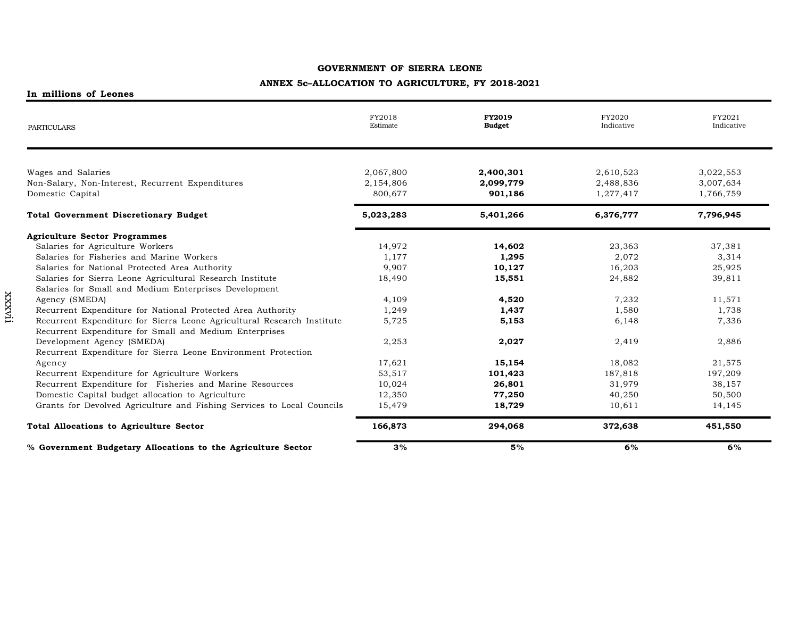# **ANNEX 5c–ALLOCATION TO AGRICULTURE, FY 2018-2021**

| PARTICULARS                                                            | FY2018<br>Estimate | <b>FY2019</b><br><b>Budget</b> | FY2020<br>Indicative | FY2021<br>Indicative |
|------------------------------------------------------------------------|--------------------|--------------------------------|----------------------|----------------------|
|                                                                        |                    |                                |                      |                      |
| Wages and Salaries                                                     | 2,067,800          | 2,400,301                      | 2,610,523            | 3,022,553            |
| Non-Salary, Non-Interest, Recurrent Expenditures                       | 2,154,806          | 2,099,779                      | 2,488,836            | 3,007,634            |
| Domestic Capital                                                       | 800,677            | 901,186                        | 1,277,417            | 1,766,759            |
| <b>Total Government Discretionary Budget</b>                           | 5,023,283          | 5,401,266                      | 6,376,777            | 7,796,945            |
| <b>Agriculture Sector Programmes</b>                                   |                    |                                |                      |                      |
| Salaries for Agriculture Workers                                       | 14,972             | 14,602                         | 23,363               | 37,381               |
| Salaries for Fisheries and Marine Workers                              | 1,177              | 1,295                          | 2,072                | 3,314                |
| Salaries for National Protected Area Authority                         | 9,907              | 10,127                         | 16,203               | 25,925               |
| Salaries for Sierra Leone Agricultural Research Institute              | 18,490             | 15,551                         | 24,882               | 39,811               |
| Salaries for Small and Medium Enterprises Development                  |                    |                                |                      |                      |
| Agency (SMEDA)                                                         | 4,109              | 4,520                          | 7,232                | 11,571               |
| Recurrent Expenditure for National Protected Area Authority            | 1,249              | 1,437                          | 1,580                | 1,738                |
| Recurrent Expenditure for Sierra Leone Agricultural Research Institute | 5,725              | 5,153                          | 6,148                | 7,336                |
| Recurrent Expenditure for Small and Medium Enterprises                 |                    |                                |                      |                      |
| Development Agency (SMEDA)                                             | 2,253              | 2,027                          | 2,419                | 2,886                |
| Recurrent Expenditure for Sierra Leone Environment Protection          |                    |                                |                      |                      |
| Agency                                                                 | 17,621             | 15,154                         | 18,082               | 21,575               |
| Recurrent Expenditure for Agriculture Workers                          | 53,517             | 101,423                        | 187,818              | 197,209              |
| Recurrent Expenditure for Fisheries and Marine Resources               | 10,024             | 26,801                         | 31,979               | 38,157               |
| Domestic Capital budget allocation to Agriculture                      | 12,350             | 77,250                         | 40,250               | 50,500               |
| Grants for Devolved Agriculture and Fishing Services to Local Councils | 15,479             | 18,729                         | 10,611               | 14,145               |
| <b>Total Allocations to Agriculture Sector</b>                         | 166,873            | 294,068                        | 372,638              | 451,550              |
| % Government Budgetary Allocations to the Agriculture Sector           | 3%                 | 5%                             | 6%                   | 6%                   |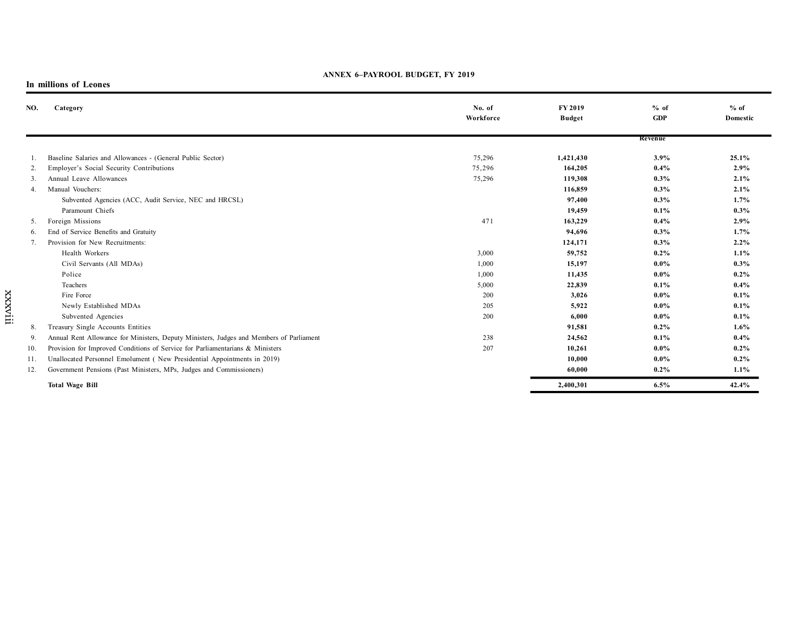#### **ANNEX 6–PAYROOL BUDGET, FY 2019**

| NO. | Category                                                                                | No. of<br>Workforce | FY 2019<br><b>Budget</b> | % of<br><b>GDP</b> | $%$ of<br>Domestic |
|-----|-----------------------------------------------------------------------------------------|---------------------|--------------------------|--------------------|--------------------|
|     |                                                                                         |                     |                          | Revenue            |                    |
|     | Baseline Salaries and Allowances - (General Public Sector)                              | 75,296              | 1,421,430                | 3.9%               | 25.1%              |
| 2.  | Employer's Social Security Contributions                                                | 75,296              | 164,205                  | 0.4%               | 2.9%               |
| 3.  | Annual Leave Allowances                                                                 | 75,296              | 119,308                  | 0.3%               | 2.1%               |
| 4.  | Manual Vouchers:                                                                        |                     | 116,859                  | $0.3\%$            | 2.1%               |
|     | Subvented Agencies (ACC, Audit Service, NEC and HRCSL)                                  |                     | 97,400                   | 0.3%               | 1.7%               |
|     | Paramount Chiefs                                                                        |                     | 19,459                   | 0.1%               | 0.3%               |
| 5.  | Foreign Missions                                                                        | 471                 | 163,229                  | 0.4%               | 2.9%               |
| 6.  | End of Service Benefits and Gratuity                                                    |                     | 94,696                   | 0.3%               | 1.7%               |
| 7.  | Provision for New Recruitments:                                                         |                     | 124,171                  | $0.3\%$            | 2.2%               |
|     | Health Workers                                                                          | 3,000               | 59,752                   | $0.2\%$            | 1.1%               |
|     | Civil Servants (All MDAs)                                                               | 1,000               | 15,197                   | $0.0\%$            | 0.3%               |
|     | Police                                                                                  | 1,000               | 11,435                   | $0.0\%$            | $0.2\%$            |
|     | Teachers                                                                                | 5,000               | 22,839                   | 0.1%               | $0.4\%$            |
|     | Fire Force                                                                              | 200                 | 3,026                    | $0.0\%$            | 0.1%               |
|     | Newly Established MDAs                                                                  | 205                 | 5,922                    | $0.0\%$            | 0.1%               |
|     | Subvented Agencies                                                                      | 200                 | 6,000                    | $0.0\%$            | 0.1%               |
| 8.  | Treasury Single Accounts Entities                                                       |                     | 91,581                   | $0.2\%$            | 1.6%               |
| 9.  | Annual Rent Allowance for Ministers, Deputy Ministers, Judges and Members of Parliament | 238                 | 24,562                   | 0.1%               | $0.4\%$            |
| 10. | Provision for Improved Conditions of Service for Parliamentarians & Ministers           | 207                 | 10,261                   | $0.0\%$            | $0.2\%$            |
| 11. | Unallocated Personnel Emolument (New Presidential Appointments in 2019)                 |                     | 10,000                   | $0.0\%$            | $0.2\%$            |
| 12. | Government Pensions (Past Ministers, MPs, Judges and Commissioners)                     |                     | 60,000                   | $0.2\%$            | 1.1%               |
|     | <b>Total Wage Bill</b>                                                                  |                     | 2,400,301                | 6.5%               | 42.4%              |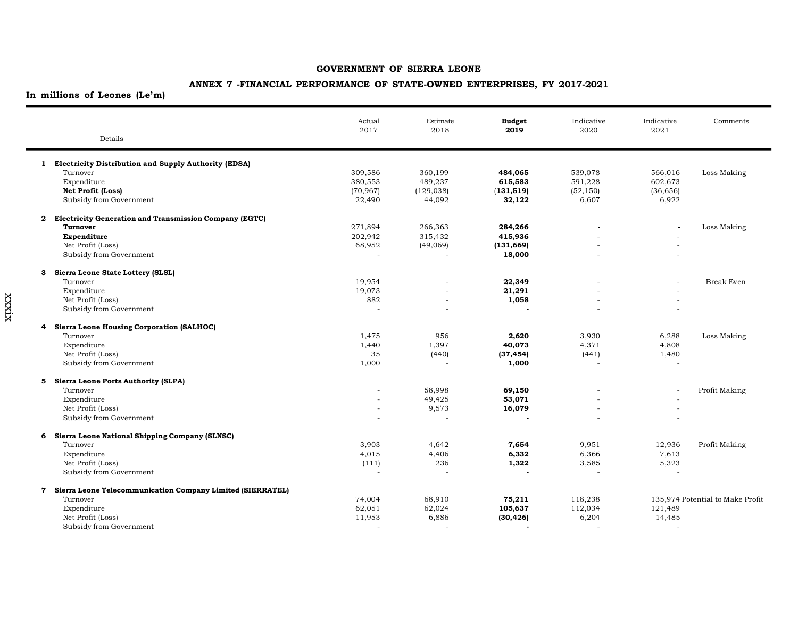# **ANNEX 7 -FINANCIAL PERFORMANCE OF STATE-OWNED ENTERPRISES, FY 2017-2021**

**In millions of Leones (Le'm)**

| 1 Electricity Distribution and Supply Authority (EDSA)<br>Turnover<br>309,586<br>539,078<br>Loss Making<br>360,199<br>484,065<br>566,016<br>380,553<br>489,237<br>591,228<br>602,673<br>Expenditure<br>615,583<br>(70, 967)<br>Net Profit (Loss)<br>(129, 038)<br>(131, 519)<br>(52, 150)<br>(36, 656)<br>Subsidy from Government<br>6,922<br>22,490<br>44,092<br>32,122<br>6,607<br>2 Electricity Generation and Transmission Company (EGTC)<br>271,894<br>Loss Making<br>Turnover<br>266,363<br>284,266<br>202,942<br>315,432<br>415,936<br>Expenditure<br>Net Profit (Loss)<br>68,952<br>(49,069)<br>(131, 669)<br>Subsidy from Government<br>18,000<br>Sierra Leone State Lottery (SLSL)<br>з<br>22,349<br><b>Break Even</b><br>Turnover<br>19,954<br>$\overline{\phantom{a}}$<br>Expenditure<br>19,073<br>21,291<br>Net Profit (Loss)<br>882<br>1,058<br>Subsidy from Government<br>$\overline{a}$<br>$\overline{\phantom{a}}$<br><b>Sierra Leone Housing Corporation (SALHOC)</b><br>4<br>1,475<br>6,288<br>Turnover<br>956<br>2,620<br>3,930<br>Loss Making<br>Expenditure<br>1.440<br>1,397<br>40,073<br>4,371<br>4,808<br>Net Profit (Loss)<br>35<br>(440)<br>(37, 454)<br>(441)<br>1,480<br>Subsidy from Government<br>1,000<br>1,000<br>5 Sierra Leone Ports Authority (SLPA)<br>Turnover<br>58,998<br>69,150<br>Profit Making<br>49,425<br>Expenditure<br>53,071<br>$\overline{a}$<br>Net Profit (Loss)<br>9,573<br>16,079<br>$\overline{a}$<br>Subsidy from Government<br>Sierra Leone National Shipping Company (SLNSC)<br>6<br>3,903<br>9,951<br>12,936<br>Profit Making<br>Turnover<br>4,642<br>7,654<br>Expenditure<br>4,015<br>4,406<br>6,332<br>6,366<br>7,613<br>236<br>3,585<br>5,323<br>Net Profit (Loss)<br>(111)<br>1,322<br>Subsidy from Government<br>Sierra Leone Telecommunication Company Limited (SIERRATEL)<br>7<br>Turnover<br>74,004<br>68,910<br>75,211<br>118,238<br>135,974 Potential to Make Profit<br>Expenditure<br>62,051<br>62,024<br>105,637<br>112,034<br>121,489<br>Net Profit (Loss)<br>11,953<br>6,886<br>(30, 426)<br>6,204<br>14,485<br>Subsidy from Government | Details | Actual<br>2017 | Estimate<br>2018 | <b>Budget</b><br>2019 | Indicative<br>2020 | Indicative<br>2021 | Comments |
|-----------------------------------------------------------------------------------------------------------------------------------------------------------------------------------------------------------------------------------------------------------------------------------------------------------------------------------------------------------------------------------------------------------------------------------------------------------------------------------------------------------------------------------------------------------------------------------------------------------------------------------------------------------------------------------------------------------------------------------------------------------------------------------------------------------------------------------------------------------------------------------------------------------------------------------------------------------------------------------------------------------------------------------------------------------------------------------------------------------------------------------------------------------------------------------------------------------------------------------------------------------------------------------------------------------------------------------------------------------------------------------------------------------------------------------------------------------------------------------------------------------------------------------------------------------------------------------------------------------------------------------------------------------------------------------------------------------------------------------------------------------------------------------------------------------------------------------------------------------------------------------------------------------------------------------------------------------------------------------------------------------------------------------------------------------------------------------------------------------------|---------|----------------|------------------|-----------------------|--------------------|--------------------|----------|
|                                                                                                                                                                                                                                                                                                                                                                                                                                                                                                                                                                                                                                                                                                                                                                                                                                                                                                                                                                                                                                                                                                                                                                                                                                                                                                                                                                                                                                                                                                                                                                                                                                                                                                                                                                                                                                                                                                                                                                                                                                                                                                                 |         |                |                  |                       |                    |                    |          |
|                                                                                                                                                                                                                                                                                                                                                                                                                                                                                                                                                                                                                                                                                                                                                                                                                                                                                                                                                                                                                                                                                                                                                                                                                                                                                                                                                                                                                                                                                                                                                                                                                                                                                                                                                                                                                                                                                                                                                                                                                                                                                                                 |         |                |                  |                       |                    |                    |          |
|                                                                                                                                                                                                                                                                                                                                                                                                                                                                                                                                                                                                                                                                                                                                                                                                                                                                                                                                                                                                                                                                                                                                                                                                                                                                                                                                                                                                                                                                                                                                                                                                                                                                                                                                                                                                                                                                                                                                                                                                                                                                                                                 |         |                |                  |                       |                    |                    |          |
|                                                                                                                                                                                                                                                                                                                                                                                                                                                                                                                                                                                                                                                                                                                                                                                                                                                                                                                                                                                                                                                                                                                                                                                                                                                                                                                                                                                                                                                                                                                                                                                                                                                                                                                                                                                                                                                                                                                                                                                                                                                                                                                 |         |                |                  |                       |                    |                    |          |
|                                                                                                                                                                                                                                                                                                                                                                                                                                                                                                                                                                                                                                                                                                                                                                                                                                                                                                                                                                                                                                                                                                                                                                                                                                                                                                                                                                                                                                                                                                                                                                                                                                                                                                                                                                                                                                                                                                                                                                                                                                                                                                                 |         |                |                  |                       |                    |                    |          |
|                                                                                                                                                                                                                                                                                                                                                                                                                                                                                                                                                                                                                                                                                                                                                                                                                                                                                                                                                                                                                                                                                                                                                                                                                                                                                                                                                                                                                                                                                                                                                                                                                                                                                                                                                                                                                                                                                                                                                                                                                                                                                                                 |         |                |                  |                       |                    |                    |          |
|                                                                                                                                                                                                                                                                                                                                                                                                                                                                                                                                                                                                                                                                                                                                                                                                                                                                                                                                                                                                                                                                                                                                                                                                                                                                                                                                                                                                                                                                                                                                                                                                                                                                                                                                                                                                                                                                                                                                                                                                                                                                                                                 |         |                |                  |                       |                    |                    |          |
|                                                                                                                                                                                                                                                                                                                                                                                                                                                                                                                                                                                                                                                                                                                                                                                                                                                                                                                                                                                                                                                                                                                                                                                                                                                                                                                                                                                                                                                                                                                                                                                                                                                                                                                                                                                                                                                                                                                                                                                                                                                                                                                 |         |                |                  |                       |                    |                    |          |
|                                                                                                                                                                                                                                                                                                                                                                                                                                                                                                                                                                                                                                                                                                                                                                                                                                                                                                                                                                                                                                                                                                                                                                                                                                                                                                                                                                                                                                                                                                                                                                                                                                                                                                                                                                                                                                                                                                                                                                                                                                                                                                                 |         |                |                  |                       |                    |                    |          |
|                                                                                                                                                                                                                                                                                                                                                                                                                                                                                                                                                                                                                                                                                                                                                                                                                                                                                                                                                                                                                                                                                                                                                                                                                                                                                                                                                                                                                                                                                                                                                                                                                                                                                                                                                                                                                                                                                                                                                                                                                                                                                                                 |         |                |                  |                       |                    |                    |          |
|                                                                                                                                                                                                                                                                                                                                                                                                                                                                                                                                                                                                                                                                                                                                                                                                                                                                                                                                                                                                                                                                                                                                                                                                                                                                                                                                                                                                                                                                                                                                                                                                                                                                                                                                                                                                                                                                                                                                                                                                                                                                                                                 |         |                |                  |                       |                    |                    |          |
|                                                                                                                                                                                                                                                                                                                                                                                                                                                                                                                                                                                                                                                                                                                                                                                                                                                                                                                                                                                                                                                                                                                                                                                                                                                                                                                                                                                                                                                                                                                                                                                                                                                                                                                                                                                                                                                                                                                                                                                                                                                                                                                 |         |                |                  |                       |                    |                    |          |
|                                                                                                                                                                                                                                                                                                                                                                                                                                                                                                                                                                                                                                                                                                                                                                                                                                                                                                                                                                                                                                                                                                                                                                                                                                                                                                                                                                                                                                                                                                                                                                                                                                                                                                                                                                                                                                                                                                                                                                                                                                                                                                                 |         |                |                  |                       |                    |                    |          |
|                                                                                                                                                                                                                                                                                                                                                                                                                                                                                                                                                                                                                                                                                                                                                                                                                                                                                                                                                                                                                                                                                                                                                                                                                                                                                                                                                                                                                                                                                                                                                                                                                                                                                                                                                                                                                                                                                                                                                                                                                                                                                                                 |         |                |                  |                       |                    |                    |          |
|                                                                                                                                                                                                                                                                                                                                                                                                                                                                                                                                                                                                                                                                                                                                                                                                                                                                                                                                                                                                                                                                                                                                                                                                                                                                                                                                                                                                                                                                                                                                                                                                                                                                                                                                                                                                                                                                                                                                                                                                                                                                                                                 |         |                |                  |                       |                    |                    |          |
|                                                                                                                                                                                                                                                                                                                                                                                                                                                                                                                                                                                                                                                                                                                                                                                                                                                                                                                                                                                                                                                                                                                                                                                                                                                                                                                                                                                                                                                                                                                                                                                                                                                                                                                                                                                                                                                                                                                                                                                                                                                                                                                 |         |                |                  |                       |                    |                    |          |
|                                                                                                                                                                                                                                                                                                                                                                                                                                                                                                                                                                                                                                                                                                                                                                                                                                                                                                                                                                                                                                                                                                                                                                                                                                                                                                                                                                                                                                                                                                                                                                                                                                                                                                                                                                                                                                                                                                                                                                                                                                                                                                                 |         |                |                  |                       |                    |                    |          |
|                                                                                                                                                                                                                                                                                                                                                                                                                                                                                                                                                                                                                                                                                                                                                                                                                                                                                                                                                                                                                                                                                                                                                                                                                                                                                                                                                                                                                                                                                                                                                                                                                                                                                                                                                                                                                                                                                                                                                                                                                                                                                                                 |         |                |                  |                       |                    |                    |          |
|                                                                                                                                                                                                                                                                                                                                                                                                                                                                                                                                                                                                                                                                                                                                                                                                                                                                                                                                                                                                                                                                                                                                                                                                                                                                                                                                                                                                                                                                                                                                                                                                                                                                                                                                                                                                                                                                                                                                                                                                                                                                                                                 |         |                |                  |                       |                    |                    |          |
|                                                                                                                                                                                                                                                                                                                                                                                                                                                                                                                                                                                                                                                                                                                                                                                                                                                                                                                                                                                                                                                                                                                                                                                                                                                                                                                                                                                                                                                                                                                                                                                                                                                                                                                                                                                                                                                                                                                                                                                                                                                                                                                 |         |                |                  |                       |                    |                    |          |
|                                                                                                                                                                                                                                                                                                                                                                                                                                                                                                                                                                                                                                                                                                                                                                                                                                                                                                                                                                                                                                                                                                                                                                                                                                                                                                                                                                                                                                                                                                                                                                                                                                                                                                                                                                                                                                                                                                                                                                                                                                                                                                                 |         |                |                  |                       |                    |                    |          |
|                                                                                                                                                                                                                                                                                                                                                                                                                                                                                                                                                                                                                                                                                                                                                                                                                                                                                                                                                                                                                                                                                                                                                                                                                                                                                                                                                                                                                                                                                                                                                                                                                                                                                                                                                                                                                                                                                                                                                                                                                                                                                                                 |         |                |                  |                       |                    |                    |          |
|                                                                                                                                                                                                                                                                                                                                                                                                                                                                                                                                                                                                                                                                                                                                                                                                                                                                                                                                                                                                                                                                                                                                                                                                                                                                                                                                                                                                                                                                                                                                                                                                                                                                                                                                                                                                                                                                                                                                                                                                                                                                                                                 |         |                |                  |                       |                    |                    |          |
|                                                                                                                                                                                                                                                                                                                                                                                                                                                                                                                                                                                                                                                                                                                                                                                                                                                                                                                                                                                                                                                                                                                                                                                                                                                                                                                                                                                                                                                                                                                                                                                                                                                                                                                                                                                                                                                                                                                                                                                                                                                                                                                 |         |                |                  |                       |                    |                    |          |
|                                                                                                                                                                                                                                                                                                                                                                                                                                                                                                                                                                                                                                                                                                                                                                                                                                                                                                                                                                                                                                                                                                                                                                                                                                                                                                                                                                                                                                                                                                                                                                                                                                                                                                                                                                                                                                                                                                                                                                                                                                                                                                                 |         |                |                  |                       |                    |                    |          |
|                                                                                                                                                                                                                                                                                                                                                                                                                                                                                                                                                                                                                                                                                                                                                                                                                                                                                                                                                                                                                                                                                                                                                                                                                                                                                                                                                                                                                                                                                                                                                                                                                                                                                                                                                                                                                                                                                                                                                                                                                                                                                                                 |         |                |                  |                       |                    |                    |          |
|                                                                                                                                                                                                                                                                                                                                                                                                                                                                                                                                                                                                                                                                                                                                                                                                                                                                                                                                                                                                                                                                                                                                                                                                                                                                                                                                                                                                                                                                                                                                                                                                                                                                                                                                                                                                                                                                                                                                                                                                                                                                                                                 |         |                |                  |                       |                    |                    |          |
|                                                                                                                                                                                                                                                                                                                                                                                                                                                                                                                                                                                                                                                                                                                                                                                                                                                                                                                                                                                                                                                                                                                                                                                                                                                                                                                                                                                                                                                                                                                                                                                                                                                                                                                                                                                                                                                                                                                                                                                                                                                                                                                 |         |                |                  |                       |                    |                    |          |
|                                                                                                                                                                                                                                                                                                                                                                                                                                                                                                                                                                                                                                                                                                                                                                                                                                                                                                                                                                                                                                                                                                                                                                                                                                                                                                                                                                                                                                                                                                                                                                                                                                                                                                                                                                                                                                                                                                                                                                                                                                                                                                                 |         |                |                  |                       |                    |                    |          |
|                                                                                                                                                                                                                                                                                                                                                                                                                                                                                                                                                                                                                                                                                                                                                                                                                                                                                                                                                                                                                                                                                                                                                                                                                                                                                                                                                                                                                                                                                                                                                                                                                                                                                                                                                                                                                                                                                                                                                                                                                                                                                                                 |         |                |                  |                       |                    |                    |          |
|                                                                                                                                                                                                                                                                                                                                                                                                                                                                                                                                                                                                                                                                                                                                                                                                                                                                                                                                                                                                                                                                                                                                                                                                                                                                                                                                                                                                                                                                                                                                                                                                                                                                                                                                                                                                                                                                                                                                                                                                                                                                                                                 |         |                |                  |                       |                    |                    |          |
|                                                                                                                                                                                                                                                                                                                                                                                                                                                                                                                                                                                                                                                                                                                                                                                                                                                                                                                                                                                                                                                                                                                                                                                                                                                                                                                                                                                                                                                                                                                                                                                                                                                                                                                                                                                                                                                                                                                                                                                                                                                                                                                 |         |                |                  |                       |                    |                    |          |
|                                                                                                                                                                                                                                                                                                                                                                                                                                                                                                                                                                                                                                                                                                                                                                                                                                                                                                                                                                                                                                                                                                                                                                                                                                                                                                                                                                                                                                                                                                                                                                                                                                                                                                                                                                                                                                                                                                                                                                                                                                                                                                                 |         |                |                  |                       |                    |                    |          |
|                                                                                                                                                                                                                                                                                                                                                                                                                                                                                                                                                                                                                                                                                                                                                                                                                                                                                                                                                                                                                                                                                                                                                                                                                                                                                                                                                                                                                                                                                                                                                                                                                                                                                                                                                                                                                                                                                                                                                                                                                                                                                                                 |         |                |                  |                       |                    |                    |          |
|                                                                                                                                                                                                                                                                                                                                                                                                                                                                                                                                                                                                                                                                                                                                                                                                                                                                                                                                                                                                                                                                                                                                                                                                                                                                                                                                                                                                                                                                                                                                                                                                                                                                                                                                                                                                                                                                                                                                                                                                                                                                                                                 |         |                |                  |                       |                    |                    |          |
|                                                                                                                                                                                                                                                                                                                                                                                                                                                                                                                                                                                                                                                                                                                                                                                                                                                                                                                                                                                                                                                                                                                                                                                                                                                                                                                                                                                                                                                                                                                                                                                                                                                                                                                                                                                                                                                                                                                                                                                                                                                                                                                 |         |                |                  |                       |                    |                    |          |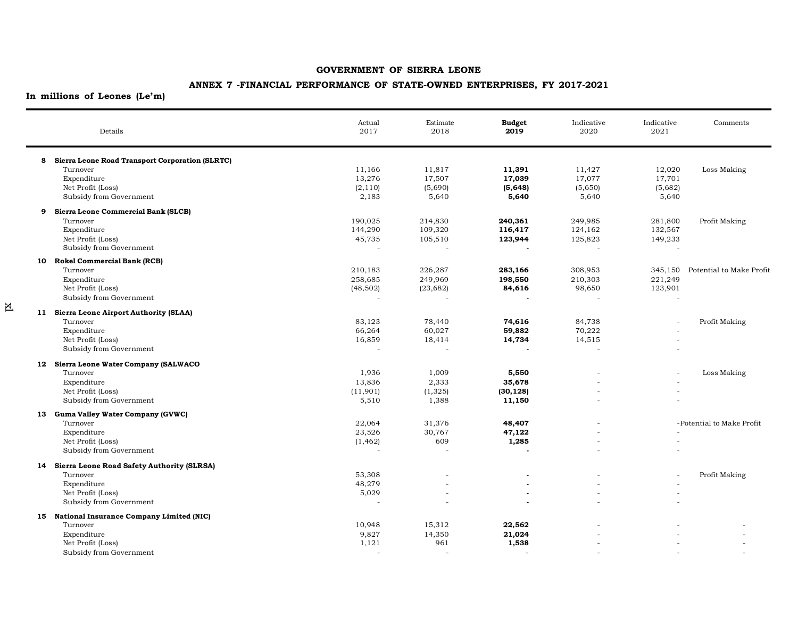#### **ANNEX 7 -FINANCIAL PERFORMANCE OF STATE-OWNED ENTERPRISES, FY 2017-2021**

**In millions of Leones (Le'm)**

 $\overline{\textbf{x}}$ 

|   | Details                                           | Actual<br>2017 | Estimate<br>2018 | <b>Budget</b><br>2019    | Indicative<br>2020 | Indicative<br>2021       | Comments                  |
|---|---------------------------------------------------|----------------|------------------|--------------------------|--------------------|--------------------------|---------------------------|
|   | 8 Sierra Leone Road Transport Corporation (SLRTC) |                |                  |                          |                    |                          |                           |
|   | Turnover                                          | 11,166         | 11,817           | 11,391                   | 11,427             | 12,020                   | Loss Making               |
|   | Expenditure                                       | 13,276         | 17,507           | 17,039                   | 17,077             | 17,701                   |                           |
|   | Net Profit (Loss)                                 | (2, 110)       | (5,690)          | (5, 648)                 | (5,650)            | (5,682)                  |                           |
|   | Subsidy from Government                           | 2,183          | 5,640            | 5,640                    | 5,640              | 5,640                    |                           |
| 9 | Sierra Leone Commercial Bank (SLCB)               |                |                  |                          |                    |                          |                           |
|   | Turnover                                          | 190,025        | 214,830          | 240,361                  | 249,985            | 281,800                  | Profit Making             |
|   | Expenditure                                       | 144,290        | 109,320          | 116,417                  | 124,162            | 132,567                  |                           |
|   | Net Profit (Loss)                                 | 45,735         | 105,510          | 123,944                  | 125,823            | 149,233                  |                           |
|   | Subsidy from Government                           |                |                  |                          |                    |                          |                           |
|   | 10 Rokel Commercial Bank (RCB)                    |                |                  |                          |                    |                          |                           |
|   | Turnover                                          | 210,183        | 226,287          | 283,166                  | 308,953            | 345,150                  | Potential to Make Profit  |
|   | Expenditure                                       | 258,685        | 249,969          | 198,550                  | 210,303            | 221,249                  |                           |
|   | Net Profit (Loss)                                 | (48, 502)      | (23, 682)        | 84,616                   | 98,650             | 123,901                  |                           |
|   | Subsidy from Government                           |                |                  |                          |                    | $\overline{a}$           |                           |
|   | 11 Sierra Leone Airport Authority (SLAA)          |                |                  |                          |                    |                          |                           |
|   | Turnover                                          | 83,123         | 78,440           | 74,616                   | 84,738             | $\overline{\phantom{a}}$ | Profit Making             |
|   | Expenditure                                       | 66,264         | 60,027           | 59,882                   | 70,222             |                          |                           |
|   | Net Profit (Loss)                                 | 16,859         | 18,414           | 14,734                   | 14,515             |                          |                           |
|   | Subsidy from Government                           |                |                  |                          |                    |                          |                           |
|   | 12 Sierra Leone Water Company (SALWACO            |                |                  |                          |                    |                          |                           |
|   | Turnover                                          | 1,936          | 1,009            | 5,550                    |                    |                          | Loss Making               |
|   | Expenditure                                       | 13,836         | 2,333            | 35,678                   |                    |                          |                           |
|   | Net Profit (Loss)                                 | (11,901)       | (1, 325)         | (30, 128)                |                    |                          |                           |
|   | Subsidy from Government                           | 5,510          | 1,388            | 11,150                   |                    |                          |                           |
|   | 13 Guma Valley Water Company (GVWC)               |                |                  |                          |                    |                          |                           |
|   | Turnover                                          | 22,064         | 31,376           | 48,407                   |                    |                          | -Potential to Make Profit |
|   | Expenditure                                       | 23,526         | 30,767           | 47,122                   |                    |                          |                           |
|   | Net Profit (Loss)                                 | (1, 462)       | 609              | 1,285                    |                    |                          |                           |
|   | Subsidy from Government                           |                |                  |                          |                    |                          |                           |
|   | 14 Sierra Leone Road Safety Authority (SLRSA)     |                |                  |                          |                    |                          |                           |
|   | Turnover                                          | 53,308         |                  |                          |                    |                          | Profit Making             |
|   | Expenditure                                       | 48,279         |                  |                          |                    |                          |                           |
|   | Net Profit (Loss)                                 | 5,029          |                  | $\overline{\phantom{a}}$ |                    |                          |                           |
|   | Subsidy from Government                           |                |                  |                          |                    |                          |                           |
|   | 15 National Insurance Company Limited (NIC)       |                |                  |                          |                    |                          |                           |
|   | Turnover                                          | 10,948         | 15,312           | 22,562                   |                    |                          |                           |
|   | Expenditure                                       | 9,827          | 14,350           | 21,024                   |                    |                          |                           |
|   | Net Profit (Loss)                                 | 1,121          | 961              | 1,538                    |                    |                          |                           |
|   | Subsidy from Government                           |                |                  |                          |                    |                          |                           |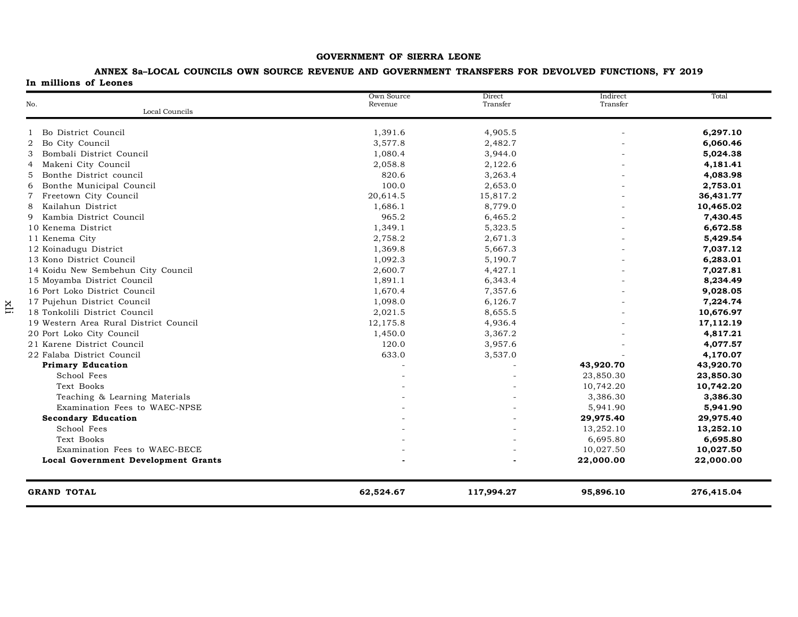#### **ANNEX 8a–LOCAL COUNCILS OWN SOURCE REVENUE AND GOVERNMENT TRANSFERS FOR DEVOLVED FUNCTIONS, FY 2019 In millions of Leones**

| No.                                        | Own Source<br>Revenue | Direct<br>Transfer | Indirect<br>Transfer | Total      |
|--------------------------------------------|-----------------------|--------------------|----------------------|------------|
| Local Councils                             |                       |                    |                      |            |
| Bo District Council                        | 1,391.6               | 4,905.5            |                      | 6,297.10   |
| $\overline{2}$<br>Bo City Council          | 3,577.8               | 2,482.7            |                      | 6,060.46   |
| 3<br>Bombali District Council              | 1,080.4               | 3,944.0            |                      | 5,024.38   |
| Makeni City Council<br>$\overline{4}$      | 2,058.8               | 2,122.6            |                      | 4,181.41   |
| 5<br>Bonthe District council               | 820.6                 | 3,263.4            |                      | 4,083.98   |
| Bonthe Municipal Council<br>6              | 100.0                 | 2,653.0            |                      | 2,753.01   |
| Freetown City Council<br>7                 | 20,614.5              | 15,817.2           |                      | 36,431.77  |
| Kailahun District<br>8                     | 1,686.1               | 8,779.0            |                      | 10,465.02  |
| Kambia District Council<br>9               | 965.2                 | 6,465.2            |                      | 7,430.45   |
| 10 Kenema District                         | 1,349.1               | 5,323.5            |                      | 6,672.58   |
| 11 Kenema City                             | 2,758.2               | 2,671.3            |                      | 5,429.54   |
| 12 Koinadugu District                      | 1,369.8               | 5,667.3            |                      | 7,037.12   |
| 13 Kono District Council                   | 1,092.3               | 5,190.7            |                      | 6,283.01   |
| 14 Koidu New Sembehun City Council         | 2,600.7               | 4,427.1            |                      | 7,027.81   |
| 15 Moyamba District Council                | 1,891.1               | 6,343.4            |                      | 8,234.49   |
| 16 Port Loko District Council              | 1,670.4               | 7,357.6            |                      | 9,028.05   |
| 17 Pujehun District Council                | 1,098.0               | 6,126.7            |                      | 7,224.74   |
| 18 Tonkolili District Council              | 2,021.5               | 8,655.5            |                      | 10,676.97  |
| 19 Western Area Rural District Council     | 12,175.8              | 4,936.4            |                      | 17,112.19  |
| 20 Port Loko City Council                  | 1,450.0               | 3,367.2            |                      | 4,817.21   |
| 21 Karene District Council                 | 120.0                 | 3,957.6            |                      | 4,077.57   |
| 22 Falaba District Council                 | 633.0                 | 3,537.0            |                      | 4,170.07   |
| <b>Primary Education</b>                   |                       |                    | 43,920.70            | 43,920.70  |
| School Fees                                |                       |                    | 23,850.30            | 23,850.30  |
| Text Books                                 |                       |                    | 10,742.20            | 10,742.20  |
| Teaching & Learning Materials              |                       |                    | 3.386.30             | 3,386.30   |
| Examination Fees to WAEC-NPSE              |                       |                    | 5,941.90             | 5,941.90   |
| <b>Secondary Education</b>                 |                       |                    | 29,975.40            | 29,975.40  |
| School Fees                                |                       |                    | 13,252.10            | 13,252.10  |
| Text Books                                 |                       |                    | 6,695.80             | 6,695.80   |
| Examination Fees to WAEC-BECE              |                       |                    | 10,027.50            | 10,027.50  |
| <b>Local Government Development Grants</b> |                       |                    | 22,000.00            | 22,000.00  |
| <b>GRAND TOTAL</b>                         | 62,524.67             | 117,994.27         | 95,896.10            | 276,415.04 |

xli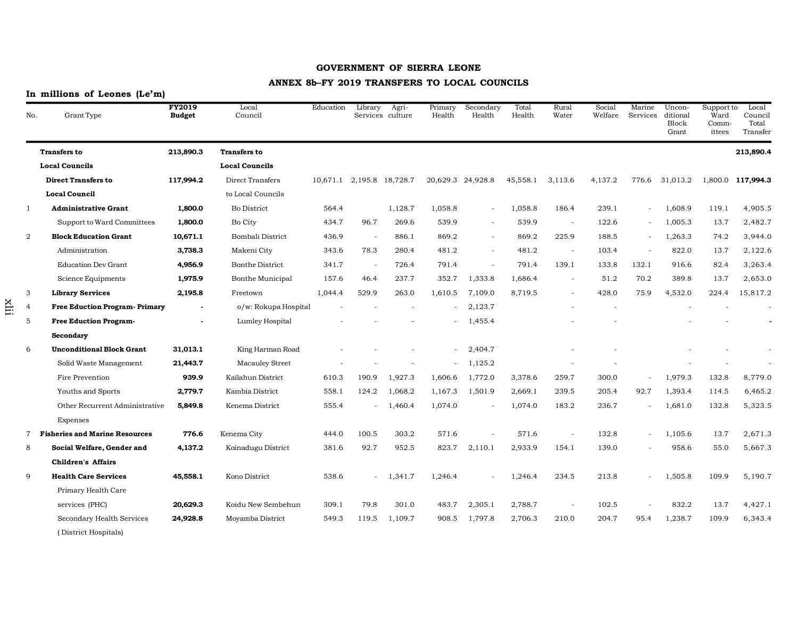## **ANNEX 8b–FY 2019 TRANSFERS TO LOCAL COUNCILS**

# **In millions of Leones (Le'm)**

| No.            | Grant Type                            | <b>FY2019</b><br><b>Budget</b> | Local<br>Council       | Education                 | Library | Agri-<br>Services culture | Primary<br>Health | Secondary<br>Health      | Total<br>Health | Rural<br>Water           | Social<br>Welfare | Marine<br>Services       | Uncon-<br>ditional<br>Block<br>Grant | Support to<br>Ward<br>Comm-<br>ittees | Local<br>Council<br>Total<br>Transfer |
|----------------|---------------------------------------|--------------------------------|------------------------|---------------------------|---------|---------------------------|-------------------|--------------------------|-----------------|--------------------------|-------------------|--------------------------|--------------------------------------|---------------------------------------|---------------------------------------|
|                | <b>Transfers to</b>                   | 213,890.3                      | <b>Transfers to</b>    |                           |         |                           |                   |                          |                 |                          |                   |                          |                                      |                                       | 213,890.4                             |
|                | <b>Local Councils</b>                 |                                | <b>Local Councils</b>  |                           |         |                           |                   |                          |                 |                          |                   |                          |                                      |                                       |                                       |
|                | <b>Direct Transfers to</b>            | 117,994.2                      | Direct Transfers       | 10,671.1 2,195.8 18,728.7 |         |                           |                   | 20,629.3 24,928.8        | 45,558.1        | 3,113.6                  | 4,137.2           | 776.6                    | 31,013.2                             |                                       | 1,800.0 117,994.3                     |
|                | <b>Local Council</b>                  |                                | to Local Councils      |                           |         |                           |                   |                          |                 |                          |                   |                          |                                      |                                       |                                       |
| $\mathbf{1}$   | <b>Administrative Grant</b>           | 1,800.0                        | <b>Bo District</b>     | 564.4                     |         | 1,128.7                   | 1,058.8           |                          | 1,058.8         | 186.4                    | 239.1             | $\overline{\phantom{a}}$ | 1,608.9                              | 119.1                                 | 4,905.5                               |
|                | Support to Ward Committees            | 1,800.0                        | Bo City                | 434.7                     | 96.7    | 269.6                     | 539.9             | $\overline{\phantom{a}}$ | 539.9           | $\overline{\phantom{a}}$ | 122.6             | $\sim$                   | 1,005.3                              | 13.7                                  | 2,482.7                               |
| $\overline{2}$ | <b>Block Education Grant</b>          | 10,671.1                       | Bombali District       | 436.9                     |         | 886.1                     | 869.2             | $\sim$                   | 869.2           | 225.9                    | 188.5             | $\overline{\phantom{a}}$ | 1,263.3                              | 74.2                                  | 3,944.0                               |
|                | Administration                        | 3,738.3                        | Makeni City            | 343.6                     | 78.3    | 280.4                     | 481.2             | $\overline{\phantom{a}}$ | 481.2           | $\overline{\phantom{a}}$ | 103.4             | $\overline{a}$           | 822.0                                | 13.7                                  | 2,122.6                               |
|                | <b>Education Dev Grant</b>            | 4,956.9                        | <b>Bonthe District</b> | 341.7                     |         | 726.4                     | 791.4             |                          | 791.4           | 139.1                    | 133.8             | 132.1                    | 916.6                                | 82.4                                  | 3,263.4                               |
|                | Science Equipments                    | 1,975.9                        | Bonthe Municipal       | 157.6                     | 46.4    | 237.7                     | 352.7             | 1,333.8                  | 1,686.4         | $\overline{\phantom{a}}$ | 51.2              | 70.2                     | 389.8                                | 13.7                                  | 2,653.0                               |
| 3              | <b>Library Services</b>               | 2,195.8                        | Freetown               | 1,044.4                   | 529.9   | 263.0                     | 1,610.5           | 7,109.0                  | 8,719.5         |                          | 428.0             | 75.9                     | 4,532.0                              | 224.4                                 | 15,817.2                              |
| 4              | <b>Free Eduction Program- Primary</b> | $\blacksquare$                 | o/w: Rokupa Hospital   |                           |         |                           |                   | 2,123.7                  |                 |                          |                   |                          |                                      |                                       |                                       |
| 5              | <b>Free Eduction Program-</b>         |                                | Lumley Hospital        |                           |         |                           |                   | 1,455.4                  |                 |                          |                   |                          |                                      |                                       |                                       |
|                | Secondary                             |                                |                        |                           |         |                           |                   |                          |                 |                          |                   |                          |                                      |                                       |                                       |
| 6              | <b>Unconditional Block Grant</b>      | 31,013.1                       | King Harman Road       |                           |         |                           |                   | 2,404.7                  |                 |                          |                   |                          |                                      |                                       |                                       |
|                | Solid Waste Management                | 21,443.7                       | <b>Macauley Street</b> |                           |         |                           |                   | 1,125.2                  |                 |                          |                   |                          |                                      |                                       |                                       |
|                | Fire Prevention                       | 939.9                          | Kailahun District      | 610.3                     | 190.9   | 1,927.3                   | 1,606.6           | 1,772.0                  | 3,378.6         | 259.7                    | 300.0             |                          | 1,979.3                              | 132.8                                 | 8,779.0                               |
|                | Youths and Sports                     | 2,779.7                        | Kambia District        | 558.1                     | 124.2   | 1,068.2                   | 1,167.3           | 1,501.9                  | 2,669.1         | 239.5                    | 205.4             | 92.7                     | 1,393.4                              | 114.5                                 | 6,465.2                               |
|                | Other Recurrent Administrative        | 5,849.8                        | Kenema District        | 555.4                     |         | 1,460.4                   | 1,074.0           |                          | 1,074.0         | 183.2                    | 236.7             |                          | 1,681.0                              | 132.8                                 | 5,323.5                               |
|                | Expenses                              |                                |                        |                           |         |                           |                   |                          |                 |                          |                   |                          |                                      |                                       |                                       |
| $7^{\circ}$    | <b>Fisheries and Marine Resources</b> | 776.6                          | Kenema City            | 444.0                     | 100.5   | 303.2                     | 571.6             |                          | 571.6           |                          | 132.8             | $\overline{\phantom{a}}$ | 1,105.6                              | 13.7                                  | 2,671.3                               |
| 8              | Social Welfare, Gender and            | 4,137.2                        | Koinadugu District     | 381.6                     | 92.7    | 952.5                     | 823.7             | 2,110.1                  | 2,933.9         | 154.1                    | 139.0             |                          | 958.6                                | 55.0                                  | 5,667.3                               |
|                | <b>Children's Affairs</b>             |                                |                        |                           |         |                           |                   |                          |                 |                          |                   |                          |                                      |                                       |                                       |
| 9              | <b>Health Care Services</b>           | 45,558.1                       | Kono District          | 538.6                     | $\sim$  | 1,341.7                   | 1,246.4           |                          | 1,246.4         | 234.5                    | 213.8             | $\overline{a}$           | 1,505.8                              | 109.9                                 | 5,190.7                               |
|                | Primary Health Care                   |                                |                        |                           |         |                           |                   |                          |                 |                          |                   |                          |                                      |                                       |                                       |
|                | services (PHC)                        | 20,629.3                       | Koidu New Sembehun     | 309.1                     | 79.8    | 301.0                     | 483.7             | 2,305.1                  | 2,788.7         | $\overline{\phantom{a}}$ | 102.5             |                          | 832.2                                | 13.7                                  | 4,427.1                               |
|                | Secondary Health Services             | 24,928.8                       | Moyamba District       | 549.3                     | 119.5   | 1,109.7                   | 908.5             | 1,797.8                  | 2,706.3         | 210.0                    | 204.7             | 95.4                     | 1,238.7                              | 109.9                                 | 6,343.4                               |
|                | (District Hospitals)                  |                                |                        |                           |         |                           |                   |                          |                 |                          |                   |                          |                                      |                                       |                                       |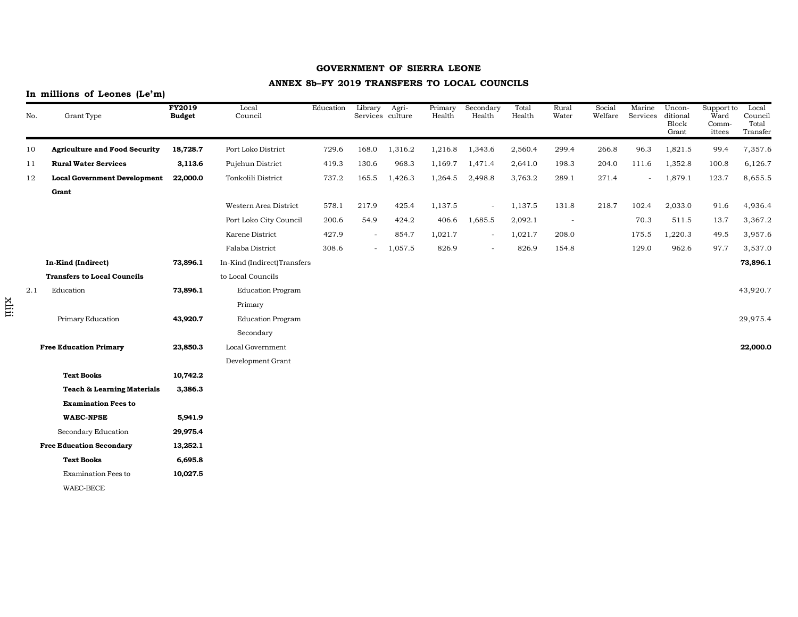## **ANNEX 8b–FY 2019 TRANSFERS TO LOCAL COUNCILS**

## **In millions of Leones (Le'm)**

| No. | Grant Type                            | <b>FY2019</b><br><b>Budget</b> | Local<br>Council            | Education | Library                  | Agri-<br>Services culture | Primary<br>Health | Secondary<br>Health      | Total<br>Health | Rural<br>Water           | Social<br>Welfare | Marine<br>Services | Uncon-<br>ditional<br>Block<br>Grant | Support to<br>Ward<br>Comm-<br>ittees | Local<br>Council<br>Total<br>Transfer |
|-----|---------------------------------------|--------------------------------|-----------------------------|-----------|--------------------------|---------------------------|-------------------|--------------------------|-----------------|--------------------------|-------------------|--------------------|--------------------------------------|---------------------------------------|---------------------------------------|
| 10  | <b>Agriculture and Food Security</b>  | 18,728.7                       | Port Loko District          | 729.6     | 168.0                    | 1,316.2                   | 1,216.8           | 1,343.6                  | 2,560.4         | 299.4                    | 266.8             | 96.3               | 1,821.5                              | 99.4                                  | 7,357.6                               |
| 11  | <b>Rural Water Services</b>           | 3,113.6                        | Pujehun District            | 419.3     | 130.6                    | 968.3                     | 1,169.7           | 1,471.4                  | 2,641.0         | 198.3                    | 204.0             | 111.6              | 1,352.8                              | 100.8                                 | 6,126.7                               |
| 12  | <b>Local Government Development</b>   | 22,000.0                       | Tonkolili District          | 737.2     | 165.5                    | 1,426.3                   | 1,264.5           | 2,498.8                  | 3,763.2         | 289.1                    | 271.4             |                    | 1,879.1                              | 123.7                                 | 8,655.5                               |
|     | Grant                                 |                                |                             |           |                          |                           |                   |                          |                 |                          |                   |                    |                                      |                                       |                                       |
|     |                                       |                                | Western Area District       | 578.1     | 217.9                    | 425.4                     | 1,137.5           | $\overline{\phantom{a}}$ | 1,137.5         | 131.8                    | 218.7             | 102.4              | 2,033.0                              | 91.6                                  | 4,936.4                               |
|     |                                       |                                | Port Loko City Council      | 200.6     | 54.9                     | 424.2                     | 406.6             | 1,685.5                  | 2,092.1         | $\overline{\phantom{a}}$ |                   | 70.3               | 511.5                                | 13.7                                  | 3,367.2                               |
|     |                                       |                                | Karene District             | 427.9     | $\overline{a}$           | 854.7                     | 1,021.7           | $\overline{\phantom{a}}$ | 1,021.7         | 208.0                    |                   | 175.5              | 1,220.3                              | 49.5                                  | 3,957.6                               |
|     |                                       |                                | Falaba District             | 308.6     | $\overline{\phantom{a}}$ | 1,057.5                   | 826.9             |                          | 826.9           | 154.8                    |                   | 129.0              | 962.6                                | 97.7                                  | 3,537.0                               |
|     | In-Kind (Indirect)                    | 73,896.1                       | In-Kind (Indirect)Transfers |           |                          |                           |                   |                          |                 |                          |                   |                    |                                      |                                       | 73,896.1                              |
|     | <b>Transfers to Local Councils</b>    |                                | to Local Councils           |           |                          |                           |                   |                          |                 |                          |                   |                    |                                      |                                       |                                       |
| 2.1 | Education                             | 73,896.1                       | <b>Education Program</b>    |           |                          |                           |                   |                          |                 |                          |                   |                    |                                      |                                       | 43,920.7                              |
|     |                                       |                                | Primary                     |           |                          |                           |                   |                          |                 |                          |                   |                    |                                      |                                       |                                       |
|     | Primary Education                     | 43,920.7                       | <b>Education Program</b>    |           |                          |                           |                   |                          |                 |                          |                   |                    |                                      |                                       | 29,975.4                              |
|     |                                       |                                | Secondary                   |           |                          |                           |                   |                          |                 |                          |                   |                    |                                      |                                       |                                       |
|     | <b>Free Education Primary</b>         | 23,850.3                       | Local Government            |           |                          |                           |                   |                          |                 |                          |                   |                    |                                      |                                       | 22,000.0                              |
|     |                                       |                                | Development Grant           |           |                          |                           |                   |                          |                 |                          |                   |                    |                                      |                                       |                                       |
|     | <b>Text Books</b>                     | 10,742.2                       |                             |           |                          |                           |                   |                          |                 |                          |                   |                    |                                      |                                       |                                       |
|     | <b>Teach &amp; Learning Materials</b> | 3,386.3                        |                             |           |                          |                           |                   |                          |                 |                          |                   |                    |                                      |                                       |                                       |
|     | <b>Examination Fees to</b>            |                                |                             |           |                          |                           |                   |                          |                 |                          |                   |                    |                                      |                                       |                                       |
|     | <b>WAEC-NPSE</b>                      | 5,941.9                        |                             |           |                          |                           |                   |                          |                 |                          |                   |                    |                                      |                                       |                                       |
|     | Secondary Education                   | 29,975.4                       |                             |           |                          |                           |                   |                          |                 |                          |                   |                    |                                      |                                       |                                       |
|     | <b>Free Education Secondary</b>       | 13,252.1                       |                             |           |                          |                           |                   |                          |                 |                          |                   |                    |                                      |                                       |                                       |
|     | <b>Text Books</b>                     | 6,695.8                        |                             |           |                          |                           |                   |                          |                 |                          |                   |                    |                                      |                                       |                                       |
|     | <b>Examination Fees to</b>            | 10,027.5                       |                             |           |                          |                           |                   |                          |                 |                          |                   |                    |                                      |                                       |                                       |
|     | WAEC-BECE                             |                                |                             |           |                          |                           |                   |                          |                 |                          |                   |                    |                                      |                                       |                                       |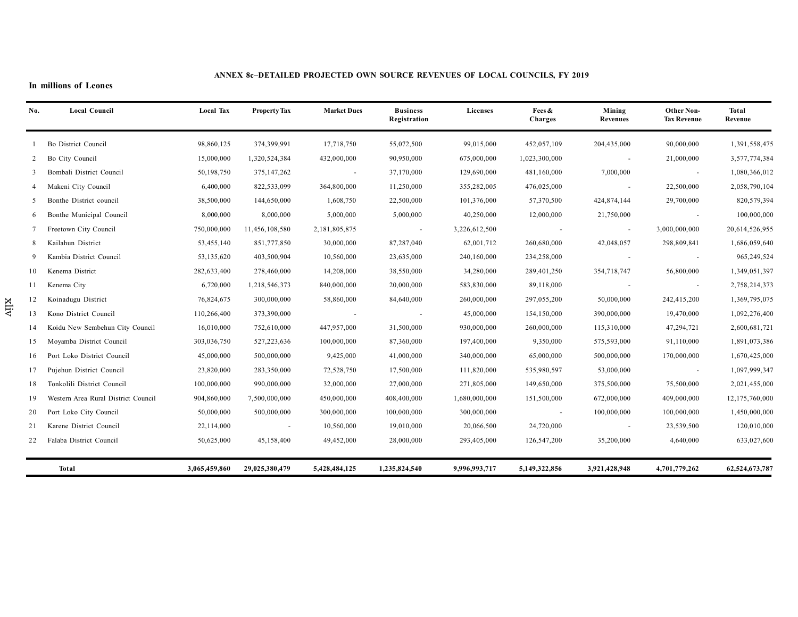#### **ANNEX 8c–DETAILED PROJECTED OWN SOURCE REVENUES OF LOCAL COUNCILS, FY 2019**

#### **In millions of Leones**

xliv

| No. | <b>Local Council</b>                | <b>Local Tax</b> | <b>Property Tax</b> | <b>Market Dues</b> | <b>Business</b><br>Registration | Licenses      | Fees &<br><b>Charges</b> | Mining<br>Revenues | Other Non-<br><b>Tax Revenue</b> | Total<br>Revenue |
|-----|-------------------------------------|------------------|---------------------|--------------------|---------------------------------|---------------|--------------------------|--------------------|----------------------------------|------------------|
|     | Bo District Council                 | 98,860,125       | 374,399,991         | 17,718,750         | 55,072,500                      | 99,015,000    | 452,057,109              | 204,435,000        | 90,000,000                       | 1,391,558,475    |
| 2   | Bo City Council                     | 15,000,000       | 1,320,524,384       | 432,000,000        | 90,950,000                      | 675,000,000   | 1,023,300,000            |                    | 21,000,000                       | 3,577,774,384    |
| 3   | Bombali District Council            | 50,198,750       | 375,147,262         | $\sim$             | 37,170,000                      | 129,690,000   | 481,160,000              | 7,000,000          | $\sim$                           | 1,080,366,012    |
|     | Makeni City Council                 | 6,400,000        | 822,533,099         | 364,800,000        | 11,250,000                      | 355,282,005   | 476,025,000              |                    | 22,500,000                       | 2,058,790,104    |
| 5   | Bonthe District council             | 38,500,000       | 144,650,000         | 1,608,750          | 22,500,000                      | 101,376,000   | 57,370,500               | 424,874,144        | 29,700,000                       | 820,579,394      |
| 6   | Bonthe Municipal Council            | 8,000,000        | 8,000,000           | 5,000,000          | 5,000,000                       | 40,250,000    | 12,000,000               | 21,750,000         | $\sim$                           | 100,000,000      |
|     | Freetown City Council               | 750,000,000      | 11,456,108,580      | 2,181,805,875      | $\sim$                          | 3,226,612,500 | $\sim 100$ m $^{-1}$     | $\sim$             | 3,000,000,000                    | 20,614,526,955   |
| 8   | Kailahun District                   | 53,455,140       | 851,777,850         | 30,000,000         | 87,287,040                      | 62,001,712    | 260,680,000              | 42,048,057         | 298,809,841                      | 1,686,059,640    |
|     | Kambia District Council             | 53,135,620       | 403,500,904         | 10,560,000         | 23,635,000                      | 240,160,000   | 234,258,000              |                    | $\sim$                           | 965,249,524      |
| 10  | Kenema District                     | 282,633,400      | 278,460,000         | 14,208,000         | 38,550,000                      | 34,280,000    | 289,401,250              | 354,718,747        | 56,800,000                       | 1,349,051,397    |
| 11  | Kenema City                         | 6,720,000        | 1,218,546,373       | 840,000,000        | 20,000,000                      | 583,830,000   | 89,118,000               |                    | $\sim$                           | 2,758,214,373    |
| 12  | Koinadugu District                  | 76,824,675       | 300,000,000         | 58,860,000         | 84,640,000                      | 260,000,000   | 297,055,200              | 50,000,000         | 242,415,200                      | 1,369,795,075    |
| 13  | Kono District Council               | 110,266,400      | 373,390,000         |                    | $\sim$                          | 45,000,000    | 154,150,000              | 390,000,000        | 19,470,000                       | 1,092,276,400    |
| 14  | Koidu New Sembehun City Council     | 16,010,000       | 752,610,000         | 447,957,000        | 31,500,000                      | 930,000,000   | 260,000,000              | 115,310,000        | 47,294,721                       | 2,600,681,721    |
| 15  | Moyamba District Council            | 303,036,750      | 527,223,636         | 100,000,000        | 87,360,000                      | 197,400,000   | 9,350,000                | 575,593,000        | 91,110,000                       | 1,891,073,386    |
| 16  | Port Loko District Council          | 45,000,000       | 500,000,000         | 9,425,000          | 41,000,000                      | 340,000,000   | 65,000,000               | 500,000,000        | 170,000,000                      | 1,670,425,000    |
| 17  | Pujehun District Council            | 23,820,000       | 283,350,000         | 72,528,750         | 17,500,000                      | 111,820,000   | 535,980,597              | 53,000,000         | $\sim$                           | 1,097,999,347    |
| 18  | Tonkolili District Council          | 100,000,000      | 990,000,000         | 32,000,000         | 27,000,000                      | 271,805,000   | 149,650,000              | 375,500,000        | 75,500,000                       | 2,021,455,000    |
| 19  | Western Area Rural District Council | 904,860,000      | 7,500,000,000       | 450,000,000        | 408,400,000                     | 1,680,000,000 | 151,500,000              | 672,000,000        | 409,000,000                      | 12,175,760,000   |
| 20  | Port Loko City Council              | 50,000,000       | 500,000,000         | 300,000,000        | 100,000,000                     | 300,000,000   | $\sim$                   | 100,000,000        | 100,000,000                      | 1,450,000,000    |
| 21  | Karene District Council             | 22,114,000       | $\sim$              | 10,560,000         | 19,010,000                      | 20,066,500    | 24,720,000               |                    | 23,539,500                       | 120,010,000      |
| 22  | Falaba District Council             | 50,625,000       | 45,158,400          | 49,452,000         | 28,000,000                      | 293,405,000   | 126,547,200              | 35,200,000         | 4,640,000                        | 633,027,600      |
|     | Total                               | 3,065,459,860    | 29,025,380,479      | 5,428,484,125      | 1,235,824,540                   | 9,996,993,717 | 5,149,322,856            | 3,921,428,948      | 4,701,779,262                    | 62,524,673,787   |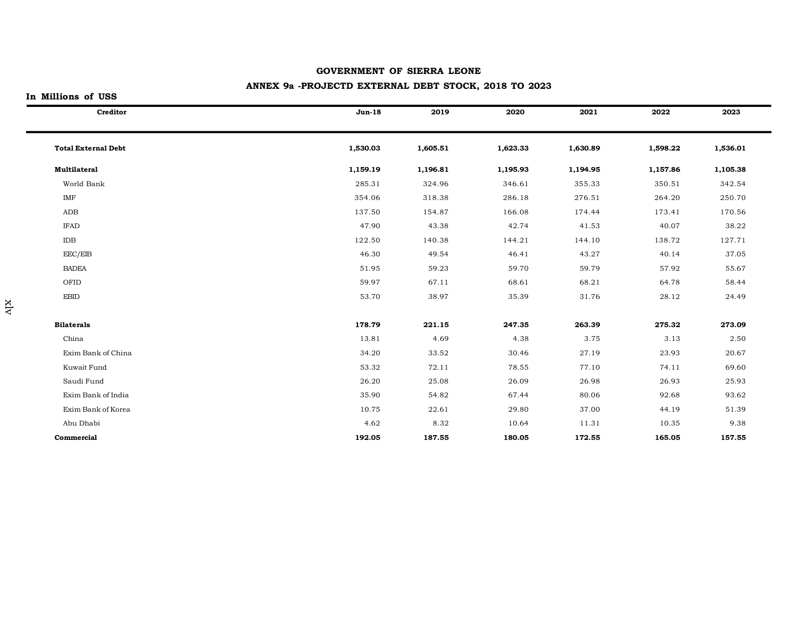# **ANNEX 9a -PROJECTD EXTERNAL DEBT STOCK, 2018 TO 2023**

## **In Millions of USS**

| Creditor                   | $Jun-18$ | 2019     | 2020     | 2021     | 2022     | 2023     |
|----------------------------|----------|----------|----------|----------|----------|----------|
| <b>Total External Debt</b> | 1,530.03 | 1,605.51 | 1,623.33 | 1,630.89 | 1,598.22 | 1,536.01 |
| <b>Multilateral</b>        | 1,159.19 | 1,196.81 | 1,195.93 | 1,194.95 | 1,157.86 | 1,105.38 |
| World Bank                 | 285.31   | 324.96   | 346.61   | 355.33   | 350.51   | 342.54   |
| IMF                        | 354.06   | 318.38   | 286.18   | 276.51   | 264.20   | 250.70   |
| ADB                        | 137.50   | 154.87   | 166.08   | 174.44   | 173.41   | 170.56   |
| <b>IFAD</b>                | 47.90    | 43.38    | 42.74    | 41.53    | 40.07    | 38.22    |
| IDB                        | 122.50   | 140.38   | 144.21   | 144.10   | 138.72   | 127.71   |
| EEC/EIB                    | 46.30    | 49.54    | 46.41    | 43.27    | 40.14    | 37.05    |
| <b>BADEA</b>               | 51.95    | 59.23    | 59.70    | 59.79    | 57.92    | 55.67    |
| OFID                       | 59.97    | 67.11    | 68.61    | 68.21    | 64.78    | 58.44    |
| <b>EBID</b>                | 53.70    | 38.97    | 35.39    | 31.76    | 28.12    | 24.49    |
| <b>Bilaterals</b>          | 178.79   | 221.15   | 247.35   | 263.39   | 275.32   | 273.09   |
| China                      | 13.81    | 4.69     | 4.38     | 3.75     | 3.13     | 2.50     |
| Exim Bank of China         | 34.20    | 33.52    | 30.46    | 27.19    | 23.93    | 20.67    |
| Kuwait Fund                | 53.32    | 72.11    | 78.55    | 77.10    | 74.11    | 69.60    |
| Saudi Fund                 | 26.20    | 25.08    | 26.09    | 26.98    | 26.93    | 25.93    |
| Exim Bank of India         | 35.90    | 54.82    | 67.44    | 80.06    | 92.68    | 93.62    |
| Exim Bank of Korea         | 10.75    | 22.61    | 29.80    | 37.00    | 44.19    | 51.39    |
| Abu Dhabi                  | 4.62     | 8.32     | 10.64    | 11.31    | 10.35    | 9.38     |
| Commercial                 | 192.05   | 187.55   | 180.05   | 172.55   | 165.05   | 157.55   |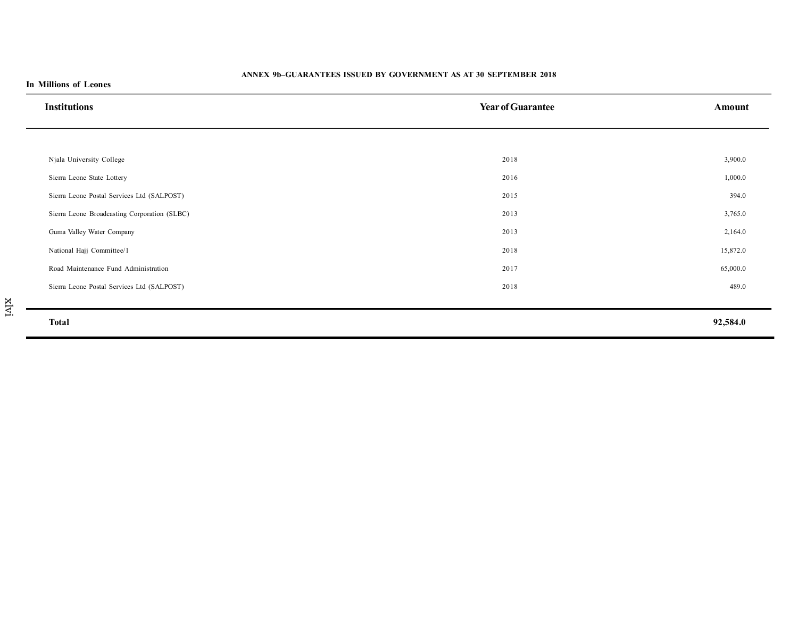### **ANNEX 9b–GUARANTEES ISSUED BY GOVERNMENT AS AT 30 SEPTEMBER 2018**

| <b>Institutions</b>                          | <b>Year of Guarantee</b> | Amount   |
|----------------------------------------------|--------------------------|----------|
|                                              |                          |          |
| Njala University College                     | 2018                     | 3,900.0  |
| Sierra Leone State Lottery                   | 2016                     | 1,000.0  |
| Sierra Leone Postal Services Ltd (SALPOST)   | 2015                     | 394.0    |
| Sierra Leone Broadcasting Corporation (SLBC) | 2013                     | 3,765.0  |
| Guma Valley Water Company                    | 2013                     | 2,164.0  |
| National Hajj Committee/1                    | 2018                     | 15,872.0 |
| Road Maintenance Fund Administration         | 2017                     | 65,000.0 |
| Sierra Leone Postal Services Ltd (SALPOST)   | 2018                     | 489.0    |
| <b>Total</b>                                 |                          | 92,584.0 |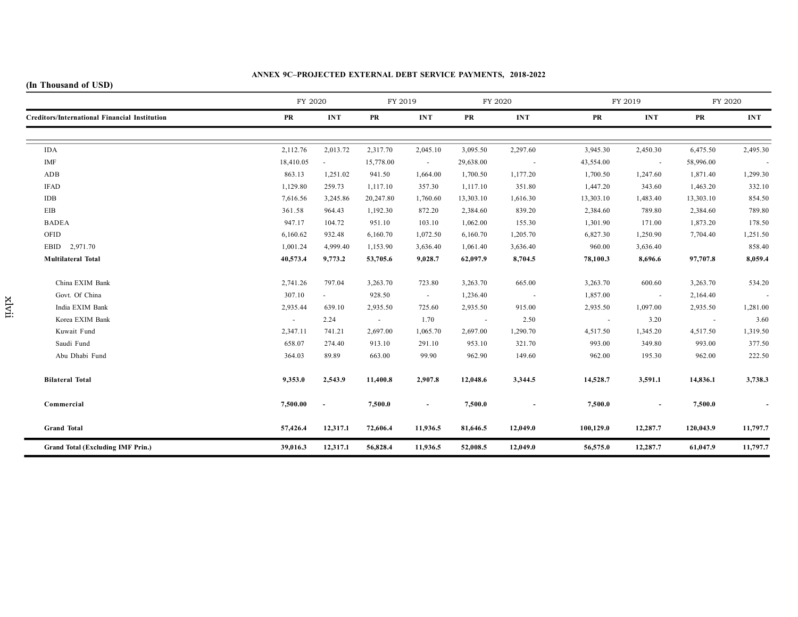#### **ANNEX 9C–PROJECTED EXTERNAL DEBT SERVICE PAYMENTS, 2018-2022**

# **(In Thousand of USD)**

|                                               | FY 2020   |                | FY 2019   |            | FY 2020   |                      | FY 2019   |                          | FY 2020   |            |
|-----------------------------------------------|-----------|----------------|-----------|------------|-----------|----------------------|-----------|--------------------------|-----------|------------|
| Creditors/International Financial Institution | PR        | <b>INT</b>     | PR        | <b>INT</b> | PR        | <b>INT</b>           | PR        | <b>INT</b>               | PR        | <b>INT</b> |
|                                               |           |                |           |            |           |                      |           |                          |           |            |
| <b>IDA</b>                                    | 2,112.76  | 2,013.72       | 2,317.70  | 2,045.10   | 3,095.50  | 2,297.60             | 3,945.30  | 2,450.30                 | 6,475.50  | 2,495.30   |
| IMF                                           | 18,410.05 | $\blacksquare$ | 15,778.00 | $\sim$     | 29,638.00 | $\sim$               | 43,554.00 | $\sim$                   | 58,996.00 | $\sim$     |
| ADB                                           | 863.13    | 1,251.02       | 941.50    | 1,664.00   | 1,700.50  | 1,177.20             | 1,700.50  | 1,247.60                 | 1,871.40  | 1,299.30   |
| <b>IFAD</b>                                   | 1,129.80  | 259.73         | 1,117.10  | 357.30     | 1,117.10  | 351.80               | 1,447.20  | 343.60                   | 1,463.20  | 332.10     |
| IDB                                           | 7,616.56  | 3,245.86       | 20,247.80 | 1,760.60   | 13,303.10 | 1,616.30             | 13,303.10 | 1,483.40                 | 13,303.10 | 854.50     |
| EIB                                           | 361.58    | 964.43         | 1,192.30  | 872.20     | 2,384.60  | 839.20               | 2,384.60  | 789.80                   | 2,384.60  | 789.80     |
| <b>BADEA</b>                                  | 947.17    | 104.72         | 951.10    | 103.10     | 1,062.00  | 155.30               | 1,301.90  | 171.00                   | 1,873.20  | 178.50     |
| OFID                                          | 6,160.62  | 932.48         | 6,160.70  | 1,072.50   | 6,160.70  | 1,205.70             | 6,827.30  | 1,250.90                 | 7,704.40  | 1,251.50   |
| EBID 2,971.70                                 | 1,001.24  | 4,999.40       | 1,153.90  | 3,636.40   | 1,061.40  | 3,636.40             | 960.00    | 3,636.40                 |           | 858.40     |
| <b>Multilateral Total</b>                     | 40,573.4  | 9,773.2        | 53,705.6  | 9,028.7    | 62,097.9  | 8,704.5              | 78,100.3  | 8,696.6                  | 97,707.8  | 8,059.4    |
| China EXIM Bank                               | 2,741.26  | 797.04         | 3,263.70  | 723.80     | 3,263.70  | 665.00               | 3,263.70  | 600.60                   | 3,263.70  | 534.20     |
| Govt. Of China                                | 307.10    | $\sim$         | 928.50    | $\sim$     | 1,236.40  | $\sim 100$ m $^{-1}$ | 1,857.00  | $\sim 100$ m $^{-1}$     | 2,164.40  |            |
| India EXIM Bank                               | 2,935.44  | 639.10         | 2,935.50  | 725.60     | 2,935.50  | 915.00               | 2,935.50  | 1,097.00                 | 2,935.50  | 1,281.00   |
| Korea EXIM Bank                               | $\sim$    | 2.24           | $\sim$    | 1.70       | $\sim$    | 2.50                 | $\sim$    | 3.20                     | $\sim$    | 3.60       |
| Kuwait Fund                                   | 2,347.11  | 741.21         | 2,697.00  | 1,065.70   | 2,697.00  | 1,290.70             | 4,517.50  | 1,345.20                 | 4,517.50  | 1,319.50   |
| Saudi Fund                                    | 658.07    | 274.40         | 913.10    | 291.10     | 953.10    | 321.70               | 993.00    | 349.80                   | 993.00    | 377.50     |
| Abu Dhabi Fund                                | 364.03    | 89.89          | 663.00    | 99.90      | 962.90    | 149.60               | 962.00    | 195.30                   | 962.00    | 222.50     |
| <b>Bilateral Total</b>                        | 9,353.0   | 2,543.9        | 11,400.8  | 2,907.8    | 12,048.6  | 3,344.5              | 14,528.7  | 3,591.1                  | 14,836.1  | 3,738.3    |
| Commercial                                    | 7,500.00  |                | 7,500.0   | $\sim$     | 7,500.0   |                      | 7,500.0   | $\overline{\phantom{a}}$ | 7,500.0   |            |
| <b>Grand Total</b>                            | 57,426.4  | 12,317.1       | 72,606.4  | 11,936.5   | 81,646.5  | 12,049.0             | 100,129.0 | 12,287.7                 | 120,043.9 | 11,797.7   |
| <b>Grand Total (Excluding IMF Prin.)</b>      | 39,016.3  | 12,317.1       | 56,828.4  | 11,936.5   | 52,008.5  | 12,049.0             | 56,575.0  | 12,287.7                 | 61,047.9  | 11,797.7   |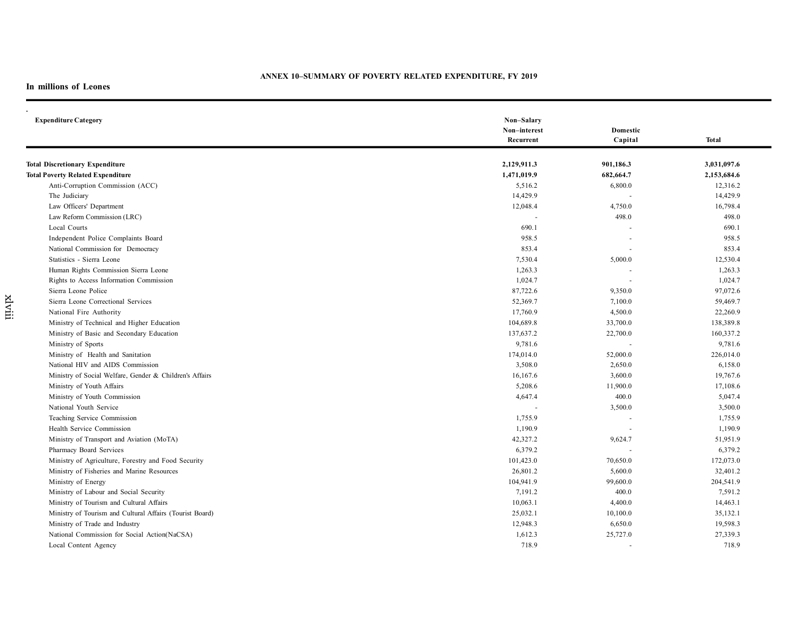## **ANNEX 10–SUMMARY OF POVERTY RELATED EXPENDITURE, FY 2019**

## **In millions of Leones**

xlviii

| <b>Expenditure Category</b>                              | Non-Salary<br>Non-interest<br>Recurrent | Domestic<br>Capital | <b>Total</b> |
|----------------------------------------------------------|-----------------------------------------|---------------------|--------------|
| <b>Total Discretionary Expenditure</b>                   | 2,129,911.3                             | 901,186.3           | 3,031,097.6  |
| <b>Total Poverty Related Expenditure</b>                 | 1,471,019.9                             | 682,664.7           | 2,153,684.6  |
| Anti-Corruption Commission (ACC)                         | 5,516.2                                 | 6,800.0             | 12,316.2     |
| The Judiciary                                            | 14,429.9                                |                     | 14,429.9     |
| Law Officers' Department                                 | 12,048.4                                | 4,750.0             | 16,798.4     |
| Law Reform Commission (LRC)                              |                                         | 498.0               | 498.0        |
| Local Courts                                             | 690.1                                   |                     | 690.1        |
| Independent Police Complaints Board                      | 958.5                                   |                     | 958.5        |
| National Commission for Democracy                        | 853.4                                   |                     | 853.4        |
| Statistics - Sierra Leone                                | 7,530.4                                 | 5,000.0             | 12,530.4     |
| Human Rights Commission Sierra Leone                     | 1,263.3                                 |                     | 1,263.3      |
| Rights to Access Information Commission                  | 1,024.7                                 |                     | 1,024.7      |
| Sierra Leone Police                                      | 87,722.6                                | 9,350.0             | 97,072.6     |
| Sierra Leone Correctional Services                       | 52,369.7                                | 7,100.0             | 59,469.7     |
| National Fire Authority                                  | 17,760.9                                | 4,500.0             | 22,260.9     |
| Ministry of Technical and Higher Education               | 104,689.8                               | 33,700.0            | 138,389.8    |
| Ministry of Basic and Secondary Education                | 137,637.2                               | 22,700.0            | 160,337.2    |
| Ministry of Sports                                       | 9,781.6                                 |                     | 9,781.6      |
| Ministry of Health and Sanitation                        | 174,014.0                               | 52,000.0            | 226,014.0    |
| National HIV and AIDS Commission                         | 3,508.0                                 | 2,650.0             | 6,158.0      |
| Ministry of Social Welfare, Gender & Children's Affairs  | 16,167.6                                | 3,600.0             | 19,767.6     |
| Ministry of Youth Affairs                                | 5,208.6                                 | 11,900.0            | 17,108.6     |
| Ministry of Youth Commission                             | 4,647.4                                 | 400.0               | 5,047.4      |
| National Youth Service                                   |                                         | 3,500.0             | 3,500.0      |
| Teaching Service Commission                              | 1,755.9                                 |                     | 1,755.9      |
| Health Service Commission                                | 1,190.9                                 |                     | 1,190.9      |
| Ministry of Transport and Aviation (MoTA)                | 42,327.2                                | 9,624.7             | 51,951.9     |
| Pharmacy Board Services                                  | 6,379.2                                 |                     | 6,379.2      |
| Ministry of Agriculture, Forestry and Food Security      | 101,423.0                               | 70,650.0            | 172,073.0    |
| Ministry of Fisheries and Marine Resources               | 26,801.2                                | 5,600.0             | 32,401.2     |
| Ministry of Energy                                       | 104,941.9                               | 99,600.0            | 204,541.9    |
| Ministry of Labour and Social Security                   | 7,191.2                                 | 400.0               | 7,591.2      |
| Ministry of Tourism and Cultural Affairs                 | 10,063.1                                | 4,400.0             | 14,463.1     |
| Ministry of Tourism and Cultural Affairs (Tourist Board) | 25,032.1                                | 10,100.0            | 35,132.1     |
| Ministry of Trade and Industry                           | 12,948.3                                | 6,650.0             | 19,598.3     |
| National Commission for Social Action(NaCSA)             | 1,612.3                                 | 25,727.0            | 27,339.3     |
| Local Content Agency                                     | 718.9                                   |                     | 718.9        |